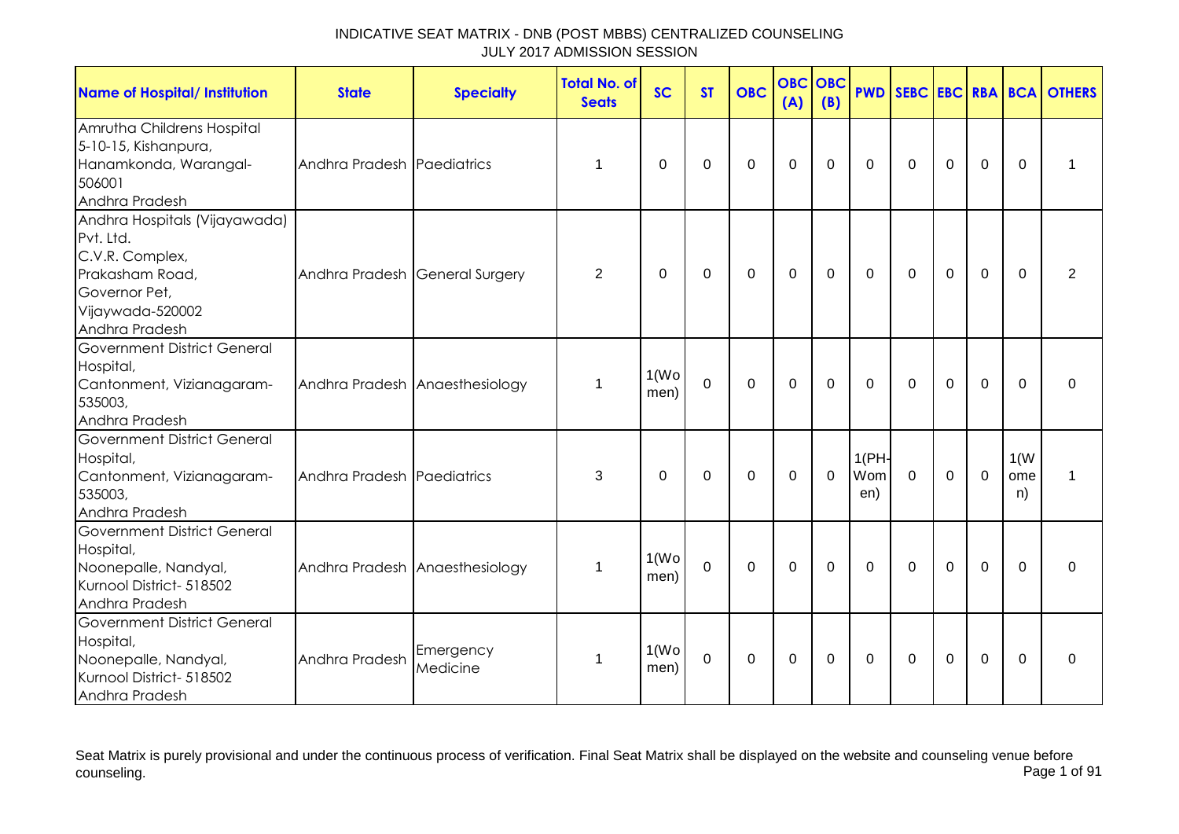| <b>Name of Hospital/ Institution</b>                                                                                                    | <b>State</b>                   | <b>Specialty</b>               | <b>Total No. of</b><br><b>Seats</b> | <b>SC</b>                  | <b>ST</b>   | <b>OBC</b>  | <b>OBC</b><br>(A) | OBC<br>(B) | <b>PWD</b>          |              |             |                |                   | <b>SEBC EBC RBA BCA OTHERS</b> |
|-----------------------------------------------------------------------------------------------------------------------------------------|--------------------------------|--------------------------------|-------------------------------------|----------------------------|-------------|-------------|-------------------|------------|---------------------|--------------|-------------|----------------|-------------------|--------------------------------|
| Amrutha Childrens Hospital<br>5-10-15, Kishanpura,<br>Hanamkonda, Warangal-<br>506001<br>Andhra Pradesh                                 | Andhra Pradesh Paediatrics     |                                | 1                                   | $\Omega$                   | $\Omega$    | $\Omega$    | $\mathbf 0$       | $\Omega$   | $\Omega$            | $\mathbf{0}$ | $\Omega$    | $\mathbf 0$    | $\Omega$          | 1                              |
| Andhra Hospitals (Vijayawada)<br>Pvt. Ltd.<br>C.V.R. Complex,<br>Prakasham Road,<br>Governor Pet,<br>Vijaywada-520002<br>Andhra Pradesh | Andhra Pradesh General Surgery |                                | 2                                   | 0                          | 0           | $\pmb{0}$   | $\mathbf 0$       | 0          | 0                   | $\Omega$     | $\mathbf 0$ | $\mathbf 0$    | $\Omega$          | 2                              |
| <b>Government District General</b><br>Hospital,<br>Cantonment, Vizianagaram-<br>535003,<br>Andhra Pradesh                               |                                | Andhra Pradesh Anaesthesiology | 1                                   | 1(W <sub>O</sub> )<br>men) | $\mathbf 0$ | $\mathbf 0$ | $\mathbf 0$       | 0          | $\Omega$            | $\Omega$     | $\mathbf 0$ | $\overline{0}$ | $\Omega$          | $\Omega$                       |
| <b>Government District General</b><br>Hospital,<br>Cantonment, Vizianagaram-<br>535003,<br>Andhra Pradesh                               | Andhra Pradesh Paediatrics     |                                | 3                                   | $\Omega$                   | 0           | 0           | 0                 | $\Omega$   | 1(PH)<br>Wom<br>en) | $\mathbf 0$  | $\Omega$    | $\mathbf 0$    | 1(W)<br>ome<br>n) | 1                              |
| <b>Government District General</b><br>Hospital,<br>Noonepalle, Nandyal,<br>Kurnool District- 518502<br>Andhra Pradesh                   |                                | Andhra Pradesh Anaesthesiology | 1                                   | 1(W <sub>O</sub> )<br>men) | $\mathbf 0$ | $\mathbf 0$ | $\mathbf 0$       | 0          | $\mathbf 0$         | $\Omega$     | $\mathbf 0$ | $\mathbf 0$    | $\Omega$          | 0                              |
| Government District General<br>Hospital,<br>Noonepalle, Nandyal,<br>Kurnool District- 518502<br>Andhra Pradesh                          | Andhra Pradesh                 | Emergency<br>Medicine          | 1                                   | 1(W <sub>O</sub> )<br>men) | 0           | 0           | 0                 | 0          | 0                   | 0            | 0           | 0              | $\Omega$          | 0                              |

Seat Matrix is purely provisional and under the continuous process of verification. Final Seat Matrix shall be displayed on the website and counseling venue before<br>Page 1 of 91 counseling. Page 1 of 91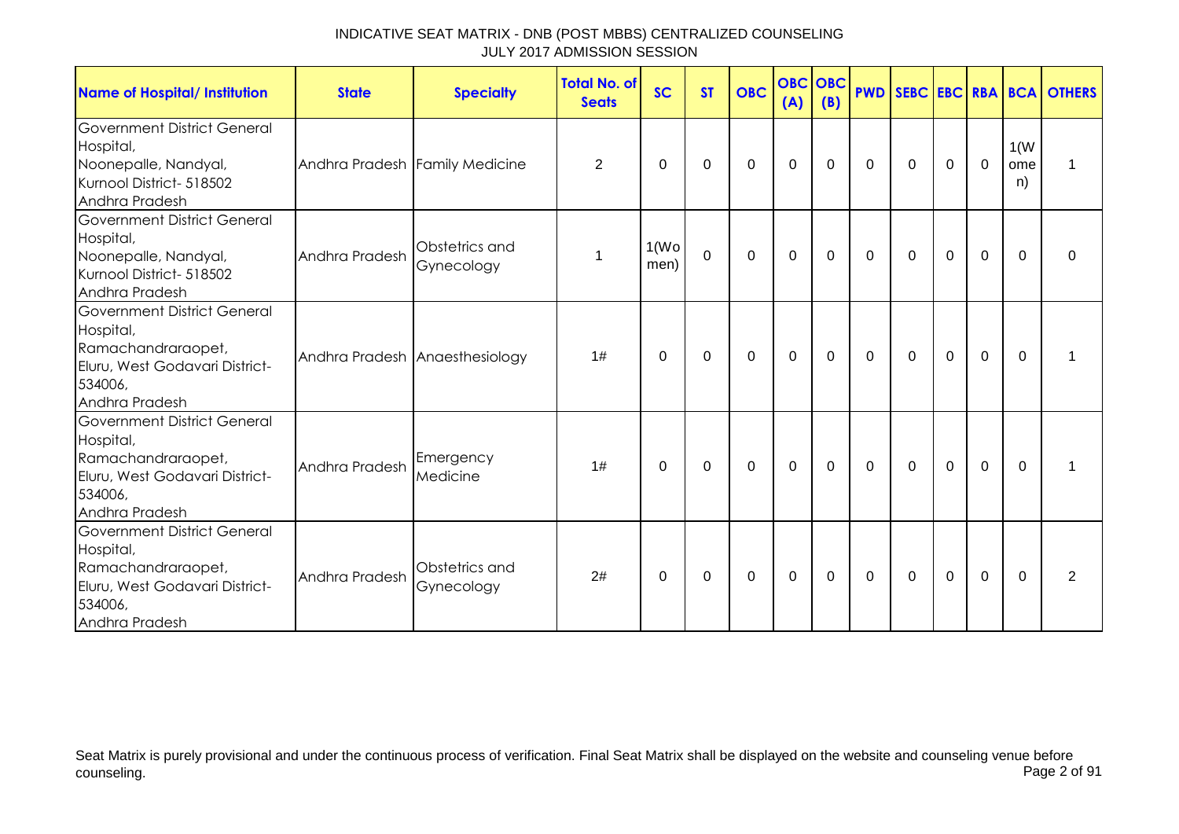| <b>Name of Hospital/ Institution</b>                                                                                                 | <b>State</b>                   | <b>Specialty</b>               | <b>Total No. of</b><br><b>Seats</b> | <b>SC</b>                  | <b>ST</b>   | <b>OBC</b>     | <b>OBC</b><br>(A) | <b>OBC</b><br>(B) | <b>PWD</b>   |              |             |             |                   | <b>SEBC EBC RBA BCA OTHERS</b> |
|--------------------------------------------------------------------------------------------------------------------------------------|--------------------------------|--------------------------------|-------------------------------------|----------------------------|-------------|----------------|-------------------|-------------------|--------------|--------------|-------------|-------------|-------------------|--------------------------------|
| <b>Government District General</b><br>Hospital,<br>Noonepalle, Nandyal,<br>Kurnool District- 518502<br>Andhra Pradesh                | Andhra Pradesh Family Medicine |                                | $\overline{2}$                      | 0                          | 0           | 0              | 0                 | 0                 | $\Omega$     | $\mathbf{0}$ | 0           | $\mathbf 0$ | 1(W)<br>ome<br>n) | 1                              |
| <b>Government District General</b><br>Hospital,<br>Noonepalle, Nandyal,<br>Kurnool District- 518502<br>Andhra Pradesh                | Andhra Pradesh                 | Obstetrics and<br>Gynecology   | 1                                   | 1(W <sub>O</sub> )<br>men) | $\mathbf 0$ | $\overline{0}$ | $\mathbf{0}$      | $\Omega$          | $\Omega$     | $\mathbf{0}$ | $\Omega$    | 0           | $\Omega$          | $\Omega$                       |
| <b>Government District General</b><br>Hospital,<br>Ramachandraraopet,<br>Eluru, West Godavari District-<br>534006,<br>Andhra Pradesh |                                | Andhra Pradesh Anaesthesiology | 1#                                  | 0                          | 0           | 0              | $\mathbf 0$       | 0                 | 0            | $\mathbf{0}$ | $\mathbf 0$ | $\mathbf 0$ | $\Omega$          |                                |
| <b>Government District General</b><br>Hospital,<br>Ramachandraraopet,<br>Eluru, West Godavari District-<br>534006,<br>Andhra Pradesh | Andhra Pradesh                 | Emergency<br>Medicine          | 1#                                  | 0                          | 0           | $\mathbf 0$    | $\mathbf 0$       | 0                 | $\mathbf{0}$ | $\mathbf{0}$ | $\mathbf 0$ | $\mathbf 0$ | $\Omega$          |                                |
| <b>Government District General</b><br>Hospital,<br>Ramachandraraopet,<br>Eluru, West Godavari District-<br>534006,<br>Andhra Pradesh | Andhra Pradesh                 | Obstetrics and<br>Gynecology   | 2#                                  | $\Omega$                   | 0           | $\mathbf 0$    | 0                 | 0                 | 0            | $\mathbf{0}$ | $\mathbf 0$ | 0           | $\Omega$          | 2                              |

Seat Matrix is purely provisional and under the continuous process of verification. Final Seat Matrix shall be displayed on the website and counseling venue before<br>Page 2 of 91 counseling. Page 2 of 91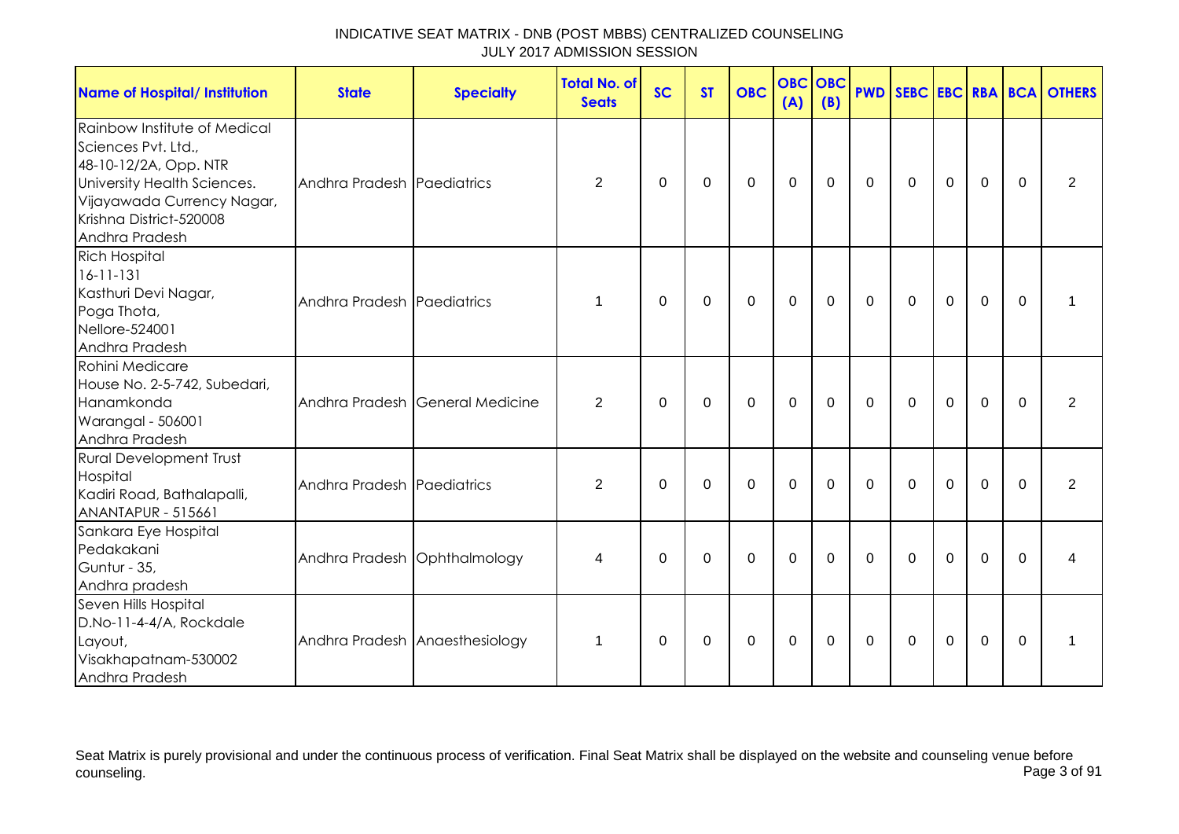| <b>Name of Hospital/ Institution</b>                                                                                                                                                   | <b>State</b>                 | <b>Specialty</b>                | <b>Total No. of</b><br><b>Seats</b> | <b>SC</b> | <b>ST</b>   | <b>OBC</b>  | <b>OBC</b><br>(A) | OBC<br>(B) |              |              |                |                |          | <b>PWD SEBC EBC RBA BCA OTHERS</b> |
|----------------------------------------------------------------------------------------------------------------------------------------------------------------------------------------|------------------------------|---------------------------------|-------------------------------------|-----------|-------------|-------------|-------------------|------------|--------------|--------------|----------------|----------------|----------|------------------------------------|
| Rainbow Institute of Medical<br>Sciences Pvt. Ltd.,<br>48-10-12/2A, Opp. NTR<br>University Health Sciences.<br>Vijayawada Currency Nagar,<br>Krishna District-520008<br>Andhra Pradesh | Andhra Pradesh Paediatrics   |                                 | 2                                   | $\Omega$  | $\Omega$    | $\Omega$    | $\mathbf{0}$      | $\Omega$   | $\mathbf{0}$ | $\mathbf{0}$ | $\Omega$       | $\Omega$       | $\Omega$ | 2                                  |
| <b>Rich Hospital</b><br>$16 - 11 - 131$<br>Kasthuri Devi Nagar,<br>Poga Thota,<br>Nellore-524001<br>Andhra Pradesh                                                                     | Andhra Pradesh Paediatrics   |                                 | 1                                   | $\Omega$  | $\mathbf 0$ | $\mathbf 0$ | $\mathbf 0$       | 0          | $\mathbf 0$  | $\mathbf 0$  | $\mathbf 0$    | $\mathbf 0$    | $\Omega$ | 1                                  |
| Rohini Medicare<br>House No. 2-5-742, Subedari,<br>Hanamkonda<br>Warangal - 506001<br>Andhra Pradesh                                                                                   |                              | Andhra Pradesh General Medicine | 2                                   | $\Omega$  | $\Omega$    | $\Omega$    | $\Omega$          | $\Omega$   | $\mathbf{0}$ | $\Omega$     | $\Omega$       | $\Omega$       | $\Omega$ | 2                                  |
| <b>Rural Development Trust</b><br>Hospital<br>Kadiri Road, Bathalapalli,<br><b>ANANTAPUR - 515661</b>                                                                                  | Andhra Pradesh Paediatrics   |                                 | $\overline{2}$                      | $\Omega$  | $\mathbf 0$ | $\mathbf 0$ | $\mathbf 0$       | $\Omega$   | $\mathbf 0$  | $\Omega$     | $\mathbf 0$    | $\mathbf 0$    | $\Omega$ | 2                                  |
| Sankara Eye Hospital<br>Pedakakani<br>Guntur - 35,<br>Andhra pradesh                                                                                                                   | Andhra Pradesh Ophthalmology |                                 | 4                                   | $\Omega$  | 0           | 0           | $\mathbf 0$       | $\Omega$   | $\mathbf{0}$ | $\Omega$     | $\Omega$       | $\overline{0}$ | $\Omega$ | 4                                  |
| Seven Hills Hospital<br>D.No-11-4-4/A, Rockdale<br>Layout,<br>Visakhapatnam-530002<br>Andhra Pradesh                                                                                   |                              | Andhra Pradesh Anaesthesiology  | 1                                   | $\Omega$  | $\Omega$    | $\mathbf 0$ | $\mathbf 0$       | $\Omega$   | $\mathbf{0}$ | $\mathbf{0}$ | $\overline{0}$ | $\mathbf 0$    | $\Omega$ |                                    |

Seat Matrix is purely provisional and under the continuous process of verification. Final Seat Matrix shall be displayed on the website and counseling venue before<br>Page 3 of 91 counseling. Page 3 of 91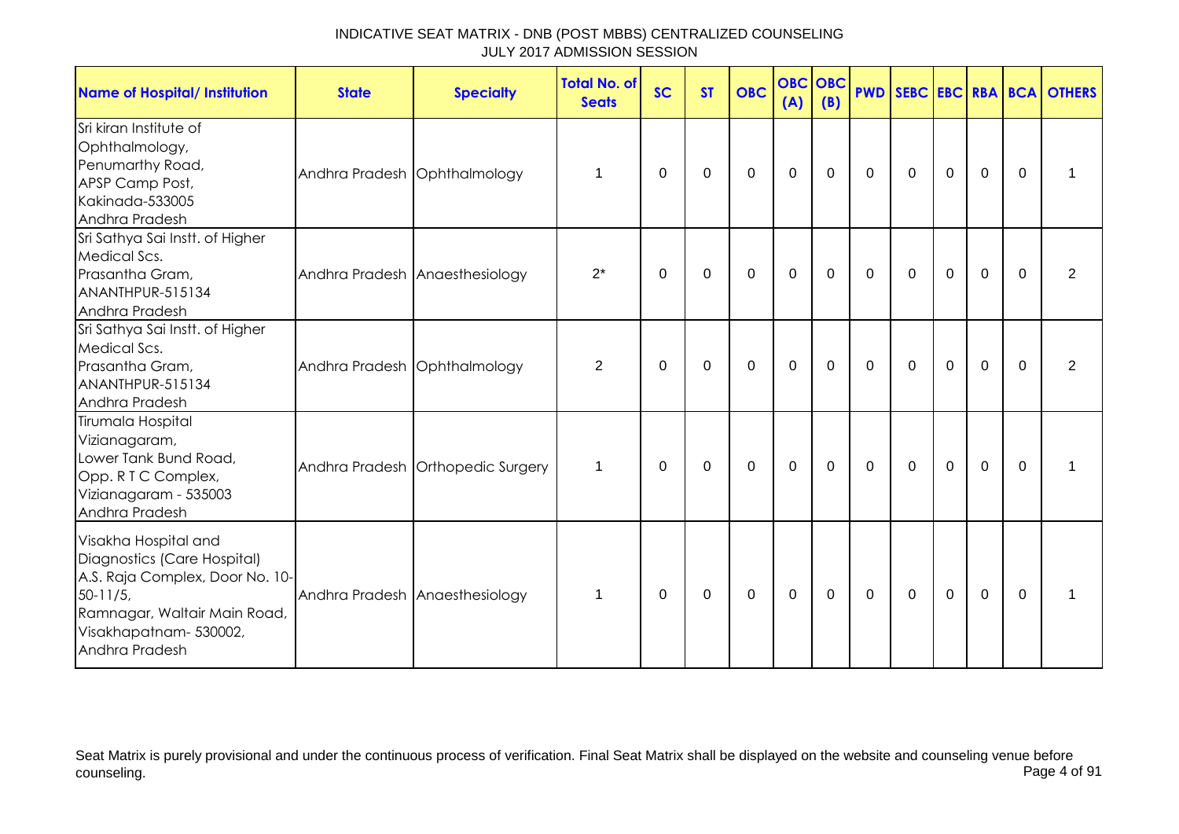| <b>Name of Hospital/ Institution</b>                                                                                                                                              | <b>State</b>                   | <b>Specialty</b>                  | <b>Total No. of</b><br><b>Seats</b> | <b>SC</b>   | <b>ST</b> | <b>OBC</b>   | <b>OBC OBC</b><br>(A) | (B)         |                  |             |              |             |          | <b>PWD SEBC EBC RBA BCA OTHERS</b> |
|-----------------------------------------------------------------------------------------------------------------------------------------------------------------------------------|--------------------------------|-----------------------------------|-------------------------------------|-------------|-----------|--------------|-----------------------|-------------|------------------|-------------|--------------|-------------|----------|------------------------------------|
| Sri kiran Institute of<br>Ophthalmology,<br>Penumarthy Road,<br>APSP Camp Post,<br>Kakinada-533005<br>Andhra Pradesh                                                              | Andhra Pradesh Ophthalmology   |                                   | 1                                   | 0           | 0         | $\mathbf{0}$ | $\mathbf 0$           | $\Omega$    | 0                | $\mathbf 0$ | 0            | $\mathbf 0$ | $\Omega$ |                                    |
| Sri Sathya Sai Instt. of Higher<br>Medical Scs.<br>Prasantha Gram,<br>ANANTHPUR-515134<br>Andhra Pradesh                                                                          | Andhra Pradesh Anaesthesiology |                                   | $2^*$                               | 0           | 0         | $\mathbf 0$  | $\mathbf{0}$          | $\mathbf 0$ | $\mathbf 0$      | $\mathbf 0$ | $\mathbf 0$  | $\mathbf 0$ | $\Omega$ | $\overline{2}$                     |
| Sri Sathya Sai Instt. of Higher<br>Medical Scs.<br>Prasantha Gram,<br>ANANTHPUR-515134<br>Andhra Pradesh                                                                          | Andhra Pradesh Ophthalmology   |                                   | 2                                   | 0           | 0         | $\mathbf{0}$ | $\mathbf 0$           | $\Omega$    | $\mathbf{0}$     | $\Omega$    | $\mathbf{0}$ | $\mathbf 0$ | $\Omega$ | 2                                  |
| Tirumala Hospital<br>Vizianagaram,<br>Lower Tank Bund Road,<br>Opp. R T C Complex,<br>Vizianagaram - 535003<br>Andhra Pradesh                                                     |                                | Andhra Pradesh Orthopedic Surgery | $\mathbf 1$                         | $\mathbf 0$ | 0         | $\mathbf 0$  | $\mathbf 0$           | $\mathbf 0$ | $\boldsymbol{0}$ | $\mathbf 0$ | $\mathbf 0$  | $\mathbf 0$ | $\Omega$ | 1                                  |
| Visakha Hospital and<br>Diagnostics (Care Hospital)<br>A.S. Raja Complex, Door No. 10-<br>$50 - 11/5$<br>Ramnagar, Waltair Main Road,<br>Visakhapatnam- 530002,<br>Andhra Pradesh |                                | Andhra Pradesh Anaesthesiology    | $\overline{1}$                      | $\Omega$    | 0         | $\Omega$     | $\mathbf 0$           | $\mathbf 0$ | 0                | $\Omega$    | $\mathbf 0$  | $\mathbf 0$ | $\Omega$ |                                    |

Seat Matrix is purely provisional and under the continuous process of verification. Final Seat Matrix shall be displayed on the website and counseling venue before<br>Page 4 of 91 counseling. Page 4 of 91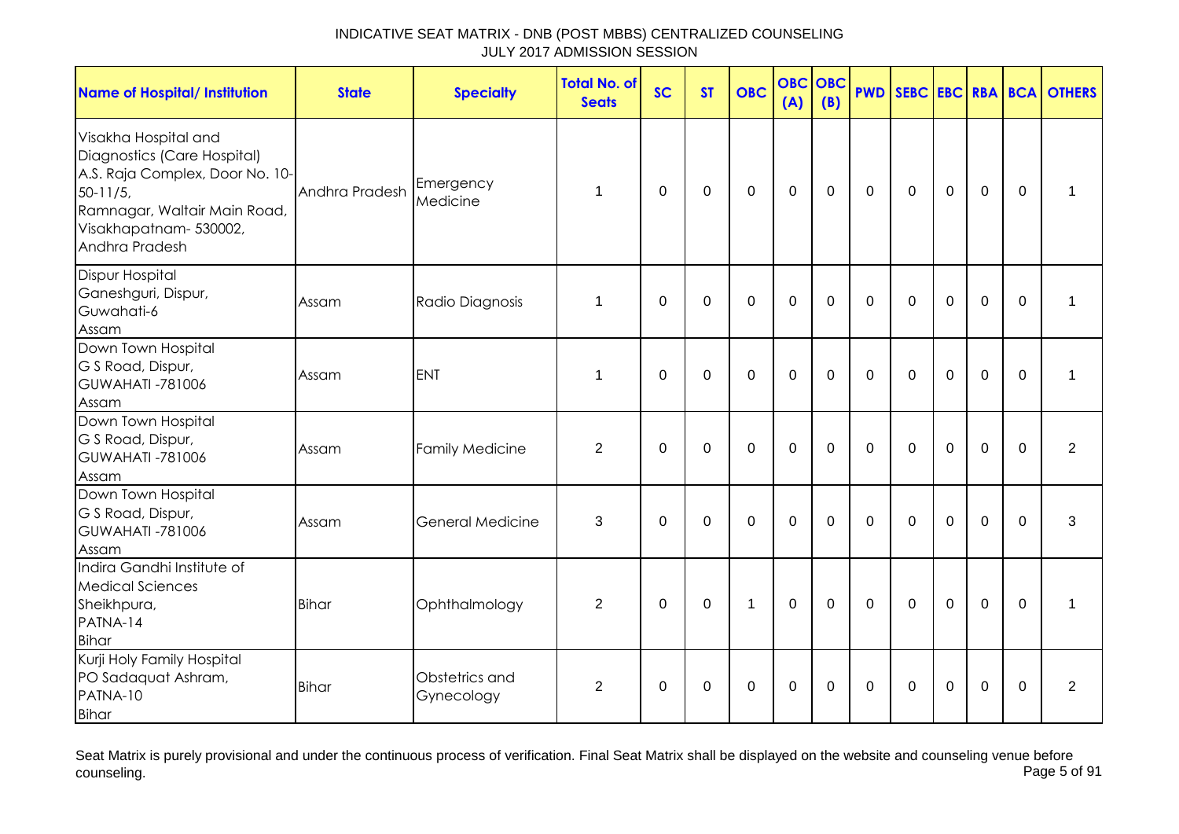| <b>Name of Hospital/ Institution</b>                                                                                                                                              | <b>State</b>   | <b>Specialty</b>             | <b>Total No. of</b><br><b>Seats</b> | <b>SC</b>   | <b>ST</b>   | <b>OBC</b>   | <b>OBC</b><br>(A) | <b>OBC</b><br>(B) |              |              |                |                |          | <b>PWD SEBC EBC RBA BCA OTHERS</b> |
|-----------------------------------------------------------------------------------------------------------------------------------------------------------------------------------|----------------|------------------------------|-------------------------------------|-------------|-------------|--------------|-------------------|-------------------|--------------|--------------|----------------|----------------|----------|------------------------------------|
| Visakha Hospital and<br>Diagnostics (Care Hospital)<br>A.S. Raja Complex, Door No. 10-<br>$50-11/5$ ,<br>Ramnagar, Waltair Main Road,<br>Visakhapatnam- 530002,<br>Andhra Pradesh | Andhra Pradesh | Emergency<br>Medicine        | $\mathbf 1$                         | $\Omega$    | $\mathbf 0$ | $\mathbf 0$  | $\mathbf 0$       | $\mathbf 0$       | $\mathbf{0}$ | $\mathbf 0$  | $\mathbf 0$    | $\overline{0}$ | $\Omega$ |                                    |
| <b>Dispur Hospital</b><br>Ganeshguri, Dispur,<br>Guwahati-6<br>Assam                                                                                                              | Assam          | Radio Diagnosis              | 1                                   | $\Omega$    | $\mathbf 0$ | $\mathbf 0$  | $\mathbf 0$       | $\Omega$          | $\mathbf{0}$ | $\mathbf{0}$ | $\mathbf 0$    | $\overline{0}$ | $\Omega$ | $\mathbf{1}$                       |
| Down Town Hospital<br>G S Road, Dispur,<br><b>GUWAHATI -781006</b><br>Assam                                                                                                       | Assam          | <b>ENT</b>                   | $\mathbf 1$                         | $\mathbf 0$ | $\mathbf 0$ | $\mathbf{0}$ | $\mathbf 0$       | $\overline{0}$    | $\Omega$     | $\Omega$     | $\overline{0}$ | $\overline{0}$ | $\Omega$ | $\mathbf 1$                        |
| Down Town Hospital<br>G S Road, Dispur,<br><b>GUWAHATI -781006</b><br>Assam                                                                                                       | Assam          | <b>Family Medicine</b>       | $\overline{2}$                      | $\mathbf 0$ | $\mathbf 0$ | $\mathbf 0$  | $\mathbf 0$       | 0                 | $\mathbf{0}$ | $\Omega$     | $\mathbf 0$    | $\mathbf 0$    | $\Omega$ | 2                                  |
| Down Town Hospital<br>G S Road, Dispur,<br><b>GUWAHATI -781006</b><br>Assam                                                                                                       | Assam          | <b>General Medicine</b>      | 3                                   | $\mathbf 0$ | $\mathbf 0$ | $\mathbf{0}$ | $\overline{0}$    | $\mathbf 0$       | $\mathbf 0$  | $\mathbf 0$  | $\mathbf 0$    | $\overline{0}$ | $\Omega$ | 3                                  |
| Indira Gandhi Institute of<br><b>Medical Sciences</b><br>Sheikhpura,<br>PATNA-14<br>Bihar                                                                                         | <b>Bihar</b>   | Ophthalmology                | 2                                   | $\mathbf 0$ | $\mathbf 0$ | $\mathbf{1}$ | $\mathbf 0$       | $\Omega$          | $\Omega$     | $\Omega$     | $\overline{0}$ | $\overline{0}$ | $\Omega$ | 1                                  |
| Kurji Holy Family Hospital<br>PO Sadaquat Ashram,<br>PATNA-10<br>Bihar                                                                                                            | <b>Bihar</b>   | Obstetrics and<br>Gynecology | 2                                   | 0           | 0           | $\mathbf 0$  | $\mathbf 0$       | 0                 | $\mathbf 0$  | $\Omega$     | $\Omega$       | $\mathbf 0$    | $\Omega$ | $\overline{2}$                     |

Seat Matrix is purely provisional and under the continuous process of verification. Final Seat Matrix shall be displayed on the website and counseling venue before<br>Page 5 of 91 counseling. Page 5 of 91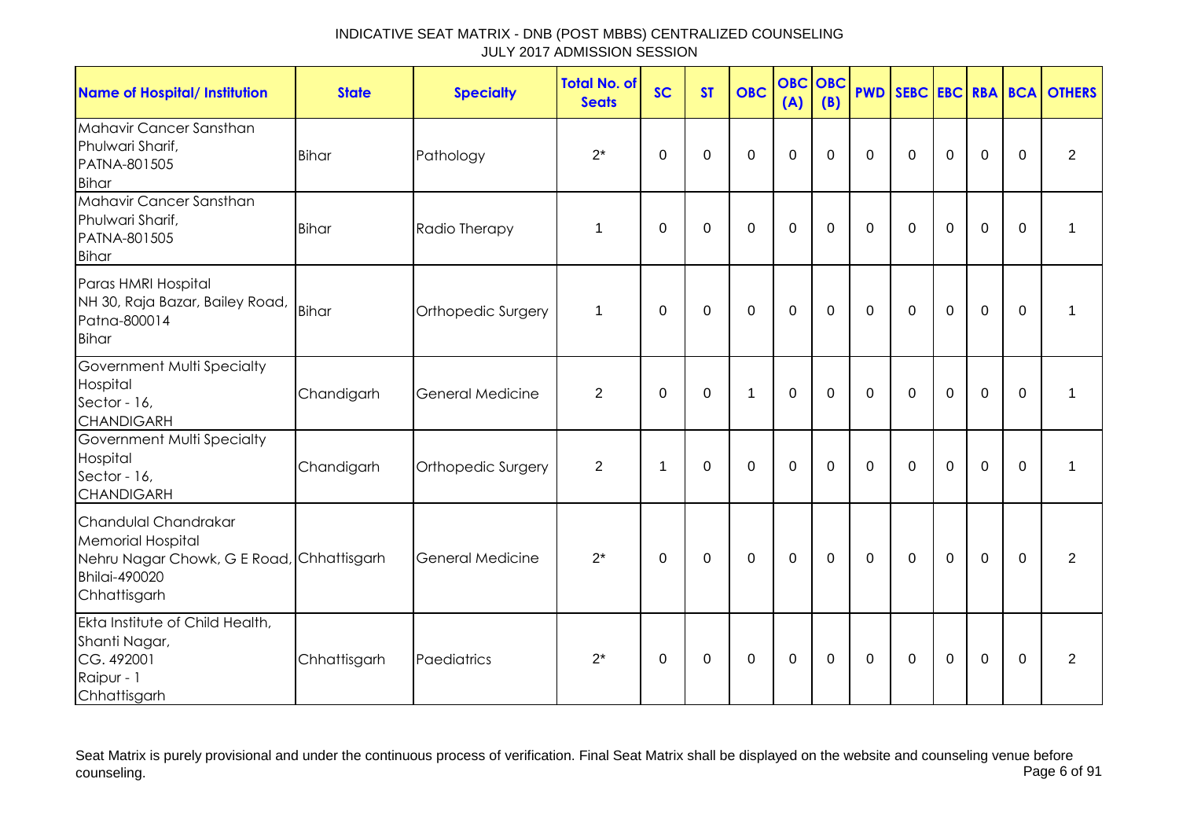| <b>Name of Hospital/ Institution</b>                                                                                                  | <b>State</b> | <b>Specialty</b>   | <b>Total No. of</b><br><b>Seats</b> | <b>SC</b>        | <b>ST</b>   | <b>OBC</b>     | <b>OBC</b><br>(A) | OBC<br>(B)  | <b>PWD</b>  | SEBC EBC RBA BCA |             |             |                  | <b>OTHERS</b>  |
|---------------------------------------------------------------------------------------------------------------------------------------|--------------|--------------------|-------------------------------------|------------------|-------------|----------------|-------------------|-------------|-------------|------------------|-------------|-------------|------------------|----------------|
| Mahavir Cancer Sansthan<br>Phulwari Sharif,<br>PATNA-801505<br><b>Bihar</b>                                                           | <b>Bihar</b> | Pathology          | $2^*$                               | $\boldsymbol{0}$ | 0           | $\mathbf 0$    | $\mathbf 0$       | $\Omega$    | $\Omega$    | $\mathbf 0$      | $\mathbf 0$ | $\mathbf 0$ | $\boldsymbol{0}$ | $\overline{2}$ |
| Mahavir Cancer Sansthan<br>Phulwari Sharif,<br>PATNA-801505<br><b>Bihar</b>                                                           | <b>Bihar</b> | Radio Therapy      | 1                                   | $\mathbf 0$      | $\mathbf 0$ | $\overline{0}$ | $\overline{0}$    | $\mathbf 0$ | $\mathbf 0$ | $\mathbf 0$      | $\mathbf 0$ | $\mathbf 0$ | $\mathbf 0$      | 1              |
| Paras HMRI Hospital<br>NH 30, Raja Bazar, Bailey Road, Bihar<br>Patna-800014<br><b>Bihar</b>                                          |              | Orthopedic Surgery | 1                                   | $\mathbf 0$      | $\mathbf 0$ | $\mathbf 0$    | $\overline{0}$    | $\Omega$    | $\Omega$    | $\Omega$         | $\mathbf 0$ | $\mathbf 0$ | $\mathbf 0$      | 1              |
| Government Multi Specialty<br>Hospital<br>Sector - 16,<br><b>CHANDIGARH</b>                                                           | Chandigarh   | General Medicine   | $\overline{2}$                      | 0                | 0           | $\mathbf{1}$   | $\mathbf 0$       | $\Omega$    | $\Omega$    | $\Omega$         | $\Omega$    | $\mathbf 0$ | 0                | 1              |
| Government Multi Specialty<br>Hospital<br>Sector - 16,<br><b>CHANDIGARH</b>                                                           | Chandigarh   | Orthopedic Surgery | $\overline{2}$                      | $\mathbf 1$      | $\mathbf 0$ | $\Omega$       | $\overline{0}$    | $\Omega$    | $\Omega$    | $\mathbf{0}$     | $\Omega$    | $\mathbf 0$ | $\Omega$         | 1              |
| Chandulal Chandrakar<br><b>Memorial Hospital</b><br>Nehru Nagar Chowk, G E Road, Chhattisgarh<br><b>Bhilai-490020</b><br>Chhattisgarh |              | General Medicine   | $2^*$                               | $\mathbf 0$      | $\mathbf 0$ | $\mathbf 0$    | $\mathbf 0$       | $\mathbf 0$ | $\mathbf 0$ | $\mathbf 0$      | $\mathbf 0$ | $\mathbf 0$ | $\mathbf 0$      | 2              |
| Ekta Institute of Child Health,<br>Shanti Nagar,<br>CG. 492001<br>Raipur - 1<br>Chhattisgarh                                          | Chhattisgarh | Paediatrics        | $2^*$                               | 0                | $\pmb{0}$   | 0              | $\mathbf 0$       | $\mathbf 0$ | $\mathbf 0$ | 0                | $\mathbf 0$ | 0           | 0                | $\overline{2}$ |

Seat Matrix is purely provisional and under the continuous process of verification. Final Seat Matrix shall be displayed on the website and counseling venue before<br>Page 6 of 91 counseling. Page 6 of 91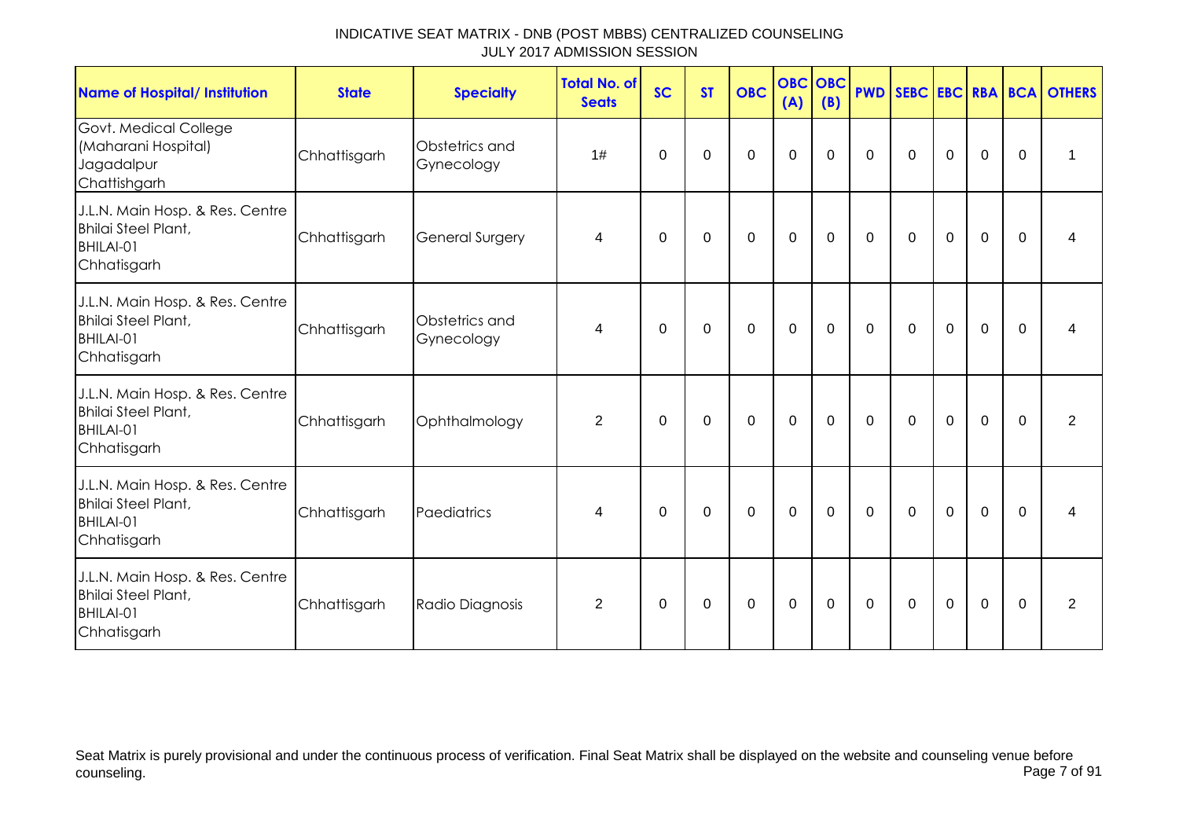| <b>Name of Hospital/ Institution</b>                                                      | <b>State</b> | <b>Specialty</b>             | <b>Total No. of</b><br><b>Seats</b> | <b>SC</b>   | <b>ST</b>   | <b>OBC</b>  | <b>OBC</b> OBC<br>(A) | (B)         |              |             |             |                |              | <b>PWD SEBC EBC RBA BCA OTHERS</b> |
|-------------------------------------------------------------------------------------------|--------------|------------------------------|-------------------------------------|-------------|-------------|-------------|-----------------------|-------------|--------------|-------------|-------------|----------------|--------------|------------------------------------|
| Govt. Medical College<br>(Maharani Hospital)<br>Jagadalpur<br>Chattishgarh                | Chhattisgarh | Obstetrics and<br>Gynecology | 1#                                  | $\mathbf 0$ | 0           | $\mathbf 0$ | $\mathbf 0$           | $\mathbf 0$ | $\mathbf 0$  | $\mathbf 0$ | $\mathbf 0$ | $\mathbf 0$    | $\mathbf 0$  | $\mathbf 1$                        |
| J.L.N. Main Hosp. & Res. Centre<br>Bhilai Steel Plant,<br>BHILAI-01<br>Chhatisgarh        | Chhattisgarh | General Surgery              | 4                                   | 0           | $\Omega$    | $\mathbf 0$ | $\mathbf 0$           | $\mathbf 0$ | $\Omega$     | $\mathbf 0$ | $\mathbf 0$ | $\mathbf 0$    | $\mathbf{0}$ | 4                                  |
| J.L.N. Main Hosp. & Res. Centre<br><b>Bhilai Steel Plant,</b><br>BHILAI-01<br>Chhatisgarh | Chhattisgarh | Obstetrics and<br>Gynecology | 4                                   | 0           | 0           | $\mathbf 0$ | $\mathbf 0$           | $\mathbf 0$ | $\mathbf 0$  | $\mathbf 0$ | $\mathbf 0$ | $\mathbf 0$    | $\mathbf{0}$ | 4                                  |
| J.L.N. Main Hosp. & Res. Centre<br><b>Bhilai Steel Plant,</b><br>BHILAI-01<br>Chhatisgarh | Chhattisgarh | Ophthalmology                | $\overline{2}$                      | 0           | 0           | $\mathbf 0$ | $\mathbf 0$           | $\mathbf 0$ | $\mathbf 0$  | $\mathbf 0$ | $\mathbf 0$ | $\mathbf 0$    | 0            | $\overline{2}$                     |
| J.L.N. Main Hosp. & Res. Centre<br><b>Bhilai Steel Plant,</b><br>BHILAI-01<br>Chhatisgarh | Chhattisgarh | Paediatrics                  | 4                                   | $\Omega$    | $\mathbf 0$ | $\mathbf 0$ | $\mathbf 0$           | $\mathbf 0$ | $\mathbf 0$  | $\mathbf 0$ | $\mathbf 0$ | $\mathbf 0$    | $\mathbf 0$  | 4                                  |
| J.L.N. Main Hosp. & Res. Centre<br>Bhilai Steel Plant,<br>BHILAI-01<br>Chhatisgarh        | Chhattisgarh | Radio Diagnosis              | $\overline{2}$                      | $\Omega$    | 0           | $\mathbf 0$ | $\mathbf 0$           | $\mathbf 0$ | $\mathbf{0}$ | $\mathbf 0$ | $\mathbf 0$ | $\overline{0}$ | $\mathbf{0}$ | $\overline{2}$                     |

Seat Matrix is purely provisional and under the continuous process of verification. Final Seat Matrix shall be displayed on the website and counseling venue before<br>Page 7 of 91 counseling. Page 7 of 91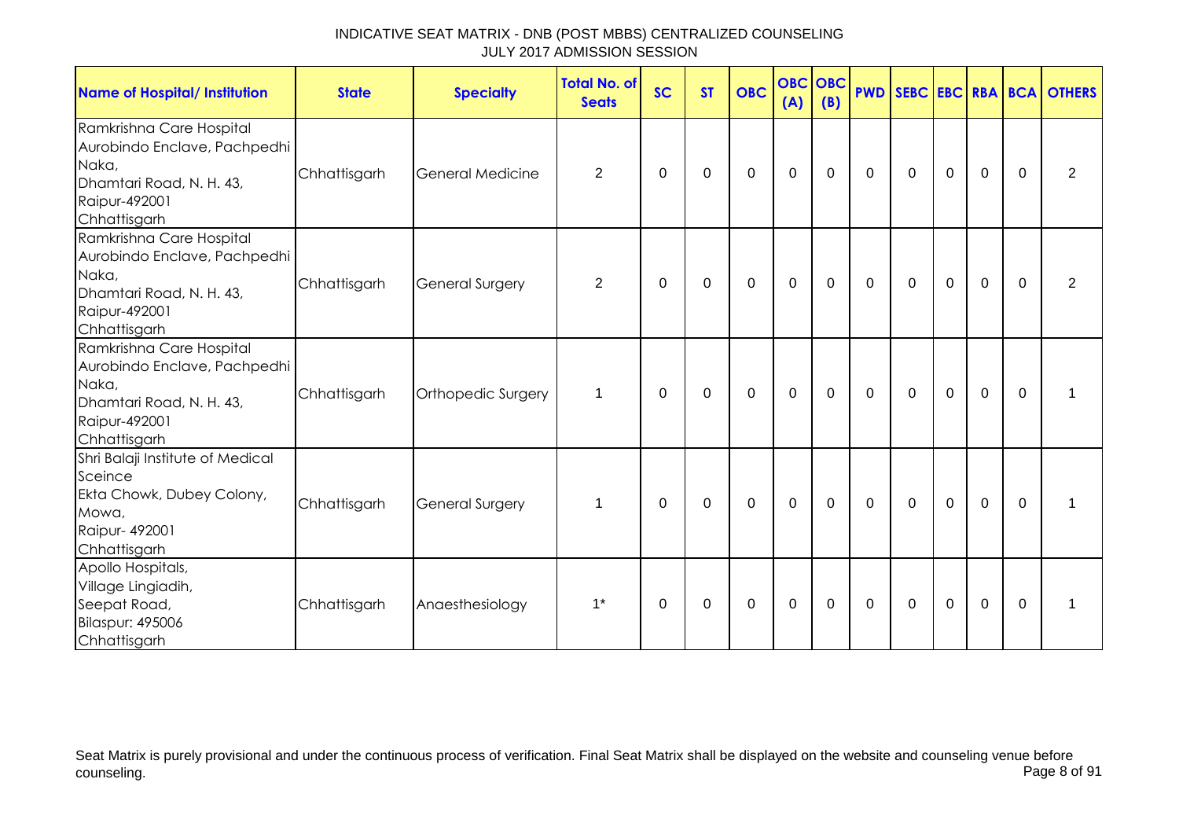| <b>Name of Hospital/ Institution</b>                                                                                           | <b>State</b> | <b>Specialty</b>       | <b>Total No. of</b><br><b>Seats</b> | <b>SC</b>   | <b>ST</b> | <b>OBC</b>  | (A)         | <b>OBC</b> OBC<br>(B) |             |              |             |                |          | <b>PWD SEBC EBC RBA BCA OTHERS</b> |
|--------------------------------------------------------------------------------------------------------------------------------|--------------|------------------------|-------------------------------------|-------------|-----------|-------------|-------------|-----------------------|-------------|--------------|-------------|----------------|----------|------------------------------------|
| Ramkrishna Care Hospital<br>Aurobindo Enclave, Pachpedhi<br>Naka,<br>Dhamtari Road, N. H. 43,<br>Raipur-492001<br>Chhattisgarh | Chhattisgarh | General Medicine       | $\overline{2}$                      | 0           | 0         | 0           | 0           | 0                     | $\mathbf 0$ | 0            | 0           | $\mathbf 0$    | 0        | $\overline{2}$                     |
| Ramkrishna Care Hospital<br>Aurobindo Enclave, Pachpedhi<br>Naka,<br>Dhamtari Road, N. H. 43,<br>Raipur-492001<br>Chhattisgarh | Chhattisgarh | <b>General Surgery</b> | 2                                   | 0           | 0         | 0           | 0           | 0                     | 0           | $\mathbf 0$  | 0           | 0              | 0        | 2                                  |
| Ramkrishna Care Hospital<br>Aurobindo Enclave, Pachpedhi<br>Naka,<br>Dhamtari Road, N. H. 43,<br>Raipur-492001<br>Chhattisgarh | Chhattisgarh | Orthopedic Surgery     | 1                                   | 0           | 0         | 0           | 0           | $\mathbf 0$           | $\mathbf 0$ | $\mathbf 0$  | $\mathbf 0$ | $\overline{0}$ | 0        | 1                                  |
| Shri Balaji Institute of Medical<br>Sceince<br>Ekta Chowk, Dubey Colony,<br>Mowa,<br>Raipur- 492001<br>Chhattisgarh            | Chhattisgarh | <b>General Surgery</b> | $\mathbf 1$                         | $\Omega$    | $\Omega$  | $\mathbf 0$ | $\mathbf 0$ | $\Omega$              | $\Omega$    | $\mathbf{0}$ | $\mathbf 0$ | $\overline{0}$ | $\Omega$ | 1                                  |
| Apollo Hospitals,<br>Village Lingiadih,<br>Seepat Road,<br><b>Bilaspur: 495006</b><br>Chhattisgarh                             | Chhattisgarh | Anaesthesiology        | $1^*$                               | $\mathbf 0$ | 0         | 0           | 0           | $\Omega$              | 0           | $\mathbf{0}$ | $\mathbf 0$ | 0              | 0        | 1                                  |

Seat Matrix is purely provisional and under the continuous process of verification. Final Seat Matrix shall be displayed on the website and counseling venue before<br>Page 8 of 91 counseling. Page 8 of 91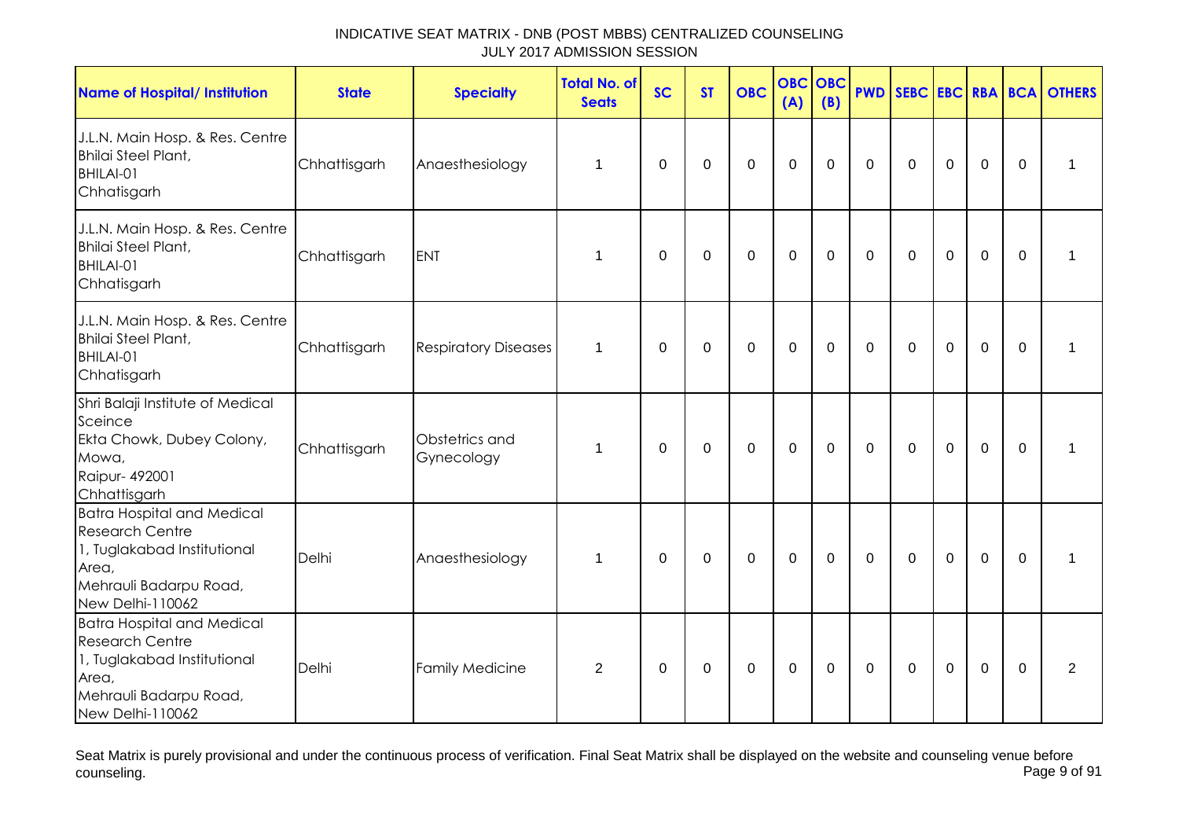| <b>Name of Hospital/ Institution</b>                                                                                                              | <b>State</b> | <b>Specialty</b>             | <b>Total No. of</b><br><b>Seats</b> | <b>SC</b> | <b>ST</b>   | <b>OBC</b>       | <b>OBC</b><br>(A) | OBC<br>(B)  |              |              |             |             |             | <b>PWD SEBC EBC RBA BCA OTHERS</b> |
|---------------------------------------------------------------------------------------------------------------------------------------------------|--------------|------------------------------|-------------------------------------|-----------|-------------|------------------|-------------------|-------------|--------------|--------------|-------------|-------------|-------------|------------------------------------|
| J.L.N. Main Hosp. & Res. Centre<br><b>Bhilai Steel Plant,</b><br>BHILAI-01<br>Chhatisgarh                                                         | Chhattisgarh | Anaesthesiology              | 1                                   | $\Omega$  | $\mathbf 0$ | $\mathbf 0$      | $\mathbf 0$       | 0           | $\mathbf 0$  | $\mathbf 0$  | $\mathbf 0$ | $\mathbf 0$ | $\mathbf 0$ |                                    |
| J.L.N. Main Hosp. & Res. Centre<br><b>Bhilai Steel Plant,</b><br>BHILAI-01<br>Chhatisgarh                                                         | Chhattisgarh | <b>ENT</b>                   | 1                                   | 0         | 0           | $\boldsymbol{0}$ | 0                 | $\mathbf 0$ | $\mathbf 0$  | 0            | $\mathbf 0$ | $\mathbf 0$ | $\Omega$    | 1                                  |
| J.L.N. Main Hosp. & Res. Centre<br><b>Bhilai Steel Plant,</b><br>BHILAI-01<br>Chhatisgarh                                                         | Chhattisgarh | <b>Respiratory Diseases</b>  | $\mathbf{1}$                        | $\Omega$  | 0           | $\mathbf 0$      | $\mathbf 0$       | 0           | $\mathbf{0}$ | $\mathbf{0}$ | $\mathbf 0$ | $\mathbf 0$ | $\Omega$    | 1                                  |
| Shri Balaji Institute of Medical<br>Sceince<br>Ekta Chowk, Dubey Colony,<br>Mowa,<br>Raipur- 492001<br>Chhattisgarh                               | Chhattisgarh | Obstetrics and<br>Gynecology | $\mathbf 1$                         | 0         | 0           | $\mathbf 0$      | $\mathbf 0$       | $\mathbf 0$ | 0            | $\mathbf 0$  | $\mathbf 0$ | $\mathbf 0$ | $\Omega$    | 1                                  |
| <b>Batra Hospital and Medical</b><br><b>Research Centre</b><br>1, Tuglakabad Institutional<br>Area,<br>Mehrauli Badarpu Road,<br>New Delhi-110062 | Delhi        | Anaesthesiology              | 1                                   | 0         | 0           | $\boldsymbol{0}$ | $\mathbf 0$       | 0           | 0            | 0            | $\mathbf 0$ | $\mathbf 0$ | $\Omega$    | 1                                  |
| <b>Batra Hospital and Medical</b><br><b>Research Centre</b><br>1, Tuglakabad Institutional<br>Area,<br>Mehrauli Badarpu Road,<br>New Delhi-110062 | Delhi        | <b>Family Medicine</b>       | $\overline{2}$                      | 0         | 0           | $\boldsymbol{0}$ | $\mathbf 0$       | 0           | 0            | 0            | 0           | $\mathbf 0$ | $\Omega$    | 2                                  |

Seat Matrix is purely provisional and under the continuous process of verification. Final Seat Matrix shall be displayed on the website and counseling venue before<br>Page 9 of 91 counseling. Page 9 of 91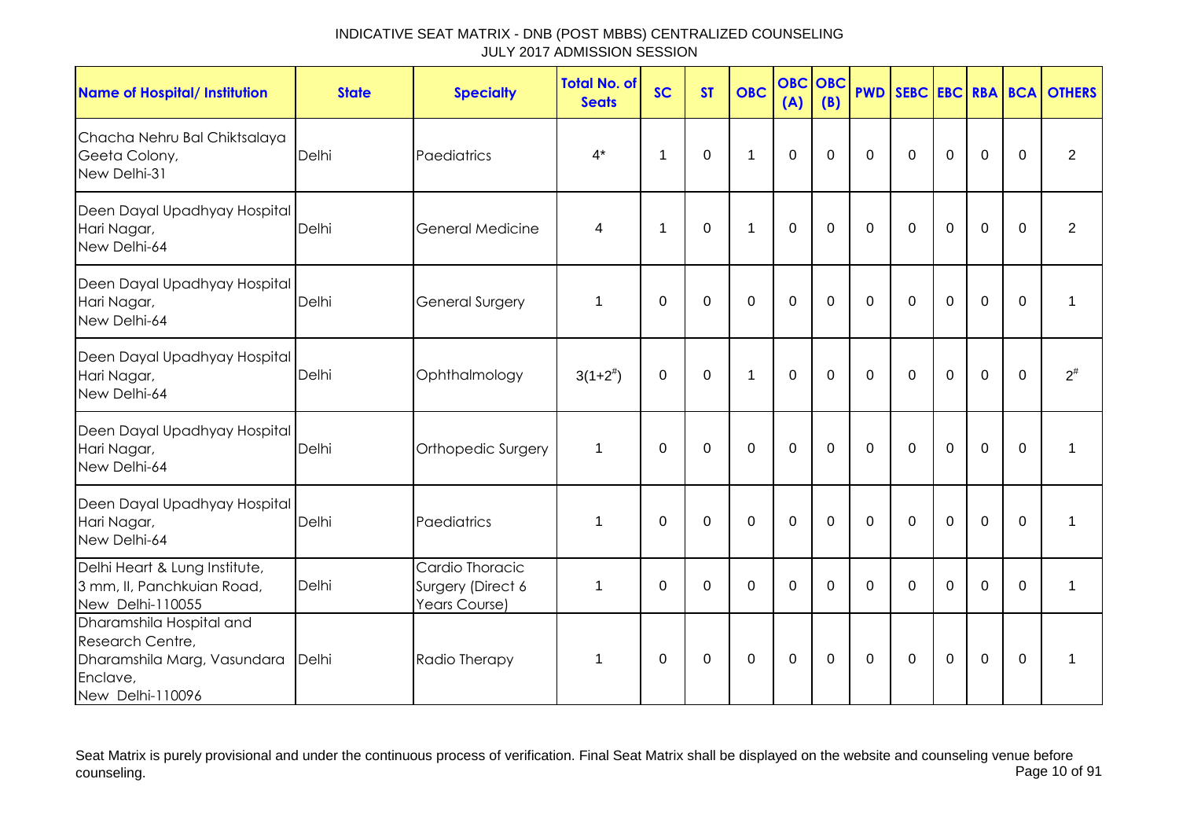| <b>Name of Hospital/ Institution</b>                                                                        | <b>State</b> | <b>Specialty</b>                                      | <b>Total No. of</b><br><b>Seats</b> | <b>SC</b>   | <b>ST</b>        | <b>OBC</b>   | <b>OBC</b><br>(A) | OBC<br>(B)   | <b>PWD</b>  | SEBC EBC RBA BCA |             |             |                | <b>OTHERS</b>  |
|-------------------------------------------------------------------------------------------------------------|--------------|-------------------------------------------------------|-------------------------------------|-------------|------------------|--------------|-------------------|--------------|-------------|------------------|-------------|-------------|----------------|----------------|
| Chacha Nehru Bal Chiktsalaya<br>Geeta Colony,<br>New Delhi-31                                               | Delhi        | Paediatrics                                           | $4^*$                               | 1           | $\boldsymbol{0}$ | $\mathbf{1}$ | $\mathbf 0$       | $\Omega$     | $\mathbf 0$ | $\mathbf 0$      | $\mathbf 0$ | $\mathbf 0$ | $\mathbf 0$    | $\overline{2}$ |
| Deen Dayal Upadhyay Hospital<br>Hari Nagar,<br>New Delhi-64                                                 | Delhi        | General Medicine                                      | 4                                   | $\mathbf 1$ | $\mathbf 0$      | $\mathbf{1}$ | $\overline{0}$    | $\mathbf 0$  | $\mathbf 0$ | $\mathbf 0$      | $\mathbf 0$ | $\mathbf 0$ | $\mathbf 0$    | $\overline{2}$ |
| Deen Dayal Upadhyay Hospital<br>Hari Nagar,<br>New Delhi-64                                                 | Delhi        | General Surgery                                       | 1                                   | $\mathbf 0$ | $\mathbf 0$      | $\mathbf 0$  | $\mathbf 0$       | $\mathbf 0$  | $\Omega$    | $\mathbf 0$      | $\mathbf 0$ | $\mathbf 0$ | $\mathbf 0$    | 1              |
| Deen Dayal Upadhyay Hospital<br>Hari Nagar,<br>New Delhi-64                                                 | Delhi        | Ophthalmology                                         | $3(1+2^{\#})$                       | $\Omega$    | $\mathbf 0$      | $\mathbf{1}$ | $\mathbf 0$       | $\Omega$     | $\Omega$    | $\Omega$         | $\mathbf 0$ | $\mathbf 0$ | $\Omega$       | $2^{\#}$       |
| Deen Dayal Upadhyay Hospital<br>Hari Nagar,<br>New Delhi-64                                                 | Delhi        | Orthopedic Surgery                                    | 1                                   | $\mathbf 0$ | $\mathbf 0$      | $\mathbf 0$  | $\mathbf{0}$      | $\mathbf 0$  | $\Omega$    | $\mathbf 0$      | $\mathbf 0$ | $\mathbf 0$ | $\overline{0}$ | 1              |
| Deen Dayal Upadhyay Hospital<br>Hari Nagar,<br>New Delhi-64                                                 | Delhi        | Paediatrics                                           | 1                                   | $\mathbf 0$ | $\mathbf 0$      | $\mathbf 0$  | $\overline{0}$    | $\mathbf{0}$ | $\mathbf 0$ | $\mathbf 0$      | $\mathbf 0$ | $\mathbf 0$ | $\mathbf 0$    | 1              |
| Delhi Heart & Lung Institute,<br>3 mm, II, Panchkuian Road,<br>New Delhi-110055                             | Delhi        | Cardio Thoracic<br>Surgery (Direct 6<br>Years Course) | 1                                   | $\mathbf 0$ | $\mathbf 0$      | $\Omega$     | $\mathbf{0}$      | $\Omega$     | $\Omega$    | $\Omega$         | $\Omega$    | $\mathbf 0$ | $\Omega$       | 1              |
| Dharamshila Hospital and<br>Research Centre,<br>Dharamshila Marg, Vasundara<br>Enclave,<br>New Delhi-110096 | Delhi        | Radio Therapy                                         | 1                                   | 0           | $\pmb{0}$        | $\mathbf 0$  | $\mathbf 0$       | $\Omega$     | $\mathbf 0$ | $\mathbf 0$      | $\mathbf 0$ | $\mathbf 0$ | $\mathbf 0$    | 1              |

Seat Matrix is purely provisional and under the continuous process of verification. Final Seat Matrix shall be displayed on the website and counseling venue before<br>Page 10 of 91 counseling. Page 10 of 91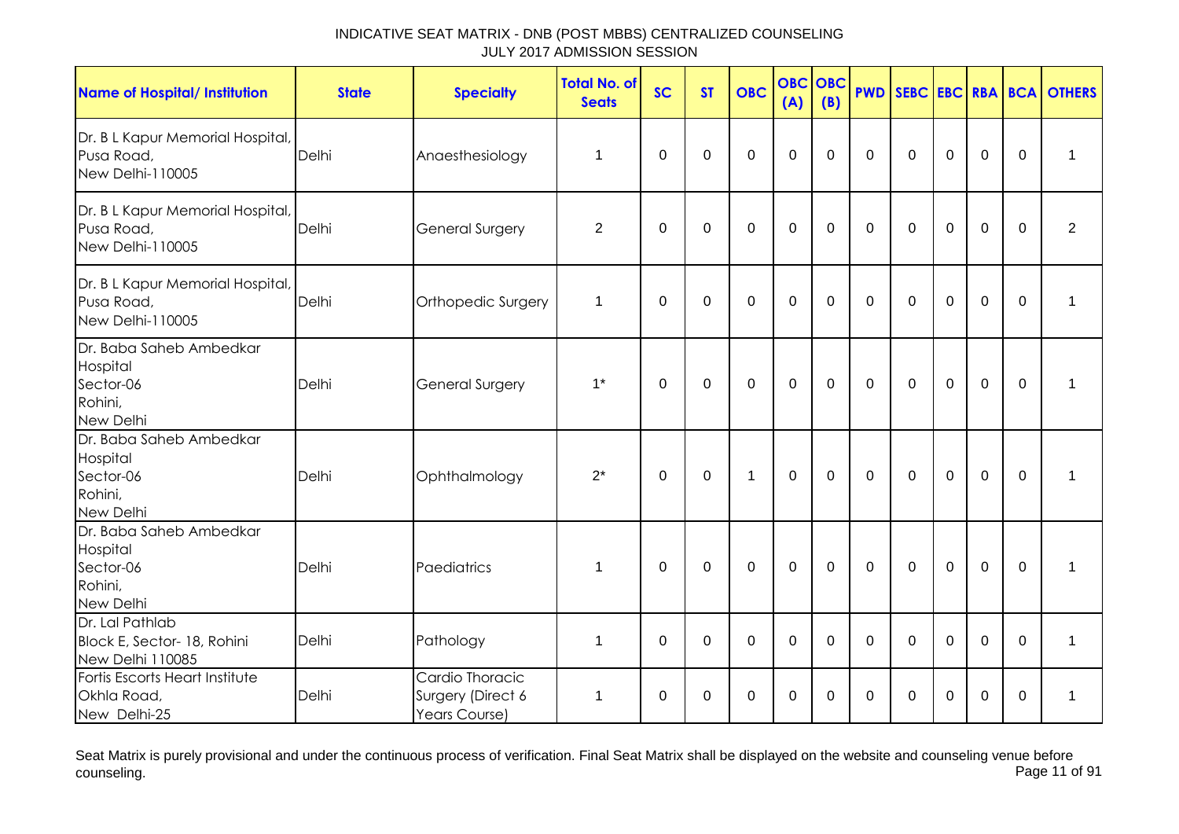| <b>Name of Hospital/ Institution</b>                                     | <b>State</b> | <b>Specialty</b>                                      | <b>Total No. of</b><br><b>Seats</b> | <b>SC</b>   | <b>ST</b> | <b>OBC</b> | <b>OBC</b><br>(A) | <b>OBC</b><br>(B) | <b>PWD</b>   | SEBC EBC RBA BCA |             |             |             | <b>OTHERS</b>  |
|--------------------------------------------------------------------------|--------------|-------------------------------------------------------|-------------------------------------|-------------|-----------|------------|-------------------|-------------------|--------------|------------------|-------------|-------------|-------------|----------------|
| Dr. B L Kapur Memorial Hospital,<br>Pusa Road,<br>New Delhi-110005       | Delhi        | Anaesthesiology                                       | 1                                   | 0           | $\Omega$  | 0          | 0                 | $\Omega$          | $\Omega$     | $\Omega$         | $\Omega$    | $\mathbf 0$ | 0           | 1              |
| Dr. B L Kapur Memorial Hospital,<br>Pusa Road,<br>New Delhi-110005       | Delhi        | General Surgery                                       | $\overline{2}$                      | $\mathbf 0$ | 0         | 0          | $\mathbf 0$       | $\Omega$          | $\mathbf 0$  | $\mathbf 0$      | $\mathbf 0$ | $\mathbf 0$ | 0           | $\overline{2}$ |
| Dr. B L Kapur Memorial Hospital,<br>Pusa Road,<br>New Delhi-110005       | Delhi        | Orthopedic Surgery                                    | $\mathbf 1$                         | 0           | $\Omega$  | 0          | 0                 | $\Omega$          | $\Omega$     | $\Omega$         | $\Omega$    | $\mathbf 0$ | 0           | 1              |
| Dr. Baba Saheb Ambedkar<br>Hospital<br>Sector-06<br>Rohini,<br>New Delhi | Delhi        | <b>General Surgery</b>                                | $1^*$                               | $\mathbf 0$ | $\Omega$  | 0          | $\mathbf 0$       | $\mathbf{0}$      | $\Omega$     | $\Omega$         | $\Omega$    | $\mathbf 0$ | $\mathbf 0$ | 1              |
| Dr. Baba Saheb Ambedkar<br>Hospital<br>Sector-06<br>Rohini,<br>New Delhi | Delhi        | Ophthalmology                                         | $2^*$                               | 0           | 0         | 1          | $\Omega$          | $\mathbf{0}$      | $\mathbf 0$  | $\Omega$         | $\mathbf 0$ | $\mathbf 0$ | $\mathbf 0$ | 1              |
| Dr. Baba Saheb Ambedkar<br>Hospital<br>Sector-06<br>Rohini,<br>New Delhi | Delhi        | Paediatrics                                           | 1                                   | 0           | $\Omega$  | $\Omega$   | $\mathbf 0$       | $\mathbf{0}$      | $\mathbf{0}$ | $\Omega$         | $\Omega$    | $\mathbf 0$ | $\Omega$    | 1              |
| Dr. Lal Pathlab<br>Block E, Sector- 18, Rohini<br>New Delhi 110085       | Delhi        | Pathology                                             | 1                                   | $\mathbf 0$ | 0         | 0          | 0                 | 0                 | 0            | 0                | 0           | 0           | 0           | 1              |
| Fortis Escorts Heart Institute<br>Okhla Road,<br>New Delhi-25            | Delhi        | Cardio Thoracic<br>Surgery (Direct 6<br>Years Course) | 1                                   | 0           | 0         | 0          | 0                 | $\Omega$          | 0            | $\Omega$         | $\Omega$    | 0           | 0           | $\mathbf 1$    |

Seat Matrix is purely provisional and under the continuous process of verification. Final Seat Matrix shall be displayed on the website and counseling venue before<br>Page 11 of 91 counseling. Page 11 of 91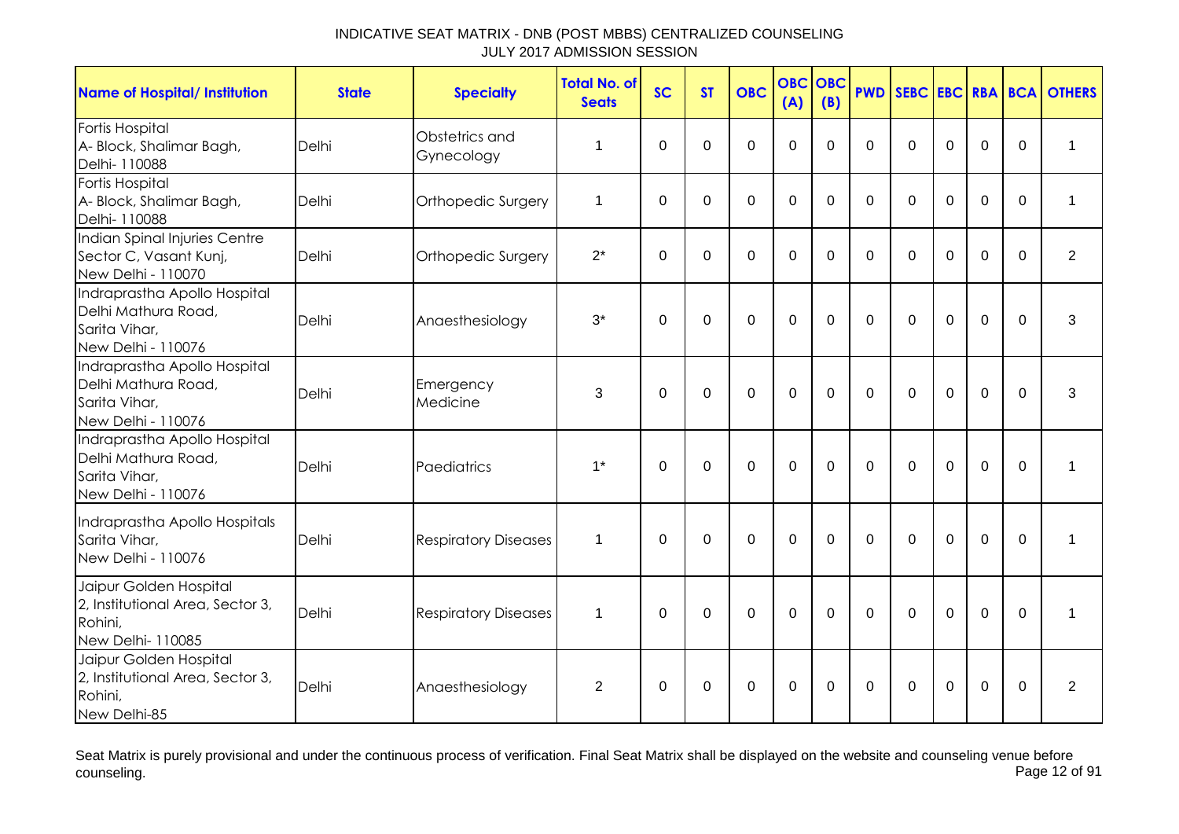| <b>Name of Hospital/ Institution</b>                                                       | <b>State</b> | <b>Specialty</b>             | <b>Total No. of</b><br><b>Seats</b> | <b>SC</b>   | <b>ST</b>   | <b>OBC</b>     | <b>OBC</b><br>(A) | <b>OBC</b><br>(B) | <b>PWD</b> |                |                |             |             | SEBC EBC RBA BCA OTHERS |
|--------------------------------------------------------------------------------------------|--------------|------------------------------|-------------------------------------|-------------|-------------|----------------|-------------------|-------------------|------------|----------------|----------------|-------------|-------------|-------------------------|
| Fortis Hospital<br>A- Block, Shalimar Bagh,<br>Delhi- 110088                               | Delhi        | Obstetrics and<br>Gynecology | 1                                   | $\Omega$    | $\Omega$    | $\Omega$       | $\Omega$          | 0                 | $\Omega$   | $\Omega$       | $\Omega$       | $\Omega$    | $\Omega$    | 1                       |
| Fortis Hospital<br>A- Block, Shalimar Bagh,<br>Delhi- 110088                               | Delhi        | Orthopedic Surgery           | 1                                   | $\Omega$    | $\Omega$    | $\overline{0}$ | $\mathbf 0$       | $\Omega$          | $\Omega$   | $\overline{0}$ | $\overline{0}$ | $\Omega$    | $\Omega$    | 1                       |
| Indian Spinal Injuries Centre<br>Sector C, Vasant Kunj,<br>New Delhi - 110070              | Delhi        | Orthopedic Surgery           | $2^*$                               | $\Omega$    | $\Omega$    | $\Omega$       | $\overline{0}$    | $\Omega$          | $\Omega$   | $\Omega$       | $\Omega$       | $\Omega$    | $\Omega$    | $\overline{2}$          |
| Indraprastha Apollo Hospital<br>Delhi Mathura Road,<br>Sarita Vihar,<br>New Delhi - 110076 | Delhi        | Anaesthesiology              | $3^*$                               | $\mathbf 0$ | $\Omega$    | $\Omega$       | $\Omega$          | $\Omega$          | $\Omega$   | $\Omega$       | $\Omega$       | $\Omega$    | $\Omega$    | 3                       |
| Indraprastha Apollo Hospital<br>Delhi Mathura Road,<br>Sarita Vihar,<br>New Delhi - 110076 | Delhi        | Emergency<br>Medicine        | 3                                   | $\Omega$    | $\Omega$    | $\mathbf 0$    | $\mathbf 0$       | $\Omega$          | $\Omega$   | $\Omega$       | $\mathbf 0$    | $\mathbf 0$ | $\Omega$    | 3                       |
| Indraprastha Apollo Hospital<br>Delhi Mathura Road,<br>Sarita Vihar,<br>New Delhi - 110076 | Delhi        | Paediatrics                  | $1^*$                               | 0           | 0           | 0              | 0                 | 0                 | $\Omega$   | 0              | 0              | 0           | $\mathbf 0$ | 1                       |
| Indraprastha Apollo Hospitals<br>Sarita Vihar,<br>New Delhi - 110076                       | Delhi        | <b>Respiratory Diseases</b>  | 1                                   | $\mathbf 0$ | $\mathbf 0$ | $\mathbf 0$    | $\mathbf 0$       | $\mathbf 0$       | $\Omega$   | $\mathbf 0$    | $\mathbf 0$    | $\mathbf 0$ | $\Omega$    | 1                       |
| Jaipur Golden Hospital<br>2, Institutional Area, Sector 3,<br>Rohini,<br>New Delhi-110085  | Delhi        | <b>Respiratory Diseases</b>  | 1                                   | $\Omega$    | $\mathbf 0$ | $\mathbf 0$    | $\mathbf 0$       | $\Omega$          | $\Omega$   | $\mathbf 0$    | $\mathbf 0$    | $\mathbf 0$ | $\Omega$    | 1                       |
| Jaipur Golden Hospital<br>2, Institutional Area, Sector 3,<br>Rohini,<br>New Delhi-85      | Delhi        | Anaesthesiology              | 2                                   | 0           | 0           | 0              | $\mathbf 0$       | $\Omega$          | $\Omega$   | 0              | 0              | 0           | 0           | $\overline{2}$          |

Seat Matrix is purely provisional and under the continuous process of verification. Final Seat Matrix shall be displayed on the website and counseling venue before<br>Page 12 of 91 counseling. Page 12 of 91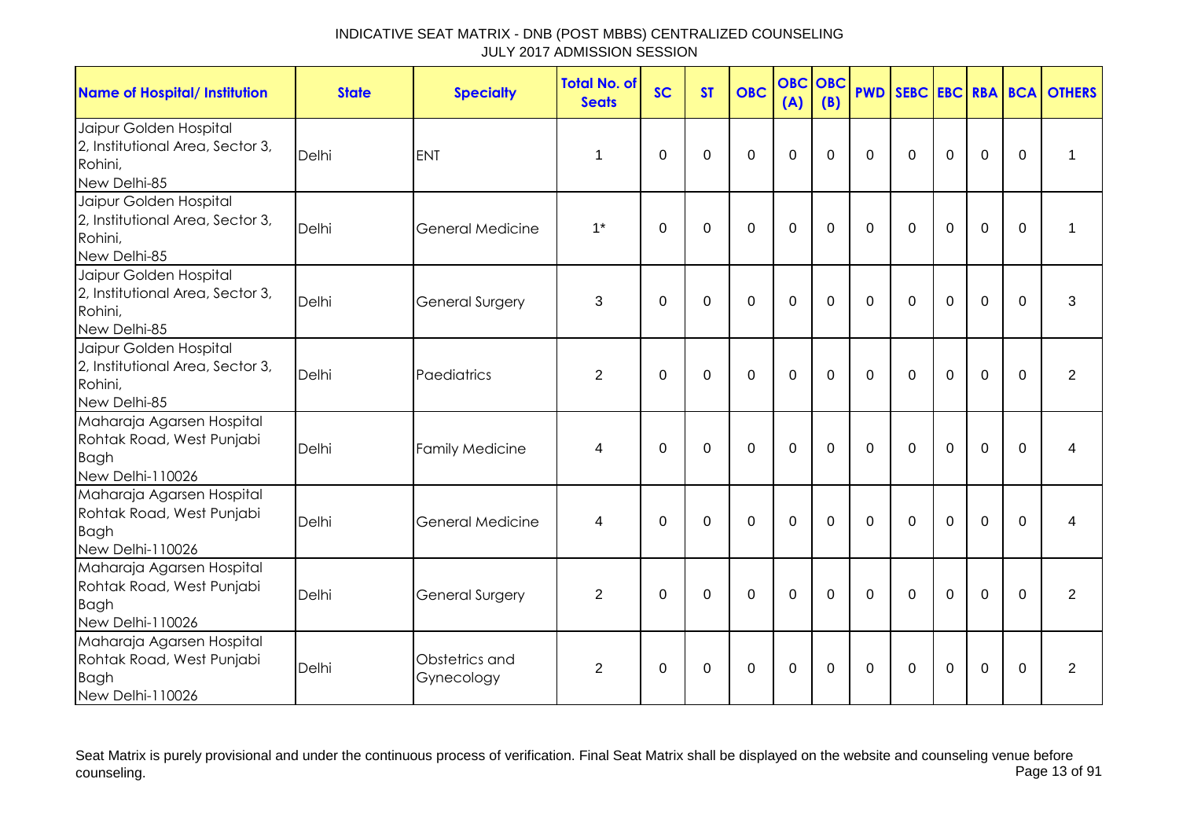| <b>Name of Hospital/ Institution</b>                                                      | <b>State</b> | <b>Specialty</b>             | <b>Total No. of</b><br><b>Seats</b> | <b>SC</b>   | <b>ST</b>   | <b>OBC</b>  | <b>OBC</b><br>(A) | <b>OBC</b><br>(B) | <b>PWD</b>   |             |             |                |             | SEBC EBC RBA BCA OTHERS |
|-------------------------------------------------------------------------------------------|--------------|------------------------------|-------------------------------------|-------------|-------------|-------------|-------------------|-------------------|--------------|-------------|-------------|----------------|-------------|-------------------------|
| Jaipur Golden Hospital<br>2, Institutional Area, Sector 3,<br>Rohini,<br>New Delhi-85     | Delhi        | <b>ENT</b>                   | 1                                   | $\Omega$    | $\Omega$    | $\Omega$    | $\Omega$          | 0                 | $\mathbf{0}$ | $\Omega$    | $\Omega$    | $\mathbf 0$    | $\Omega$    | 1                       |
| Jaipur Golden Hospital<br>2, Institutional Area, Sector 3,<br>Rohini,<br>New Delhi-85     | Delhi        | <b>General Medicine</b>      | $1^*$                               | $\mathbf 0$ | $\mathbf 0$ | $\mathbf 0$ | $\mathbf 0$       | 0                 | $\Omega$     | $\Omega$    | $\mathbf 0$ | 0              | $\Omega$    | 1                       |
| Jaipur Golden Hospital<br>2, Institutional Area, Sector 3,<br>Rohini,<br>New Delhi-85     | Delhi        | <b>General Surgery</b>       | 3                                   | $\mathbf 0$ | $\mathbf 0$ | $\mathbf 0$ | $\mathbf 0$       | 0                 | $\mathbf 0$  | $\mathbf 0$ | $\mathbf 0$ | $\overline{0}$ | $\mathbf 0$ | 3                       |
| Jaipur Golden Hospital<br>2, Institutional Area, Sector 3,<br>Rohini,<br>New Delhi-85     | Delhi        | Paediatrics                  | $\overline{2}$                      | $\Omega$    | $\mathbf 0$ | $\mathbf 0$ | $\mathbf 0$       | $\Omega$          | $\Omega$     | $\Omega$    | $\mathbf 0$ | $\overline{0}$ | $\Omega$    | $\overline{2}$          |
| Maharaja Agarsen Hospital<br>Rohtak Road, West Punjabi<br><b>Bagh</b><br>New Delhi-110026 | Delhi        | <b>Family Medicine</b>       | 4                                   | $\Omega$    | $\Omega$    | $\mathbf 0$ | $\mathbf 0$       | $\Omega$          | $\Omega$     | $\Omega$    | $\Omega$    | $\overline{0}$ | $\Omega$    | 4                       |
| Maharaja Agarsen Hospital<br>Rohtak Road, West Punjabi<br><b>Bagh</b><br>New Delhi-110026 | Delhi        | <b>General Medicine</b>      | $\overline{4}$                      | $\Omega$    | $\mathbf 0$ | $\mathbf 0$ | $\mathbf 0$       | $\Omega$          | $\mathbf 0$  | $\mathbf 0$ | $\mathbf 0$ | $\overline{0}$ | $\Omega$    | 4                       |
| Maharaja Agarsen Hospital<br>Rohtak Road, West Punjabi<br><b>Bagh</b><br>New Delhi-110026 | Delhi        | <b>General Surgery</b>       | $\overline{2}$                      | $\mathbf 0$ | $\mathbf 0$ | $\mathbf 0$ | $\mathbf 0$       | $\overline{0}$    | $\mathbf 0$  | $\mathbf 0$ | $\mathbf 0$ | $\overline{0}$ | $\mathbf 0$ | $\overline{2}$          |
| Maharaja Agarsen Hospital<br>Rohtak Road, West Punjabi<br><b>Bagh</b><br>New Delhi-110026 | Delhi        | Obstetrics and<br>Gynecology | 2                                   | $\Omega$    | $\Omega$    | $\mathbf 0$ | $\mathbf 0$       | 0                 | $\mathbf{0}$ | $\Omega$    | $\Omega$    | 0              | $\Omega$    | 2                       |

Seat Matrix is purely provisional and under the continuous process of verification. Final Seat Matrix shall be displayed on the website and counseling venue before<br>Page 13 of 91 counseling. Page 13 of 91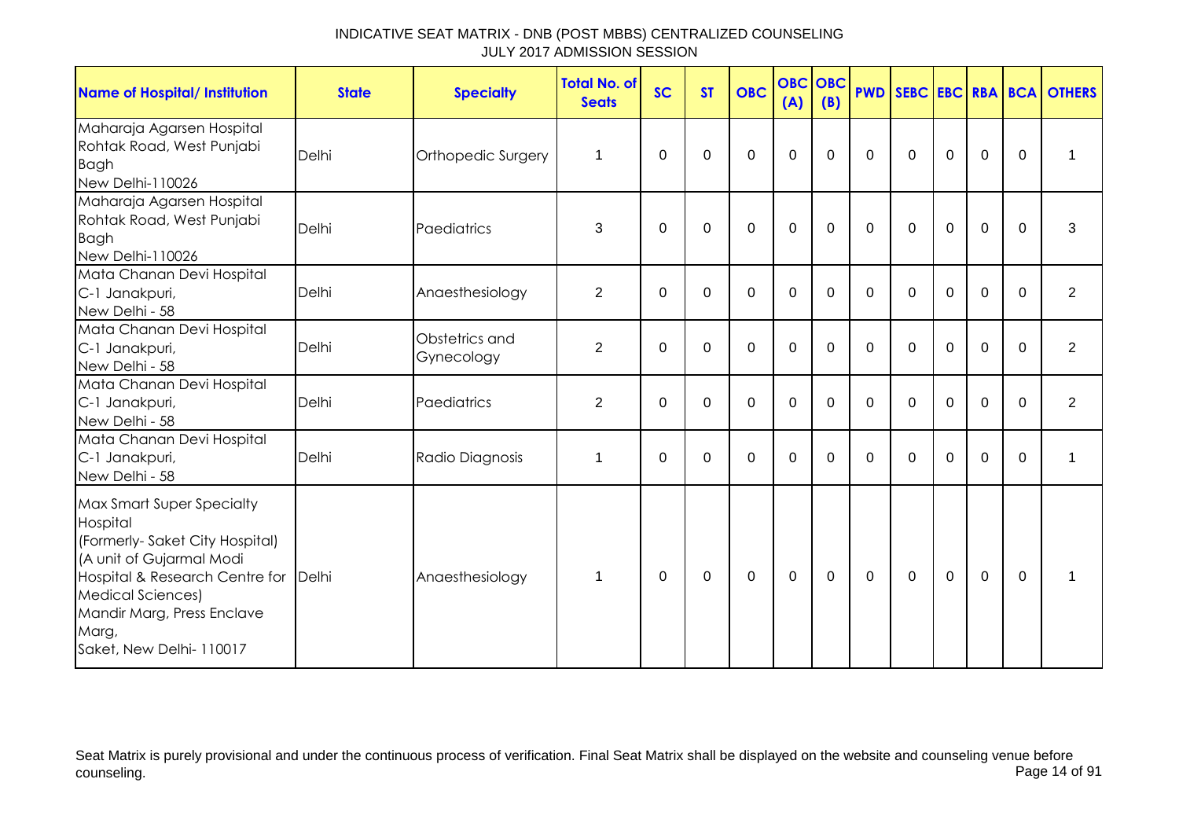| <b>Name of Hospital/ Institution</b>                                                                                                                                                                                                        | <b>State</b> | <b>Specialty</b>             | <b>Total No. of</b><br><b>Seats</b> | <b>SC</b> | <b>ST</b> | <b>OBC</b>  | <b>OBC OBC</b><br>(A) | (B)      |              |          |             |                |          | <b>PWD SEBC EBC RBA BCA OTHERS</b> |
|---------------------------------------------------------------------------------------------------------------------------------------------------------------------------------------------------------------------------------------------|--------------|------------------------------|-------------------------------------|-----------|-----------|-------------|-----------------------|----------|--------------|----------|-------------|----------------|----------|------------------------------------|
| Maharaja Agarsen Hospital<br>Rohtak Road, West Punjabi<br><b>Bagh</b><br>New Delhi-110026                                                                                                                                                   | Delhi        | Orthopedic Surgery           | $\mathbf 1$                         | $\Omega$  | $\Omega$  | $\Omega$    | $\Omega$              | $\Omega$ | $\Omega$     | $\Omega$ | $\Omega$    | $\Omega$       | $\Omega$ | 1                                  |
| Maharaja Agarsen Hospital<br>Rohtak Road, West Punjabi<br><b>Bagh</b><br>New Delhi-110026                                                                                                                                                   | Delhi        | Paediatrics                  | 3                                   | $\Omega$  | $\Omega$  | $\Omega$    | $\mathbf 0$           | $\Omega$ | $\Omega$     | $\Omega$ | $\Omega$    | $\mathbf 0$    | $\Omega$ | 3                                  |
| Mata Chanan Devi Hospital<br>C-1 Janakpuri,<br>New Delhi - 58                                                                                                                                                                               | Delhi        | Anaesthesiology              | $\overline{2}$                      | $\Omega$  | $\Omega$  | $\mathbf 0$ | $\mathbf 0$           | $\Omega$ | $\mathbf{0}$ | $\Omega$ | $\Omega$    | $\mathbf 0$    | $\Omega$ | $\overline{2}$                     |
| Mata Chanan Devi Hospital<br>C-1 Janakpuri,<br>New Delhi - 58                                                                                                                                                                               | Delhi        | Obstetrics and<br>Gynecology | $\overline{2}$                      | 0         | 0         | $\mathbf 0$ | $\mathbf 0$           | $\Omega$ | $\mathbf{0}$ | $\Omega$ | $\Omega$    | $\mathbf 0$    | $\Omega$ | $\overline{2}$                     |
| Mata Chanan Devi Hospital<br>C-1 Janakpuri,<br>New Delhi - 58                                                                                                                                                                               | Delhi        | Paediatrics                  | $\overline{2}$                      | 0         | 0         | $\Omega$    | 0                     | $\Omega$ | $\mathbf{0}$ | $\Omega$ | $\Omega$    | $\Omega$       | $\Omega$ | $\overline{2}$                     |
| Mata Chanan Devi Hospital<br>C-1 Janakpuri,<br>New Delhi - 58                                                                                                                                                                               | Delhi        | Radio Diagnosis              | 1                                   | $\Omega$  | $\Omega$  | $\Omega$    | $\mathbf 0$           | 0        | $\Omega$     | $\Omega$ | $\Omega$    | $\mathbf 0$    | $\Omega$ | 1                                  |
| <b>Max Smart Super Specialty</b><br>Hospital<br>(Formerly-Saket City Hospital)<br>(A unit of Gujarmal Modi<br>Hospital & Research Centre for<br><b>Medical Sciences)</b><br>Mandir Marg, Press Enclave<br>Marg,<br>Saket, New Delhi- 110017 | Delhi        | Anaesthesiology              | $\mathbf 1$                         | $\Omega$  | $\Omega$  | $\Omega$    | $\mathbf 0$           | $\Omega$ | $\mathbf{0}$ | $\Omega$ | $\mathbf 0$ | $\overline{0}$ | $\Omega$ | 1                                  |

Seat Matrix is purely provisional and under the continuous process of verification. Final Seat Matrix shall be displayed on the website and counseling venue before<br>Page 14 of 91 counseling. Page 14 of 91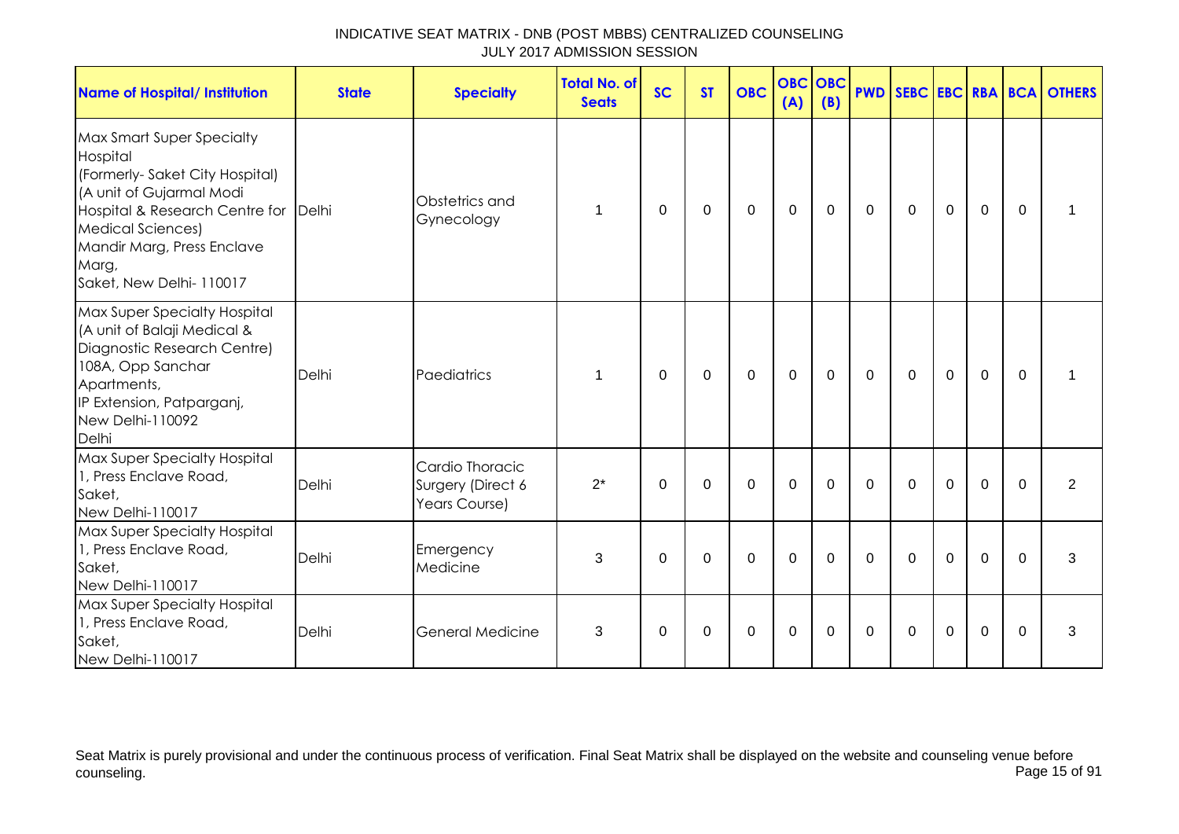| INDICATIVE SEAT MATRIX - DNB (POST MBBS) CENTRALIZED COUNSELING |  |
|-----------------------------------------------------------------|--|
| JULY 2017 ADMISSION SESSION                                     |  |

| <b>Name of Hospital/ Institution</b>                                                                                                                                                                                                      | <b>State</b> | <b>Specialty</b>                                      | <b>Total No. of</b><br><b>Seats</b> | <b>SC</b>   | <b>ST</b>   | <b>OBC</b>   | <b>OBC OBC</b><br>(A) | (B)         |             |             |             |                |             | <b>PWD SEBC EBC RBA BCA OTHERS</b> |
|-------------------------------------------------------------------------------------------------------------------------------------------------------------------------------------------------------------------------------------------|--------------|-------------------------------------------------------|-------------------------------------|-------------|-------------|--------------|-----------------------|-------------|-------------|-------------|-------------|----------------|-------------|------------------------------------|
| Max Smart Super Specialty<br>Hospital<br>(Formerly-Saket City Hospital)<br>(A unit of Gujarmal Modi<br>Hospital & Research Centre for Delhi<br><b>Medical Sciences)</b><br>Mandir Marg, Press Enclave<br>Marg,<br>Saket, New Delhi-110017 |              | Obstetrics and<br>Gynecology                          | 1                                   | $\Omega$    | 0           | $\mathbf 0$  | $\mathbf 0$           | 0           | $\mathbf 0$ | $\mathbf 0$ | $\mathbf 0$ | $\mathbf 0$    | $\Omega$    |                                    |
| Max Super Specialty Hospital<br>(A unit of Balaji Medical &<br>Diagnostic Research Centre)<br>108A, Opp Sanchar<br>Apartments,<br>IP Extension, Patparganj,<br>New Delhi-110092<br>Delhi                                                  | Delhi        | Paediatrics                                           | 1                                   | $\Omega$    | $\mathbf 0$ | $\mathbf{0}$ | $\mathbf{0}$          | $\mathbf 0$ | $\Omega$    | $\Omega$    | $\mathbf 0$ | $\overline{0}$ | $\Omega$    |                                    |
| Max Super Specialty Hospital<br>1, Press Enclave Road,<br>Saket,<br>New Delhi-110017                                                                                                                                                      | Delhi        | Cardio Thoracic<br>Surgery (Direct 6<br>Years Course) | $2^*$                               | $\mathbf 0$ | $\mathbf 0$ | $\mathbf 0$  | $\mathbf{0}$          | $\mathbf 0$ | $\mathbf 0$ | $\mathbf 0$ | $\mathbf 0$ | $\overline{0}$ | $\mathbf 0$ | $\overline{2}$                     |
| Max Super Specialty Hospital<br>1, Press Enclave Road,<br>Saket,<br>New Delhi-110017                                                                                                                                                      | Delhi        | Emergency<br>Medicine                                 | 3                                   | $\Omega$    | $\Omega$    | $\Omega$     | $\Omega$              | $\Omega$    | $\Omega$    | $\Omega$    | $\Omega$    | $\Omega$       | $\Omega$    | 3                                  |
| Max Super Specialty Hospital<br>1, Press Enclave Road,<br>Saket,<br>New Delhi-110017                                                                                                                                                      | Delhi        | <b>General Medicine</b>                               | 3                                   | $\Omega$    | $\Omega$    | $\mathbf 0$  | $\mathbf 0$           | $\Omega$    | $\Omega$    | $\Omega$    | $\Omega$    | $\overline{0}$ | $\Omega$    | 3                                  |

Seat Matrix is purely provisional and under the continuous process of verification. Final Seat Matrix shall be displayed on the website and counseling venue before counseling. Page 15 of 91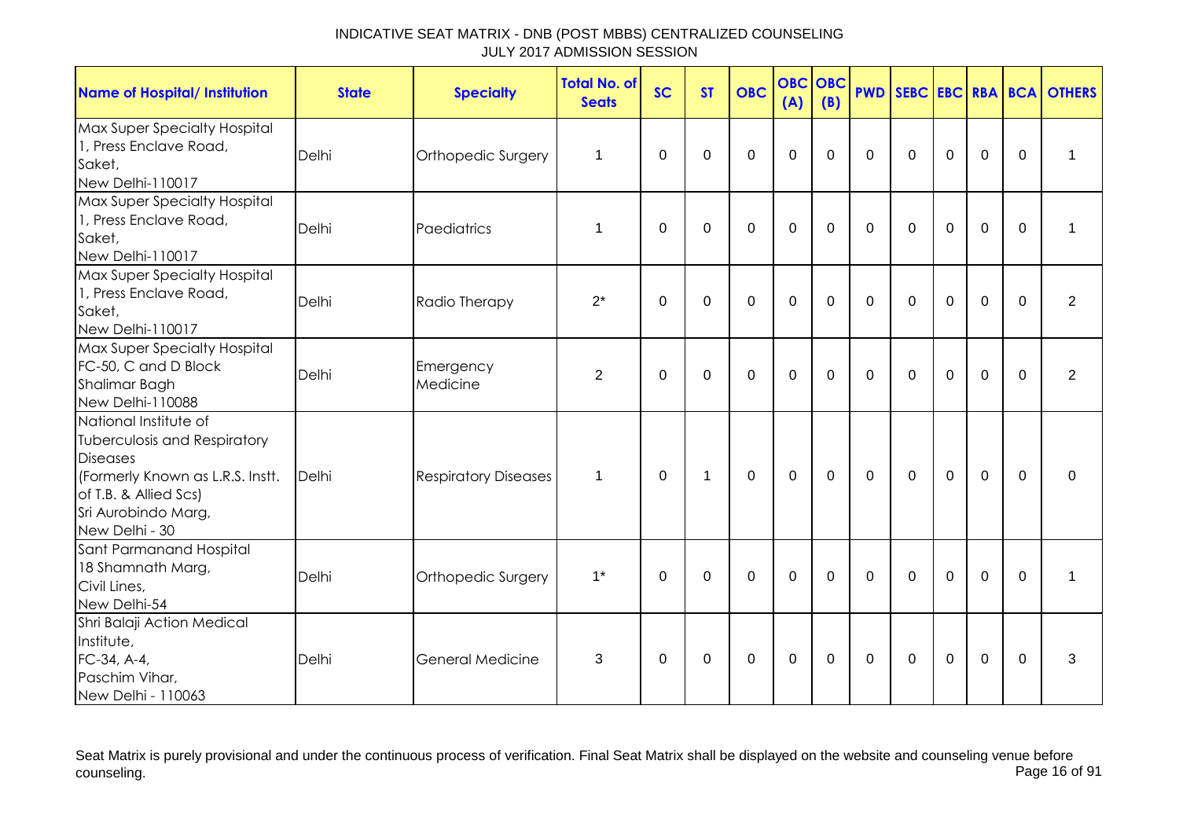| <b>Name of Hospital/ Institution</b>                                                                                                                                                  | <b>State</b> | <b>Specialty</b>            | <b>Total No. of</b><br><b>Seats</b> | <b>SC</b>   | <b>ST</b>    | <b>OBC</b>     | <b>OBC OBC</b><br>(A) | (B)            | <b>PWD</b>  |             |                |                |              | SEBC EBC RBA BCA OTHERS |
|---------------------------------------------------------------------------------------------------------------------------------------------------------------------------------------|--------------|-----------------------------|-------------------------------------|-------------|--------------|----------------|-----------------------|----------------|-------------|-------------|----------------|----------------|--------------|-------------------------|
| <b>Max Super Specialty Hospital</b><br>1, Press Enclave Road,<br>Saket,<br>New Delhi-110017                                                                                           | Delhi        | Orthopedic Surgery          | 1                                   | $\Omega$    | 0            | $\mathbf 0$    | $\mathbf 0$           | $\Omega$       | $\Omega$    | $\Omega$    | $\mathbf 0$    | $\mathbf 0$    | $\Omega$     | $\mathbf 1$             |
| Max Super Specialty Hospital<br>1, Press Enclave Road,<br>Saket,<br>New Delhi-110017                                                                                                  | Delhi        | Paediatrics                 | $\mathbf{1}$                        | 0           | $\Omega$     | $\mathbf 0$    | $\mathbf 0$           | $\mathbf 0$    | $\Omega$    | $\mathbf 0$ | $\mathbf 0$    | $\mathbf 0$    | $\mathbf 0$  | 1                       |
| Max Super Specialty Hospital<br>1, Press Enclave Road,<br>Saket,<br>New Delhi-110017                                                                                                  | Delhi        | Radio Therapy               | $2^*$                               | $\mathbf 0$ | $\Omega$     | $\mathbf 0$    | $\mathbf 0$           | $\mathbf 0$    | $\Omega$    | $\mathbf 0$ | $\mathbf 0$    | $\mathbf 0$    | $\Omega$     | $\overline{2}$          |
| Max Super Specialty Hospital<br>FC-50, C and D Block<br>Shalimar Bagh<br>New Delhi-110088                                                                                             | Delhi        | Emergency<br>Medicine       | $\overline{2}$                      | $\mathbf 0$ | $\mathbf 0$  | $\overline{0}$ | $\mathbf 0$           | $\overline{0}$ | $\mathbf 0$ | $\mathbf 0$ | $\overline{0}$ | $\overline{0}$ | $\mathbf 0$  | $\overline{2}$          |
| National Institute of<br><b>Tuberculosis and Respiratory</b><br><b>Diseases</b><br>(Formerly Known as L.R.S. Instt.<br>of T.B. & Allied Scs)<br>Sri Aurobindo Marg,<br>New Delhi - 30 | Delhi        | <b>Respiratory Diseases</b> | $\mathbf 1$                         | $\Omega$    | $\mathbf{1}$ | $\mathbf 0$    | $\mathbf{0}$          | $\mathbf 0$    | $\Omega$    | $\mathbf 0$ | $\overline{0}$ | $\overline{0}$ | $\Omega$     | $\mathbf{0}$            |
| Sant Parmanand Hospital<br>18 Shamnath Marg,<br>Civil Lines,<br>New Delhi-54                                                                                                          | Delhi        | Orthopedic Surgery          | $1^*$                               | $\Omega$    | 0            | $\mathbf 0$    | $\mathbf 0$           | $\Omega$       | $\Omega$    | $\Omega$    | $\Omega$       | $\mathbf 0$    | $\mathbf{0}$ | $\mathbf 1$             |
| Shri Balaji Action Medical<br>Institute,<br>FC-34, A-4,<br>Paschim Vihar,<br>New Delhi - 110063                                                                                       | Delhi        | General Medicine            | 3                                   | 0           | 0            | 0              | $\mathbf 0$           | 0              | $\mathbf 0$ | 0           | $\pmb{0}$      | 0              | $\mathbf 0$  | 3                       |

Seat Matrix is purely provisional and under the continuous process of verification. Final Seat Matrix shall be displayed on the website and counseling venue before<br>Page 16 of 91 counseling. Page 16 of 91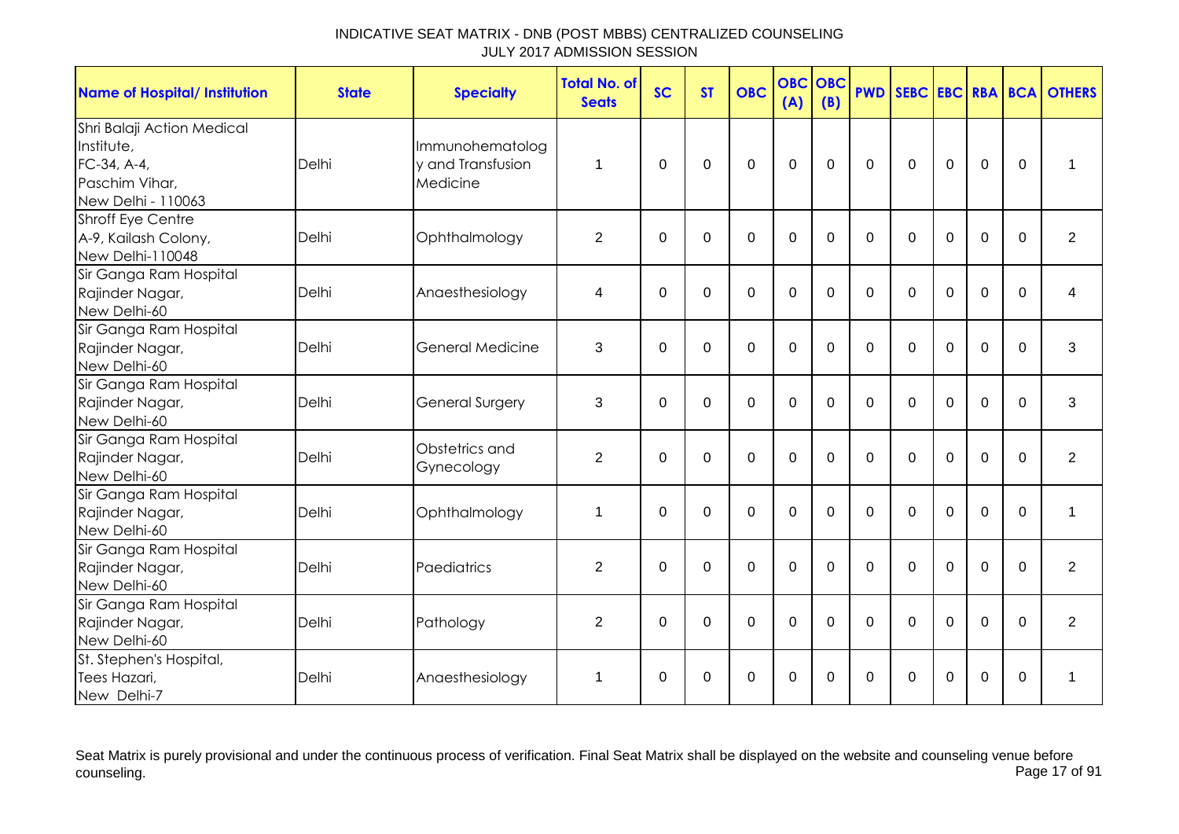| <b>Name of Hospital/ Institution</b>                                                            | <b>State</b> | <b>Specialty</b>                                 | <b>Total No. of</b><br><b>Seats</b> | <b>SC</b>    | <b>ST</b>   | <b>OBC</b>   | <b>OBC</b><br>(A) | OBC<br>(B) | <b>PWD</b>   |              |             |                |             | <b>SEBC EBC RBA BCA OTHERS</b> |
|-------------------------------------------------------------------------------------------------|--------------|--------------------------------------------------|-------------------------------------|--------------|-------------|--------------|-------------------|------------|--------------|--------------|-------------|----------------|-------------|--------------------------------|
| Shri Balaji Action Medical<br>Institute,<br>FC-34, A-4,<br>Paschim Vihar,<br>New Delhi - 110063 | Delhi        | Immunohematolog<br>v and Transfusion<br>Medicine | $\mathbf{1}$                        | 0            | 0           | 0            | 0                 | 0          | 0            | 0            | $\mathbf 0$ | $\mathbf 0$    | $\Omega$    | 1                              |
| <b>Shroff Eye Centre</b><br>A-9, Kailash Colony,<br>New Delhi-110048                            | Delhi        | Ophthalmology                                    | $\overline{2}$                      | $\mathbf 0$  | $\mathbf 0$ | $\mathbf 0$  | $\mathbf 0$       | $\Omega$   | $\mathbf 0$  | $\mathbf 0$  | $\mathbf 0$ | 0              | $\mathbf 0$ | $\overline{c}$                 |
| Sir Ganga Ram Hospital<br>Rajinder Nagar,<br>New Delhi-60                                       | Delhi        | Anaesthesiology                                  | 4                                   | 0            | 0           | 0            | $\mathbf 0$       | 0          | $\Omega$     | $\Omega$     | 0           | 0              | $\Omega$    | 4                              |
| Sir Ganga Ram Hospital<br>Rajinder Nagar,<br>New Delhi-60                                       | Delhi        | General Medicine                                 | 3                                   | $\mathbf{0}$ | $\mathbf 0$ | $\mathbf{0}$ | $\mathbf 0$       | $\Omega$   | $\Omega$     | $\Omega$     | $\Omega$    | $\overline{0}$ | $\Omega$    | 3                              |
| Sir Ganga Ram Hospital<br>Rajinder Nagar,<br>New Delhi-60                                       | Delhi        | <b>General Surgery</b>                           | 3                                   | $\mathbf 0$  | $\mathbf 0$ | 0            | $\mathbf 0$       | $\Omega$   | $\Omega$     | $\Omega$     | $\mathbf 0$ | $\mathbf 0$    | $\Omega$    | 3                              |
| Sir Ganga Ram Hospital<br>Rajinder Nagar,<br>New Delhi-60                                       | Delhi        | Obstetrics and<br>Gynecology                     | $\overline{2}$                      | $\mathbf{0}$ | 0           | $\mathbf 0$  | $\mathbf 0$       | $\Omega$   | $\Omega$     | $\mathbf{0}$ | $\Omega$    | $\mathbf 0$    | $\Omega$    | $\overline{2}$                 |
| Sir Ganga Ram Hospital<br>Rajinder Nagar,<br>New Delhi-60                                       | Delhi        | Ophthalmology                                    | 1                                   | $\Omega$     | $\Omega$    | $\mathbf 0$  | $\mathbf 0$       | $\Omega$   | $\Omega$     | $\Omega$     | $\Omega$    | 0              | $\Omega$    | 1                              |
| Sir Ganga Ram Hospital<br>Rajinder Nagar,<br>New Delhi-60                                       | Delhi        | Paediatrics                                      | 2                                   | $\mathbf{0}$ | $\Omega$    | $\mathbf 0$  | $\mathbf 0$       | 0          | $\Omega$     | $\Omega$     | $\Omega$    | $\Omega$       | $\Omega$    | $\overline{2}$                 |
| Sir Ganga Ram Hospital<br>Rajinder Nagar,<br>New Delhi-60                                       | Delhi        | Pathology                                        | $\overline{2}$                      | 0            | $\mathbf 0$ | $\mathbf 0$  | $\mathbf 0$       | $\Omega$   | $\mathbf{0}$ | $\mathbf{0}$ | $\mathbf 0$ | $\mathbf 0$    | $\Omega$    | $\overline{2}$                 |
| St. Stephen's Hospital,<br>Tees Hazari,<br>New Delhi-7                                          | Delhi        | Anaesthesiology                                  | $\mathbf 1$                         | 0            | 0           | 0            | 0                 | 0          | 0            | 0            | 0           | 0              | 0           | 1                              |

Seat Matrix is purely provisional and under the continuous process of verification. Final Seat Matrix shall be displayed on the website and counseling venue before<br>Page 17 of 91 counseling. Page 17 of 91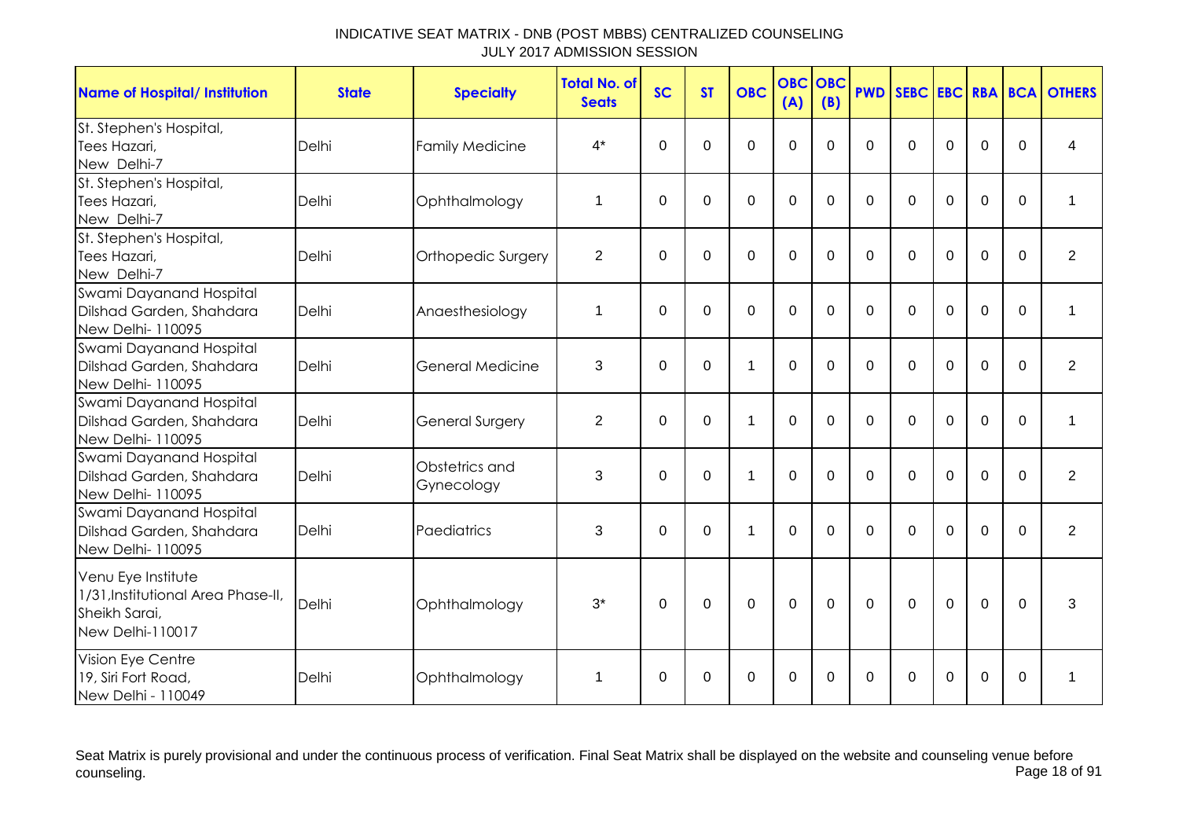| <b>Name of Hospital/ Institution</b>                | <b>State</b> | <b>Specialty</b>        | <b>Total No. of</b><br><b>Seats</b> | <b>SC</b>   | <b>ST</b>   | <b>OBC</b>   | <b>OBC</b><br>(A) | OBC<br>(B)     | <b>PWD</b>   |              |             |                |             | <b>SEBC EBC RBA BCA OTHERS</b> |
|-----------------------------------------------------|--------------|-------------------------|-------------------------------------|-------------|-------------|--------------|-------------------|----------------|--------------|--------------|-------------|----------------|-------------|--------------------------------|
| St. Stephen's Hospital,                             |              |                         | $4^*$                               | $\mathbf 0$ | 0           | 0            | $\mathbf 0$       | $\Omega$       | $\Omega$     | $\Omega$     | $\Omega$    | 0              | $\Omega$    | 4                              |
| Tees Hazari,<br>New Delhi-7                         | Delhi        | <b>Family Medicine</b>  |                                     |             |             |              |                   |                |              |              |             |                |             |                                |
| St. Stephen's Hospital,                             |              |                         |                                     |             |             |              |                   |                |              |              |             |                |             |                                |
| Tees Hazari,                                        | Delhi        | Ophthalmology           | 1                                   | $\mathbf 0$ | $\mathbf 0$ | 0            | $\mathbf 0$       | $\overline{0}$ | $\mathbf 0$  | $\mathbf 0$  | $\mathbf 0$ | $\mathbf 0$    | $\mathbf 0$ | $\mathbf{1}$                   |
| New Delhi-7                                         |              |                         |                                     |             |             |              |                   |                |              |              |             |                |             |                                |
| St. Stephen's Hospital,                             |              |                         |                                     |             |             |              |                   |                |              |              |             |                |             |                                |
| Tees Hazari,                                        | Delhi        | Orthopedic Surgery      | $\overline{2}$                      | $\mathbf 0$ | $\mathbf 0$ | 0            | $\mathbf 0$       | $\Omega$       | $\Omega$     | $\mathbf 0$  | $\mathbf 0$ | $\mathbf 0$    | $\mathbf 0$ | $\overline{2}$                 |
| New Delhi-7                                         |              |                         |                                     |             |             |              |                   |                |              |              |             |                |             |                                |
| Swami Dayanand Hospital                             |              |                         |                                     |             |             |              |                   |                |              |              |             |                |             |                                |
| Dilshad Garden, Shahdara                            | Delhi        | Anaesthesiology         | 1                                   | $\Omega$    | 0           | $\mathbf 0$  | $\mathbf 0$       | $\Omega$       | $\mathbf{0}$ | $\mathbf{0}$ | $\Omega$    | $\mathbf 0$    | $\Omega$    | 1                              |
| New Delhi-110095                                    |              |                         |                                     |             |             |              |                   |                |              |              |             |                |             |                                |
| Swami Dayanand Hospital                             |              |                         |                                     |             |             |              |                   |                |              |              |             |                |             |                                |
| Dilshad Garden, Shahdara                            | Delhi        | <b>General Medicine</b> | 3                                   | $\mathbf 0$ | $\mathbf 0$ | $\mathbf{1}$ | $\mathbf 0$       | $\Omega$       | $\mathbf 0$  | $\mathbf 0$  | $\mathbf 0$ | $\overline{0}$ | $\Omega$    | $\overline{2}$                 |
| New Delhi-110095                                    |              |                         |                                     |             |             |              |                   |                |              |              |             |                |             |                                |
| Swami Dayanand Hospital                             |              |                         |                                     |             |             |              |                   |                |              |              |             |                |             |                                |
| Dilshad Garden, Shahdara                            | Delhi        | <b>General Surgery</b>  | $\overline{2}$                      | $\mathbf 0$ | $\mathbf 0$ | $\mathbf{1}$ | $\mathbf 0$       | $\Omega$       | $\Omega$     | $\mathbf{0}$ | $\mathbf 0$ | $\mathbf 0$    | $\Omega$    | 1                              |
| New Delhi-110095                                    |              |                         |                                     |             |             |              |                   |                |              |              |             |                |             |                                |
| Swami Dayanand Hospital<br>Dilshad Garden, Shahdara | Delhi        | Obstetrics and          | 3                                   | $\Omega$    | $\Omega$    | 1            | $\Omega$          | $\Omega$       | $\Omega$     | $\mathbf{0}$ | $\Omega$    | $\Omega$       | $\Omega$    | $\overline{2}$                 |
| New Delhi-110095                                    |              | Gynecology              |                                     |             |             |              |                   |                |              |              |             |                |             |                                |
| Swami Dayanand Hospital                             |              |                         |                                     |             |             |              |                   |                |              |              |             |                |             |                                |
| Dilshad Garden, Shahdara                            | Delhi        | Paediatrics             | 3                                   | 0           | 0           | 1            | 0                 | 0              | $\Omega$     | $\Omega$     | $\Omega$    | $\Omega$       | $\Omega$    | $\overline{2}$                 |
| New Delhi-110095                                    |              |                         |                                     |             |             |              |                   |                |              |              |             |                |             |                                |
| Venu Eye Institute                                  |              |                         |                                     |             |             |              |                   |                |              |              |             |                |             |                                |
| 1/31, Institutional Area Phase-II,                  |              |                         |                                     |             |             |              |                   |                |              |              |             |                |             |                                |
| Sheikh Sarai,                                       | Delhi        | Ophthalmology           | $3^*$                               | $\mathbf 0$ | $\mathbf 0$ | $\mathbf 0$  | $\mathbf 0$       | $\overline{0}$ | $\mathbf 0$  | $\mathbf 0$  | $\mathbf 0$ | $\overline{0}$ | $\mathbf 0$ | 3                              |
| New Delhi-110017                                    |              |                         |                                     |             |             |              |                   |                |              |              |             |                |             |                                |
|                                                     |              |                         |                                     |             |             |              |                   |                |              |              |             |                |             |                                |
| Vision Eye Centre                                   |              |                         |                                     |             |             |              |                   |                |              |              |             | 0              |             | 1                              |
| 19, Siri Fort Road,<br>New Delhi - 110049           | Delhi        | Ophthalmology           | 1                                   | 0           | 0           | 0            | 0                 | 0              | 0            | $\Omega$     | 0           |                | $\Omega$    |                                |

Seat Matrix is purely provisional and under the continuous process of verification. Final Seat Matrix shall be displayed on the website and counseling venue before<br>Page 18 of 91 counseling. Page 18 of 91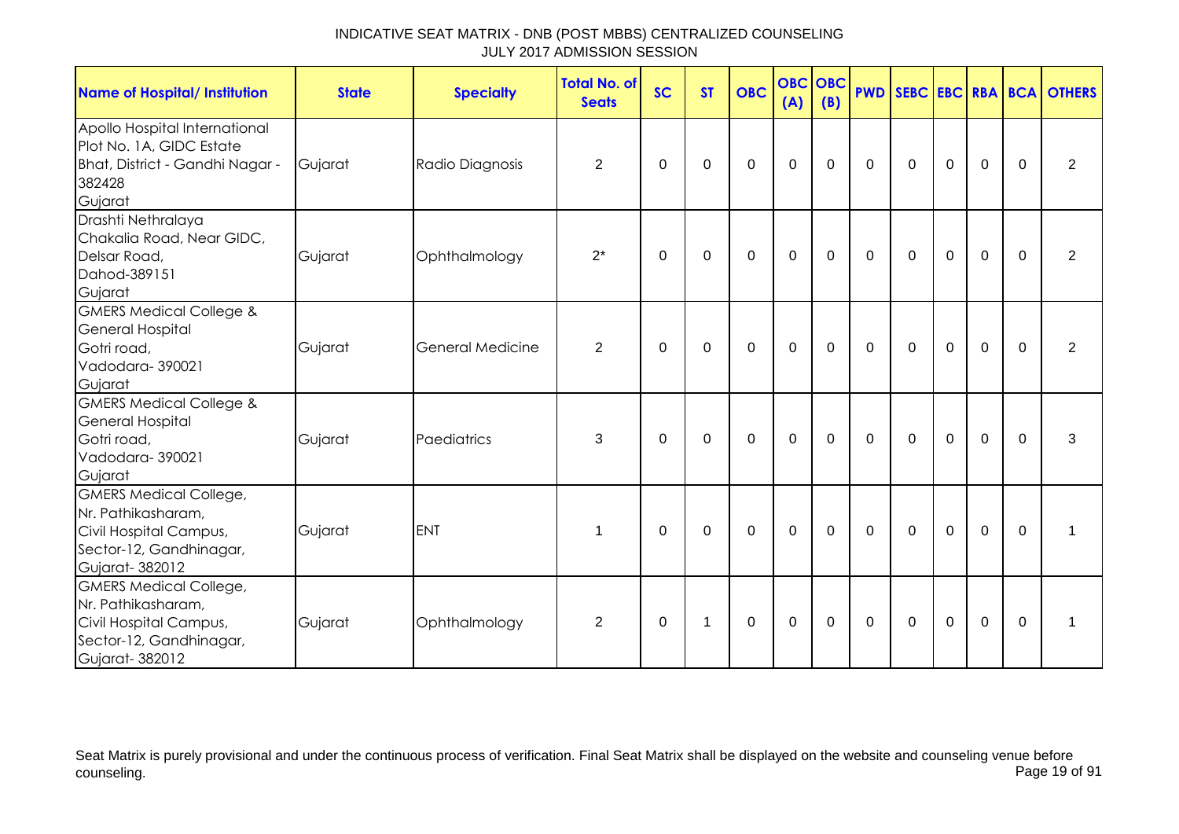| <b>Name of Hospital/ Institution</b>                                                                                       | <b>State</b> | <b>Specialty</b>        | <b>Total No. of</b><br><b>Seats</b> | <b>SC</b> | <b>ST</b>   | <b>OBC</b>   | <b>OBC OBC</b><br>(A) | (B)         |             |              |                |                |             | <b>PWD SEBC EBC RBA BCA OTHERS</b> |
|----------------------------------------------------------------------------------------------------------------------------|--------------|-------------------------|-------------------------------------|-----------|-------------|--------------|-----------------------|-------------|-------------|--------------|----------------|----------------|-------------|------------------------------------|
| Apollo Hospital International<br>Plot No. 1A, GIDC Estate<br>Bhat, District - Gandhi Nagar -<br>382428<br>Gujarat          | Gujarat      | Radio Diagnosis         | $\overline{2}$                      | $\Omega$  | $\Omega$    | 0            | $\mathbf 0$           | 0           | $\mathbf 0$ | 0            | $\mathbf 0$    | $\mathbf 0$    | $\Omega$    | $\overline{2}$                     |
| Drashti Nethralaya<br>Chakalia Road, Near GIDC,<br>Delsar Road,<br>Dahod-389151<br>Gujarat                                 | Gujarat      | Ophthalmology           | $2^*$                               | $\Omega$  | 0           | $\mathbf{0}$ | $\mathbf 0$           | 0           | $\mathbf 0$ | 0            | $\mathbf 0$    | $\mathbf 0$    | $\Omega$    | 2                                  |
| <b>GMERS Medical College &amp;</b><br><b>General Hospital</b><br>Gotri road,<br>Vadodara-390021<br>Gujarat                 | Gujarat      | <b>General Medicine</b> | $\overline{2}$                      | 0         | $\mathbf 0$ | $\mathbf 0$  | $\mathbf 0$           | $\mathbf 0$ | $\mathbf 0$ | $\mathbf 0$  | $\mathbf 0$    | $\overline{0}$ | $\mathbf 0$ | $\overline{2}$                     |
| <b>GMERS Medical College &amp;</b><br><b>General Hospital</b><br>Gotri road,<br>Vadodara-390021<br>Gujarat                 | Gujarat      | Paediatrics             | 3                                   | $\Omega$  | $\Omega$    | $\Omega$     | $\mathbf 0$           | $\Omega$    | $\Omega$    | $\mathbf{0}$ | $\overline{0}$ | $\mathbf 0$    | $\Omega$    | 3                                  |
| <b>GMERS Medical College,</b><br>Nr. Pathikasharam,<br>Civil Hospital Campus,<br>Sector-12, Gandhinagar,<br>Gujarat-382012 | Gujarat      | <b>ENT</b>              | 1                                   | $\Omega$  | 0           | $\Omega$     | $\mathbf 0$           | $\Omega$    | $\mathbf 0$ | 0            | $\mathbf 0$    | $\mathbf 0$    | $\Omega$    | 1                                  |
| <b>GMERS Medical College,</b><br>Nr. Pathikasharam,<br>Civil Hospital Campus,<br>Sector-12, Gandhinagar,<br>Gujarat-382012 | Gujarat      | Ophthalmology           | $\overline{2}$                      | 0         | $\mathbf 1$ | $\mathbf 0$  | $\boldsymbol{0}$      | $\mathbf 0$ | $\mathbf 0$ | $\mathbf 0$  | $\mathbf 0$    | $\mathbf 0$    | $\mathbf 0$ | 1                                  |

Seat Matrix is purely provisional and under the continuous process of verification. Final Seat Matrix shall be displayed on the website and counseling venue before<br>Page 19 of 91 counseling. Page 19 of 91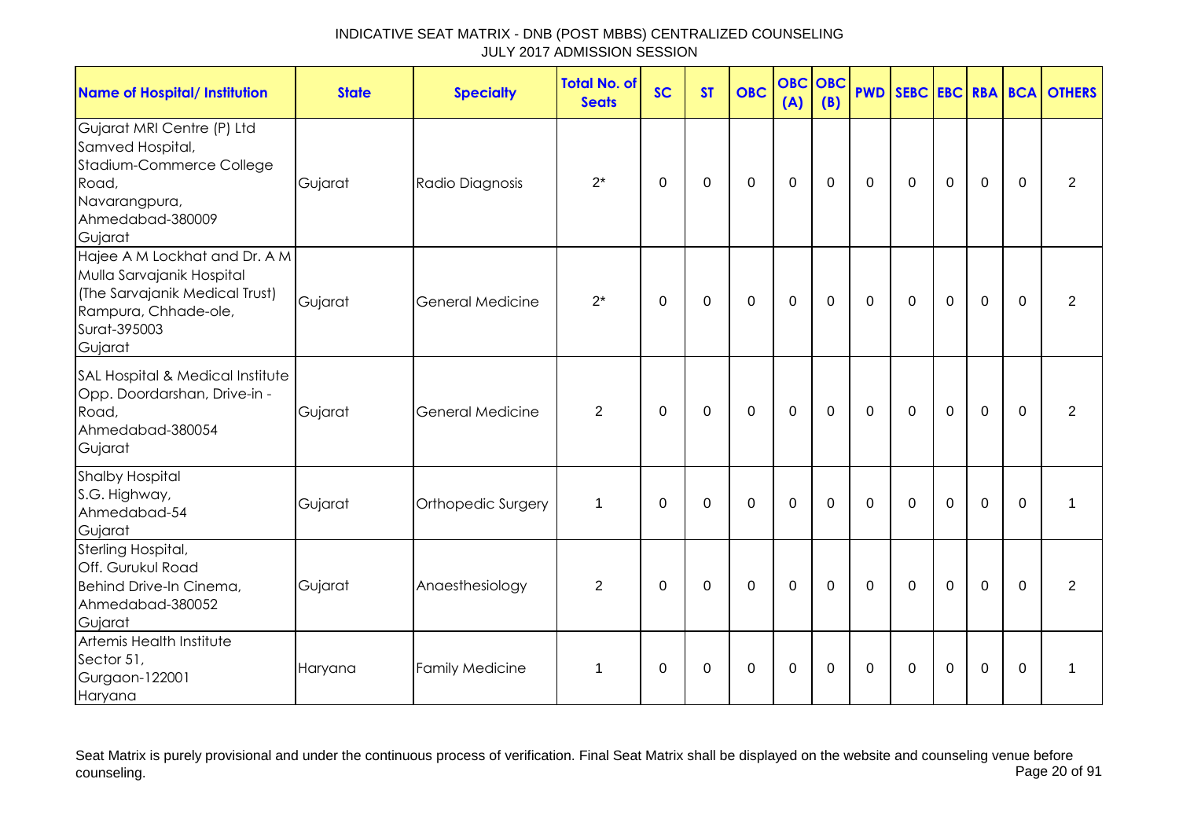| <b>Name of Hospital/ Institution</b>                                                                                                            | <b>State</b> | <b>Specialty</b>        | <b>Total No. of</b><br><b>Seats</b> | <b>SC</b>   | <b>ST</b>   | <b>OBC</b>  | <b>OBC</b><br>(A) | OBC<br>(B)  |                |             |                |                |             | <b>PWD SEBC EBC RBA BCA OTHERS</b> |
|-------------------------------------------------------------------------------------------------------------------------------------------------|--------------|-------------------------|-------------------------------------|-------------|-------------|-------------|-------------------|-------------|----------------|-------------|----------------|----------------|-------------|------------------------------------|
| Gujarat MRI Centre (P) Ltd<br>Samved Hospital,<br>Stadium-Commerce College<br>Road,<br>Navarangpura,<br>Ahmedabad-380009<br>Gujarat             | Gujarat      | Radio Diagnosis         | $2^*$                               | $\mathbf 0$ | $\mathbf 0$ | $\mathbf 0$ | $\mathbf 0$       | $\mathbf 0$ | $\mathbf 0$    | $\mathbf 0$ | $\mathbf 0$    | $\mathbf 0$    | $\mathbf 0$ | $\overline{2}$                     |
| Hajee A M Lockhat and Dr. A M<br>Mulla Sarvajanik Hospital<br>(The Sarvajanik Medical Trust)<br>Rampura, Chhade-ole,<br>Surat-395003<br>Gujarat | Gujarat      | <b>General Medicine</b> | $2^*$                               | 0           | 0           | $\pmb{0}$   | $\mathbf 0$       | 0           | 0              | 0           | $\mathbf 0$    | $\mathbf 0$    | $\Omega$    | $\overline{2}$                     |
| SAL Hospital & Medical Institute<br>Opp. Doordarshan, Drive-in -<br>Road,<br>Ahmedabad-380054<br>Gujarat                                        | Gujarat      | <b>General Medicine</b> | 2                                   | 0           | $\mathbf 0$ | $\mathbf 0$ | $\mathbf 0$       | 0           | $\mathbf 0$    | $\mathbf 0$ | $\mathbf 0$    | $\mathbf 0$    | $\mathbf 0$ | 2                                  |
| <b>Shalby Hospital</b><br>S.G. Highway,<br>Ahmedabad-54<br>Gujarat                                                                              | Gujarat      | Orthopedic Surgery      | 1                                   | $\mathbf 0$ | $\mathbf 0$ | $\mathbf 0$ | $\mathbf 0$       | $\mathbf 0$ | $\mathbf 0$    | $\mathbf 0$ | $\mathbf 0$    | 0              | $\mathbf 0$ |                                    |
| Sterling Hospital,<br>Off. Gurukul Road<br>Behind Drive-In Cinema,<br>Ahmedabad-380052<br>Gujarat                                               | Gujarat      | Anaesthesiology         | $\overline{2}$                      | $\mathbf 0$ | $\mathbf 0$ | $\mathbf 0$ | $\mathbf 0$       | $\mathbf 0$ | $\overline{0}$ | $\mathbf 0$ | $\overline{0}$ | $\overline{0}$ | $\Omega$    | $\overline{2}$                     |
| Artemis Health Institute<br>Sector 51,<br>Gurgaon-122001<br>Haryana                                                                             | Haryana      | <b>Family Medicine</b>  | 1                                   | $\Omega$    | $\Omega$    | $\Omega$    | $\mathbf 0$       | $\Omega$    | $\Omega$       | $\Omega$    | $\Omega$       | 0              | $\Omega$    | $\mathbf 1$                        |

Seat Matrix is purely provisional and under the continuous process of verification. Final Seat Matrix shall be displayed on the website and counseling venue before<br>Page 20 of 91 counseling. Page 20 of 91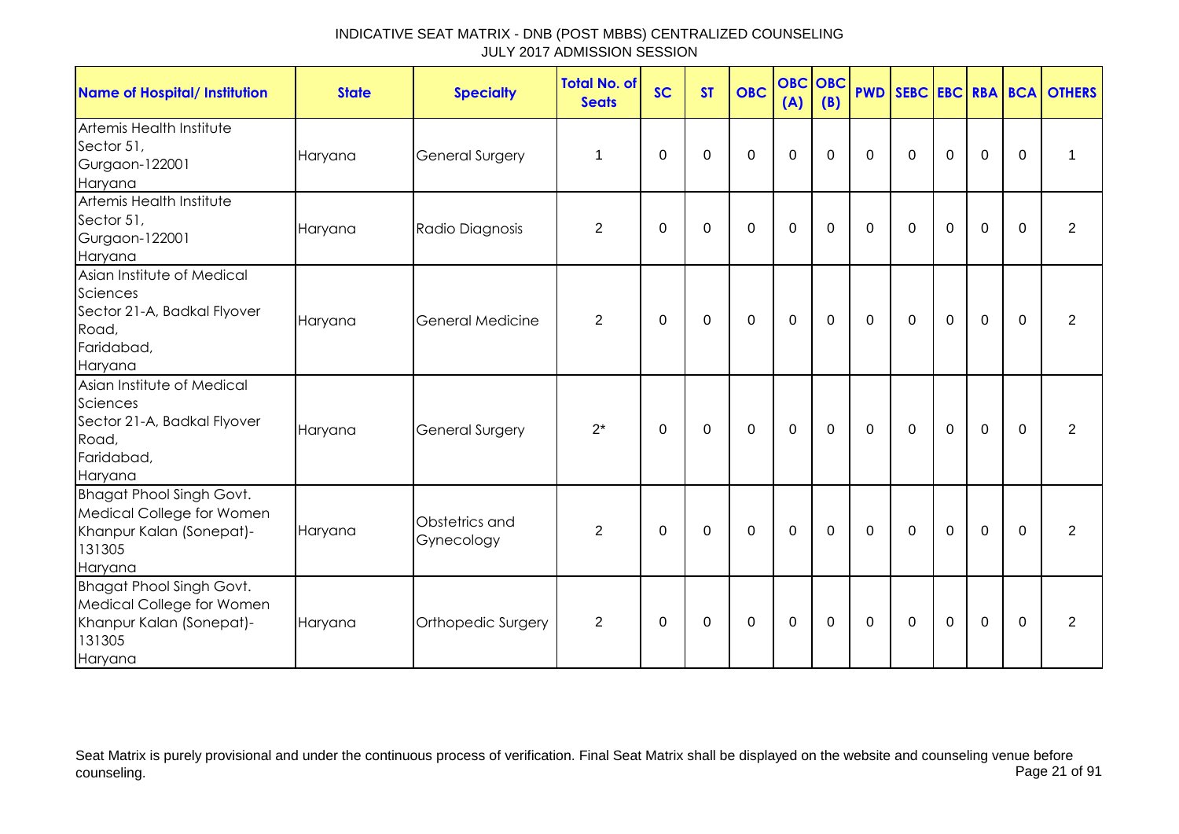| <b>Name of Hospital/ Institution</b>                                                                          | <b>State</b> | <b>Specialty</b>             | <b>Total No. of</b><br><b>Seats</b> | <b>SC</b> | <b>ST</b> | <b>OBC</b>  | <b>OBC OBC</b><br>(A) | (B)         |             |              |             |             |              | <b>PWD SEBC EBC RBA BCA OTHERS</b> |
|---------------------------------------------------------------------------------------------------------------|--------------|------------------------------|-------------------------------------|-----------|-----------|-------------|-----------------------|-------------|-------------|--------------|-------------|-------------|--------------|------------------------------------|
| Artemis Health Institute<br>Sector 51,<br>Gurgaon-122001<br>Haryana                                           | Haryana      | General Surgery              | 1                                   | $\Omega$  | $\Omega$  | $\Omega$    | $\Omega$              | $\Omega$    | $\Omega$    | $\Omega$     | $\Omega$    | $\Omega$    | $\Omega$     | 1                                  |
| Artemis Health Institute<br>Sector 51,<br>Gurgaon-122001<br>Haryana                                           | Haryana      | Radio Diagnosis              | $\overline{2}$                      | $\Omega$  | $\Omega$  | $\mathbf 0$ | $\mathbf 0$           | $\mathbf 0$ | $\Omega$    | $\Omega$     | $\mathbf 0$ | $\mathbf 0$ | $\Omega$     | $\overline{2}$                     |
| Asian Institute of Medical<br>Sciences<br>Sector 21-A, Badkal Flyover<br>Road,<br>Faridabad,<br>Haryana       | Haryana      | General Medicine             | $\overline{2}$                      | 0         | 0         | 0           | $\mathbf 0$           | 0           | $\mathbf 0$ | $\mathbf 0$  | $\mathbf 0$ | 0           | $\mathbf{0}$ | 2                                  |
| Asian Institute of Medical<br>Sciences<br>Sector 21-A, Badkal Flyover<br>Road,<br>Faridabad,<br>Haryana       | Haryana      | General Surgery              | $2^*$                               | $\Omega$  | $\Omega$  | 0           | $\Omega$              | $\Omega$    | $\Omega$    | $\mathbf{0}$ | $\mathbf 0$ | $\Omega$    | $\Omega$     | 2                                  |
| <b>Bhagat Phool Singh Govt.</b><br>Medical College for Women<br>Khanpur Kalan (Sonepat)-<br>131305<br>Haryana | Haryana      | Obstetrics and<br>Gynecology | 2                                   | 0         | 0         | 0           | 0                     | 0           | $\mathbf 0$ | 0            | 0           | 0           | $\Omega$     | 2                                  |
| <b>Bhagat Phool Singh Govt.</b><br>Medical College for Women<br>Khanpur Kalan (Sonepat)-<br>131305<br>Haryana | Haryana      | Orthopedic Surgery           | $\overline{2}$                      | 0         | 0         | 0           | 0                     | 0           | $\mathbf 0$ | 0            | 0           | $\mathbf 0$ | $\mathbf{0}$ | 2                                  |

Seat Matrix is purely provisional and under the continuous process of verification. Final Seat Matrix shall be displayed on the website and counseling venue before<br>Page 21 of 91 counseling. Page 21 of 91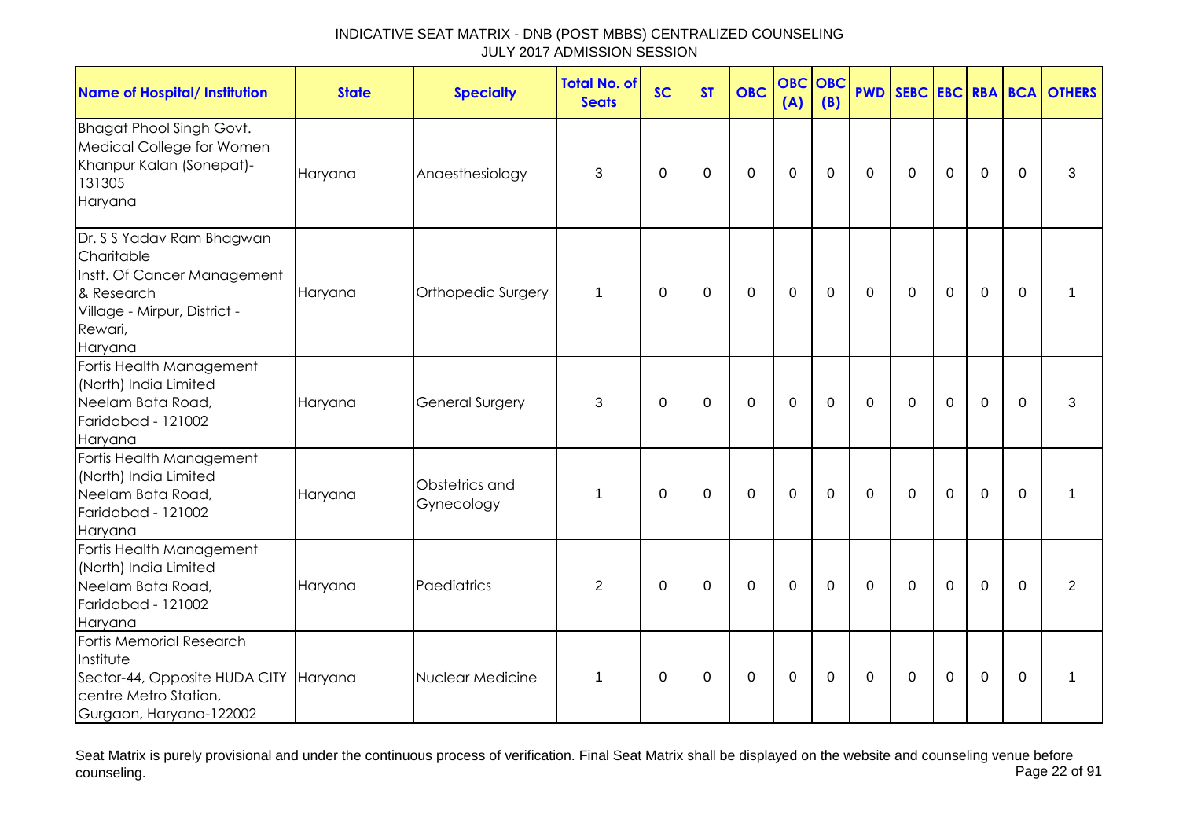| <b>Name of Hospital/ Institution</b>                                                                                                       | <b>State</b> | <b>Specialty</b>             | <b>Total No. of</b><br><b>Seats</b> | <b>SC</b>   | <b>ST</b>      | <b>OBC</b>     | <b>OBC OBC</b><br>(A) | (B)         | <b>PWD</b>     |             |                |                |             | SEBC EBC RBA BCA OTHERS |
|--------------------------------------------------------------------------------------------------------------------------------------------|--------------|------------------------------|-------------------------------------|-------------|----------------|----------------|-----------------------|-------------|----------------|-------------|----------------|----------------|-------------|-------------------------|
| <b>Bhagat Phool Singh Govt.</b><br>Medical College for Women<br>Khanpur Kalan (Sonepat)-<br>131305<br>Haryana                              | Haryana      | Anaesthesiology              | 3                                   | $\mathbf 0$ | $\Omega$       | $\mathbf 0$    | $\mathbf{0}$          | $\mathbf 0$ | $\mathbf 0$    | $\mathbf 0$ | $\mathbf 0$    | $\overline{0}$ | $\mathbf 0$ | 3                       |
| Dr. S S Yadav Ram Bhagwan<br>Charitable<br>Instt. Of Cancer Management<br>& Research<br>Village - Mirpur, District -<br>Rewari,<br>Haryana | Haryana      | Orthopedic Surgery           | $\mathbf{1}$                        | 0           | 0              | 0              | $\mathbf 0$           | $\mathbf 0$ | $\overline{0}$ | $\mathbf 0$ | $\mathbf 0$    | $\overline{0}$ | $\mathbf 0$ | 1                       |
| Fortis Health Management<br>(North) India Limited<br>Neelam Bata Road,<br>Faridabad - 121002<br>Haryana                                    | Haryana      | General Surgery              | 3                                   | $\mathbf 0$ | $\overline{0}$ | $\overline{0}$ | $\mathbf 0$           | $\mathbf 0$ | $\Omega$       | $\mathbf 0$ | $\overline{0}$ | $\mathbf 0$    | $\mathbf 0$ | 3                       |
| Fortis Health Management<br>(North) India Limited<br>Neelam Bata Road,<br>Faridabad - 121002<br>Haryana                                    | Haryana      | Obstetrics and<br>Gynecology | 1                                   | $\Omega$    | 0              | $\mathbf 0$    | $\mathbf 0$           | $\mathbf 0$ | $\Omega$       | $\mathbf 0$ | $\mathbf 0$    | $\mathbf 0$    | $\mathbf 0$ | 1                       |
| Fortis Health Management<br>(North) India Limited<br>Neelam Bata Road,<br>Faridabad - 121002<br>Haryana                                    | Haryana      | Paediatrics                  | $\overline{2}$                      | $\mathbf 0$ | $\mathbf 0$    | $\mathbf 0$    | $\mathbf 0$           | $\mathbf 0$ | $\Omega$       | $\mathbf 0$ | $\mathbf 0$    | $\mathbf 0$    | $\Omega$    | $\overline{2}$          |
| Fortis Memorial Research<br>Institute<br>Sector-44, Opposite HUDA CITY Haryana<br>centre Metro Station,<br>Gurgaon, Haryana-122002         |              | Nuclear Medicine             | 1                                   | 0           | 0              | 0              | $\mathsf 0$           | 0           | 0              | $\mathbf 0$ | 0              | $\mathbf 0$    | 0           | 1                       |

Seat Matrix is purely provisional and under the continuous process of verification. Final Seat Matrix shall be displayed on the website and counseling venue before<br>Page 22 of 91 counseling. Page 22 of 91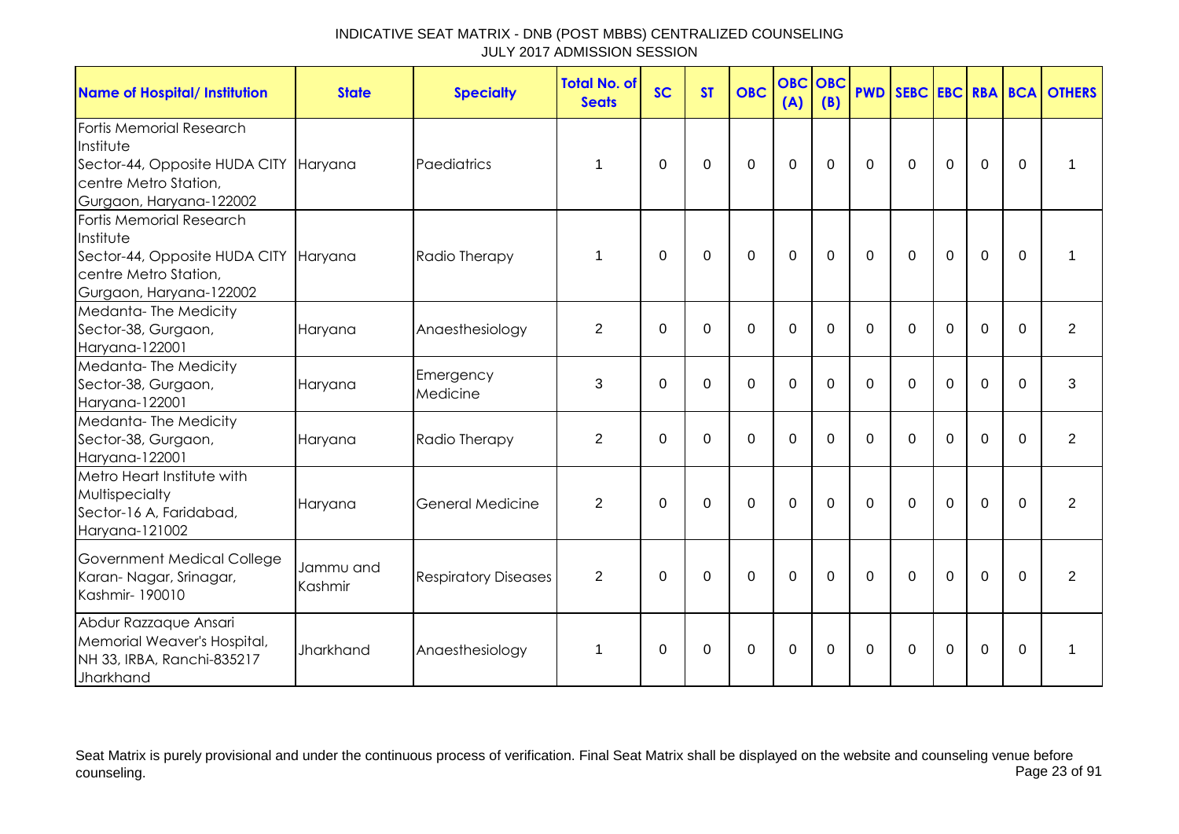| <b>Name of Hospital/ Institution</b>                                                                                               | <b>State</b>         | <b>Specialty</b>            | <b>Total No. of</b><br><b>Seats</b> | <b>SC</b>   | <b>ST</b>   | <b>OBC</b>     | <b>OBC</b><br>(A) | OBC<br>(B)     |              |             |                |                |          | <b>PWD SEBC EBC RBA BCA OTHERS</b> |
|------------------------------------------------------------------------------------------------------------------------------------|----------------------|-----------------------------|-------------------------------------|-------------|-------------|----------------|-------------------|----------------|--------------|-------------|----------------|----------------|----------|------------------------------------|
| Fortis Memorial Research<br>Institute<br>Sector-44, Opposite HUDA CITY Haryana<br>centre Metro Station,<br>Gurgaon, Haryana-122002 |                      | Paediatrics                 | 1                                   | $\mathbf 0$ | $\mathbf 0$ | $\mathbf 0$    | $\mathbf 0$       | $\mathbf 0$    | $\mathbf 0$  | $\mathbf 0$ | $\mathbf 0$    | $\mathbf 0$    | $\Omega$ | 1                                  |
| Fortis Memorial Research<br>Institute<br>Sector-44, Opposite HUDA CITY<br>centre Metro Station,<br>Gurgaon, Haryana-122002         | Haryana              | Radio Therapy               | 1                                   | $\mathbf 0$ | $\mathbf 0$ | $\overline{0}$ | $\mathbf 0$       | $\overline{0}$ | $\Omega$     | $\Omega$    | $\overline{0}$ | $\Omega$       | $\Omega$ |                                    |
| Medanta-The Medicity<br>Sector-38, Gurgaon,<br>Haryana-122001                                                                      | Haryana              | Anaesthesiology             | $\overline{2}$                      | $\Omega$    | $\Omega$    | $\mathbf 0$    | $\mathbf 0$       | $\Omega$       | $\Omega$     | $\Omega$    | $\Omega$       | $\mathbf 0$    | $\Omega$ | $\overline{2}$                     |
| Medanta-The Medicity<br>Sector-38, Gurgaon,<br>Haryana-122001                                                                      | Haryana              | Emergency<br>Medicine       | 3                                   | $\Omega$    | $\Omega$    | $\Omega$       | $\mathbf 0$       | $\Omega$       | $\Omega$     | $\Omega$    | $\Omega$       | $\overline{0}$ | $\Omega$ | 3                                  |
| Medanta-The Medicity<br>Sector-38, Gurgaon,<br>Haryana-122001                                                                      | Haryana              | Radio Therapy               | $\overline{2}$                      | $\Omega$    | $\Omega$    | $\Omega$       | $\mathbf 0$       | $\Omega$       | $\Omega$     | $\Omega$    | $\Omega$       | $\Omega$       | $\Omega$ | $\overline{2}$                     |
| Metro Heart Institute with<br>Multispecialty<br>Sector-16 A, Faridabad,<br>Haryana-121002                                          | Haryana              | General Medicine            | $\overline{2}$                      | $\Omega$    | $\mathbf 0$ | $\mathbf 0$    | $\mathbf 0$       | $\Omega$       | $\Omega$     | $\Omega$    | $\mathbf 0$    | $\overline{0}$ | $\Omega$ | $\overline{2}$                     |
| Government Medical College<br>Karan- Nagar, Srinagar,<br>Kashmir-190010                                                            | Jammu and<br>Kashmir | <b>Respiratory Diseases</b> | $\overline{2}$                      | $\Omega$    | $\Omega$    | $\mathbf 0$    | $\mathbf 0$       | $\Omega$       | $\mathbf{0}$ | $\Omega$    | $\mathbf 0$    | 0              | $\Omega$ | $\overline{2}$                     |
| Abdur Razzaque Ansari<br>Memorial Weaver's Hospital,<br>NH 33, IRBA, Ranchi-835217<br>Jharkhand                                    | Jharkhand            | Anaesthesiology             | 1                                   | $\Omega$    | $\Omega$    | $\mathbf 0$    | $\mathbf 0$       | $\Omega$       | $\mathbf 0$  | $\Omega$    | $\Omega$       | 0              | $\Omega$ |                                    |

Seat Matrix is purely provisional and under the continuous process of verification. Final Seat Matrix shall be displayed on the website and counseling venue before<br>Page 23 of 91 counseling. Page 23 of 91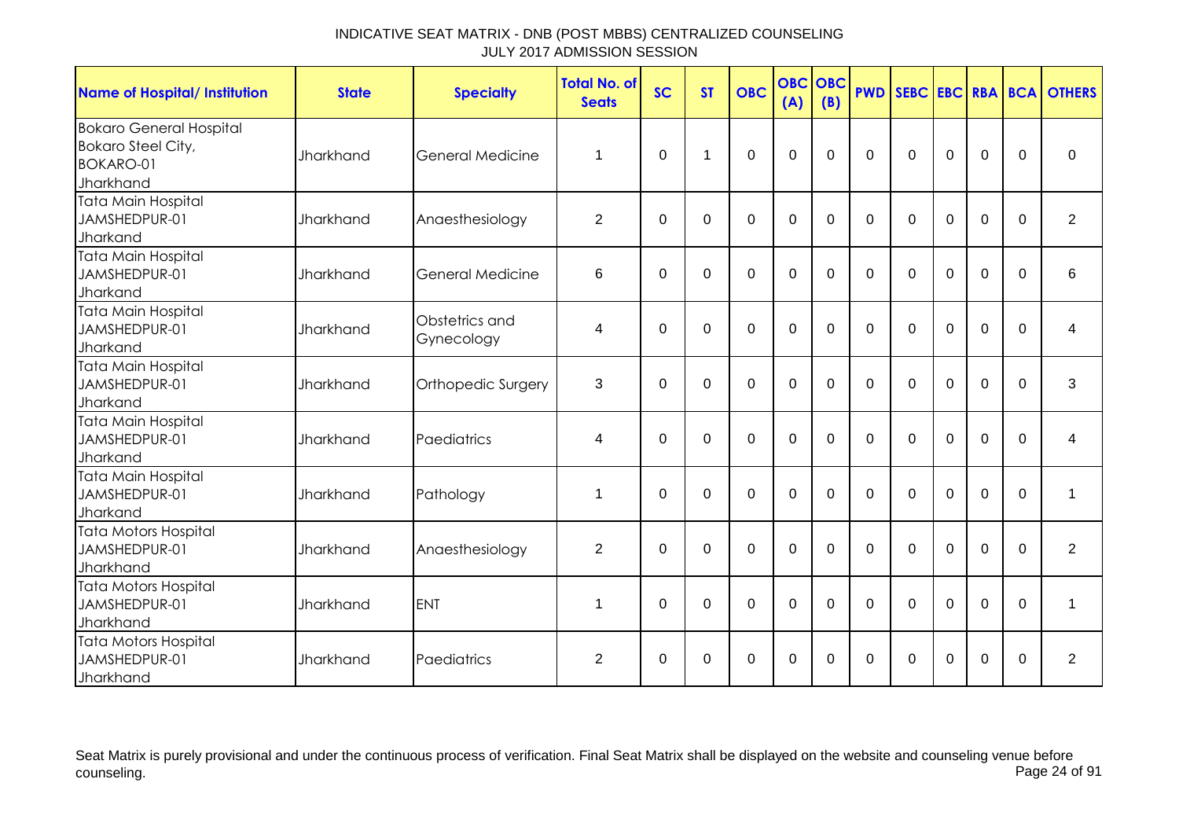| <b>Name of Hospital/ Institution</b>                                                  | <b>State</b>     | <b>Specialty</b>             | <b>Total No. of</b><br><b>Seats</b> | <b>SC</b>   | <b>ST</b> | <b>OBC</b>     | (A)         | <b>OBC OBC</b><br>(B) | <b>PWD</b> |              |             |             |          | SEBC EBC RBA BCA OTHERS |
|---------------------------------------------------------------------------------------|------------------|------------------------------|-------------------------------------|-------------|-----------|----------------|-------------|-----------------------|------------|--------------|-------------|-------------|----------|-------------------------|
| <b>Bokaro General Hospital</b><br><b>Bokaro Steel City,</b><br>BOKARO-01<br>Jharkhand | <b>Jharkhand</b> | <b>General Medicine</b>      | 1                                   | $\Omega$    | 1         | $\overline{0}$ | $\mathbf 0$ | $\Omega$              | $\Omega$   | $\mathbf 0$  | $\mathbf 0$ | $\mathbf 0$ | $\Omega$ | 0                       |
| Tata Main Hospital<br>JAMSHEDPUR-01<br>Jharkand                                       | Jharkhand        | Anaesthesiology              | $\overline{2}$                      | $\Omega$    | 0         | $\Omega$       | 0           | $\Omega$              | $\Omega$   | $\mathbf{0}$ | $\Omega$    | 0           | $\Omega$ | $\overline{2}$          |
| <b>Tata Main Hospital</b><br>JAMSHEDPUR-01<br>Jharkand                                | <b>Jharkhand</b> | General Medicine             | 6                                   | $\Omega$    | $\Omega$  | $\Omega$       | $\Omega$    | $\Omega$              | $\Omega$   | $\Omega$     | $\Omega$    | $\Omega$    | $\Omega$ | 6                       |
| <b>Tata Main Hospital</b><br>JAMSHEDPUR-01<br>Jharkand                                | Jharkhand        | Obstetrics and<br>Gynecology | 4                                   | $\Omega$    | $\Omega$  | $\mathbf 0$    | $\mathbf 0$ | $\overline{0}$        | $\Omega$   | $\mathbf 0$  | $\mathbf 0$ | $\mathbf 0$ | $\Omega$ | 4                       |
| <b>Tata Main Hospital</b><br>JAMSHEDPUR-01<br>Jharkand                                | Jharkhand        | Orthopedic Surgery           | 3                                   | $\Omega$    | $\Omega$  | $\mathbf 0$    | $\mathbf 0$ | $\Omega$              | $\Omega$   | $\Omega$     | $\mathbf 0$ | $\mathbf 0$ | $\Omega$ | 3                       |
| Tata Main Hospital<br>JAMSHEDPUR-01<br>Jharkand                                       | <b>Jharkhand</b> | Paediatrics                  | 4                                   | $\Omega$    | $\Omega$  | $\Omega$       | $\Omega$    | $\Omega$              | $\Omega$   | $\Omega$     | $\Omega$    | $\Omega$    | $\Omega$ | 4                       |
| <b>Tata Main Hospital</b><br>JAMSHEDPUR-01<br>Jharkand                                | <b>Jharkhand</b> | Pathology                    | 1                                   | $\mathbf 0$ | $\Omega$  | $\mathbf 0$    | $\mathbf 0$ | $\overline{0}$        | $\Omega$   | $\mathbf 0$  | $\mathbf 0$ | $\mathbf 0$ | $\Omega$ | 1                       |
| Tata Motors Hospital<br>JAMSHEDPUR-01<br>Jharkhand                                    | Jharkhand        | Anaesthesiology              | $\overline{2}$                      | $\Omega$    | $\Omega$  | $\mathbf 0$    | $\mathbf 0$ | $\Omega$              | $\Omega$   | $\Omega$     | $\mathbf 0$ | $\mathbf 0$ | $\Omega$ | $\overline{2}$          |
| <b>Tata Motors Hospital</b><br>JAMSHEDPUR-01<br>Jharkhand                             | <b>Jharkhand</b> | <b>ENT</b>                   | 1                                   | $\Omega$    | $\Omega$  | $\mathbf 0$    | $\mathbf 0$ | $\Omega$              | $\Omega$   | $\Omega$     | $\Omega$    | $\Omega$    | $\Omega$ | $\mathbf 1$             |
| Tata Motors Hospital<br>JAMSHEDPUR-01<br>Jharkhand                                    | <b>Jharkhand</b> | Paediatrics                  | $\overline{2}$                      | 0           | 0         | 0              | $\mathbf 0$ | 0                     | $\Omega$   | $\Omega$     | 0           | 0           | $\Omega$ | $\overline{2}$          |

Seat Matrix is purely provisional and under the continuous process of verification. Final Seat Matrix shall be displayed on the website and counseling venue before<br>Page 24 of 91 counseling. Page 24 of 91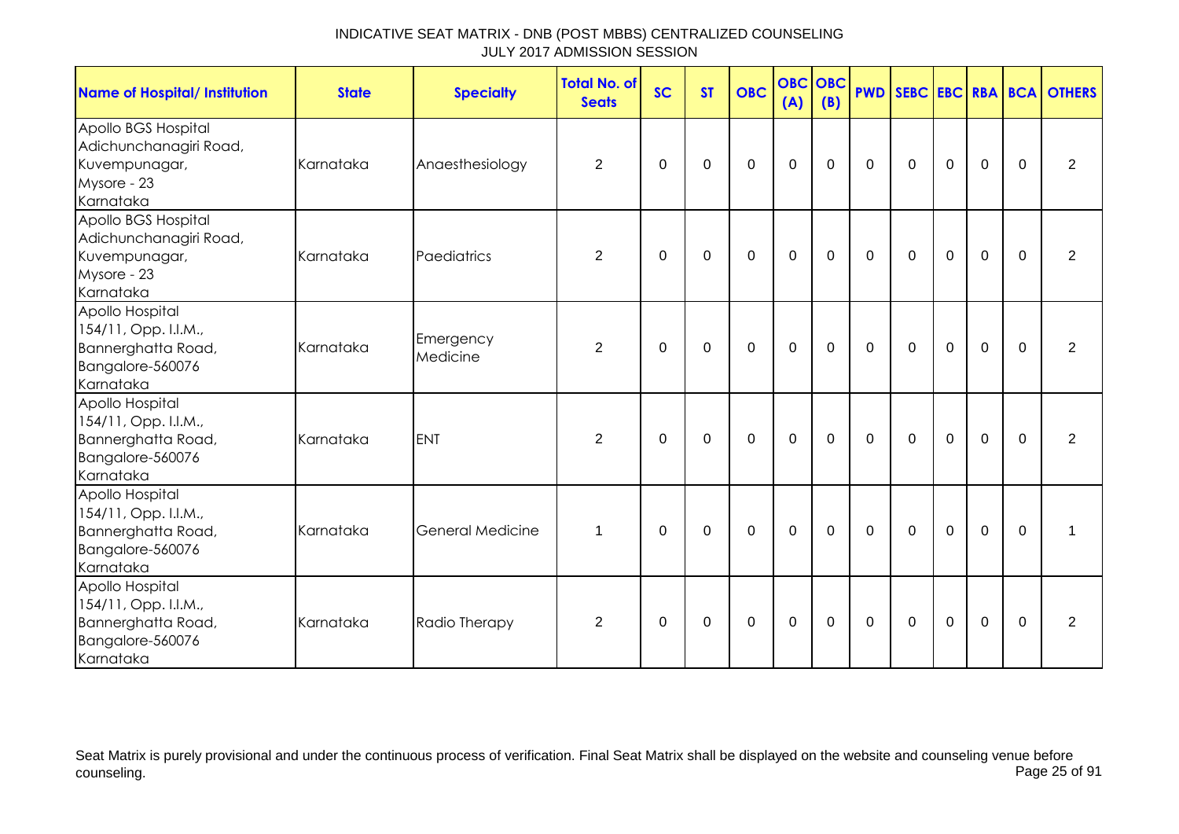| <b>Name of Hospital/ Institution</b>                                                           | <b>State</b> | <b>Specialty</b>        | Total No. of<br><b>Seats</b> | <b>SC</b>   | <b>ST</b>   | <b>OBC</b>   | <b>OBC OBC</b><br>(A) | (B)         |             |             |                |                |             | <b>PWD SEBC EBC RBA BCA OTHERS</b> |
|------------------------------------------------------------------------------------------------|--------------|-------------------------|------------------------------|-------------|-------------|--------------|-----------------------|-------------|-------------|-------------|----------------|----------------|-------------|------------------------------------|
| Apollo BGS Hospital<br>Adichunchanagiri Road,<br>Kuvempunagar,<br>Mysore - 23<br>Karnataka     | Karnataka    | Anaesthesiology         | $\overline{2}$               | 0           | 0           | $\mathbf 0$  | $\mathbf 0$           | $\mathbf 0$ | $\mathbf 0$ | $\mathbf 0$ | $\mathbf 0$    | $\mathbf 0$    | $\mathbf 0$ | $\overline{2}$                     |
| Apollo BGS Hospital<br>Adichunchanagiri Road,<br>Kuvempunagar,<br>Mysore - 23<br>Karnataka     | Karnataka    | Paediatrics             | 2                            | $\mathbf 0$ | $\mathbf 0$ | $\mathbf 0$  | $\mathbf 0$           | $\mathbf 0$ | $\mathbf 0$ | $\mathbf 0$ | $\mathbf 0$    | $\mathbf 0$    | $\mathbf 0$ | 2                                  |
| Apollo Hospital<br>154/11, Opp. I.I.M.,<br>Bannerghatta Road,<br>Bangalore-560076<br>Karnataka | Karnataka    | Emergency<br>Medicine   | $\overline{2}$               | 0           | 0           | $\mathbf 0$  | $\mathbf 0$           | 0           | $\mathbf 0$ | $\mathbf 0$ | $\mathbf 0$    | $\overline{0}$ | $\mathbf 0$ | $\overline{2}$                     |
| Apollo Hospital<br>154/11, Opp. I.I.M.,<br>Bannerghatta Road,<br>Bangalore-560076<br>Karnataka | Karnataka    | <b>ENT</b>              | $\overline{2}$               | $\Omega$    | $\Omega$    | $\mathbf{0}$ | $\mathbf 0$           | $\Omega$    | $\mathbf 0$ | $\mathbf 0$ | $\overline{0}$ | $\mathbf 0$    | $\Omega$    | 2                                  |
| Apollo Hospital<br>154/11, Opp. I.I.M.,<br>Bannerghatta Road,<br>Bangalore-560076<br>Karnataka | Karnataka    | <b>General Medicine</b> | 1                            | 0           | 0           | $\mathbf 0$  | $\mathbf 0$           | $\mathbf 0$ | $\mathbf 0$ | $\mathbf 0$ | $\mathbf 0$    | $\overline{0}$ | $\mathbf 0$ | 1                                  |
| Apollo Hospital<br>154/11, Opp. I.I.M.,<br>Bannerghatta Road,<br>Bangalore-560076<br>Karnataka | Karnataka    | Radio Therapy           | 2                            | $\Omega$    | $\Omega$    | $\mathbf{0}$ | $\mathbf 0$           | $\Omega$    | $\mathbf 0$ | $\Omega$    | $\mathbf 0$    | $\mathbf 0$    | $\Omega$    | 2                                  |

Seat Matrix is purely provisional and under the continuous process of verification. Final Seat Matrix shall be displayed on the website and counseling venue before<br>Page 25 of 91 counseling. Page 25 of 91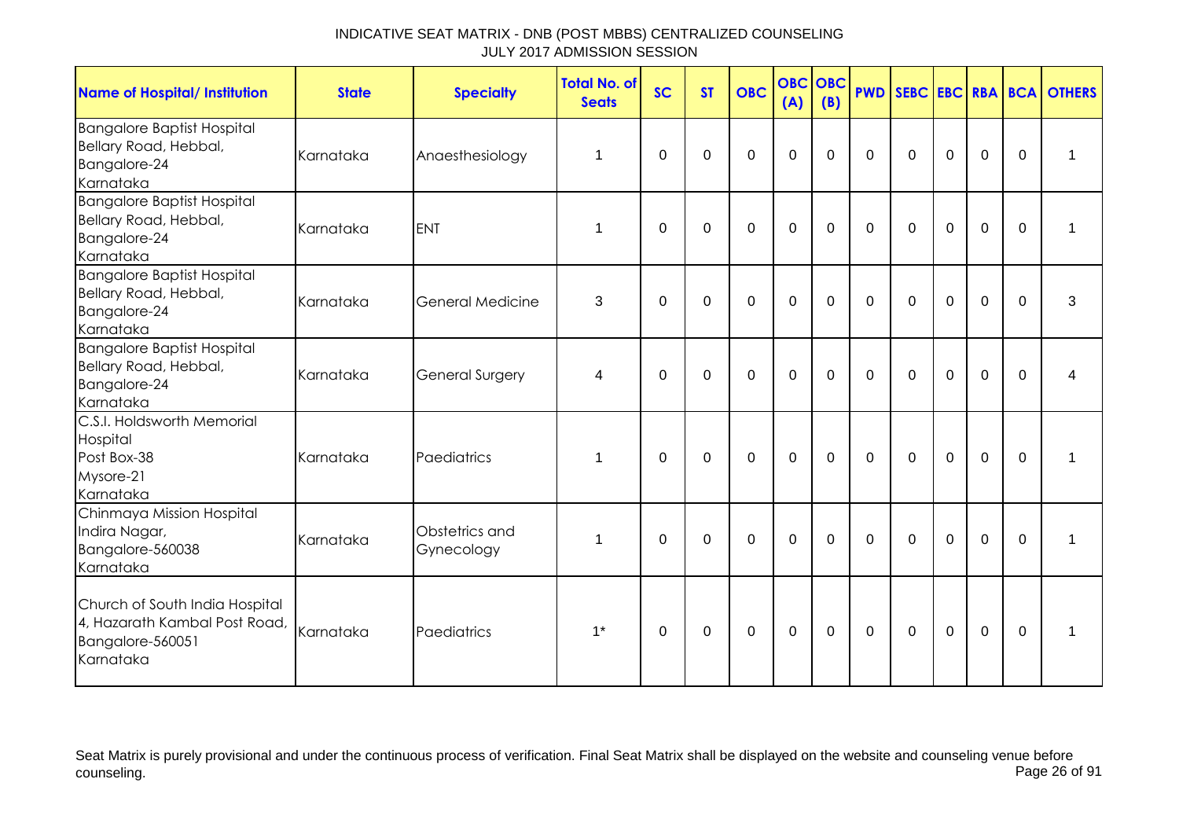| <b>Name of Hospital/ Institution</b>                                                             | <b>State</b> | <b>Specialty</b>             | <b>Total No. of</b><br><b>Seats</b> | <b>SC</b>   | <b>ST</b>   | <b>OBC</b>  | <b>OBC</b><br>(A) | <b>OBC</b><br>(B) | <b>PWD</b>   |              |             |             |             | <b>SEBC EBC RBA BCA OTHERS</b> |
|--------------------------------------------------------------------------------------------------|--------------|------------------------------|-------------------------------------|-------------|-------------|-------------|-------------------|-------------------|--------------|--------------|-------------|-------------|-------------|--------------------------------|
| <b>Bangalore Baptist Hospital</b><br>Bellary Road, Hebbal,<br>Bangalore-24<br>Karnataka          | Karnataka    | Anaesthesiology              | 1                                   | $\Omega$    | 0           | $\Omega$    | 0                 | $\Omega$          | $\Omega$     | $\mathbf{0}$ | $\Omega$    | $\mathbf 0$ | $\Omega$    | 1                              |
| <b>Bangalore Baptist Hospital</b><br>Bellary Road, Hebbal,<br>Bangalore-24<br>Karnataka          | Karnataka    | <b>ENT</b>                   | 1                                   | 0           | 0           | $\mathbf 0$ | $\mathbf 0$       | 0                 | 0            | 0            | 0           | $\mathbf 0$ | $\Omega$    | 1                              |
| <b>Bangalore Baptist Hospital</b><br>Bellary Road, Hebbal,<br>Bangalore-24<br>Karnataka          | Karnataka    | <b>General Medicine</b>      | 3                                   | $\mathbf 0$ | $\mathbf 0$ | $\mathbf 0$ | $\mathbf 0$       | $\mathbf 0$       | $\mathbf 0$  | $\mathbf 0$  | $\mathbf 0$ | 0           | $\mathbf 0$ | 3                              |
| <b>Bangalore Baptist Hospital</b><br>Bellary Road, Hebbal,<br>Bangalore-24<br>Karnataka          | Karnataka    | <b>General Surgery</b>       | 4                                   | $\Omega$    | $\Omega$    | $\mathbf 0$ | $\mathbf 0$       | $\Omega$          | $\mathbf{0}$ | $\Omega$     | $\Omega$    | $\mathbf 0$ | $\Omega$    | 4                              |
| C.S.I. Holdsworth Memorial<br>Hospital<br>Post Box-38<br>Mysore-21<br>Karnataka                  | Karnataka    | Paediatrics                  | 1                                   | 0           | 0           | $\pmb{0}$   | $\mathbf 0$       | 0                 | $\mathbf 0$  | $\Omega$     | $\mathbf 0$ | $\mathbf 0$ | $\Omega$    |                                |
| Chinmaya Mission Hospital<br>Indira Nagar,<br>Bangalore-560038<br>Karnataka                      | Karnataka    | Obstetrics and<br>Gynecology | 1                                   | $\Omega$    | $\Omega$    | $\Omega$    | $\mathbf 0$       | $\Omega$          | $\Omega$     | $\Omega$     | $\Omega$    | 0           | $\Omega$    |                                |
| Church of South India Hospital<br>4, Hazarath Kambal Post Road,<br>Bangalore-560051<br>Karnataka | Karnataka    | Paediatrics                  | $1^*$                               | $\Omega$    | 0           | $\pmb{0}$   | $\mathbf 0$       | 0                 | $\mathbf 0$  | $\Omega$     | $\mathbf 0$ | $\mathbf 0$ | $\Omega$    |                                |

Seat Matrix is purely provisional and under the continuous process of verification. Final Seat Matrix shall be displayed on the website and counseling venue before<br>Page 26 of 91 counseling. Page 26 of 91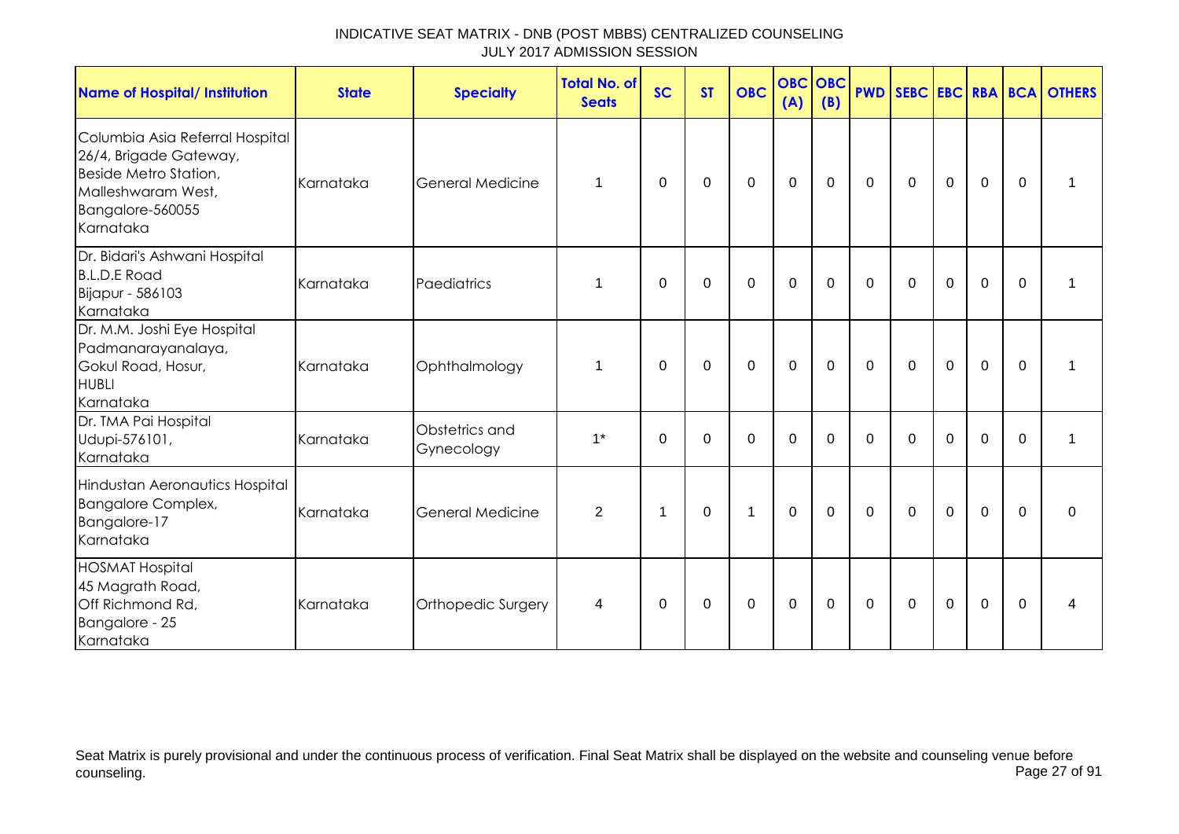| <b>Name of Hospital/ Institution</b>                                                                                                      | <b>State</b> | <b>Specialty</b>             | <b>Total No. of</b><br><b>Seats</b> | <b>SC</b>    | <b>ST</b>   | <b>OBC</b>   | <b>OBC</b><br>(A) | <b>OBC</b><br>(B) | <b>PWD</b>   |              |                |             |             | SEBC EBC RBA BCA OTHERS |
|-------------------------------------------------------------------------------------------------------------------------------------------|--------------|------------------------------|-------------------------------------|--------------|-------------|--------------|-------------------|-------------------|--------------|--------------|----------------|-------------|-------------|-------------------------|
| Columbia Asia Referral Hospital<br>26/4, Brigade Gateway,<br>Beside Metro Station,<br>Malleshwaram West,<br>Bangalore-560055<br>Karnataka | Karnataka    | <b>General Medicine</b>      | $\mathbf 1$                         | $\mathbf{0}$ | 0           | $\mathbf 0$  | $\Omega$          | $\Omega$          | $\mathbf{0}$ | $\mathbf{0}$ | $\Omega$       | $\Omega$    | $\Omega$    |                         |
| Dr. Bidari's Ashwani Hospital<br><b>B.L.D.E Road</b><br>Bijapur - 586103<br>Karnataka                                                     | Karnataka    | Paediatrics                  | $\mathbf{1}$                        | $\mathbf 0$  | $\mathbf 0$ | $\mathbf 0$  | $\mathbf 0$       | $\mathbf 0$       | $\mathbf 0$  | $\mathbf 0$  | $\overline{0}$ | $\mathbf 0$ | $\mathbf 0$ |                         |
| Dr. M.M. Joshi Eye Hospital<br>Padmanarayanalaya,<br>Gokul Road, Hosur,<br><b>HUBLI</b><br>Karnataka                                      | Karnataka    | Ophthalmology                | 1                                   | $\Omega$     | $\Omega$    | $\mathbf 0$  | $\Omega$          | $\Omega$          | $\mathbf{0}$ | $\mathbf{0}$ | $\mathbf 0$    | $\mathbf 0$ | $\Omega$    | 1                       |
| Dr. TMA Pai Hospital<br>Udupi-576101,<br>Karnataka                                                                                        | Karnataka    | Obstetrics and<br>Gynecology | $1*$                                | $\Omega$     | 0           | $\mathbf 0$  | $\mathbf 0$       | $\Omega$          | $\Omega$     | $\mathbf{0}$ | $\Omega$       | $\mathbf 0$ | $\Omega$    | 1                       |
| Hindustan Aeronautics Hospital<br><b>Bangalore Complex,</b><br>Bangalore-17<br>Karnataka                                                  | Karnataka    | <b>General Medicine</b>      | $\overline{2}$                      | $\mathbf 1$  | $\mathbf 0$ | $\mathbf{1}$ | $\mathbf 0$       | $\mathbf 0$       | $\mathbf 0$  | $\mathbf 0$  | $\mathbf 0$    | $\mathbf 0$ | $\mathbf 0$ | $\Omega$                |
| <b>HOSMAT Hospital</b><br>45 Magrath Road,<br>Off Richmond Rd,<br>Bangalore - 25<br>Karnataka                                             | Karnataka    | Orthopedic Surgery           | 4                                   | $\mathbf{0}$ | 0           | $\mathbf 0$  | 0                 | 0                 | $\mathbf{0}$ | $\mathbf{0}$ | $\mathbf 0$    | $\mathbf 0$ | $\Omega$    | 4                       |

Seat Matrix is purely provisional and under the continuous process of verification. Final Seat Matrix shall be displayed on the website and counseling venue before<br>Page 27 of 91 counseling. Page 27 of 91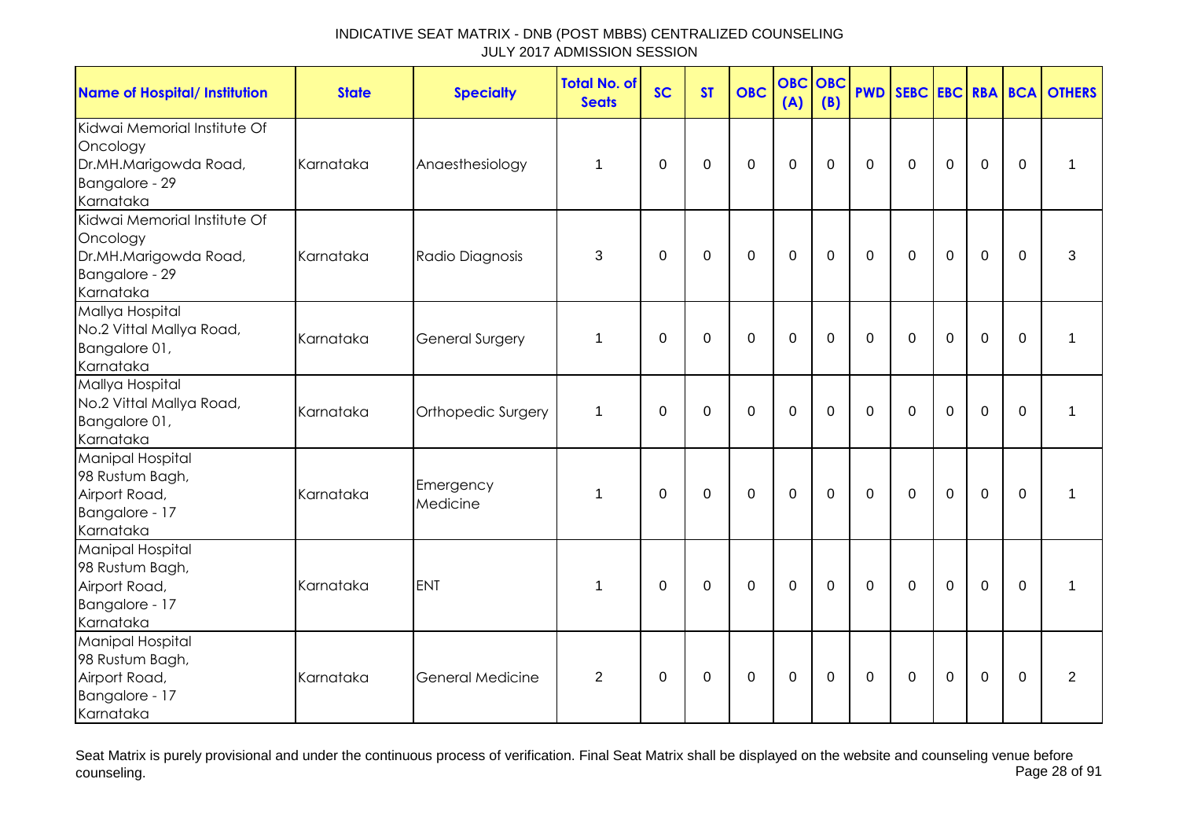| <b>Name of Hospital/ Institution</b>                                                             | <b>State</b> | <b>Specialty</b>        | <b>Total No. of</b><br><b>Seats</b> | <b>SC</b>   | <b>ST</b>   | <b>OBC</b>       | <b>OBC</b><br>(A) | <b>OBC</b><br>(B) | <b>PWD</b>     | SEBC EBC RBA BCA |                |                |             | <b>OTHERS</b>  |
|--------------------------------------------------------------------------------------------------|--------------|-------------------------|-------------------------------------|-------------|-------------|------------------|-------------------|-------------------|----------------|------------------|----------------|----------------|-------------|----------------|
| Kidwai Memorial Institute Of<br>Oncology<br>Dr.MH.Marigowda Road,<br>Bangalore - 29<br>Karnataka | Karnataka    | Anaesthesiology         | 1                                   | $\Omega$    | $\mathbf 0$ | $\overline{0}$   | $\mathbf 0$       | $\mathbf 0$       | $\mathbf 0$    | $\mathbf 0$      | $\overline{0}$ | $\overline{0}$ | $\mathbf 0$ | 1              |
| Kidwai Memorial Institute Of<br>Oncology<br>Dr.MH.Marigowda Road,<br>Bangalore - 29<br>Karnataka | Karnataka    | Radio Diagnosis         | 3                                   | $\mathbf 0$ | $\mathbf 0$ | $\mathbf 0$      | $\mathbf{0}$      | $\mathbf 0$       | $\mathbf 0$    | $\mathbf 0$      | $\mathbf 0$    | $\overline{0}$ | $\mathbf 0$ | 3              |
| Mallya Hospital<br>No.2 Vittal Mallya Road,<br>Bangalore 01,<br>Karnataka                        | Karnataka    | <b>General Surgery</b>  | 1                                   | $\mathbf 0$ | $\mathbf 0$ | $\mathbf{0}$     | $\mathbf{0}$      | $\overline{0}$    | $\Omega$       | $\Omega$         | $\overline{0}$ | $\Omega$       | $\Omega$    | $\mathbf{1}$   |
| Mallya Hospital<br>No.2 Vittal Mallya Road,<br>Bangalore 01,<br>Karnataka                        | Karnataka    | Orthopedic Surgery      | 1                                   | $\Omega$    | $\Omega$    | $\mathbf 0$      | $\mathbf 0$       | $\Omega$          | $\mathbf 0$    | $\mathbf 0$      | $\mathbf 0$    | $\overline{0}$ | $\Omega$    | 1              |
| <b>Manipal Hospital</b><br>98 Rustum Bagh,<br>Airport Road,<br>Bangalore - 17<br>Karnataka       | Karnataka    | Emergency<br>Medicine   | 1                                   | $\mathbf 0$ | $\mathbf 0$ | $\mathbf 0$      | $\mathbf{0}$      | $\mathbf 0$       | $\mathbf{0}$   | $\mathbf 0$      | $\overline{0}$ | $\overline{0}$ | $\Omega$    | 1              |
| Manipal Hospital<br>98 Rustum Bagh,<br>Airport Road,<br>Bangalore - 17<br>Karnataka              | Karnataka    | <b>ENT</b>              | 1                                   | 0           | 0           | 0                | $\mathbf 0$       | 0                 | $\overline{0}$ | $\mathbf 0$      | $\mathbf 0$    | $\mathbf 0$    | $\Omega$    | 1              |
| Manipal Hospital<br>98 Rustum Bagh,<br>Airport Road,<br>Bangalore - 17<br>Karnataka              | Karnataka    | <b>General Medicine</b> | $\overline{2}$                      | 0           | $\mathsf 0$ | $\boldsymbol{0}$ | $\boldsymbol{0}$  | $\mathbf 0$       | $\mathbf 0$    | $\mathbf 0$      | $\mathbf 0$    | $\pmb{0}$      | $\mathbf 0$ | $\overline{2}$ |

Seat Matrix is purely provisional and under the continuous process of verification. Final Seat Matrix shall be displayed on the website and counseling venue before<br>Page 28 of 91 counseling. Page 28 of 91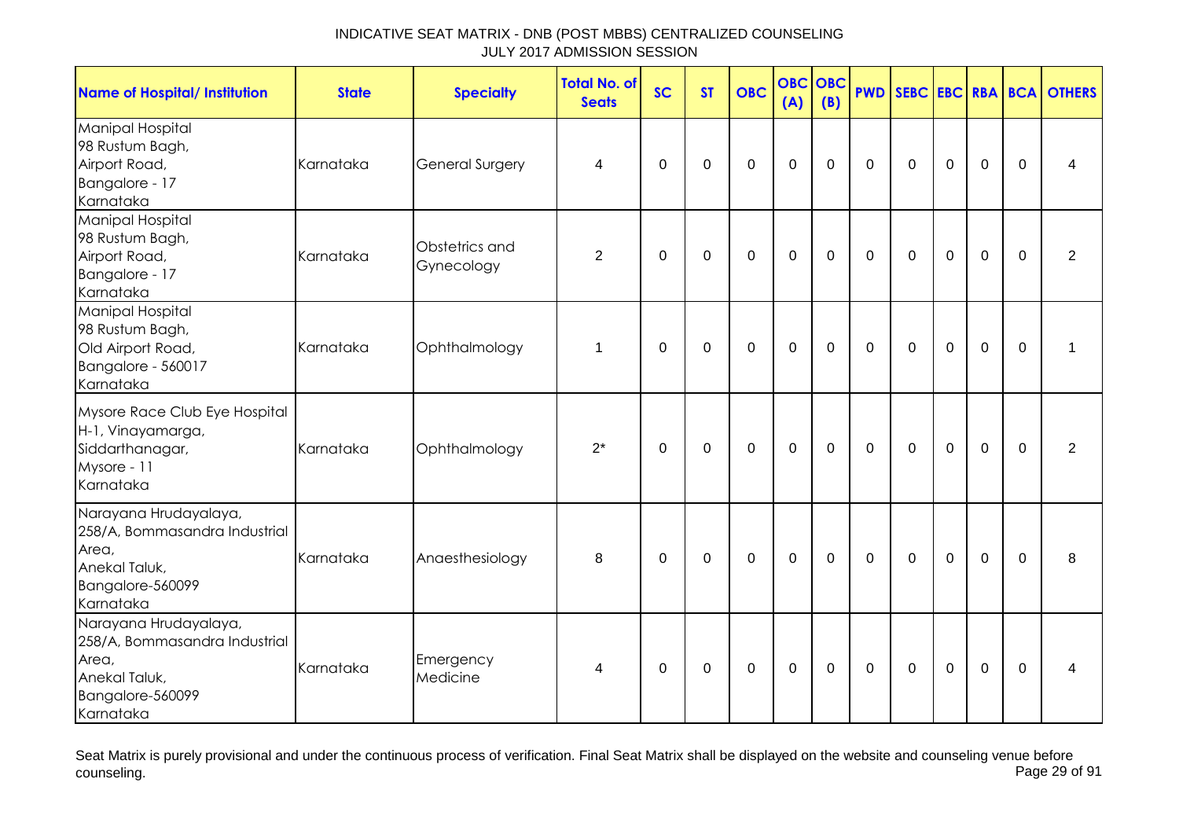| <b>Name of Hospital/ Institution</b>                                                                              | <b>State</b> | <b>Specialty</b>             | <b>Total No. of</b><br><b>Seats</b> | <b>SC</b> | <b>ST</b>   | <b>OBC</b>       | <b>OBC</b><br>(A) | OBC<br>(B)  | <b>PWD</b>  |             |                |             |             | <b>SEBC EBC RBA BCA OTHERS</b> |
|-------------------------------------------------------------------------------------------------------------------|--------------|------------------------------|-------------------------------------|-----------|-------------|------------------|-------------------|-------------|-------------|-------------|----------------|-------------|-------------|--------------------------------|
| <b>Manipal Hospital</b><br>98 Rustum Bagh,<br>Airport Road,<br>Bangalore - 17<br>Karnataka                        | Karnataka    | <b>General Surgery</b>       | 4                                   | 0         | $\mathbf 0$ | $\mathbf 0$      | $\mathbf 0$       | $\mathbf 0$ | $\mathbf 0$ | $\mathbf 0$ | $\mathbf 0$    | $\mathbf 0$ | $\mathbf 0$ | 4                              |
| Manipal Hospital<br>98 Rustum Bagh,<br>Airport Road,<br>Bangalore - 17<br>Karnataka                               | Karnataka    | Obstetrics and<br>Gynecology | $\overline{2}$                      | 0         | $\mathbf 0$ | $\mathbf 0$      | $\boldsymbol{0}$  | $\mathbf 0$ | $\mathbf 0$ | $\mathbf 0$ | $\mathbf 0$    | $\mathbf 0$ | 0           | $\overline{2}$                 |
| Manipal Hospital<br>98 Rustum Bagh,<br>Old Airport Road,<br>Bangalore - 560017<br>Karnataka                       | Karnataka    | Ophthalmology                | 1                                   | 0         | 0           | 0                | $\mathbf 0$       | $\mathbf 0$ | $\mathbf 0$ | $\mathbf 0$ | $\overline{0}$ | $\mathbf 0$ | $\Omega$    | 1                              |
| Mysore Race Club Eye Hospital<br>H-1, Vinayamarga,<br>Siddarthanagar,<br>Mysore - 11<br>Karnataka                 | Karnataka    | Ophthalmology                | $2^*$                               | 0         | 0           | $\boldsymbol{0}$ | $\boldsymbol{0}$  | $\mathbf 0$ | $\mathbf 0$ | $\mathbf 0$ | $\mathbf 0$    | $\mathbf 0$ | 0           | 2                              |
| Narayana Hrudayalaya,<br>258/A, Bommasandra Industrial<br>Area,<br>Anekal Taluk,<br>Bangalore-560099<br>Karnataka | Karnataka    | Anaesthesiology              | 8                                   | 0         | 0           | $\mathbf 0$      | $\mathbf 0$       | $\mathbf 0$ | $\mathbf 0$ | $\mathbf 0$ | $\mathbf 0$    | $\mathbf 0$ | $\mathbf 0$ | 8                              |
| Narayana Hrudayalaya,<br>258/A, Bommasandra Industrial<br>Area,<br>Anekal Taluk,<br>Bangalore-560099<br>Karnataka | Karnataka    | Emergency<br>Medicine        | 4                                   | 0         | 0           | $\mathbf 0$      | $\boldsymbol{0}$  | 0           | $\mathbf 0$ | 0           | $\mathbf 0$    | $\mathbf 0$ | $\Omega$    | 4                              |

Seat Matrix is purely provisional and under the continuous process of verification. Final Seat Matrix shall be displayed on the website and counseling venue before<br>Page 29 of 91 counseling. Page 29 of 91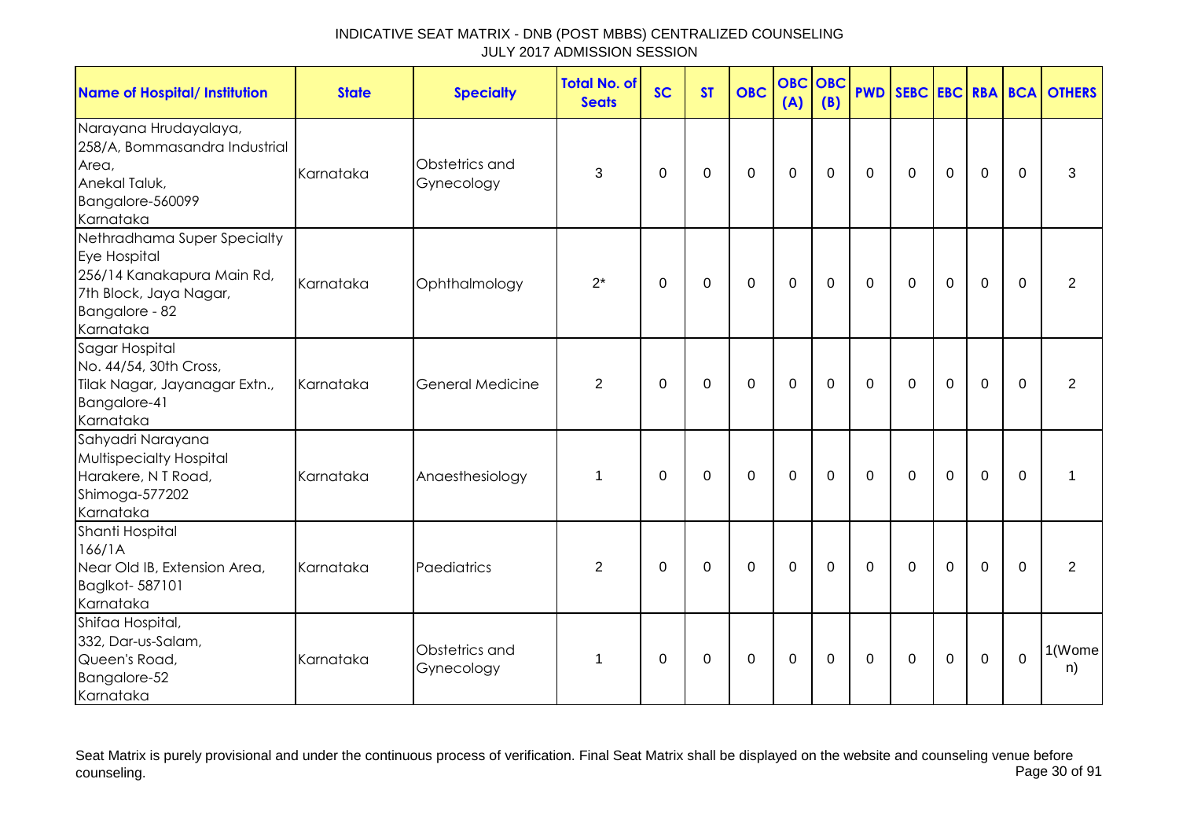| INDICATIVE SEAT MATRIX - DNB (POST MBBS) CENTRALIZED COUNSELING |  |
|-----------------------------------------------------------------|--|
| JULY 2017 ADMISSION SESSION                                     |  |

| <b>Name of Hospital/ Institution</b>                                                                                               | <b>State</b> | <b>Specialty</b>             | <b>Total No. of</b><br><b>Seats</b> | <b>SC</b>   | <b>ST</b>   | <b>OBC</b>  | <b>OBC OBC</b><br>(A) | (B)         |              |             |             |             |              | <b>PWD SEBC EBC RBA BCA OTHERS</b> |
|------------------------------------------------------------------------------------------------------------------------------------|--------------|------------------------------|-------------------------------------|-------------|-------------|-------------|-----------------------|-------------|--------------|-------------|-------------|-------------|--------------|------------------------------------|
| Narayana Hrudayalaya,<br>258/A, Bommasandra Industrial<br>Area,<br>Anekal Taluk,<br>Bangalore-560099<br>Karnataka                  | Karnataka    | Obstetrics and<br>Gynecology | 3                                   | 0           | 0           | $\mathbf 0$ | $\mathbf 0$           | $\mathbf 0$ | $\mathbf 0$  | $\mathbf 0$ | $\mathbf 0$ | $\mathbf 0$ | 0            | 3                                  |
| Nethradhama Super Specialty<br>Eye Hospital<br>256/14 Kanakapura Main Rd,<br>7th Block, Jaya Nagar,<br>Bangalore - 82<br>Karnataka | Karnataka    | Ophthalmology                | $2^*$                               | 0           | $\mathbf 0$ | $\mathbf 0$ | $\mathbf 0$           | $\mathbf 0$ | $\mathbf 0$  | $\mathbf 0$ | $\mathbf 0$ | $\mathbf 0$ | $\mathbf{0}$ | 2                                  |
| Sagar Hospital<br>No. 44/54, 30th Cross,<br>Tilak Nagar, Jayanagar Extn.,<br>Bangalore-41<br>Karnataka                             | Karnataka    | <b>General Medicine</b>      | 2                                   | $\Omega$    | $\mathbf 0$ | $\mathbf 0$ | $\mathbf 0$           | $\mathbf 0$ | $\mathbf 0$  | $\Omega$    | $\mathbf 0$ | $\mathbf 0$ | $\Omega$     | 2                                  |
| Sahyadri Narayana<br><b>Multispecialty Hospital</b><br>Harakere, N T Road,<br>Shimoga-577202<br>Karnataka                          | Karnataka    | Anaesthesiology              | $\mathbf{1}$                        | 0           | 0           | $\mathbf 0$ | $\mathbf 0$           | $\mathbf 0$ | $\mathbf{0}$ | 0           | $\mathbf 0$ | $\mathbf 0$ | $\Omega$     | $\mathbf 1$                        |
| Shanti Hospital<br>166/1A<br>Near Old IB, Extension Area,<br>Baglkot- 587101<br>Karnataka                                          | Karnataka    | Paediatrics                  | $\overline{2}$                      | $\mathbf 0$ | $\mathbf 0$ | $\mathbf 0$ | $\mathbf 0$           | $\mathbf 0$ | $\mathbf 0$  | $\mathbf 0$ | $\mathbf 0$ | $\mathbf 0$ | $\mathbf 0$  | $\overline{2}$                     |
| Shifaa Hospital,<br>332, Dar-us-Salam,<br>Queen's Road,<br>Bangalore-52<br>Karnataka                                               | Karnataka    | Obstetrics and<br>Gynecology | 1                                   | 0           | 0           | $\mathbf 0$ | $\mathbf 0$           | 0           | $\mathbf 0$  | $\mathbf 0$ | $\mathbf 0$ | $\mathbf 0$ | $\mathbf 0$  | 1(Wome<br>n)                       |

Seat Matrix is purely provisional and under the continuous process of verification. Final Seat Matrix shall be displayed on the website and counseling venue before counseling. Page 30 of 91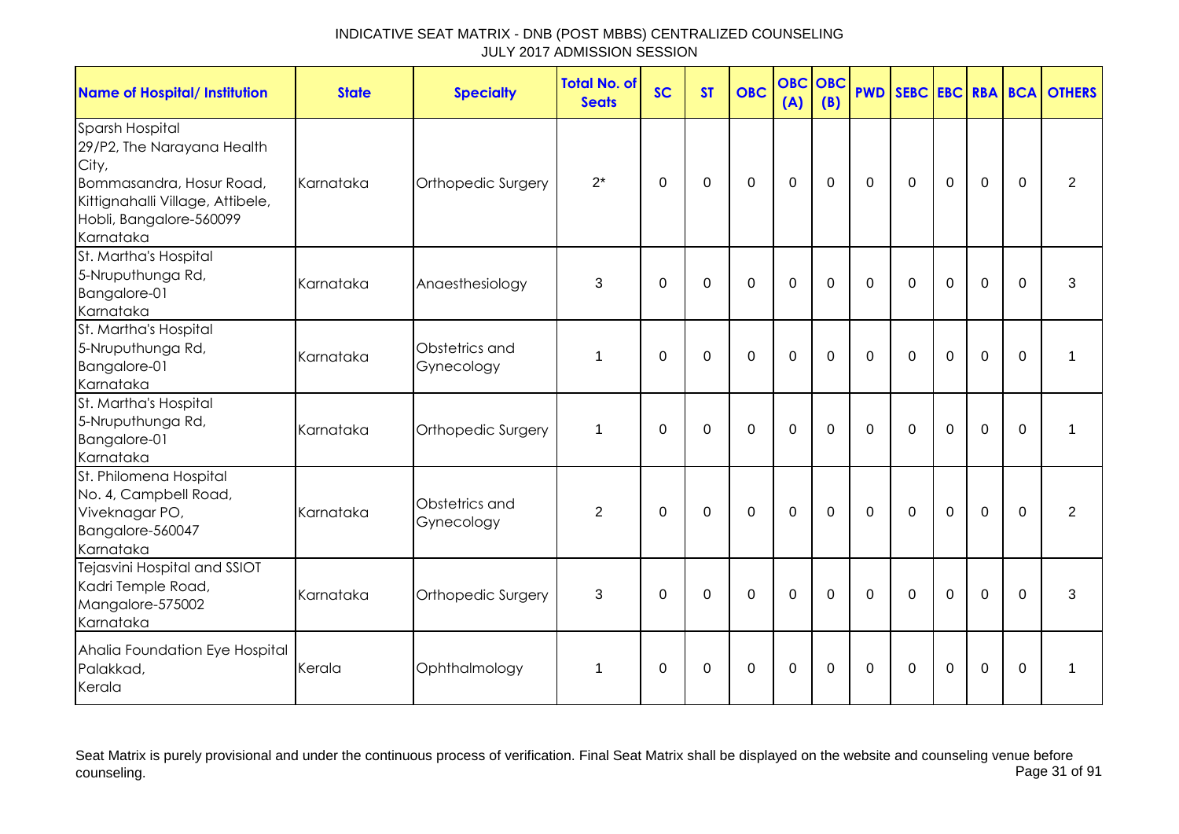| <b>Name of Hospital/ Institution</b>                                                                                                                           | <b>State</b> | <b>Specialty</b>             | <b>Total No. of</b><br><b>Seats</b> | <b>SC</b>   | <b>ST</b>   | <b>OBC</b>   | <b>OBC</b><br>(A) | <b>OBC</b><br>(B) |             |              |                |                |             | <b>PWD SEBC EBC RBA BCA OTHERS</b> |
|----------------------------------------------------------------------------------------------------------------------------------------------------------------|--------------|------------------------------|-------------------------------------|-------------|-------------|--------------|-------------------|-------------------|-------------|--------------|----------------|----------------|-------------|------------------------------------|
| Sparsh Hospital<br>29/P2, The Narayana Health<br>City,<br>Bommasandra, Hosur Road,<br>Kittignahalli Village, Attibele,<br>Hobli, Bangalore-560099<br>Karnataka | Karnataka    | Orthopedic Surgery           | $2^*$                               | $\mathbf 0$ | $\mathbf 0$ | $\mathbf 0$  | $\mathbf 0$       | $\mathbf 0$       | $\mathbf 0$ | $\mathbf 0$  | $\mathbf 0$    | $\mathbf 0$    | $\mathbf 0$ | $\overline{2}$                     |
| St. Martha's Hospital<br>5-Nruputhunga Rd,<br>Bangalore-01<br>Karnataka                                                                                        | Karnataka    | Anaesthesiology              | 3                                   | $\Omega$    | $\Omega$    | $\Omega$     | $\overline{0}$    | $\Omega$          | $\Omega$    | $\mathbf{0}$ | $\Omega$       | $\overline{0}$ | $\Omega$    | 3                                  |
| St. Martha's Hospital<br>5-Nruputhunga Rd,<br>Bangalore-01<br>Karnataka                                                                                        | Karnataka    | Obstetrics and<br>Gynecology | 1                                   | $\Omega$    | $\mathbf 0$ | $\mathbf 0$  | $\overline{0}$    | $\Omega$          | $\Omega$    | $\Omega$     | $\Omega$       | $\overline{0}$ | $\Omega$    | 1                                  |
| St. Martha's Hospital<br>5-Nruputhunga Rd,<br>Bangalore-01<br>Karnataka                                                                                        | Karnataka    | Orthopedic Surgery           | 1                                   | $\Omega$    | $\mathbf 0$ | $\mathbf 0$  | $\mathbf 0$       | $\overline{0}$    | $\mathbf 0$ | $\mathbf{0}$ | $\mathbf 0$    | $\overline{0}$ | $\Omega$    | 1                                  |
| St. Philomena Hospital<br>No. 4, Campbell Road,<br>Viveknagar PO,<br>Bangalore-560047<br>Karnataka                                                             | Karnataka    | Obstetrics and<br>Gynecology | $\overline{2}$                      | $\mathbf 0$ | $\mathbf 0$ | $\mathbf{0}$ | $\overline{0}$    | $\mathbf 0$       | $\mathbf 0$ | $\Omega$     | $\overline{0}$ | $\overline{0}$ | $\Omega$    | 2                                  |
| Tejasvini Hospital and SSIOT<br>Kadri Temple Road,<br>Mangalore-575002<br>Karnataka                                                                            | Karnataka    | Orthopedic Surgery           | 3                                   | $\Omega$    | $\Omega$    | $\mathbf 0$  | $\mathbf 0$       | $\Omega$          | $\Omega$    | $\Omega$     | $\Omega$       | $\overline{0}$ | $\Omega$    | 3                                  |
| Ahalia Foundation Eye Hospital<br>Palakkad,<br>Kerala                                                                                                          | Kerala       | Ophthalmology                | $\mathbf 1$                         | $\Omega$    | $\mathbf 0$ | $\Omega$     | $\mathbf 0$       | $\Omega$          | $\Omega$    | $\Omega$     | $\Omega$       | $\Omega$       | $\Omega$    | 1                                  |

Seat Matrix is purely provisional and under the continuous process of verification. Final Seat Matrix shall be displayed on the website and counseling venue before<br>Page 31 of 91 counseling. Page 31 of 91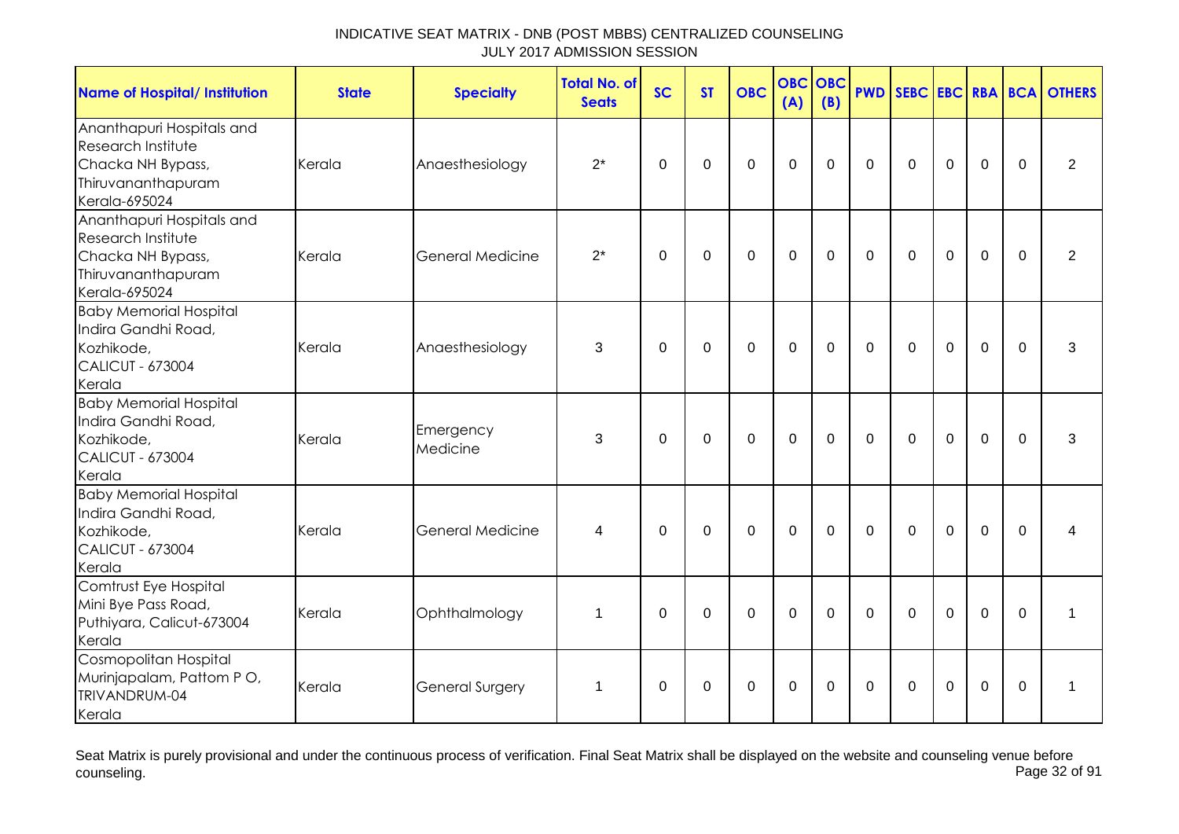| <b>Name of Hospital/ Institution</b>                                                                        | <b>State</b> | <b>Specialty</b>        | <b>Total No. of</b><br><b>Seats</b> | <b>SC</b>   | <b>ST</b>   | <b>OBC</b>  | <b>OBC</b><br>(A) | <b>OBC</b><br>(B) | <b>PWD</b>   | SEBC EBC RBA BCA |                |             |             | <b>OTHERS</b>  |
|-------------------------------------------------------------------------------------------------------------|--------------|-------------------------|-------------------------------------|-------------|-------------|-------------|-------------------|-------------------|--------------|------------------|----------------|-------------|-------------|----------------|
| Ananthapuri Hospitals and<br>Research Institute<br>Chacka NH Bypass,<br>Thiruvananthapuram<br>Kerala-695024 | Kerala       | Anaesthesiology         | $2^*$                               | $\mathbf 0$ | $\mathbf 0$ | $\mathbf 0$ | $\mathbf 0$       | $\mathbf 0$       | $\mathbf 0$  | $\Omega$         | $\mathbf 0$    | $\mathbf 0$ | $\Omega$    | $\overline{2}$ |
| Ananthapuri Hospitals and<br>Research Institute<br>Chacka NH Bypass,<br>Thiruvananthapuram<br>Kerala-695024 | Kerala       | <b>General Medicine</b> | $2^*$                               | $\mathbf 0$ | $\mathbf 0$ | $\mathbf 0$ | $\mathbf 0$       | $\mathbf 0$       | $\mathbf 0$  | $\mathbf 0$      | $\mathbf 0$    | $\mathbf 0$ | $\mathbf 0$ | $\overline{2}$ |
| <b>Baby Memorial Hospital</b><br>Indira Gandhi Road,<br>Kozhikode,<br><b>CALICUT - 673004</b><br>Kerala     | Kerala       | Anaesthesiology         | 3                                   | $\mathbf 0$ | $\mathbf 0$ | $\mathbf 0$ | $\mathbf{0}$      | $\mathbf 0$       | $\mathbf 0$  | $\mathbf 0$      | $\mathbf 0$    | $\mathbf 0$ | $\Omega$    | 3              |
| <b>Baby Memorial Hospital</b><br>Indira Gandhi Road,<br>Kozhikode,<br><b>CALICUT - 673004</b><br>Kerala     | Kerala       | Emergency<br>Medicine   | 3                                   | $\Omega$    | $\mathbf 0$ | $\mathbf 0$ | $\mathbf 0$       | $\mathbf 0$       | $\Omega$     | $\Omega$         | $\overline{0}$ | $\mathbf 0$ | $\Omega$    | 3              |
| <b>Baby Memorial Hospital</b><br>Indira Gandhi Road,<br>Kozhikode,<br><b>CALICUT - 673004</b><br>Kerala     | Kerala       | <b>General Medicine</b> | 4                                   | $\Omega$    | $\mathbf 0$ | $\mathbf 0$ | $\mathbf 0$       | $\mathbf 0$       | $\mathbf{0}$ | $\mathbf 0$      | $\mathbf 0$    | $\mathbf 0$ | $\Omega$    | 4              |
| Comtrust Eye Hospital<br>Mini Bye Pass Road,<br>Puthiyara, Calicut-673004<br>Kerala                         | Kerala       | Ophthalmology           | $\mathbf{1}$                        | $\Omega$    | $\mathbf 0$ | $\mathbf 0$ | $\mathbf 0$       | $\mathbf 0$       | $\Omega$     | $\Omega$         | $\mathbf 0$    | $\mathbf 0$ | $\Omega$    | $\mathbf 1$    |
| Cosmopolitan Hospital<br>Murinjapalam, Pattom PO,<br>TRIVANDRUM-04<br>Kerala                                | Kerala       | <b>General Surgery</b>  | $\mathbf 1$                         | $\Omega$    | 0           | $\mathbf 0$ | $\mathbf 0$       | $\Omega$          | $\Omega$     | $\Omega$         | 0              | $\mathbf 0$ | $\Omega$    | $\mathbf 1$    |

Seat Matrix is purely provisional and under the continuous process of verification. Final Seat Matrix shall be displayed on the website and counseling venue before<br>Page 32 of 91 counseling. Page 32 of 91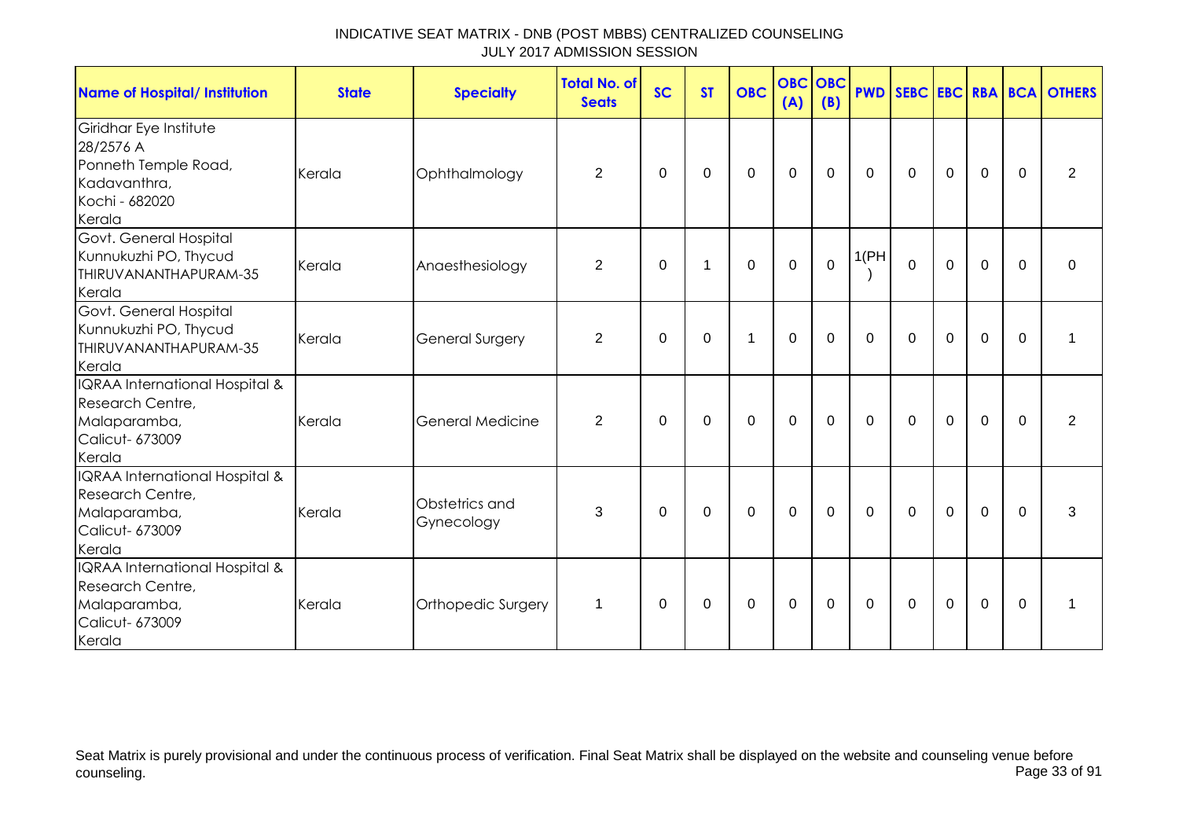| <b>Name of Hospital/ Institution</b>                                                                    | <b>State</b> | <b>Specialty</b>             | <b>Total No. of</b><br><b>Seats</b> | <b>SC</b> | <b>ST</b> | <b>OBC</b>   | <b>OBC</b><br>(A) | <b>OBC</b><br>(B) | <b>PWD</b>   |              |                |             |             | <b>SEBC EBC RBA BCA OTHERS</b> |
|---------------------------------------------------------------------------------------------------------|--------------|------------------------------|-------------------------------------|-----------|-----------|--------------|-------------------|-------------------|--------------|--------------|----------------|-------------|-------------|--------------------------------|
| Giridhar Eye Institute<br>28/2576 A<br>Ponneth Temple Road,<br>Kadavanthra,<br>Kochi - 682020<br>Kerala | Kerala       | Ophthalmology                | 2                                   | $\Omega$  | 0         | $\mathbf 0$  | $\mathbf 0$       | $\mathbf 0$       | $\mathbf{0}$ | $\mathbf 0$  | $\mathbf 0$    | $\mathbf 0$ | $\Omega$    | $\overline{2}$                 |
| Govt. General Hospital<br>Kunnukuzhi PO, Thycud<br>THIRUVANANTHAPURAM-35<br>Kerala                      | Kerala       | Anaesthesiology              | $\overline{2}$                      | 0         | 1         | $\mathbf 0$  | $\mathbf 0$       | $\mathbf 0$       | 1(PH)        | $\mathbf 0$  | $\mathbf 0$    | $\mathbf 0$ | $\Omega$    | 0                              |
| Govt. General Hospital<br>Kunnukuzhi PO, Thycud<br>THIRUVANANTHAPURAM-35<br>Kerala                      | Kerala       | <b>General Surgery</b>       | 2                                   | $\Omega$  | $\Omega$  | $\mathbf{1}$ | $\mathbf 0$       | $\Omega$          | $\Omega$     | $\Omega$     | $\mathbf 0$    | $\mathbf 0$ | $\Omega$    | 1                              |
| IQRAA International Hospital &<br>Research Centre,<br>Malaparamba,<br>Calicut- 673009<br>Kerala         | Kerala       | <b>General Medicine</b>      | $\overline{2}$                      | 0         | 0         | $\mathbf 0$  | $\mathbf 0$       | $\mathbf 0$       | $\mathbf 0$  | $\mathbf 0$  | $\mathbf 0$    | $\mathbf 0$ | $\mathbf 0$ | $\overline{2}$                 |
| IQRAA International Hospital &<br>Research Centre,<br>Malaparamba,<br>Calicut- 673009<br>Kerala         | Kerala       | Obstetrics and<br>Gynecology | 3                                   | $\Omega$  | 0         | 0            | 0                 | 0                 | $\mathbf{0}$ | $\Omega$     | $\overline{0}$ | $\mathbf 0$ | $\Omega$    | 3                              |
| IQRAA International Hospital &<br>Research Centre,<br>Malaparamba,<br>Calicut- 673009<br>Kerala         | Kerala       | Orthopedic Surgery           | $\mathbf{1}$                        | 0         | 0         | 0            | $\mathbf 0$       | 0                 | $\mathbf{0}$ | $\mathbf{0}$ | $\mathbf 0$    | $\mathbf 0$ | $\Omega$    | 1                              |

Seat Matrix is purely provisional and under the continuous process of verification. Final Seat Matrix shall be displayed on the website and counseling venue before<br>Page 33 of 91 counseling. Page 33 of 91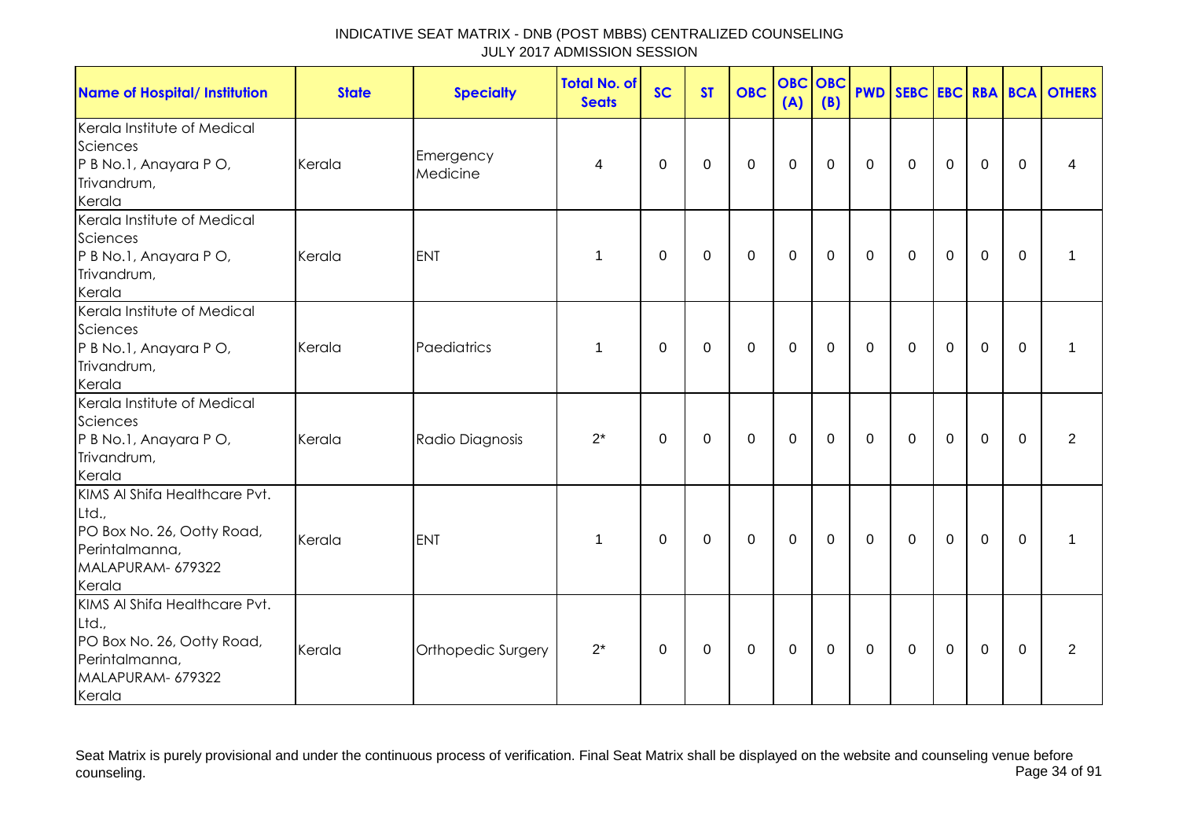| <b>Name of Hospital/ Institution</b>                                                                                  | <b>State</b> | <b>Specialty</b>      | <b>Total No. of</b><br><b>Seats</b> | <b>SC</b> | <b>ST</b>   | <b>OBC</b>   | <b>OBC</b><br>(A) | <b>OBC</b><br>(B) |              |              |             |             |             | <b>PWD SEBC EBC RBA BCA OTHERS</b> |
|-----------------------------------------------------------------------------------------------------------------------|--------------|-----------------------|-------------------------------------|-----------|-------------|--------------|-------------------|-------------------|--------------|--------------|-------------|-------------|-------------|------------------------------------|
| Kerala Institute of Medical<br>Sciences<br>P B No.1, Anayara P O,<br>Trivandrum,<br>Kerala                            | Kerala       | Emergency<br>Medicine | 4                                   | 0         | 0           | $\mathbf 0$  | $\mathbf 0$       | $\mathbf 0$       | $\mathbf 0$  | $\mathbf 0$  | $\mathbf 0$ | $\mathbf 0$ | 0           | 4                                  |
| Kerala Institute of Medical<br>Sciences<br>P B No.1, Anayara P O,<br>Trivandrum,<br>Kerala                            | Kerala       | <b>ENT</b>            | 1                                   | $\Omega$  | $\mathbf 0$ | 0            | $\mathbf 0$       | 0                 | $\Omega$     | $\mathbf{0}$ | $\mathbf 0$ | $\mathbf 0$ | $\Omega$    |                                    |
| Kerala Institute of Medical<br>Sciences<br>P B No.1, Anayara P O,<br>Trivandrum,<br>Kerala                            | Kerala       | Paediatrics           | 1                                   | 0         | 0           | 0            | $\mathbf 0$       | 0                 | $\mathbf 0$  | 0            | $\mathbf 0$ | $\mathbf 0$ | $\mathbf 0$ | 1                                  |
| Kerala Institute of Medical<br>Sciences<br>P B No.1, Anayara P O,<br>Trivandrum,<br>Kerala                            | Kerala       | Radio Diagnosis       | $2^*$                               | $\Omega$  | 0           | 0            | 0                 | 0                 | $\mathbf 0$  | 0            | $\mathbf 0$ | $\Omega$    | $\Omega$    | 2                                  |
| KIMS AI Shifa Healthcare Pvt.<br>Ltd.,<br>PO Box No. 26, Ootty Road,<br>Perintalmanna,<br>MALAPURAM- 679322<br>Kerala | Kerala       | <b>ENT</b>            | 1                                   | 0         | 0           | 0            | 0                 | 0                 | $\mathbf 0$  | 0            | $\mathbf 0$ | $\mathbf 0$ | $\Omega$    |                                    |
| KIMS AI Shifa Healthcare Pvt.<br>Ltd.,<br>PO Box No. 26, Ootty Road,<br>Perintalmanna,<br>MALAPURAM- 679322<br>Kerala | Kerala       | Orthopedic Surgery    | $2^*$                               | $\Omega$  | $\Omega$    | $\mathbf{0}$ | $\mathbf 0$       | $\Omega$          | $\mathbf{0}$ | $\mathbf{0}$ | $\Omega$    | $\mathbf 0$ | $\Omega$    | $\overline{2}$                     |

Seat Matrix is purely provisional and under the continuous process of verification. Final Seat Matrix shall be displayed on the website and counseling venue before<br>Page 34 of 91 counseling. Page 34 of 91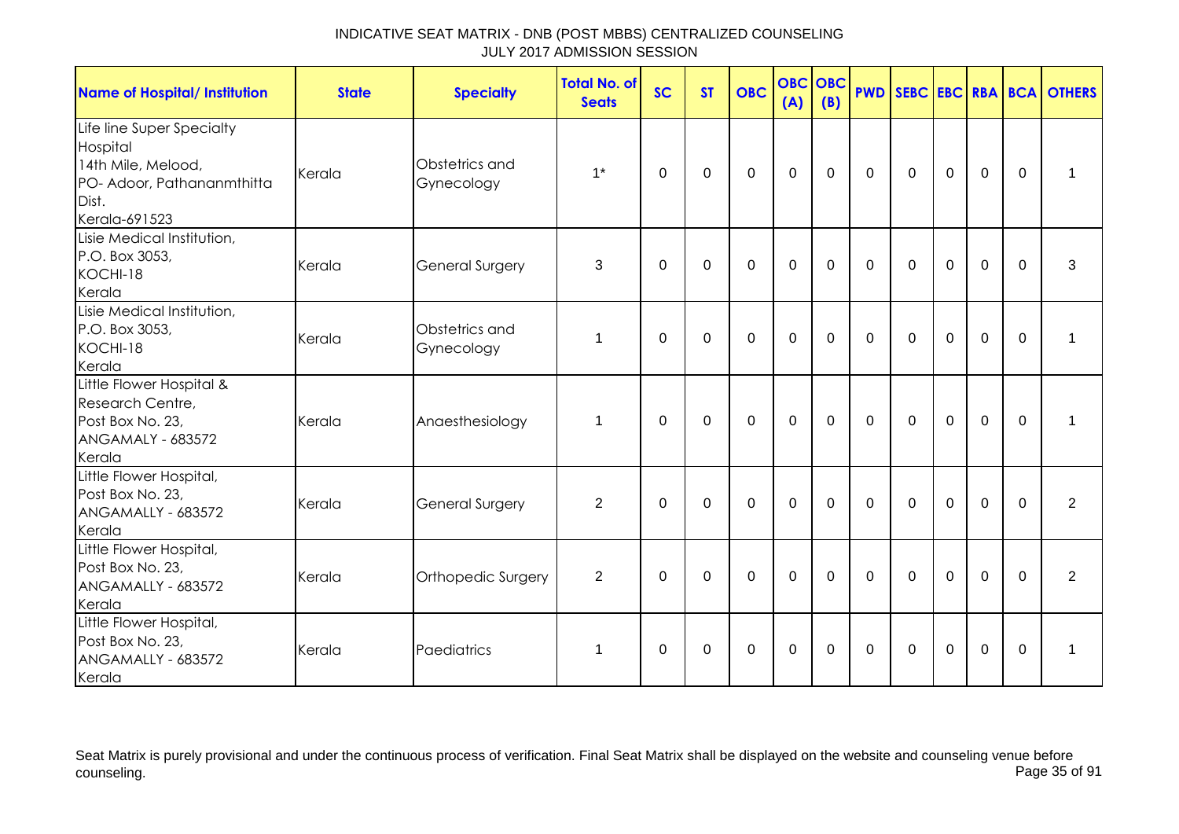| <b>Name of Hospital/ Institution</b>                                                                                | <b>State</b> | <b>Specialty</b>             | <b>Total No. of</b><br><b>Seats</b> | <b>SC</b> | <b>ST</b>   | <b>OBC</b>       | <b>OBC</b><br>(A) | OBC<br>(B)     |              |              |             |                |             | <b>PWD SEBC EBC RBA BCA OTHERS</b> |
|---------------------------------------------------------------------------------------------------------------------|--------------|------------------------------|-------------------------------------|-----------|-------------|------------------|-------------------|----------------|--------------|--------------|-------------|----------------|-------------|------------------------------------|
| Life line Super Specialty<br>Hospital<br>14th Mile, Melood,<br>PO- Adoor, Pathananmthitta<br>Dist.<br>Kerala-691523 | Kerala       | Obstetrics and<br>Gynecology | $1^*$                               | $\Omega$  | $\mathbf 0$ | $\mathbf 0$      | $\mathbf 0$       | $\mathbf 0$    | $\mathbf 0$  | $\Omega$     | $\mathbf 0$ | $\mathbf 0$    | $\Omega$    | 1                                  |
| Lisie Medical Institution,<br>P.O. Box 3053,<br>KOCHI-18<br>Kerala                                                  | Kerala       | <b>General Surgery</b>       | 3                                   | 0         | 0           | $\mathbf 0$      | $\mathbf 0$       | 0              | $\mathbf{0}$ | 0            | 0           | $\mathbf 0$    | $\Omega$    | 3                                  |
| Lisie Medical Institution,<br>P.O. Box 3053,<br>KOCHI-18<br>Kerala                                                  | Kerala       | Obstetrics and<br>Gynecology | 1                                   | $\Omega$  | $\mathbf 0$ | $\mathbf{0}$     | $\overline{0}$    | $\overline{0}$ | $\Omega$     | $\Omega$     | $\mathbf 0$ | $\overline{0}$ | $\Omega$    | 1                                  |
| Little Flower Hospital &<br>Research Centre,<br>Post Box No. 23,<br><b>ANGAMALY - 683572</b><br>Kerala              | Kerala       | Anaesthesiology              | $\mathbf{1}$                        | $\Omega$  | $\mathbf 0$ | $\mathbf 0$      | $\mathbf 0$       | $\mathbf 0$    | $\mathbf{0}$ | $\mathbf{0}$ | $\mathbf 0$ | $\overline{0}$ | $\mathbf 0$ | 1                                  |
| Little Flower Hospital,<br>Post Box No. 23,<br>ANGAMALLY - 683572<br>Kerala                                         | Kerala       | <b>General Surgery</b>       | $\overline{2}$                      | $\Omega$  | $\mathbf 0$ | $\mathbf 0$      | $\mathbf 0$       | $\Omega$       | $\Omega$     | $\Omega$     | $\Omega$    | $\Omega$       | $\Omega$    | $\overline{2}$                     |
| Little Flower Hospital,<br>Post Box No. 23,<br>ANGAMALLY - 683572<br>Kerala                                         | Kerala       | Orthopedic Surgery           | $\overline{2}$                      | 0         | $\mathbf 0$ | $\boldsymbol{0}$ | $\mathbf 0$       | 0              | 0            | 0            | $\mathbf 0$ | $\mathbf 0$    | $\Omega$    | 2                                  |
| Little Flower Hospital,<br>Post Box No. 23,<br>ANGAMALLY - 683572<br>Kerala                                         | Kerala       | Paediatrics                  | $\mathbf{1}$                        | $\Omega$  | $\mathbf 0$ | $\mathbf 0$      | $\mathbf 0$       | $\Omega$       | $\mathbf{0}$ | $\Omega$     | $\mathbf 0$ | $\overline{0}$ | $\Omega$    | 1                                  |

Seat Matrix is purely provisional and under the continuous process of verification. Final Seat Matrix shall be displayed on the website and counseling venue before<br>Page 35 of 91 counseling. Page 35 of 91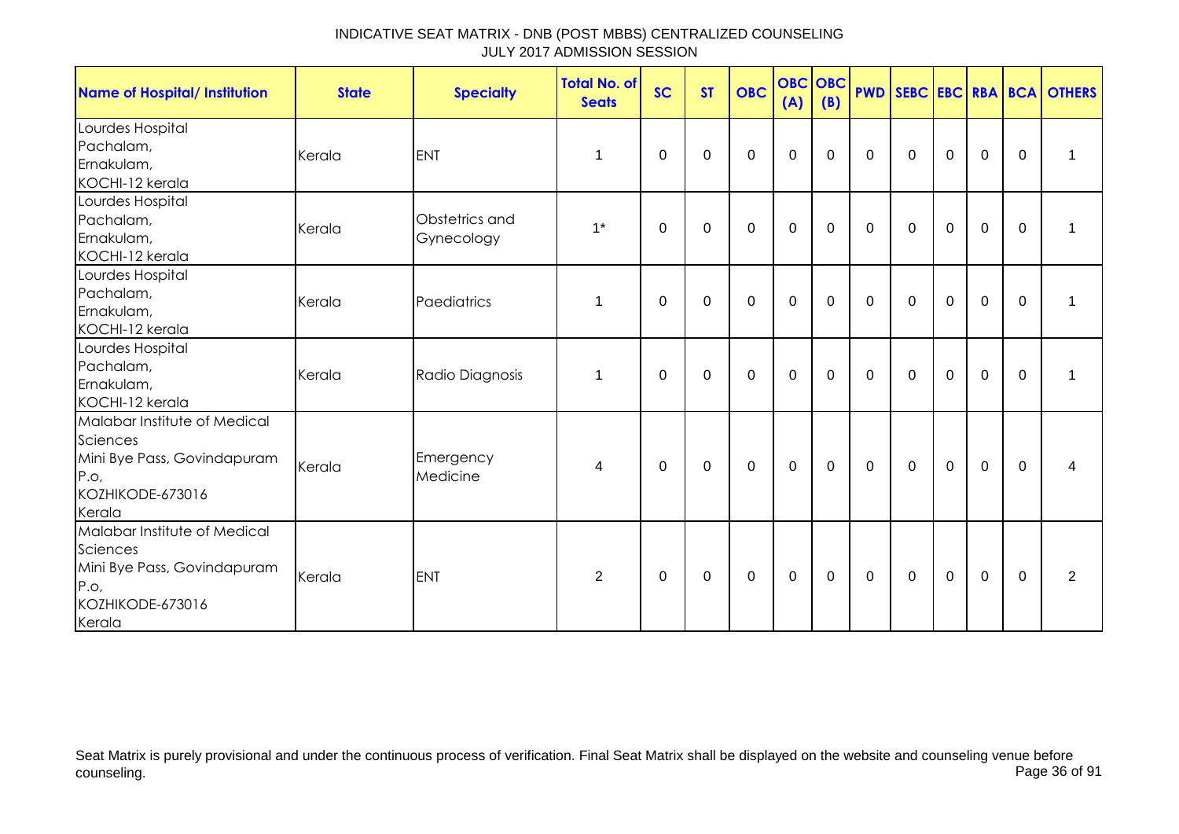| <b>Name of Hospital/ Institution</b>                                                                          | <b>State</b> | <b>Specialty</b>             | <b>Total No. of</b><br><b>Seats</b> | <b>SC</b>   | <b>ST</b>   | <b>OBC</b>  | <b>OBC</b> OBC<br>(A) | (B)         |              |             |             |             |              | <b>PWD SEBC EBC RBA BCA OTHERS</b> |
|---------------------------------------------------------------------------------------------------------------|--------------|------------------------------|-------------------------------------|-------------|-------------|-------------|-----------------------|-------------|--------------|-------------|-------------|-------------|--------------|------------------------------------|
| Lourdes Hospital<br>Pachalam,<br>Ernakulam,<br>KOCHI-12 kerala                                                | Kerala       | <b>ENT</b>                   | $\mathbf 1$                         | $\mathbf 0$ | $\mathbf 0$ | $\mathbf 0$ | $\mathbf 0$           | $\mathbf 0$ | $\mathbf 0$  | $\mathbf 0$ | $\mathbf 0$ | $\mathbf 0$ | $\mathbf 0$  | $\mathbf{1}$                       |
| Lourdes Hospital<br>Pachalam,<br>Ernakulam,<br>KOCHI-12 kerala                                                | Kerala       | Obstetrics and<br>Gynecology | $1^*$                               | 0           | $\mathbf 0$ | $\mathbf 0$ | $\mathbf 0$           | $\mathbf 0$ | $\mathbf 0$  | $\mathbf 0$ | $\mathbf 0$ | $\mathbf 0$ | $\mathbf 0$  | 1                                  |
| Lourdes Hospital<br>Pachalam,<br>Ernakulam,<br>KOCHI-12 kerala                                                | Kerala       | Paediatrics                  | $\mathbf{1}$                        | 0           | 0           | 0           | 0                     | 0           | 0            | $\Omega$    | 0           | 0           | $\Omega$     | 1                                  |
| Lourdes Hospital<br>Pachalam,<br>Ernakulam,<br>KOCHI-12 kerala                                                | Kerala       | Radio Diagnosis              | $\mathbf{1}$                        | 0           | 0           | 0           | $\mathbf 0$           | 0           | $\mathbf{0}$ | 0           | 0           | 0           | $\mathbf{0}$ | 1                                  |
| Malabar Institute of Medical<br>Sciences<br>Mini Bye Pass, Govindapuram<br>P.O.<br>KOZHIKODE-673016<br>Kerala | Kerala       | Emergency<br>Medicine        | $\overline{4}$                      | $\Omega$    | $\mathbf 0$ | $\mathbf 0$ | $\mathbf 0$           | $\mathbf 0$ | $\mathbf{0}$ | $\mathbf 0$ | $\mathbf 0$ | $\mathbf 0$ | $\mathbf{0}$ | 4                                  |
| Malabar Institute of Medical<br>Sciences<br>Mini Bye Pass, Govindapuram<br>P.o.<br>KOZHIKODE-673016<br>Kerala | Kerala       | <b>ENT</b>                   | $\overline{2}$                      | 0           | $\mathbf 0$ | $\mathsf 0$ | $\mathbf 0$           | $\mathbf 0$ | $\mathbf 0$  | $\mathbf 0$ | $\mathbf 0$ | $\mathbf 0$ | $\mathbf{0}$ | $\overline{2}$                     |

Seat Matrix is purely provisional and under the continuous process of verification. Final Seat Matrix shall be displayed on the website and counseling venue before<br>Page 36 of 91 counseling. Page 36 of 91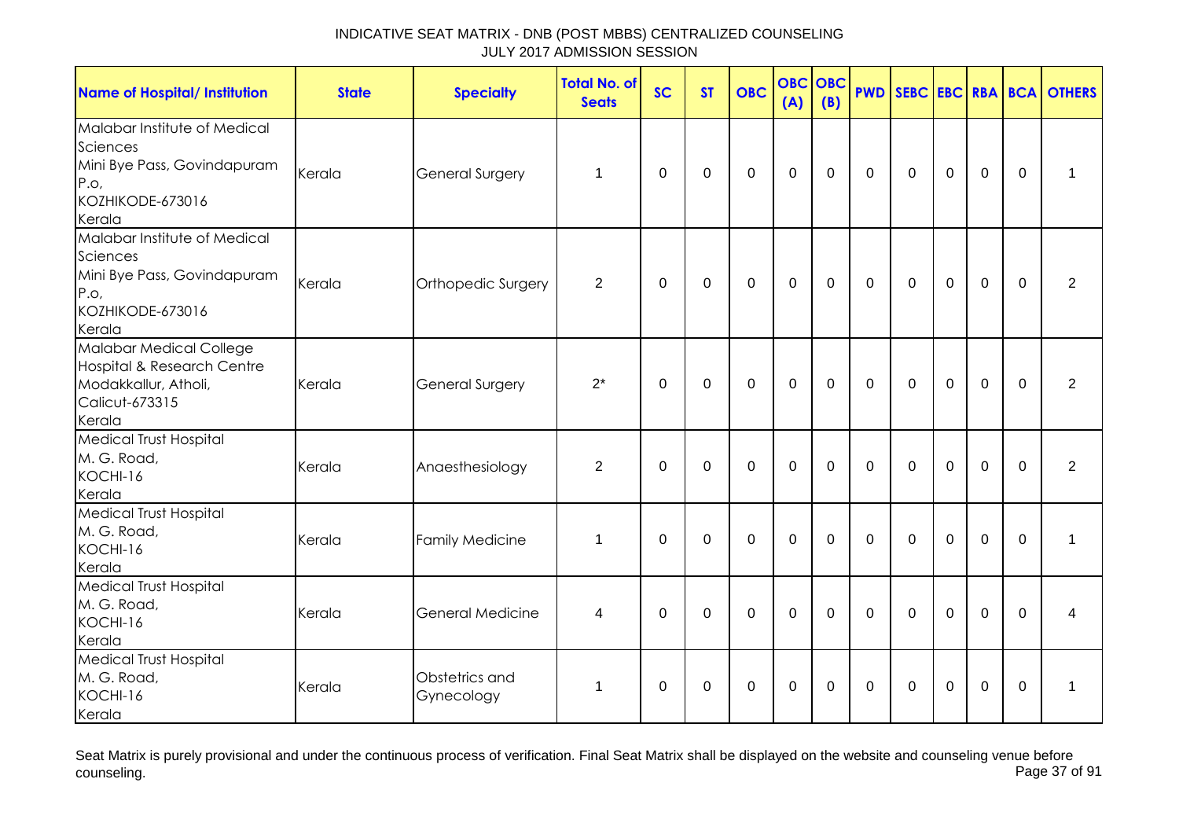| <b>Name of Hospital/ Institution</b>                                                                          | <b>State</b> | <b>Specialty</b>             | <b>Total No. of</b><br><b>Seats</b> | <b>SC</b>    | <b>ST</b>   | <b>OBC</b>       | <b>OBC</b><br>(A) | <b>OBC</b><br>(B) |              |              |                |                |             | <b>PWD SEBC EBC RBA BCA OTHERS</b> |
|---------------------------------------------------------------------------------------------------------------|--------------|------------------------------|-------------------------------------|--------------|-------------|------------------|-------------------|-------------------|--------------|--------------|----------------|----------------|-------------|------------------------------------|
| Malabar Institute of Medical<br>Sciences<br>Mini Bye Pass, Govindapuram<br>P.o.<br>KOZHIKODE-673016<br>Kerala | Kerala       | <b>General Surgery</b>       | 1                                   | 0            | 0           | $\boldsymbol{0}$ | $\mathbf 0$       | 0                 | $\Omega$     | $\mathbf{0}$ | $\mathbf 0$    | $\mathbf 0$    | $\Omega$    | 1                                  |
| Malabar Institute of Medical<br>Sciences<br>Mini Bye Pass, Govindapuram<br>P.o.<br>KOZHIKODE-673016<br>Kerala | Kerala       | Orthopedic Surgery           | $\overline{2}$                      | $\mathbf{0}$ | $\mathbf 0$ | $\mathbf 0$      | $\mathbf 0$       | $\mathbf 0$       | $\mathbf{0}$ | $\mathbf 0$  | $\overline{0}$ | $\overline{0}$ | $\Omega$    | $\overline{2}$                     |
| Malabar Medical College<br>Hospital & Research Centre<br>Modakkallur, Atholi,<br>Calicut-673315<br>Kerala     | Kerala       | <b>General Surgery</b>       | $2^*$                               | $\Omega$     | $\mathbf 0$ | $\mathbf 0$      | $\mathbf 0$       | $\overline{0}$    | $\Omega$     | $\Omega$     | $\mathbf 0$    | $\overline{0}$ | $\Omega$    | $\overline{2}$                     |
| Medical Trust Hospital<br>M. G. Road,<br>KOCHI-16<br>Kerala                                                   | Kerala       | Anaesthesiology              | $\overline{2}$                      | $\mathbf{0}$ | 0           | $\mathbf 0$      | $\mathbf 0$       | $\Omega$          | $\mathbf{0}$ | $\mathbf{0}$ | $\mathbf 0$    | $\mathbf 0$    | $\mathbf 0$ | $\overline{2}$                     |
| <b>Medical Trust Hospital</b><br>M. G. Road,<br>KOCHI-16<br>Kerala                                            | Kerala       | <b>Family Medicine</b>       | $\mathbf{1}$                        | $\mathbf{0}$ | $\mathbf 0$ | $\mathbf 0$      | $\mathbf 0$       | $\overline{0}$    | $\mathbf{0}$ | $\mathbf{0}$ | $\mathbf 0$    | $\mathbf 0$    | $\Omega$    | 1                                  |
| <b>Medical Trust Hospital</b><br>M. G. Road,<br>KOCHI-16<br>Kerala                                            | Kerala       | <b>General Medicine</b>      | 4                                   | $\Omega$     | $\Omega$    | $\mathbf 0$      | $\Omega$          | $\Omega$          | $\Omega$     | $\Omega$     | $\Omega$       | $\overline{0}$ | $\Omega$    | 4                                  |
| <b>Medical Trust Hospital</b><br>M. G. Road,<br>KOCHI-16<br>Kerala                                            | Kerala       | Obstetrics and<br>Gynecology | $\mathbf{1}$                        | 0            | 0           | 0                | 0                 | 0                 | $\mathbf 0$  | $\mathbf{0}$ | 0              | 0              | $\Omega$    | 1                                  |

Seat Matrix is purely provisional and under the continuous process of verification. Final Seat Matrix shall be displayed on the website and counseling venue before<br>Page 37 of 91 counseling. Page 37 of 91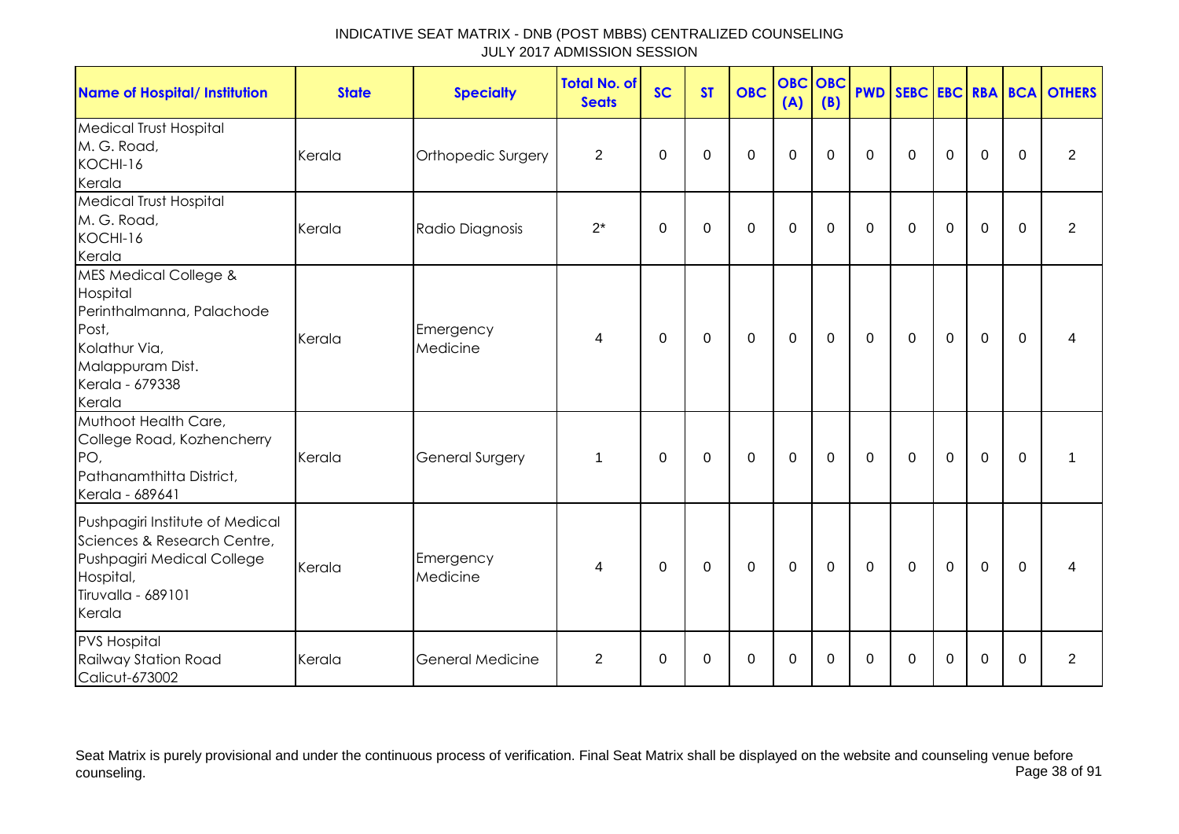| <b>Name of Hospital/ Institution</b>                                                                                                                 | <b>State</b> | <b>Specialty</b>        | <b>Total No. of</b><br><b>Seats</b> | <b>SC</b>   | <b>ST</b>   | <b>OBC</b>  | <b>OBC</b><br>(A) | <b>OBC</b><br>(B) |             |              |             |                |             | <b>PWD SEBC EBC RBA BCA OTHERS</b> |
|------------------------------------------------------------------------------------------------------------------------------------------------------|--------------|-------------------------|-------------------------------------|-------------|-------------|-------------|-------------------|-------------------|-------------|--------------|-------------|----------------|-------------|------------------------------------|
| <b>Medical Trust Hospital</b><br>M. G. Road,<br>KOCHI-16<br>Kerala                                                                                   | Kerala       | Orthopedic Surgery      | 2                                   | $\Omega$    | $\Omega$    | $\mathbf 0$ | $\mathbf 0$       | $\Omega$          | $\Omega$    | $\mathbf{0}$ | $\Omega$    | $\mathbf 0$    | $\Omega$    | $\overline{2}$                     |
| <b>Medical Trust Hospital</b><br>M. G. Road,<br>KOCHI-16<br>Kerala                                                                                   | Kerala       | Radio Diagnosis         | $2^*$                               | $\mathbf 0$ | $\mathbf 0$ | $\mathbf 0$ | $\mathbf 0$       | 0                 | $\mathbf 0$ | $\mathbf 0$  | $\mathbf 0$ | $\mathbf 0$    | $\mathbf 0$ | 2                                  |
| <b>MES Medical College &amp;</b><br>Hospital<br>Perinthalmanna, Palachode<br>Post,<br>Kolathur Via,<br>Malappuram Dist.<br>Kerala - 679338<br>Kerala | Kerala       | Emergency<br>Medicine   | 4                                   | 0           | $\mathbf 0$ | $\pmb{0}$   | $\mathbf 0$       | 0                 | 0           | 0            | $\mathbf 0$ | $\mathbf 0$    | $\Omega$    | 4                                  |
| Muthoot Health Care,<br>College Road, Kozhencherry<br>PO,<br>Pathanamthitta District,<br>Kerala - 689641                                             | Kerala       | <b>General Surgery</b>  | 1                                   | $\Omega$    | $\mathbf 0$ | $\mathbf 0$ | $\mathbf 0$       | $\mathbf 0$       | $\mathbf 0$ | $\mathbf 0$  | $\mathbf 0$ | $\overline{0}$ | $\mathbf 0$ |                                    |
| Pushpagiri Institute of Medical<br>Sciences & Research Centre,<br>Pushpagiri Medical College<br>Hospital,<br>Tiruvalla - 689101<br>Kerala            | Kerala       | Emergency<br>Medicine   | 4                                   | 0           | 0           | $\mathbf 0$ | $\mathbf 0$       | $\mathbf 0$       | $\mathbf 0$ | $\mathbf 0$  | $\mathbf 0$ | $\mathbf 0$    | $\Omega$    | 4                                  |
| <b>PVS Hospital</b><br>Railway Station Road<br>Calicut-673002                                                                                        | Kerala       | <b>General Medicine</b> | $\overline{2}$                      | 0           | 0           | 0           | $\pmb{0}$         | 0                 | 0           | 0            | 0           | 0              | $\Omega$    | $\overline{2}$                     |

Seat Matrix is purely provisional and under the continuous process of verification. Final Seat Matrix shall be displayed on the website and counseling venue before<br>Page 38 of 91 counseling. Page 38 of 91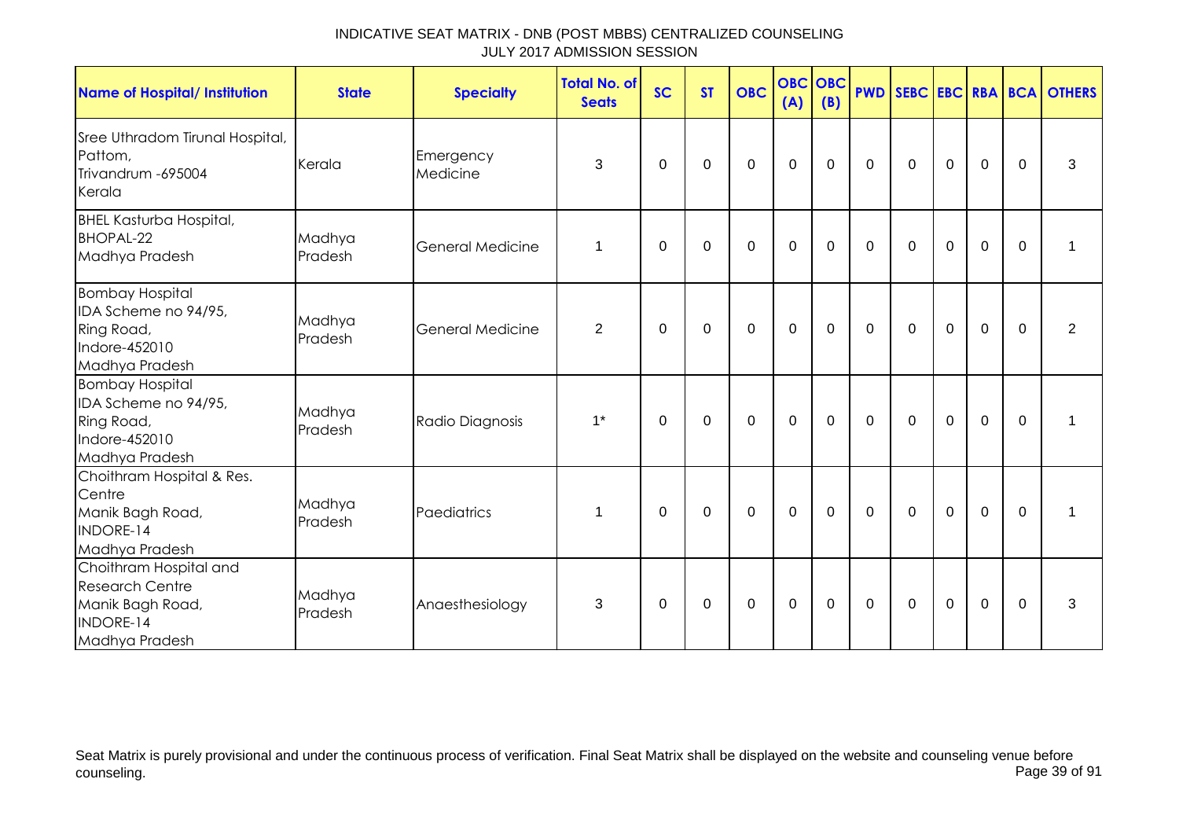| <b>Name of Hospital/ Institution</b>                                                                | <b>State</b>      | <b>Specialty</b>        | <b>Total No. of</b><br><b>Seats</b> | <b>SC</b>   | <b>ST</b>        | <b>OBC</b>       | (A)              | OBC OBC<br>(B) | <b>PWD</b>   |             |              |             |              | SEBC EBC RBA BCA OTHERS |
|-----------------------------------------------------------------------------------------------------|-------------------|-------------------------|-------------------------------------|-------------|------------------|------------------|------------------|----------------|--------------|-------------|--------------|-------------|--------------|-------------------------|
| Sree Uthradom Tirunal Hospital,<br>Pattom,<br>Trivandrum - 695004<br>Kerala                         | Kerala            | Emergency<br>Medicine   | 3                                   | 0           | 0                | $\mathbf 0$      | $\mathbf 0$      | $\mathbf 0$    | $\mathbf 0$  | $\mathbf 0$ | $\mathbf 0$  | $\mathbf 0$ | $\mathbf{0}$ | 3                       |
| <b>BHEL Kasturba Hospital,</b><br><b>BHOPAL-22</b><br>Madhya Pradesh                                | Madhya<br>Pradesh | <b>General Medicine</b> | $\mathbf 1$                         | $\Omega$    | $\Omega$         | $\mathbf 0$      | $\mathbf 0$      | $\mathbf 0$    | $\mathbf{0}$ | $\Omega$    | 0            | $\Omega$    | $\Omega$     | 1                       |
| <b>Bombay Hospital</b><br>IDA Scheme no 94/95,<br>Ring Road,<br>Indore-452010<br>Madhya Pradesh     | Madhya<br>Pradesh | <b>General Medicine</b> | $\overline{2}$                      | $\mathbf 0$ | $\boldsymbol{0}$ | $\boldsymbol{0}$ | $\boldsymbol{0}$ | $\mathbf 0$    | $\mathbf 0$  | $\mathbf 0$ | $\mathbf 0$  | $\mathbf 0$ | $\mathbf 0$  | $\overline{2}$          |
| <b>Bombay Hospital</b><br>IDA Scheme no 94/95,<br>Ring Road,<br>Indore-452010<br>Madhya Pradesh     | Madhya<br>Pradesh | Radio Diagnosis         | $1^*$                               | $\mathbf 0$ | $\mathbf 0$      | $\mathbf 0$      | $\mathbf 0$      | $\mathbf 0$    | $\mathbf 0$  | $\mathbf 0$ | $\mathbf 0$  | $\mathbf 0$ | $\mathbf 0$  | 1                       |
| Choithram Hospital & Res.<br>Centre<br>Manik Bagh Road,<br>INDORE-14<br>Madhya Pradesh              | Madhya<br>Pradesh | Paediatrics             | 1                                   | $\Omega$    | $\Omega$         | $\mathbf 0$      | $\Omega$         | $\mathbf 0$    | $\mathbf{0}$ | $\Omega$    | $\mathbf{0}$ | $\Omega$    | $\Omega$     | 1                       |
| Choithram Hospital and<br><b>Research Centre</b><br>Manik Bagh Road,<br>INDORE-14<br>Madhya Pradesh | Madhya<br>Pradesh | Anaesthesiology         | 3                                   | $\Omega$    | 0                | $\mathbf 0$      | $\mathbf 0$      | $\mathbf 0$    | 0            | $\Omega$    | $\mathbf 0$  | $\mathbf 0$ | $\mathbf{0}$ | 3                       |

Seat Matrix is purely provisional and under the continuous process of verification. Final Seat Matrix shall be displayed on the website and counseling venue before<br>Page 39 of 91 counseling. Page 39 of 91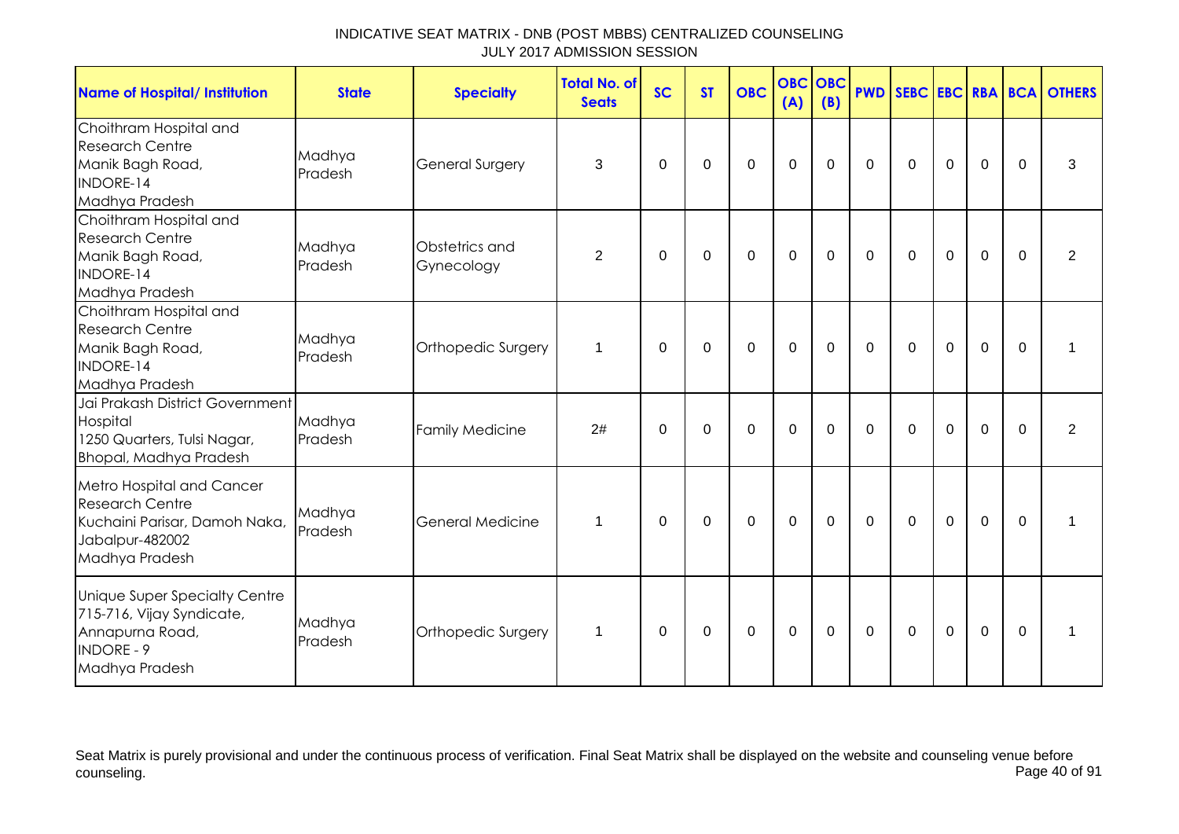| <b>Name of Hospital/ Institution</b>                                                                                      | <b>State</b>      | <b>Specialty</b>             | <b>Total No. of</b><br><b>Seats</b> | <b>SC</b> | <b>ST</b>   | <b>OBC</b>  | <b>OBC</b><br>(A) | <b>OBC</b><br>(B) |              |              |                |                |             | <b>PWD SEBC EBC RBA BCA OTHERS</b> |
|---------------------------------------------------------------------------------------------------------------------------|-------------------|------------------------------|-------------------------------------|-----------|-------------|-------------|-------------------|-------------------|--------------|--------------|----------------|----------------|-------------|------------------------------------|
| Choithram Hospital and<br><b>Research Centre</b><br>Manik Bagh Road,<br><b>INDORE-14</b><br>Madhya Pradesh                | Madhya<br>Pradesh | <b>General Surgery</b>       | 3                                   | $\Omega$  | $\Omega$    | 0           | $\mathbf 0$       | $\Omega$          | $\mathbf 0$  | 0            | $\mathbf 0$    | $\mathbf 0$    | $\Omega$    | 3                                  |
| Choithram Hospital and<br><b>Research Centre</b><br>Manik Bagh Road,<br>INDORE-14<br>Madhya Pradesh                       | Madhya<br>Pradesh | Obstetrics and<br>Gynecology | $\overline{2}$                      | $\Omega$  | $\mathbf 0$ | $\mathbf 0$ | $\mathbf 0$       | $\mathbf 0$       | $\mathbf 0$  | $\mathbf 0$  | $\mathbf 0$    | $\overline{0}$ | $\mathbf 0$ | $\overline{2}$                     |
| Choithram Hospital and<br><b>Research Centre</b><br>Manik Bagh Road,<br><b>INDORE-14</b><br>Madhya Pradesh                | Madhya<br>Pradesh | Orthopedic Surgery           | 1                                   | $\Omega$  | $\mathbf 0$ | $\mathbf 0$ | $\mathbf 0$       | $\mathbf 0$       | $\mathbf 0$  | $\mathbf 0$  | $\mathbf 0$    | $\mathbf 0$    | $\mathbf 0$ | 1                                  |
| Jai Prakash District Government<br>Hospital<br>1250 Quarters, Tulsi Nagar,<br><b>Bhopal, Madhya Pradesh</b>               | Madhya<br>Pradesh | <b>Family Medicine</b>       | 2#                                  | $\Omega$  | $\Omega$    | $\Omega$    | $\mathbf 0$       | $\Omega$          | $\mathbf{0}$ | $\mathbf{0}$ | $\overline{0}$ | $\mathbf 0$    | $\Omega$    | $\overline{2}$                     |
| Metro Hospital and Cancer<br><b>Research Centre</b><br>Kuchaini Parisar, Damoh Naka,<br>Jabalpur-482002<br>Madhya Pradesh | Madhya<br>Pradesh | <b>General Medicine</b>      | 1                                   | 0         | 0           | 0           | $\mathbf 0$       | 0                 | $\mathbf 0$  | $\mathbf 0$  | $\mathbf 0$    | $\mathbf 0$    | $\Omega$    | 1                                  |
| Unique Super Specialty Centre<br>715-716, Vijay Syndicate,<br>Annapurna Road,<br><b>INDORE - 9</b><br>Madhya Pradesh      | Madhya<br>Pradesh | Orthopedic Surgery           | $\mathbf{1}$                        | $\Omega$  | $\Omega$    | $\Omega$    | $\mathbf 0$       | $\Omega$          | $\Omega$     | $\Omega$     | $\Omega$       | $\mathbf 0$    | $\Omega$    | 1                                  |

Seat Matrix is purely provisional and under the continuous process of verification. Final Seat Matrix shall be displayed on the website and counseling venue before<br>Page 40 of 91 counseling. Page 40 of 91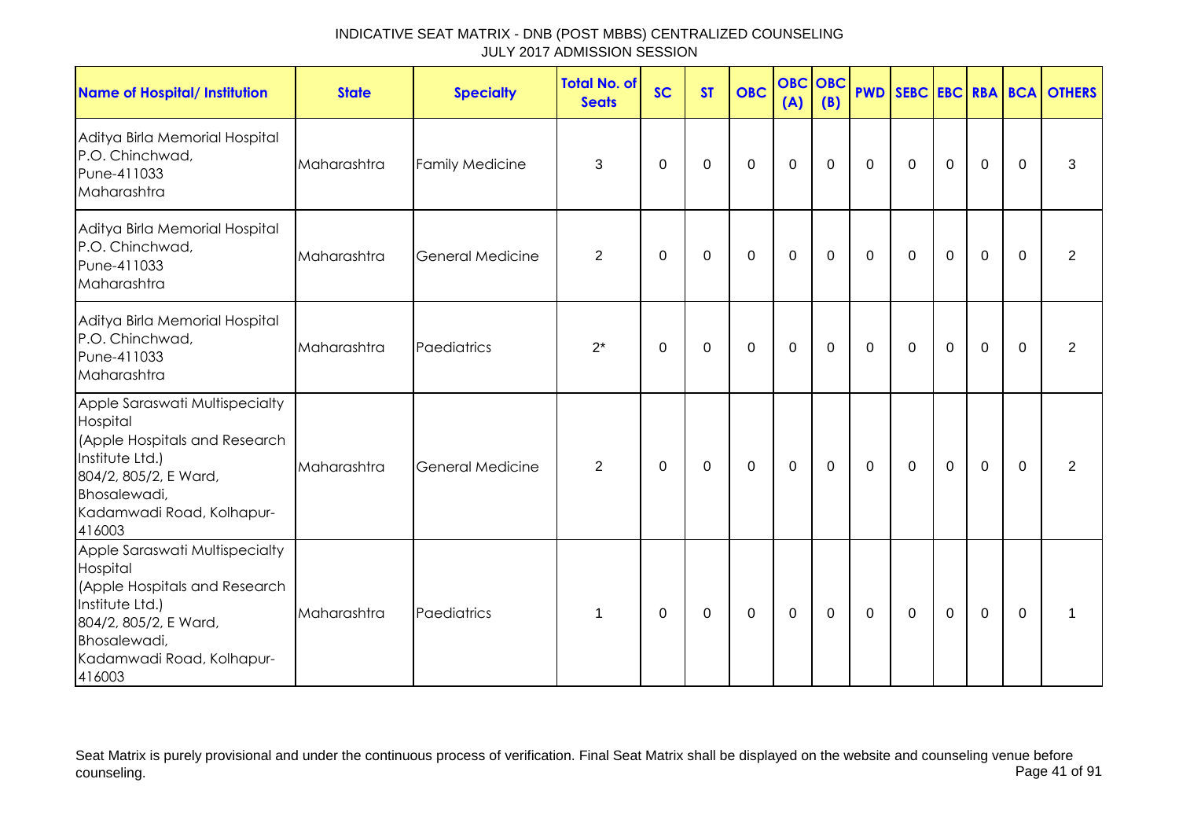| Name of Hospital/ Institution                                                                                                                                                  | <b>State</b> | <b>Specialty</b>        | <b>Total No. of</b><br><b>Seats</b> | <b>SC</b> | <b>ST</b>   | <b>OBC</b>  | <b>OBC OBC</b><br>(A) | (B) |              |             |             |             |          | <b>PWD SEBC EBC RBA BCA OTHERS</b> |
|--------------------------------------------------------------------------------------------------------------------------------------------------------------------------------|--------------|-------------------------|-------------------------------------|-----------|-------------|-------------|-----------------------|-----|--------------|-------------|-------------|-------------|----------|------------------------------------|
| Aditya Birla Memorial Hospital<br>P.O. Chinchwad,<br>Pune-411033<br>Maharashtra                                                                                                | Maharashtra  | <b>Family Medicine</b>  | 3                                   | $\Omega$  | $\mathbf 0$ | $\mathbf 0$ | 0                     | 0   | $\mathbf{0}$ | $\mathbf 0$ | $\mathbf 0$ | $\mathbf 0$ | $\Omega$ | 3                                  |
| Aditya Birla Memorial Hospital<br>P.O. Chinchwad,<br>Pune-411033<br>Maharashtra                                                                                                | Maharashtra  | General Medicine        | $\overline{2}$                      | 0         | 0           | 0           | $\mathbf 0$           | 0   | $\mathbf 0$  | 0           | $\mathbf 0$ | $\mathbf 0$ | $\Omega$ | 2                                  |
| Aditya Birla Memorial Hospital<br>P.O. Chinchwad,<br>Pune-411033<br>Maharashtra                                                                                                | Maharashtra  | Paediatrics             | $2^*$                               | 0         | $\mathbf 0$ | 0           | 0                     | 0   | $\mathbf 0$  | 0           | $\mathbf 0$ | $\mathbf 0$ | $\Omega$ | $\overline{2}$                     |
| Apple Saraswati Multispecialty<br>Hospital<br>(Apple Hospitals and Research<br>Institute Ltd.)<br>804/2, 805/2, E Ward,<br>Bhosalewadi,<br>Kadamwadi Road, Kolhapur-<br>416003 | Maharashtra  | <b>General Medicine</b> | $\overline{2}$                      | 0         | $\mathbf 0$ | 0           | 0                     | 0   | $\mathbf 0$  | 0           | $\mathbf 0$ | 0           | $\Omega$ | 2                                  |
| Apple Saraswati Multispecialty<br>Hospital<br>(Apple Hospitals and Research<br>Institute Ltd.)<br>804/2, 805/2, E Ward,<br>Bhosalewadi,<br>Kadamwadi Road, Kolhapur-<br>416003 | Maharashtra  | Paediatrics             | 1                                   | 0         | 0           | 0           | $\mathbf 0$           | 0   | $\mathbf 0$  | 0           | $\mathbf 0$ | $\mathbf 0$ | $\Omega$ | 1                                  |

Seat Matrix is purely provisional and under the continuous process of verification. Final Seat Matrix shall be displayed on the website and counseling venue before<br>Page 41 of 91 counseling. Page 41 of 91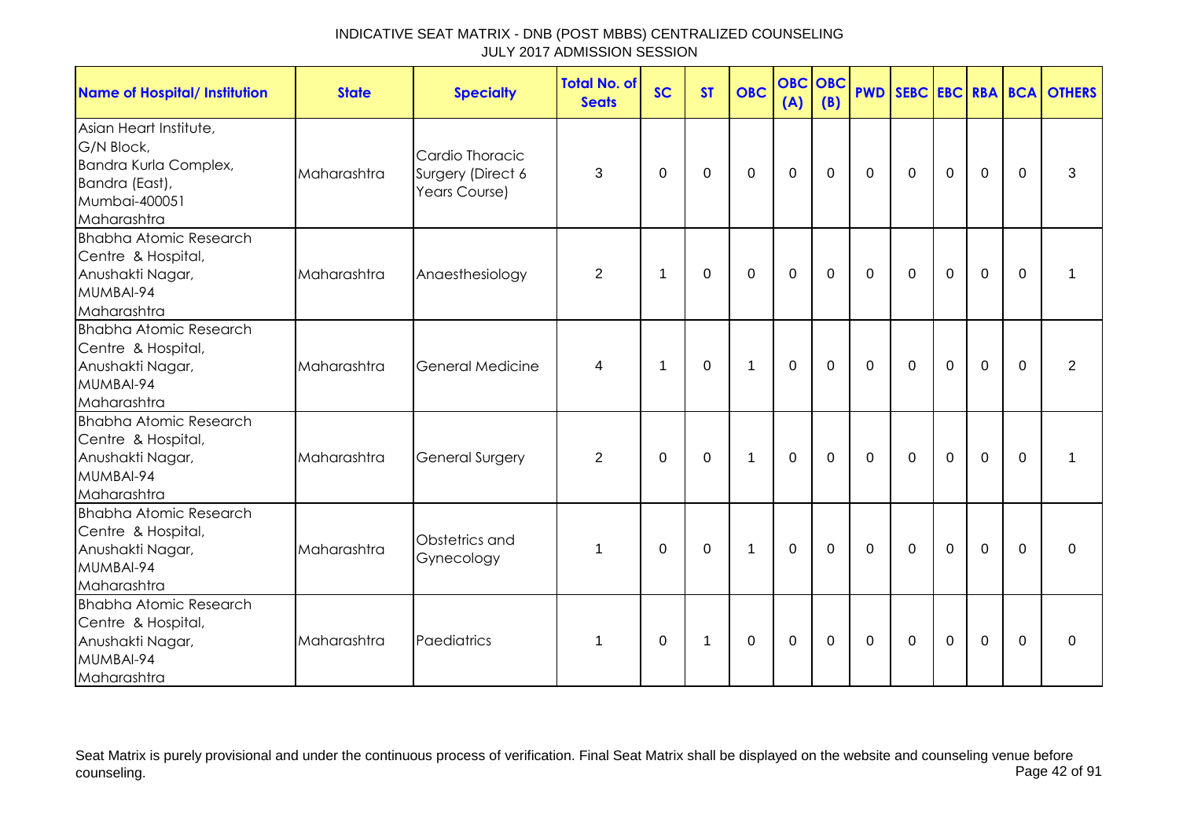| <b>Name of Hospital/ Institution</b>                                                                            | <b>State</b> | <b>Specialty</b>                                      | <b>Total No. of</b><br><b>Seats</b> | <b>SC</b> | <b>ST</b>      | <b>OBC</b>   | <b>OBC OBC</b><br>(A) | (B)         |              |              |                |             |          | <b>PWD SEBC EBC RBA BCA OTHERS</b> |
|-----------------------------------------------------------------------------------------------------------------|--------------|-------------------------------------------------------|-------------------------------------|-----------|----------------|--------------|-----------------------|-------------|--------------|--------------|----------------|-------------|----------|------------------------------------|
| Asian Heart Institute,<br>G/N Block,<br>Bandra Kurla Complex,<br>Bandra (East),<br>Mumbai-400051<br>Maharashtra | Maharashtra  | Cardio Thoracic<br>Surgery (Direct 6<br>Years Course) | 3                                   | $\Omega$  | $\Omega$       | $\Omega$     | $\mathbf 0$           | $\Omega$    | $\mathbf 0$  | $\mathbf{0}$ | $\mathbf 0$    | $\mathbf 0$ | $\Omega$ | 3                                  |
| <b>Bhabha Atomic Research</b><br>Centre & Hospital,<br>Anushakti Nagar,<br>MUMBAI-94<br>Maharashtra             | Maharashtra  | Anaesthesiology                                       | $\overline{2}$                      | 1         | $\Omega$       | $\Omega$     | $\mathbf 0$           | $\Omega$    | $\mathbf 0$  | $\Omega$     | $\Omega$       | $\mathbf 0$ | $\Omega$ | 1                                  |
| <b>Bhabha Atomic Research</b><br>Centre & Hospital,<br>Anushakti Nagar,<br>MUMBAI-94<br>Maharashtra             | Maharashtra  | <b>General Medicine</b>                               | 4                                   | 1         | $\Omega$       | $\mathbf{1}$ | $\mathbf 0$           | 0           | $\mathbf 0$  | 0            | $\mathbf 0$    | $\mathbf 0$ | $\Omega$ | 2                                  |
| <b>Bhabha Atomic Research</b><br>Centre & Hospital,<br>Anushakti Nagar,<br>MUMBAI-94<br>Maharashtra             | Maharashtra  | <b>General Surgery</b>                                | $\overline{2}$                      | $\Omega$  | $\Omega$       | $\mathbf{1}$ | $\mathbf 0$           | $\Omega$    | $\mathbf 0$  | $\mathbf 0$  | $\overline{0}$ | $\mathbf 0$ | $\Omega$ | 1                                  |
| <b>Bhabha Atomic Research</b><br>Centre & Hospital,<br>Anushakti Nagar,<br>MUMBAI-94<br>Maharashtra             | Maharashtra  | Obstetrics and<br>Gynecology                          | $\mathbf 1$                         | $\Omega$  | $\Omega$       | $\mathbf{1}$ | $\mathbf 0$           | $\mathbf 0$ | $\mathbf 0$  | $\mathbf 0$  | $\mathbf 0$    | $\mathbf 0$ | $\Omega$ | $\Omega$                           |
| <b>Bhabha Atomic Research</b><br>Centre & Hospital,<br>Anushakti Nagar,<br>MUMBAI-94<br>Maharashtra             | Maharashtra  | Paediatrics                                           | 1                                   | $\Omega$  | $\overline{1}$ | $\Omega$     | $\mathbf{0}$          | $\Omega$    | $\mathbf{0}$ | $\mathbf{0}$ | $\Omega$       | $\Omega$    | $\Omega$ | $\Omega$                           |

Seat Matrix is purely provisional and under the continuous process of verification. Final Seat Matrix shall be displayed on the website and counseling venue before<br>Page 42 of 91 counseling. Page 42 of 91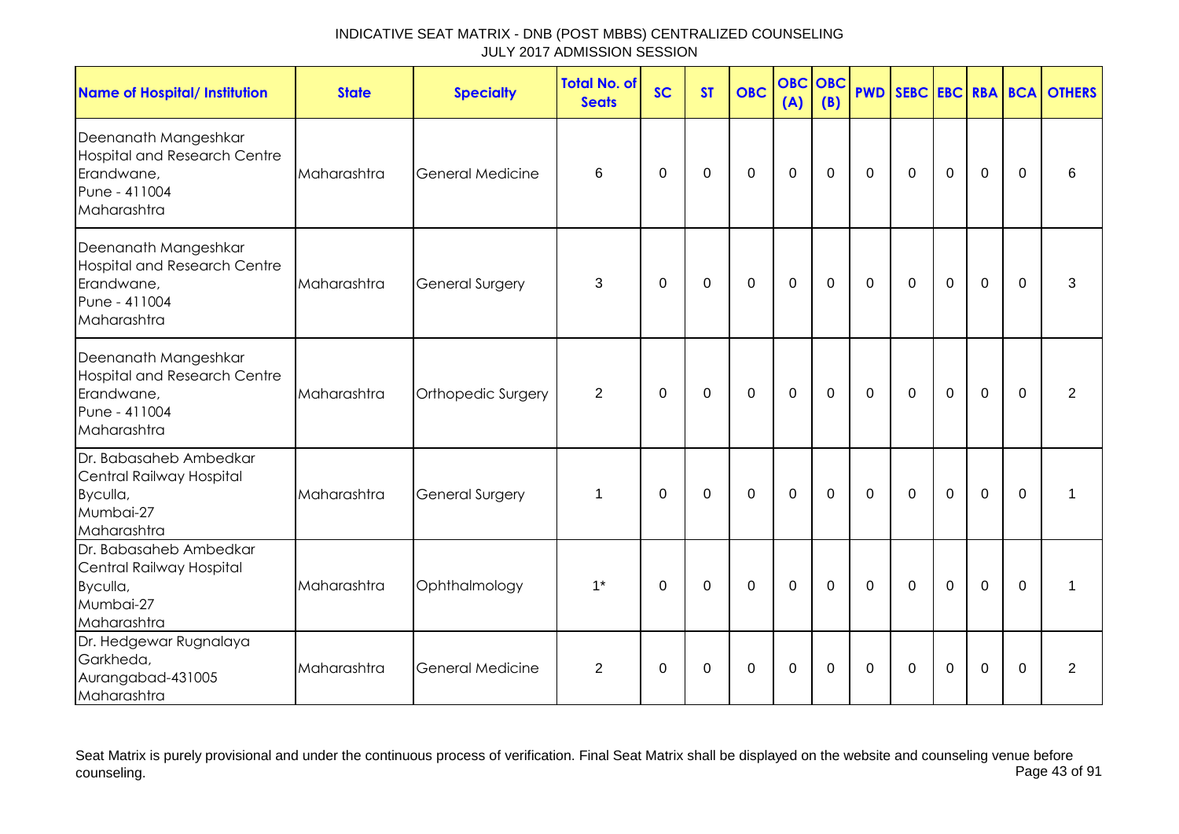| <b>Name of Hospital/ Institution</b>                                                                      | <b>State</b> | <b>Specialty</b>        | <b>Total No. of</b><br><b>Seats</b> | <b>SC</b>   | <b>ST</b>      | <b>OBC</b>     | <b>OBC OBC</b><br>(A) | (B)            | <b>PWD</b>     |             |             |                |              | SEBC EBC RBA BCA OTHERS |
|-----------------------------------------------------------------------------------------------------------|--------------|-------------------------|-------------------------------------|-------------|----------------|----------------|-----------------------|----------------|----------------|-------------|-------------|----------------|--------------|-------------------------|
| Deenanath Mangeshkar<br><b>Hospital and Research Centre</b><br>Erandwane,<br>Pune - 411004<br>Maharashtra | Maharashtra  | <b>General Medicine</b> | 6                                   | $\Omega$    | 0              | $\mathbf 0$    | $\mathbf 0$           | $\mathbf 0$    | $\mathbf 0$    | $\mathbf 0$ | $\mathbf 0$ | $\mathbf 0$    | $\Omega$     | 6                       |
| Deenanath Mangeshkar<br><b>Hospital and Research Centre</b><br>Erandwane,<br>Pune - 411004<br>Maharashtra | Maharashtra  | General Surgery         | 3                                   | 0           | 0              | 0              | 0                     | 0              | $\mathbf 0$    | 0           | $\mathbf 0$ | 0              | $\mathbf{0}$ | 3                       |
| Deenanath Mangeshkar<br><b>Hospital and Research Centre</b><br>Erandwane,<br>Pune - 411004<br>Maharashtra | Maharashtra  | Orthopedic Surgery      | $\overline{2}$                      | $\mathbf 0$ | $\overline{0}$ | $\mathbf 0$    | $\mathbf{0}$          | $\mathbf 0$    | $\overline{0}$ | $\mathbf 0$ | $\mathbf 0$ | $\overline{0}$ | $\Omega$     | 2                       |
| Dr. Babasaheb Ambedkar<br>Central Railway Hospital<br>Byculla,<br>Mumbai-27<br>Maharashtra                | Maharashtra  | General Surgery         | 1                                   | $\Omega$    | $\mathbf 0$    | $\overline{0}$ | $\mathbf 0$           | $\overline{0}$ | $\overline{0}$ | $\mathbf 0$ | $\mathbf 0$ | $\overline{0}$ | $\mathbf 0$  | 1                       |
| Dr. Babasaheb Ambedkar<br>Central Railway Hospital<br>Byculla,<br>Mumbai-27<br>Maharashtra                | Maharashtra  | Ophthalmology           | $1^*$                               | $\mathbf 0$ | 0              | $\overline{0}$ | $\mathbf 0$           | $\mathbf 0$    | $\mathbf 0$    | $\mathbf 0$ | $\mathbf 0$ | $\overline{0}$ | $\mathbf 0$  | 1                       |
| Dr. Hedgewar Rugnalaya<br>Garkheda,<br>Aurangabad-431005<br>Maharashtra                                   | Maharashtra  | <b>General Medicine</b> | $\overline{2}$                      | $\Omega$    | $\Omega$       | $\Omega$       | $\Omega$              | $\Omega$       | $\Omega$       | $\Omega$    | $\Omega$    | $\Omega$       | $\Omega$     | 2                       |

Seat Matrix is purely provisional and under the continuous process of verification. Final Seat Matrix shall be displayed on the website and counseling venue before<br>Page 43 of 91 counseling. Page 43 of 91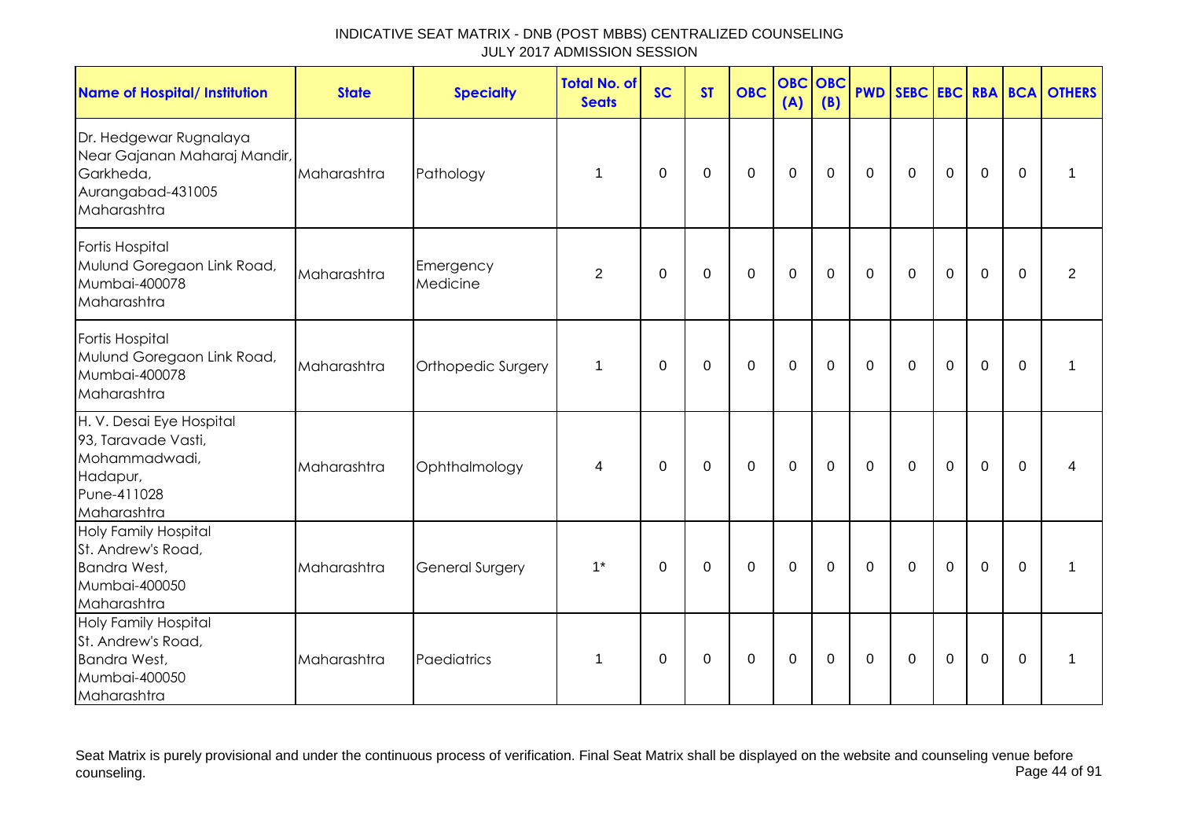| <b>Name of Hospital/ Institution</b>                                                                       | <b>State</b> | <b>Specialty</b>       | <b>Total No. of</b><br><b>Seats</b> | <b>SC</b> | <b>ST</b>   | <b>OBC</b>  | <b>OBC</b><br>(A) | <b>OBC</b><br>(B) | <b>PWD</b>     |                |                |                |             | <b>SEBC EBC RBA BCA OTHERS</b> |
|------------------------------------------------------------------------------------------------------------|--------------|------------------------|-------------------------------------|-----------|-------------|-------------|-------------------|-------------------|----------------|----------------|----------------|----------------|-------------|--------------------------------|
| Dr. Hedgewar Rugnalaya<br>Near Gajanan Maharaj Mandir,<br>Garkheda,<br>Aurangabad-431005<br>Maharashtra    | Maharashtra  | Pathology              | 1                                   | $\Omega$  | $\Omega$    | $\mathbf 0$ | $\mathbf 0$       | $\mathbf 0$       | $\mathbf 0$    | $\mathbf 0$    | $\mathbf 0$    | $\mathbf 0$    | $\mathbf 0$ | 1                              |
| Fortis Hospital<br>Mulund Goregaon Link Road,<br>Mumbai-400078<br>Maharashtra                              | Maharashtra  | Emergency<br>Medicine  | $\overline{2}$                      | 0         | 0           | 0           | $\mathbf 0$       | 0                 | $\mathbf 0$    | $\mathbf 0$    | $\mathbf 0$    | $\mathbf 0$    | $\Omega$    | 2                              |
| Fortis Hospital<br>Mulund Goregaon Link Road,<br>Mumbai-400078<br>Maharashtra                              | Maharashtra  | Orthopedic Surgery     | 1                                   | $\Omega$  | $\Omega$    | $\mathbf 0$ | $\mathbf 0$       | $\mathbf 0$       | $\overline{0}$ | $\mathbf 0$    | $\overline{0}$ | $\mathbf 0$    | $\Omega$    | 1                              |
| H. V. Desai Eye Hospital<br>93, Taravade Vasti,<br>Mohammadwadi,<br>Hadapur,<br>Pune-411028<br>Maharashtra | Maharashtra  | Ophthalmology          | 4                                   | $\Omega$  | $\mathbf 0$ | $\mathbf 0$ | $\mathbf{0}$      | $\mathbf 0$       | $\mathbf{0}$   | $\mathbf 0$    | $\mathbf 0$    | $\overline{0}$ | $\Omega$    | 4                              |
| <b>Holy Family Hospital</b><br>St. Andrew's Road,<br>Bandra West,<br>Mumbai-400050<br>Maharashtra          | Maharashtra  | <b>General Surgery</b> | $1^*$                               | $\Omega$  | $\Omega$    | $\mathbf 0$ | $\mathbf 0$       | $\mathbf 0$       | $\mathbf 0$    | $\overline{0}$ | $\overline{0}$ | $\mathbf 0$    | $\Omega$    | 1                              |
| <b>Holy Family Hospital</b><br>St. Andrew's Road,<br>Bandra West,<br>Mumbai-400050<br>Maharashtra          | Maharashtra  | Paediatrics            | 1                                   | 0         | $\mathbf 0$ | 0           | $\boldsymbol{0}$  | 0                 | $\mathbf 0$    | 0              | $\mathbf 0$    | $\mathbf 0$    | $\Omega$    | 1                              |

Seat Matrix is purely provisional and under the continuous process of verification. Final Seat Matrix shall be displayed on the website and counseling venue before<br>Page 44 of 91 counseling. Page 44 of 91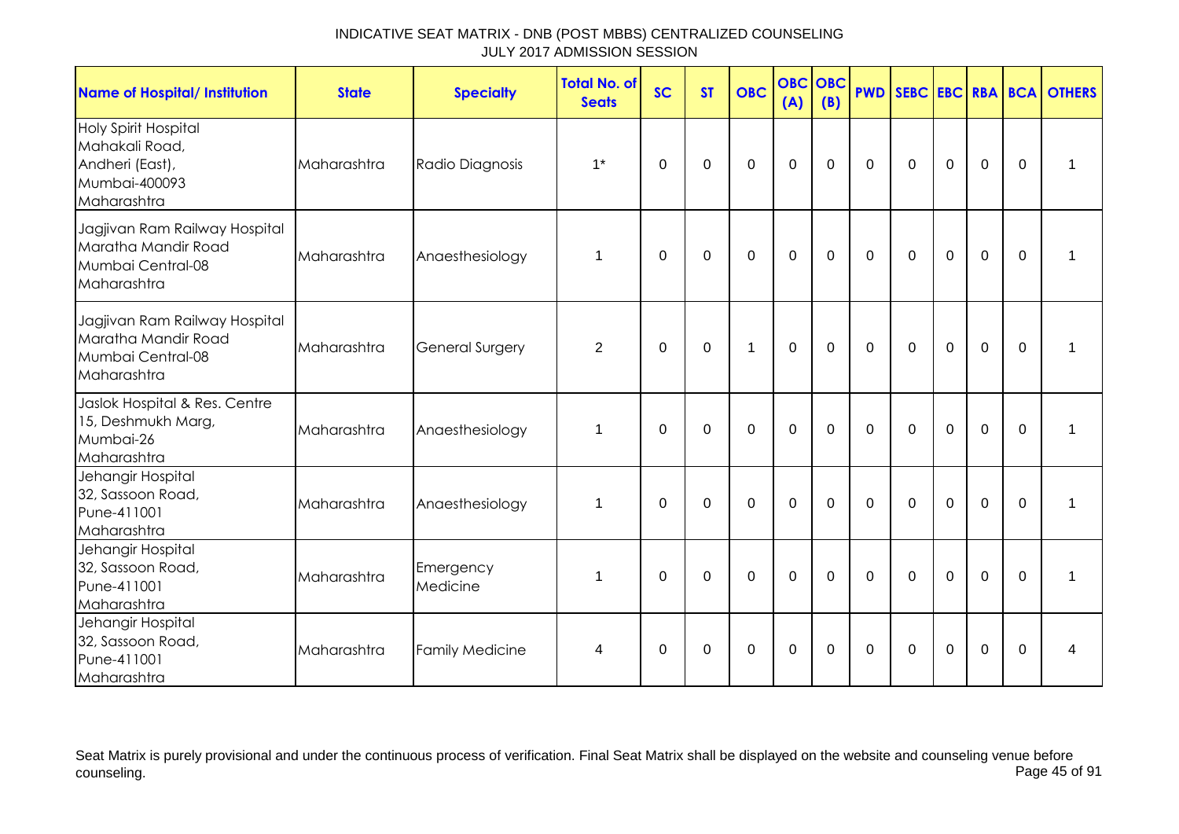| <b>Name of Hospital/ Institution</b>                                                             | <b>State</b> | <b>Specialty</b>       | <b>Total No. of</b><br><b>Seats</b> | <b>SC</b>   | <b>ST</b>   | <b>OBC</b>     | <b>OBC OBC</b><br>(A) | (B)         |              |                |                |                |             | <b>PWD SEBC EBC RBA BCA OTHERS</b> |
|--------------------------------------------------------------------------------------------------|--------------|------------------------|-------------------------------------|-------------|-------------|----------------|-----------------------|-------------|--------------|----------------|----------------|----------------|-------------|------------------------------------|
| <b>Holy Spirit Hospital</b><br>Mahakali Road,<br>Andheri (East),<br>Mumbai-400093<br>Maharashtra | Maharashtra  | Radio Diagnosis        | $1^*$                               | $\Omega$    | $\Omega$    | $\mathbf 0$    | $\mathbf 0$           | $\mathbf 0$ | $\mathbf 0$  | $\overline{0}$ | $\mathbf 0$    | $\overline{0}$ | $\mathbf 0$ | 1                                  |
| Jagjivan Ram Railway Hospital<br>Maratha Mandir Road<br>Mumbai Central-08<br>Maharashtra         | Maharashtra  | Anaesthesiology        | 1                                   | $\Omega$    | $\Omega$    | $\mathbf 0$    | $\mathbf 0$           | $\mathbf 0$ | $\Omega$     | $\Omega$       | $\mathbf 0$    | $\mathbf 0$    | $\Omega$    | 1                                  |
| Jagjivan Ram Railway Hospital<br>Maratha Mandir Road<br>Mumbai Central-08<br>Maharashtra         | Maharashtra  | <b>General Surgery</b> | $\overline{2}$                      | $\Omega$    | $\Omega$    | $\mathbf 1$    | $\mathbf 0$           | $\mathbf 0$ | $\mathbf 0$  | $\mathbf 0$    | $\mathbf 0$    | $\overline{0}$ | $\Omega$    | 1                                  |
| Jaslok Hospital & Res. Centre<br>15, Deshmukh Marg,<br>Mumbai-26<br>Maharashtra                  | Maharashtra  | Anaesthesiology        | 1                                   | $\mathbf 0$ | $\mathbf 0$ | $\mathbf 0$    | $\mathbf 0$           | $\mathbf 0$ | $\mathbf{0}$ | $\mathbf 0$    | $\overline{0}$ | $\overline{0}$ | $\mathbf 0$ | 1                                  |
| Jehangir Hospital<br>32, Sassoon Road,<br>Pune-411001<br>Maharashtra                             | Maharashtra  | Anaesthesiology        | 1                                   | $\mathbf 0$ | $\mathbf 0$ | $\overline{0}$ | $\mathbf{0}$          | $\Omega$    | $\Omega$     | $\Omega$       | $\overline{0}$ | $\overline{0}$ | $\Omega$    | $\mathbf 1$                        |
| Jehangir Hospital<br>32, Sassoon Road,<br>Pune-411001<br>Maharashtra                             | Maharashtra  | Emergency<br>Medicine  | 1                                   | 0           | 0           | $\mathbf 0$    | $\mathbf 0$           | $\mathbf 0$ | $\mathbf 0$  | $\mathbf 0$    | $\mathbf 0$    | $\mathbf 0$    | $\Omega$    | 1                                  |
| Jehangir Hospital<br>32, Sassoon Road,<br>Pune-411001<br>Maharashtra                             | Maharashtra  | <b>Family Medicine</b> | 4                                   | $\Omega$    | $\mathbf 0$ | $\mathbf 0$    | $\mathbf{0}$          | $\mathbf 0$ | $\mathbf 0$  | $\mathbf 0$    | $\overline{0}$ | $\overline{0}$ | $\Omega$    | 4                                  |

Seat Matrix is purely provisional and under the continuous process of verification. Final Seat Matrix shall be displayed on the website and counseling venue before<br>Page 45 of 91 counseling. Page 45 of 91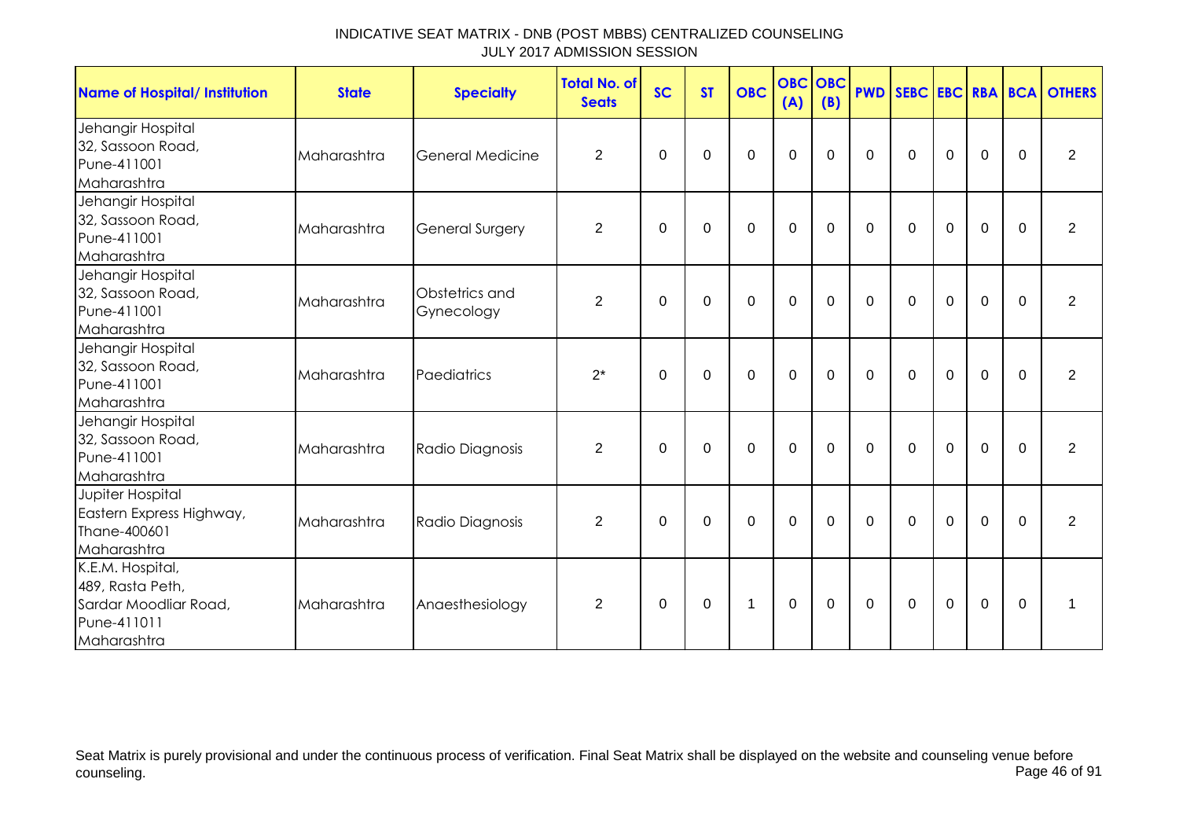| <b>Name of Hospital/ Institution</b>                                                        | <b>State</b> | <b>Specialty</b>             | <b>Total No. of</b><br><b>Seats</b> | <b>SC</b>   | <b>ST</b>   | <b>OBC</b>     | <b>OBC OBC</b><br>(A) | (B)         |                |              |             |             |             | <b>PWD SEBC EBC RBA BCA OTHERS</b> |
|---------------------------------------------------------------------------------------------|--------------|------------------------------|-------------------------------------|-------------|-------------|----------------|-----------------------|-------------|----------------|--------------|-------------|-------------|-------------|------------------------------------|
| Jehangir Hospital<br>32, Sassoon Road,<br>Pune-411001<br>Maharashtra                        | Maharashtra  | <b>General Medicine</b>      | $\overline{2}$                      | $\Omega$    | 0           | $\mathbf 0$    | 0                     | 0           | $\Omega$       | 0            | $\mathbf 0$ | $\mathbf 0$ | 0           | 2                                  |
| Jehangir Hospital<br>32, Sassoon Road,<br>Pune-411001<br>Maharashtra                        | Maharashtra  | <b>General Surgery</b>       | $\overline{2}$                      | 0           | 0           | $\mathbf 0$    | $\mathbf 0$           | $\mathbf 0$ | $\Omega$       | $\mathbf 0$  | $\mathbf 0$ | $\mathbf 0$ | $\mathbf 0$ | $\overline{2}$                     |
| Jehangir Hospital<br>32, Sassoon Road,<br>Pune-411001<br>Maharashtra                        | Maharashtra  | Obstetrics and<br>Gynecology | $\overline{2}$                      | $\mathbf 0$ | 0           | $\mathbf 0$    | $\mathbf 0$           | $\mathbf 0$ | $\overline{0}$ | $\mathbf 0$  | $\mathbf 0$ | $\mathbf 0$ | $\mathbf 0$ | $\overline{2}$                     |
| Jehangir Hospital<br>32, Sassoon Road,<br>Pune-411001<br>Maharashtra                        | Maharashtra  | Paediatrics                  | $2^*$                               | $\Omega$    | $\Omega$    | $\mathbf 0$    | $\mathbf 0$           | $\Omega$    | $\Omega$       | $\mathbf 0$  | $\mathbf 0$ | $\mathbf 0$ | $\Omega$    | $\overline{2}$                     |
| Jehangir Hospital<br>32, Sassoon Road,<br>Pune-411001<br>Maharashtra                        | Maharashtra  | Radio Diagnosis              | $\overline{2}$                      | $\Omega$    | 0           | $\mathbf 0$    | $\mathbf 0$           | $\Omega$    | $\Omega$       | $\Omega$     | $\mathbf 0$ | $\mathbf 0$ | $\mathbf 0$ | 2                                  |
| Jupiter Hospital<br>Eastern Express Highway,<br>Thane-400601<br>Maharashtra                 | Maharashtra  | Radio Diagnosis              | $\overline{2}$                      | $\mathbf 0$ | $\mathbf 0$ | $\overline{0}$ | $\overline{0}$        | $\mathbf 0$ | $\overline{0}$ | $\mathbf 0$  | $\mathbf 0$ | $\mathbf 0$ | $\mathbf 0$ | $\overline{2}$                     |
| K.E.M. Hospital,<br>489, Rasta Peth,<br>Sardar Moodliar Road,<br>Pune-411011<br>Maharashtra | Maharashtra  | Anaesthesiology              | $\overline{2}$                      | $\Omega$    | 0           | 1              | 0                     | $\Omega$    | $\mathbf 0$    | $\mathbf{0}$ | $\mathbf 0$ | $\mathbf 0$ | 0           | 1                                  |

Seat Matrix is purely provisional and under the continuous process of verification. Final Seat Matrix shall be displayed on the website and counseling venue before<br>Page 46 of 91 counseling. Page 46 of 91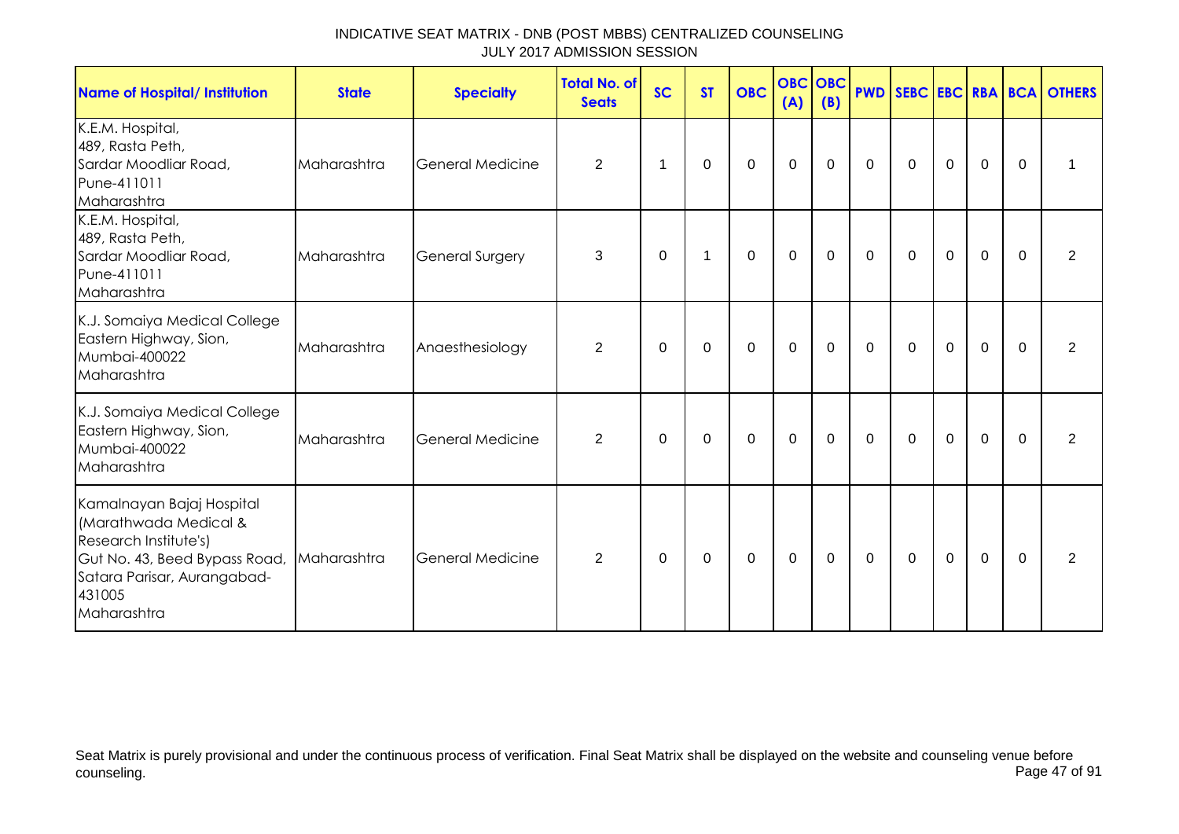| <b>Name of Hospital/ Institution</b>                                                                                                                                 | <b>State</b> | <b>Specialty</b>        | <b>Total No. of</b><br><b>Seats</b> | <b>SC</b> | <b>ST</b> | <b>OBC</b>  | <b>OBC</b> OBC<br>(A) | (B)         |              |             |                |                |             | <b>PWD SEBC EBC RBA BCA OTHERS</b> |
|----------------------------------------------------------------------------------------------------------------------------------------------------------------------|--------------|-------------------------|-------------------------------------|-----------|-----------|-------------|-----------------------|-------------|--------------|-------------|----------------|----------------|-------------|------------------------------------|
| K.E.M. Hospital,<br>489, Rasta Peth,<br>Sardar Moodliar Road,<br>Pune-411011<br>Maharashtra                                                                          | Maharashtra  | <b>General Medicine</b> | $\overline{2}$                      | 1         | 0         | 0           | $\mathbf 0$           | $\Omega$    | $\mathbf{0}$ | $\Omega$    | 0              | 0              | $\Omega$    | 1                                  |
| K.E.M. Hospital,<br>489, Rasta Peth,<br>Sardar Moodliar Road,<br>Pune-411011<br>Maharashtra                                                                          | Maharashtra  | <b>General Surgery</b>  | 3                                   | $\Omega$  | 1         | $\mathbf 0$ | $\mathbf 0$           | $\mathbf 0$ | $\mathbf 0$  | $\mathbf 0$ | $\mathbf 0$    | $\overline{0}$ | $\Omega$    | 2                                  |
| K.J. Somaiya Medical College<br>Eastern Highway, Sion,<br>Mumbai-400022<br>Maharashtra                                                                               | Maharashtra  | Anaesthesiology         | 2                                   | $\Omega$  | 0         | $\mathbf 0$ | $\mathbf 0$           | $\mathbf 0$ | $\mathbf 0$  | $\mathbf 0$ | $\mathbf 0$    | $\mathbf 0$    | $\mathbf 0$ | 2                                  |
| K.J. Somaiya Medical College<br>Eastern Highway, Sion,<br>Mumbai-400022<br>Maharashtra                                                                               | Maharashtra  | <b>General Medicine</b> | $\overline{2}$                      | $\Omega$  | $\Omega$  | $\mathbf 0$ | $\mathbf{0}$          | $\mathbf 0$ | $\mathbf 0$  | $\Omega$    | $\mathbf 0$    | $\mathbf 0$    | $\Omega$    | 2                                  |
| Kamalnayan Bajaj Hospital<br>(Marathwada Medical &<br>Research Institute's)<br>Gut No. 43, Beed Bypass Road,<br>Satara Parisar, Aurangabad-<br>431005<br>Maharashtra | Maharashtra  | <b>General Medicine</b> | 2                                   | $\Omega$  | $\Omega$  | $\mathbf 0$ | $\mathbf{0}$          | $\mathbf 0$ | $\mathbf 0$  | $\Omega$    | $\overline{0}$ | $\overline{0}$ | $\Omega$    | 2                                  |

Seat Matrix is purely provisional and under the continuous process of verification. Final Seat Matrix shall be displayed on the website and counseling venue before<br>Page 47 of 91 counseling. Page 47 of 91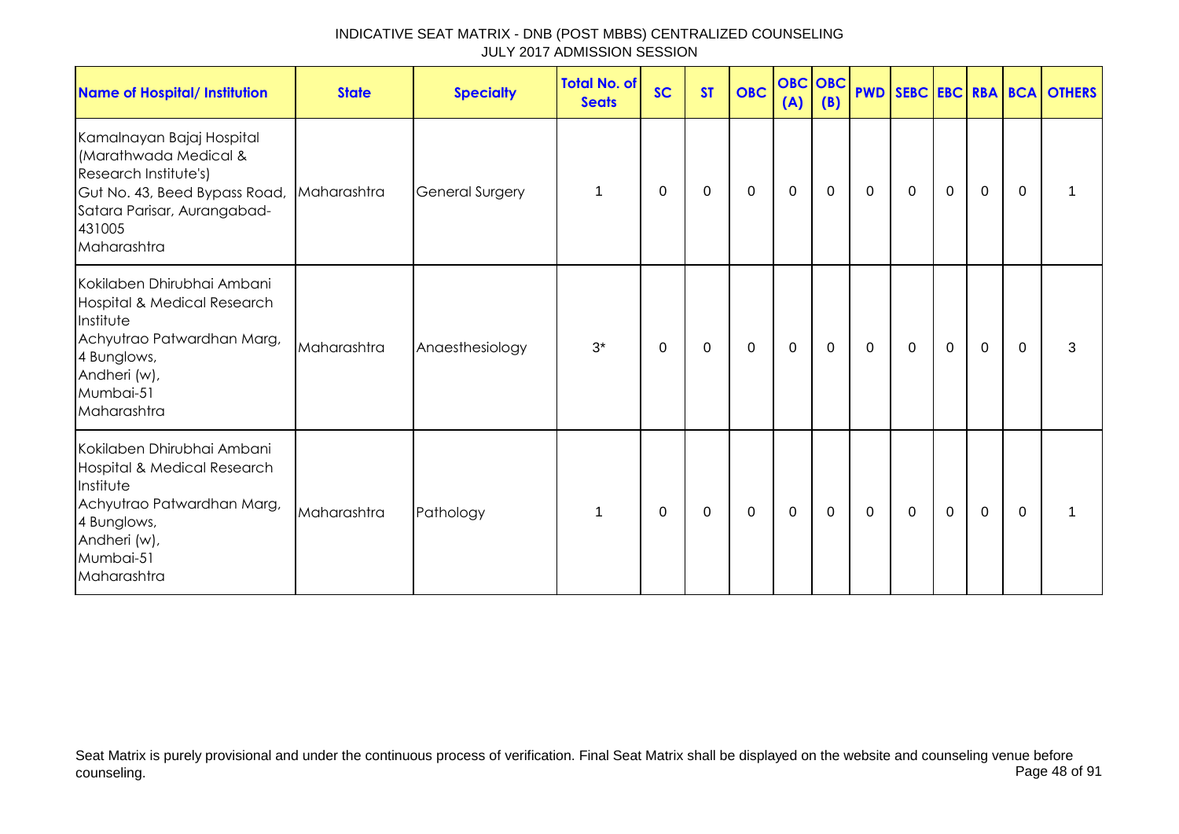| INDICATIVE SEAT MATRIX - DNB (POST MBBS) CENTRALIZED COUNSELING |  |
|-----------------------------------------------------------------|--|
| JULY 2017 ADMISSION SESSION                                     |  |

| <b>Name of Hospital/ Institution</b>                                                                                                                                             | <b>State</b> | <b>Specialty</b>       | <b>Total No. of</b><br><b>Seats</b> | <b>SC</b>      | <b>ST</b> | <b>OBC</b> | <b>OBC</b> OBC<br>(A) | (B)         |             |                |             |             |             | <b>PWD SEBC EBC RBA BCA OTHERS</b> |
|----------------------------------------------------------------------------------------------------------------------------------------------------------------------------------|--------------|------------------------|-------------------------------------|----------------|-----------|------------|-----------------------|-------------|-------------|----------------|-------------|-------------|-------------|------------------------------------|
| Kamalnayan Bajaj Hospital<br>(Marathwada Medical &<br>Research Institute's)<br>Gut No. 43, Beed Bypass Road, Maharashtra<br>Satara Parisar, Aurangabad-<br>431005<br>Maharashtra |              | <b>General Surgery</b> | 1                                   | $\overline{0}$ | 0         | 0          | $\mathbf 0$           | $\mathbf 0$ | $\mathbf 0$ | $\overline{0}$ | $\mathbf 0$ | $\mathbf 0$ | $\Omega$    |                                    |
| Kokilaben Dhirubhai Ambani<br>Hospital & Medical Research<br>Institute<br>Achyutrao Patwardhan Marg,<br>4 Bunglows,<br>Andheri (w),<br>Mumbai-51<br>Maharashtra                  | Maharashtra  | Anaesthesiology        | $3^*$                               | 0              | 0         | 0          | $\mathbf 0$           | $\mathbf 0$ | $\mathbf 0$ | $\mathbf 0$    | $\mathbf 0$ | $\mathbf 0$ | $\mathbf 0$ | 3                                  |
| Kokilaben Dhirubhai Ambani<br>Hospital & Medical Research<br>Institute<br>Achyutrao Patwardhan Marg,<br>4 Bunglows,<br>Andheri (w),<br>Mumbai-51<br>Maharashtra                  | Maharashtra  | Pathology              | 1                                   | 0              | 0         | 0          | 0                     | 0           | $\mathbf 0$ | 0              | 0           | 0           | 0           |                                    |

Seat Matrix is purely provisional and under the continuous process of verification. Final Seat Matrix shall be displayed on the website and counseling venue before counseling. Page 48 of 91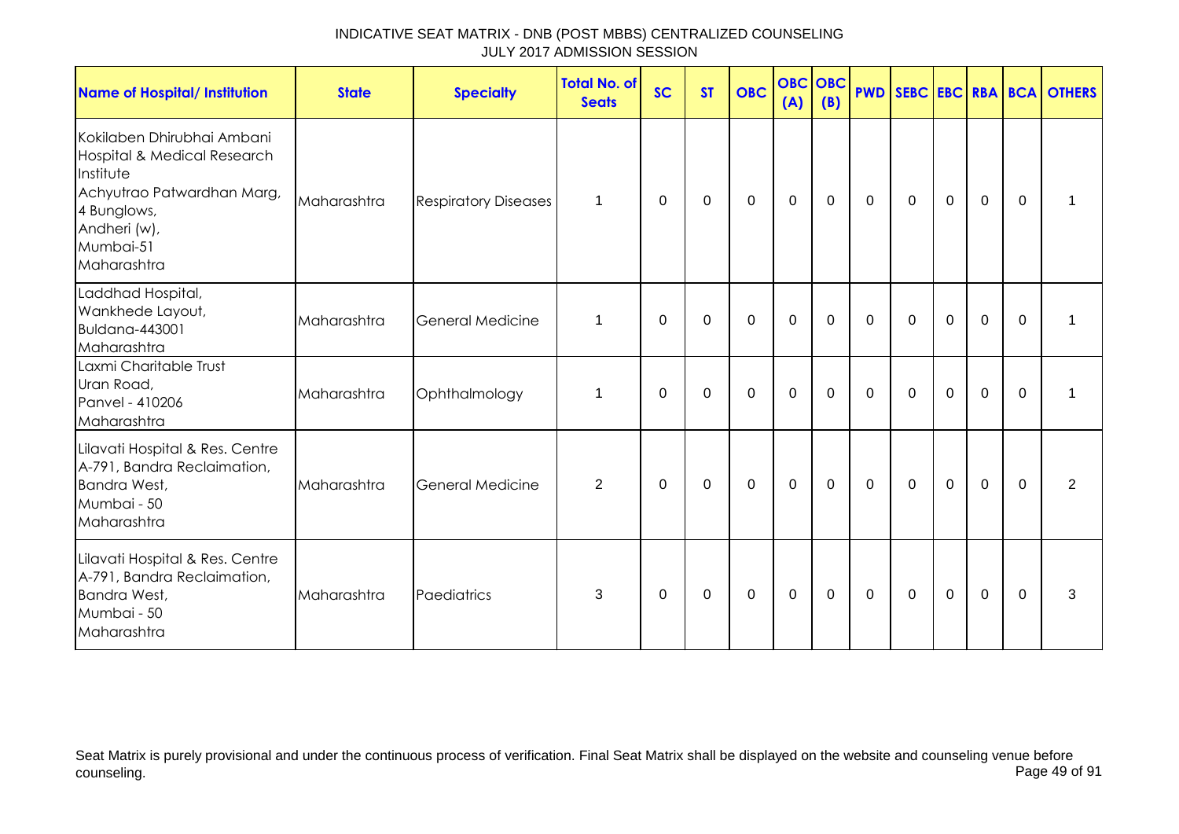| <b>Name of Hospital/ Institution</b>                                                                                                                            | <b>State</b> | <b>Specialty</b>            | Total No. of<br><b>Seats</b> | <b>SC</b> | <b>ST</b> | <b>OBC</b>  | <b>OBC</b><br>(A) | <b>OBC</b><br>(B) |              |              |             |             |             | <b>PWD SEBC EBC RBA BCA OTHERS</b> |
|-----------------------------------------------------------------------------------------------------------------------------------------------------------------|--------------|-----------------------------|------------------------------|-----------|-----------|-------------|-------------------|-------------------|--------------|--------------|-------------|-------------|-------------|------------------------------------|
| Kokilaben Dhirubhai Ambani<br>Hospital & Medical Research<br>Institute<br>Achyutrao Patwardhan Marg,<br>4 Bunglows,<br>Andheri (w),<br>Mumbai-51<br>Maharashtra | Maharashtra  | <b>Respiratory Diseases</b> | $\mathbf{1}$                 | 0         | 0         | $\mathbf 0$ | $\mathbf 0$       | 0                 | $\mathbf 0$  | $\mathbf 0$  | $\mathbf 0$ | $\mathbf 0$ | 0           |                                    |
| Laddhad Hospital,<br>Wankhede Layout,<br><b>Buldana-443001</b><br>Maharashtra                                                                                   | Maharashtra  | <b>General Medicine</b>     | 1                            | 0         | 0         | 0           | $\mathbf 0$       | 0                 | $\mathbf{0}$ | $\mathbf{0}$ | $\Omega$    | $\mathbf 0$ | $\Omega$    | 1                                  |
| Laxmi Charitable Trust<br>Uran Road,<br>Panvel - 410206<br>Maharashtra                                                                                          | Maharashtra  | Ophthalmology               | $\mathbf 1$                  | 0         | 0         | $\pmb{0}$   | $\mathbf 0$       | 0                 | $\mathbf 0$  | $\mathbf 0$  | $\mathbf 0$ | $\mathbf 0$ | $\mathbf 0$ | 1                                  |
| Lilavati Hospital & Res. Centre<br>A-791, Bandra Reclaimation,<br>Bandra West,<br>Mumbai - 50<br>Maharashtra                                                    | Maharashtra  | <b>General Medicine</b>     | $\overline{2}$               | 0         | $\pmb{0}$ | $\pmb{0}$   | $\boldsymbol{0}$  | $\mathbf 0$       | $\mathbf 0$  | $\mathbf 0$  | $\mathbf 0$ | $\mathbf 0$ | $\Omega$    | $\overline{2}$                     |
| Lilavati Hospital & Res. Centre<br>A-791, Bandra Reclaimation,<br>Bandra West,<br>Mumbai - 50<br>Maharashtra                                                    | Maharashtra  | Paediatrics                 | 3                            | 0         | 0         | $\mathbf 0$ | $\mathbf 0$       | 0                 | 0            | 0            | $\mathbf 0$ | $\mathbf 0$ | 0           | 3                                  |

Seat Matrix is purely provisional and under the continuous process of verification. Final Seat Matrix shall be displayed on the website and counseling venue before<br>Page 49 of 91 counseling. Page 49 of 91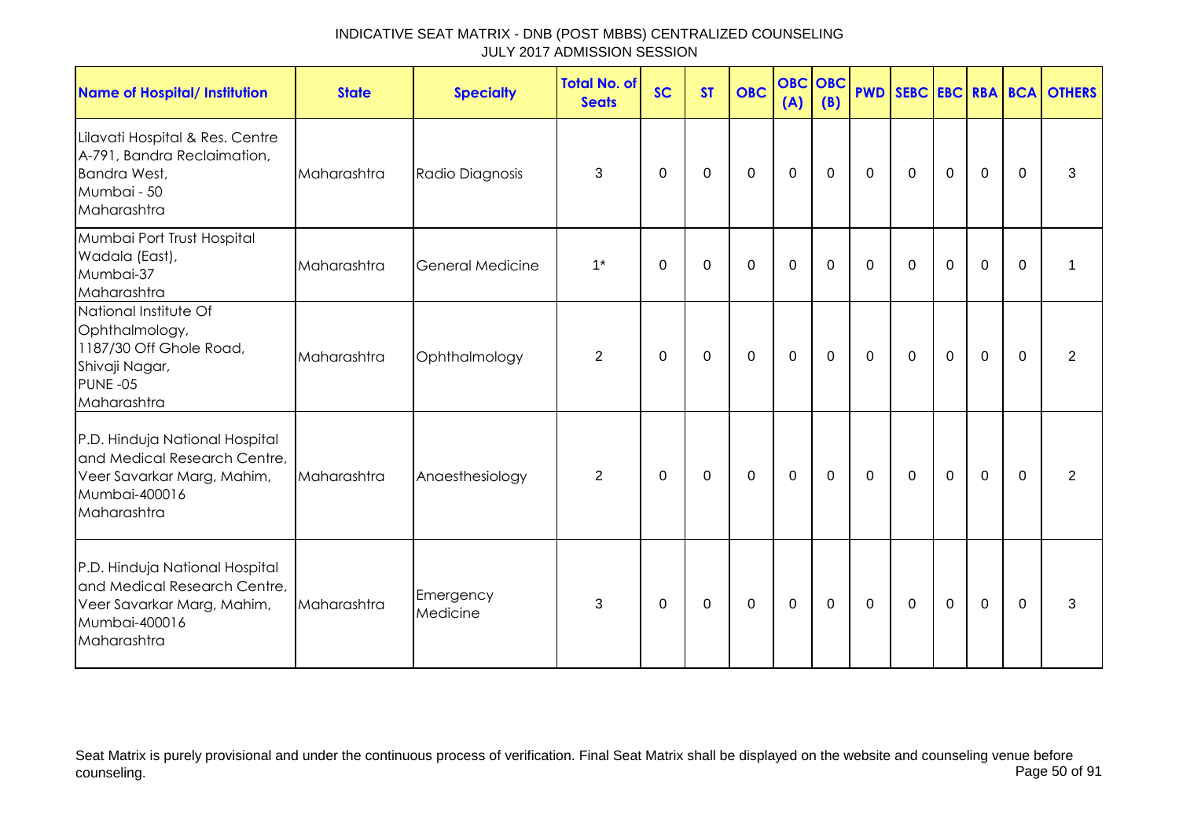| <b>Name of Hospital/ Institution</b>                                                                                         | <b>State</b> | <b>Specialty</b>      | Total No. of<br><b>Seats</b> | <b>SC</b>   | <b>ST</b> | <b>OBC</b>  | <b>OBC OBC</b><br>(A) | (B)         |                |              |             |             |              | <b>PWD SEBC EBC RBA BCA OTHERS</b> |
|------------------------------------------------------------------------------------------------------------------------------|--------------|-----------------------|------------------------------|-------------|-----------|-------------|-----------------------|-------------|----------------|--------------|-------------|-------------|--------------|------------------------------------|
| Lilavati Hospital & Res. Centre<br>A-791, Bandra Reclaimation,<br><b>Bandra West,</b><br>Mumbai - 50<br>Maharashtra          | Maharashtra  | Radio Diagnosis       | 3                            | $\mathbf 0$ | 0         | $\mathbf 0$ | $\mathbf 0$           | $\mathbf 0$ | $\overline{0}$ | $\mathbf 0$  | $\mathbf 0$ | $\mathbf 0$ | 0            | 3                                  |
| Mumbai Port Trust Hospital<br>Wadala (East),<br>Mumbai-37<br>Maharashtra                                                     | Maharashtra  | General Medicine      | $1^*$                        | 0           | 0         | 0           | $\mathbf 0$           | 0           | 0              | 0            | 0           | $\mathbf 0$ | $\mathbf{0}$ | 1                                  |
| National Institute Of<br>Ophthalmology,<br>1187/30 Off Ghole Road,<br>Shivaji Nagar,<br>PUNE-05<br>Maharashtra               | Maharashtra  | Ophthalmology         | $\overline{2}$               | 0           | 0         | 0           | $\mathbf 0$           | 0           | $\mathbf 0$    | $\mathbf{0}$ | $\mathbf 0$ | $\mathbf 0$ | $\Omega$     | $\overline{2}$                     |
| P.D. Hinduja National Hospital<br>and Medical Research Centre,<br>Veer Savarkar Marg, Mahim,<br>Mumbai-400016<br>Maharashtra | Maharashtra  | Anaesthesiology       | $\overline{2}$               | 0           | 0         | 0           | $\mathbf 0$           | $\mathbf 0$ | $\mathbf 0$    | $\mathbf{0}$ | $\mathbf 0$ | $\mathbf 0$ | $\Omega$     | $\overline{2}$                     |
| P.D. Hinduja National Hospital<br>and Medical Research Centre,<br>Veer Savarkar Marg, Mahim,<br>Mumbai-400016<br>Maharashtra | Maharashtra  | Emergency<br>Medicine | 3                            | $\mathbf 0$ | 0         | 0           | $\mathbf 0$           | $\mathbf 0$ | $\mathbf 0$    | $\mathbf 0$  | $\mathbf 0$ | $\mathbf 0$ | $\Omega$     | 3                                  |

Seat Matrix is purely provisional and under the continuous process of verification. Final Seat Matrix shall be displayed on the website and counseling venue before<br>Page 50 of 91 counseling. Page 50 of 91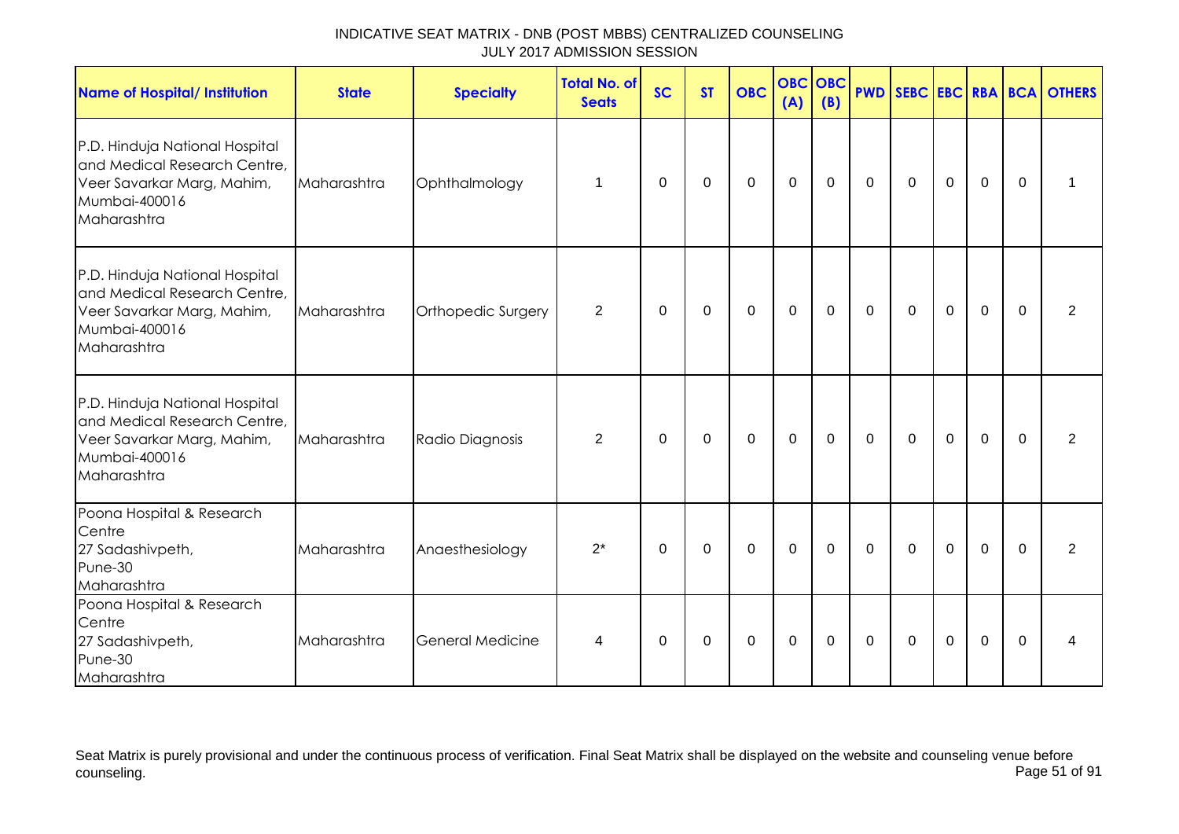| <b>Name of Hospital/ Institution</b>                                                                                         | <b>State</b> | <b>Specialty</b>   | <b>Total No. of</b><br><b>Seats</b> | <b>SC</b>    | <b>ST</b>   | <b>OBC</b>  | <b>OBC</b><br>(A) | OBC<br>(B)  |              |             |             |                |             | <b>PWD SEBC EBC RBA BCA OTHERS</b> |
|------------------------------------------------------------------------------------------------------------------------------|--------------|--------------------|-------------------------------------|--------------|-------------|-------------|-------------------|-------------|--------------|-------------|-------------|----------------|-------------|------------------------------------|
| P.D. Hinduja National Hospital<br>and Medical Research Centre,<br>Veer Savarkar Marg, Mahim,<br>Mumbai-400016<br>Maharashtra | Maharashtra  | Ophthalmology      | $\mathbf 1$                         | $\mathbf{0}$ | $\mathbf 0$ | $\mathbf 0$ | $\mathbf 0$       | $\mathbf 0$ | $\mathbf 0$  | $\mathbf 0$ | $\mathbf 0$ | $\overline{0}$ | $\mathbf 0$ | 1                                  |
| P.D. Hinduja National Hospital<br>and Medical Research Centre,<br>Veer Savarkar Marg, Mahim,<br>Mumbai-400016<br>Maharashtra | Maharashtra  | Orthopedic Surgery | $\overline{2}$                      | $\mathbf 0$  | 0           | $\mathbf 0$ | $\boldsymbol{0}$  | $\mathbf 0$ | $\mathbf 0$  | $\mathbf 0$ | $\mathbf 0$ | $\mathbf 0$    | $\mathbf 0$ | $\overline{2}$                     |
| P.D. Hinduja National Hospital<br>and Medical Research Centre,<br>Veer Savarkar Marg, Mahim,<br>Mumbai-400016<br>Maharashtra | Maharashtra  | Radio Diagnosis    | $\overline{2}$                      | $\mathbf 0$  | $\mathbf 0$ | $\mathbf 0$ | $\mathbf 0$       | $\mathbf 0$ | $\mathbf{0}$ | $\mathbf 0$ | $\mathbf 0$ | $\mathbf{0}$   | $\Omega$    | $\overline{2}$                     |
| Poona Hospital & Research<br>Centre<br>27 Sadashivpeth,<br>Pune-30<br>Maharashtra                                            | Maharashtra  | Anaesthesiology    | $2^*$                               | $\mathbf 0$  | $\mathbf 0$ | $\mathbf 0$ | $\mathbf 0$       | $\mathbf 0$ | $\mathbf 0$  | $\mathbf 0$ | $\mathbf 0$ | $\mathbf 0$    | $\mathbf 0$ | $\overline{2}$                     |
| Poona Hospital & Research<br>Centre<br>27 Sadashivpeth,<br>Pune-30<br>Maharashtra                                            | Maharashtra  | General Medicine   | 4                                   | $\Omega$     | 0           | 0           | 0                 | $\Omega$    | $\mathbf{0}$ | $\Omega$    | $\mathbf 0$ | 0              | $\Omega$    | 4                                  |

Seat Matrix is purely provisional and under the continuous process of verification. Final Seat Matrix shall be displayed on the website and counseling venue before<br>Page 51 of 91 counseling. Page 51 of 91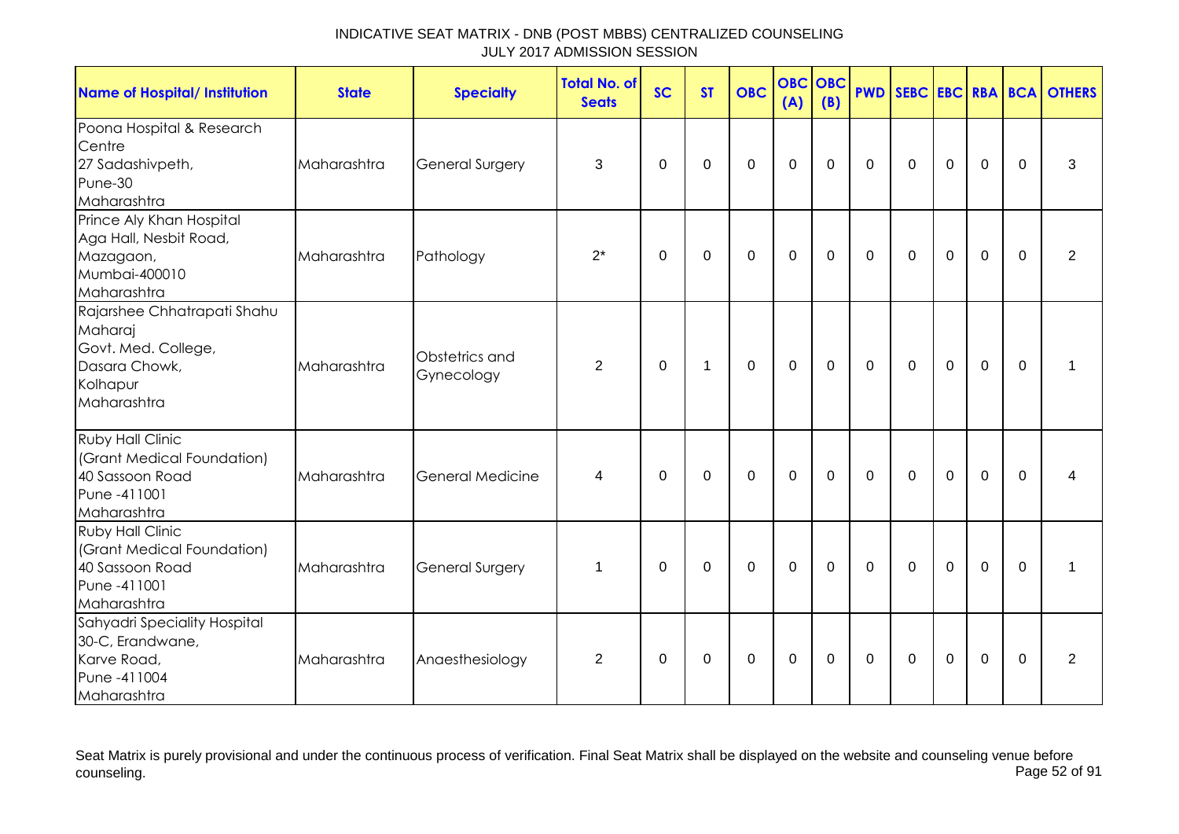| <b>Name of Hospital/ Institution</b>                                                                      | <b>State</b> | <b>Specialty</b>             | <b>Total No. of</b><br><b>Seats</b> | <b>SC</b>   | <b>ST</b>   | <b>OBC</b>  | <b>OBC OBC</b><br>(A) | (B)         |              |                |                  |              |             | <b>PWD SEBC EBC RBA BCA OTHERS</b> |
|-----------------------------------------------------------------------------------------------------------|--------------|------------------------------|-------------------------------------|-------------|-------------|-------------|-----------------------|-------------|--------------|----------------|------------------|--------------|-------------|------------------------------------|
| Poona Hospital & Research<br>Centre<br>27 Sadashivpeth,<br>Pune-30<br>Maharashtra                         | Maharashtra  | <b>General Surgery</b>       | 3                                   | $\Omega$    | $\Omega$    | $\mathbf 0$ | $\mathbf 0$           | $\mathbf 0$ | $\mathbf 0$  | $\mathbf 0$    | $\mathbf 0$      | $\mathbf 0$  | $\Omega$    | 3                                  |
| Prince Aly Khan Hospital<br>Aga Hall, Nesbit Road,<br>Mazagaon,<br>Mumbai-400010<br>Maharashtra           | Maharashtra  | Pathology                    | $2^*$                               | $\mathbf 0$ | $\mathbf 0$ | $\mathbf 0$ | $\mathbf 0$           | $\mathbf 0$ | $\mathbf 0$  | $\mathbf 0$    | $\mathbf 0$      | $\mathbf 0$  | $\mathbf 0$ | 2                                  |
| Rajarshee Chhatrapati Shahu<br>Maharaj<br>Govt. Med. College,<br>Dasara Chowk,<br>Kolhapur<br>Maharashtra | Maharashtra  | Obstetrics and<br>Gynecology | $\overline{2}$                      | $\mathbf 0$ | 1           | $\mathbf 0$ | $\mathbf 0$           | $\mathbf 0$ | $\mathbf 0$  | $\mathbf 0$    | $\mathbf 0$      | $\mathbf 0$  | $\mathbf 0$ | 1                                  |
| <b>Ruby Hall Clinic</b><br>(Grant Medical Foundation)<br>40 Sassoon Road<br>Pune -411001<br>Maharashtra   | Maharashtra  | <b>General Medicine</b>      | 4                                   | $\Omega$    | $\Omega$    | $\mathbf 0$ | $\mathbf 0$           | $\mathbf 0$ | $\mathbf{0}$ | $\overline{0}$ | $\mathbf 0$      | $\mathbf{0}$ | $\Omega$    | $\overline{\mathcal{A}}$           |
| <b>Ruby Hall Clinic</b><br>(Grant Medical Foundation)<br>40 Sassoon Road<br>Pune -411001<br>Maharashtra   | Maharashtra  | <b>General Surgery</b>       | $\mathbf 1$                         | $\Omega$    | 0           | $\mathbf 0$ | $\mathbf 0$           | $\mathbf 0$ | $\mathbf{0}$ | $\overline{0}$ | $\overline{0}$   | $\mathbf 0$  | $\Omega$    | $\mathbf{1}$                       |
| Sahyadri Speciality Hospital<br>30-C, Erandwane,<br>Karve Road,<br>Pune -411004<br>Maharashtra            | Maharashtra  | Anaesthesiology              | $\overline{2}$                      | 0           | 0           | 0           | $\pmb{0}$             | 0           | $\mathbf 0$  | $\mathbf 0$    | $\boldsymbol{0}$ | $\mathbf 0$  | $\mathbf 0$ | $\overline{2}$                     |

Seat Matrix is purely provisional and under the continuous process of verification. Final Seat Matrix shall be displayed on the website and counseling venue before<br>Page 52 of 91 counseling. Page 52 of 91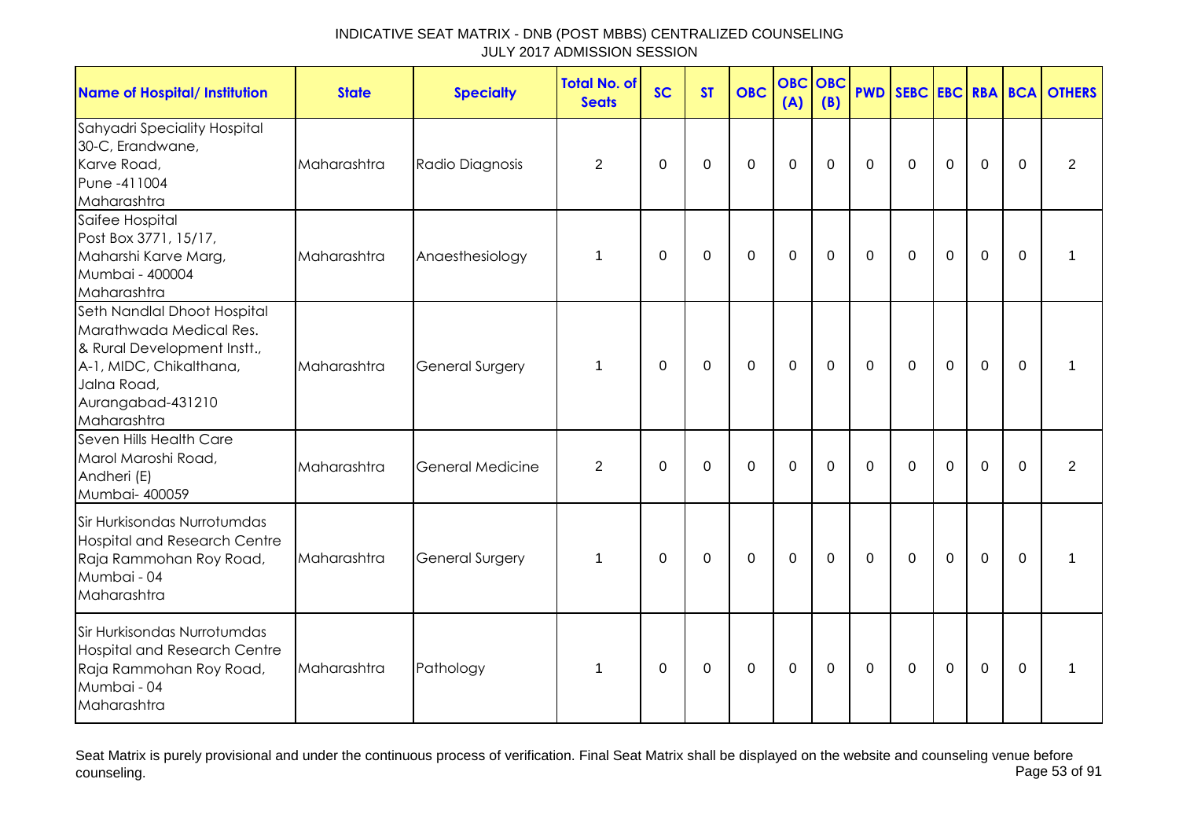| <b>Name of Hospital/ Institution</b>                                                                                                                                | <b>State</b> | <b>Specialty</b>        | <b>Total No. of</b><br><b>Seats</b> | <b>SC</b> | <b>ST</b>   | <b>OBC</b>       | <b>OBC</b><br>(A) | <b>OBC</b><br>(B) | <b>PWD</b>     |             |                |                |          | SEBC EBC RBA BCA OTHERS |
|---------------------------------------------------------------------------------------------------------------------------------------------------------------------|--------------|-------------------------|-------------------------------------|-----------|-------------|------------------|-------------------|-------------------|----------------|-------------|----------------|----------------|----------|-------------------------|
| Sahyadri Speciality Hospital<br>30-C, Erandwane,<br>Karve Road,<br>Pune -411004<br>Maharashtra                                                                      | Maharashtra  | Radio Diagnosis         | $\overline{2}$                      | 0         | 0           | 0                | $\mathbf 0$       | 0                 | $\mathbf 0$    | 0           | $\mathbf 0$    | $\mathbf 0$    | $\Omega$ | $\overline{2}$          |
| Saifee Hospital<br>Post Box 3771, 15/17,<br>Maharshi Karve Marg,<br>Mumbai - 400004<br>Maharashtra                                                                  | Maharashtra  | Anaesthesiology         | 1                                   | 0         | 0           | $\mathbf 0$      | $\mathbf 0$       | 0                 | $\mathbf 0$    | $\mathbf 0$ | $\overline{0}$ | $\mathbf 0$    | $\Omega$ | 1                       |
| Seth Nandlal Dhoot Hospital<br>Marathwada Medical Res.<br>& Rural Development Instt.,<br>A-1, MIDC, Chikalthana,<br>Jalna Road,<br>Aurangabad-431210<br>Maharashtra | Maharashtra  | <b>General Surgery</b>  | 1                                   | 0         | 0           | 0                | $\mathbf 0$       | 0                 | $\mathbf 0$    | 0           | $\mathbf 0$    | $\mathbf 0$    | $\Omega$ | 1                       |
| Seven Hills Health Care<br>Marol Maroshi Road,<br>Andheri (E)<br>Mumbai- 400059                                                                                     | Maharashtra  | <b>General Medicine</b> | $\overline{2}$                      | 0         | 0           | 0                | $\pmb{0}$         | 0                 | $\mathbf 0$    | 0           | $\mathbf 0$    | $\mathbf 0$    | $\Omega$ | $\overline{2}$          |
| Sir Hurkisondas Nurrotumdas<br><b>Hospital and Research Centre</b><br>Raja Rammohan Roy Road,<br>Mumbai - 04<br>Maharashtra                                         | Maharashtra  | General Surgery         | 1                                   | $\Omega$  | $\mathsf 0$ | $\boldsymbol{0}$ | $\pmb{0}$         | $\mathbf 0$       | $\mathbf 0$    | $\mathbf 0$ | $\mathbf 0$    | $\overline{0}$ | $\Omega$ | 1                       |
| Sir Hurkisondas Nurrotumdas<br><b>Hospital and Research Centre</b><br>Raja Rammohan Roy Road,<br>Mumbai - 04<br>Maharashtra                                         | Maharashtra  | Pathology               | 1                                   | $\Omega$  | $\Omega$    | $\mathbf 0$      | $\mathbf{0}$      | $\mathbf 0$       | $\overline{0}$ | $\mathbf 0$ | $\overline{0}$ | $\overline{0}$ | $\Omega$ | 1                       |

Seat Matrix is purely provisional and under the continuous process of verification. Final Seat Matrix shall be displayed on the website and counseling venue before<br>Page 53 of 91 counseling. Page 53 of 91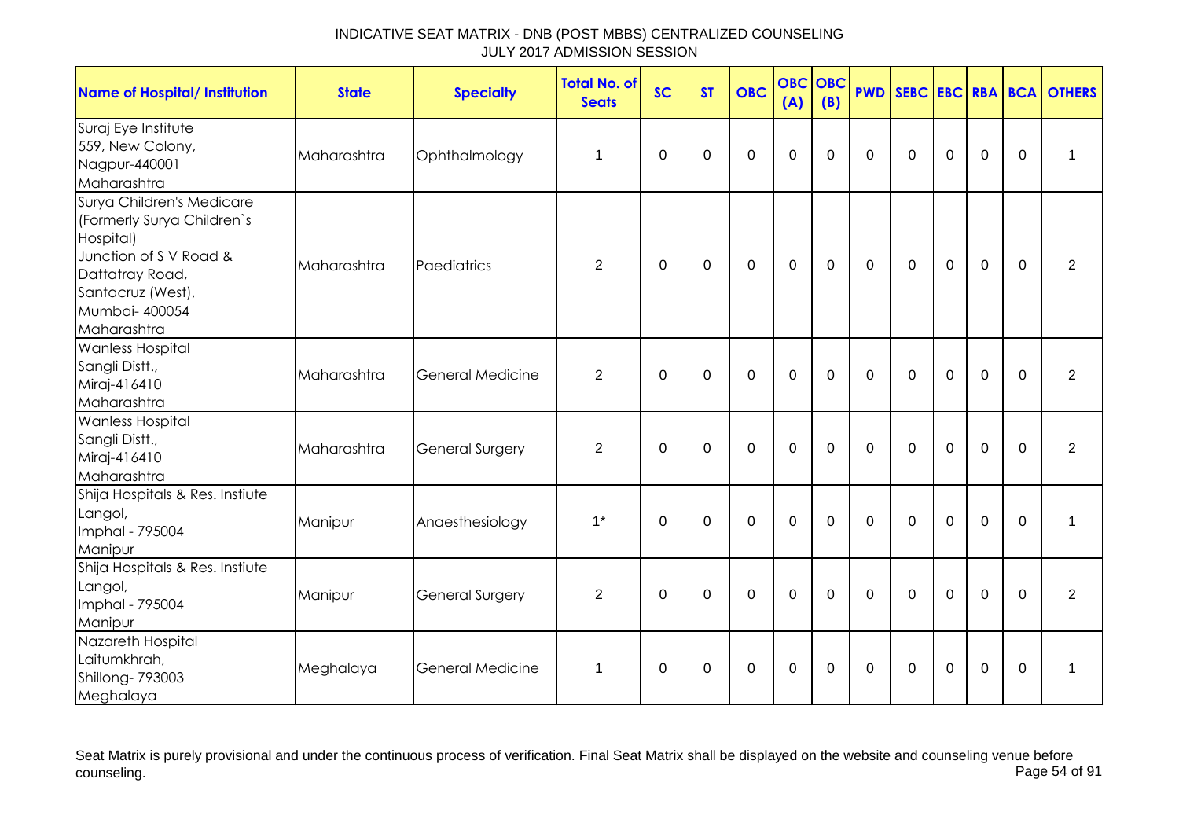| <b>Name of Hospital/ Institution</b>                                                                                                                                   | <b>State</b> | <b>Specialty</b>        | <b>Total No. of</b><br><b>Seats</b> | <b>SC</b>   | <b>ST</b>      | <b>OBC</b>  | <b>OBC OBC</b><br>(A) | (B)         | <b>PWD</b>  |              |             |                |                  | SEBC EBC RBA BCA OTHERS |
|------------------------------------------------------------------------------------------------------------------------------------------------------------------------|--------------|-------------------------|-------------------------------------|-------------|----------------|-------------|-----------------------|-------------|-------------|--------------|-------------|----------------|------------------|-------------------------|
| Suraj Eye Institute<br>559, New Colony,<br>Nagpur-440001<br>Maharashtra                                                                                                | Maharashtra  | Ophthalmology           | 1                                   | $\mathbf 0$ | $\overline{0}$ | $\mathbf 0$ | $\mathbf 0$           | $\mathbf 0$ | $\mathbf 0$ | $\mathbf 0$  | $\mathbf 0$ | $\mathbf 0$    | $\boldsymbol{0}$ | 1                       |
| Surya Children's Medicare<br>(Formerly Surya Children's<br>Hospital)<br>Junction of SV Road &<br>Dattatray Road,<br>Santacruz (West),<br>Mumbai- 400054<br>Maharashtra | Maharashtra  | Paediatrics             | 2                                   | $\Omega$    | 0              | $\mathbf 0$ | $\mathbf 0$           | $\mathbf 0$ | $\Omega$    | $\mathbf{0}$ | $\mathbf 0$ | $\mathbf 0$    | $\Omega$         | $\overline{2}$          |
| <b>Wanless Hospital</b><br>Sangli Distt.,<br>Miraj-416410<br>Maharashtra                                                                                               | Maharashtra  | <b>General Medicine</b> | $\overline{2}$                      | $\mathbf 0$ | $\mathbf 0$    | $\mathbf 0$ | $\mathbf 0$           | $\mathbf 0$ | $\mathbf 0$ | $\mathbf 0$  | $\mathbf 0$ | $\overline{0}$ | $\mathbf 0$      | $\overline{2}$          |
| <b>Wanless Hospital</b><br>Sangli Distt.,<br>Miraj-416410<br>Maharashtra                                                                                               | Maharashtra  | <b>General Surgery</b>  | $\overline{2}$                      | $\Omega$    | $\Omega$       | $\mathbf 0$ | $\mathbf 0$           | $\Omega$    | $\Omega$    | $\Omega$     | $\Omega$    | $\mathbf 0$    | $\Omega$         | $\overline{2}$          |
| Shija Hospitals & Res. Instiute<br>Langol,<br>Imphal - 795004<br>Manipur                                                                                               | Manipur      | Anaesthesiology         | $1^*$                               | $\Omega$    | 0              | $\mathbf 0$ | $\mathbf 0$           | $\Omega$    | $\Omega$    | $\mathbf 0$  | $\mathbf 0$ | $\mathbf 0$    | 0                | 1                       |
| Shija Hospitals & Res. Instiute<br>Langol,<br>Imphal - 795004<br>Manipur                                                                                               | Manipur      | General Surgery         | $\overline{2}$                      | $\Omega$    | $\Omega$       | $\mathbf 0$ | $\mathbf 0$           | $\Omega$    | $\Omega$    | $\mathbf{0}$ | $\mathbf 0$ | $\mathbf 0$    | $\Omega$         | $\overline{2}$          |
| Nazareth Hospital<br>Laitumkhrah,<br>Shillong-793003<br>Meghalaya                                                                                                      | Meghalaya    | <b>General Medicine</b> | $\mathbf 1$                         | $\Omega$    | $\Omega$       | $\mathbf 0$ | $\mathbf 0$           | $\Omega$    | $\Omega$    | $\mathbf{0}$ | $\mathbf 0$ | $\mathbf 0$    | $\Omega$         | 1                       |

Seat Matrix is purely provisional and under the continuous process of verification. Final Seat Matrix shall be displayed on the website and counseling venue before<br>Page 54 of 91 counseling. Page 54 of 91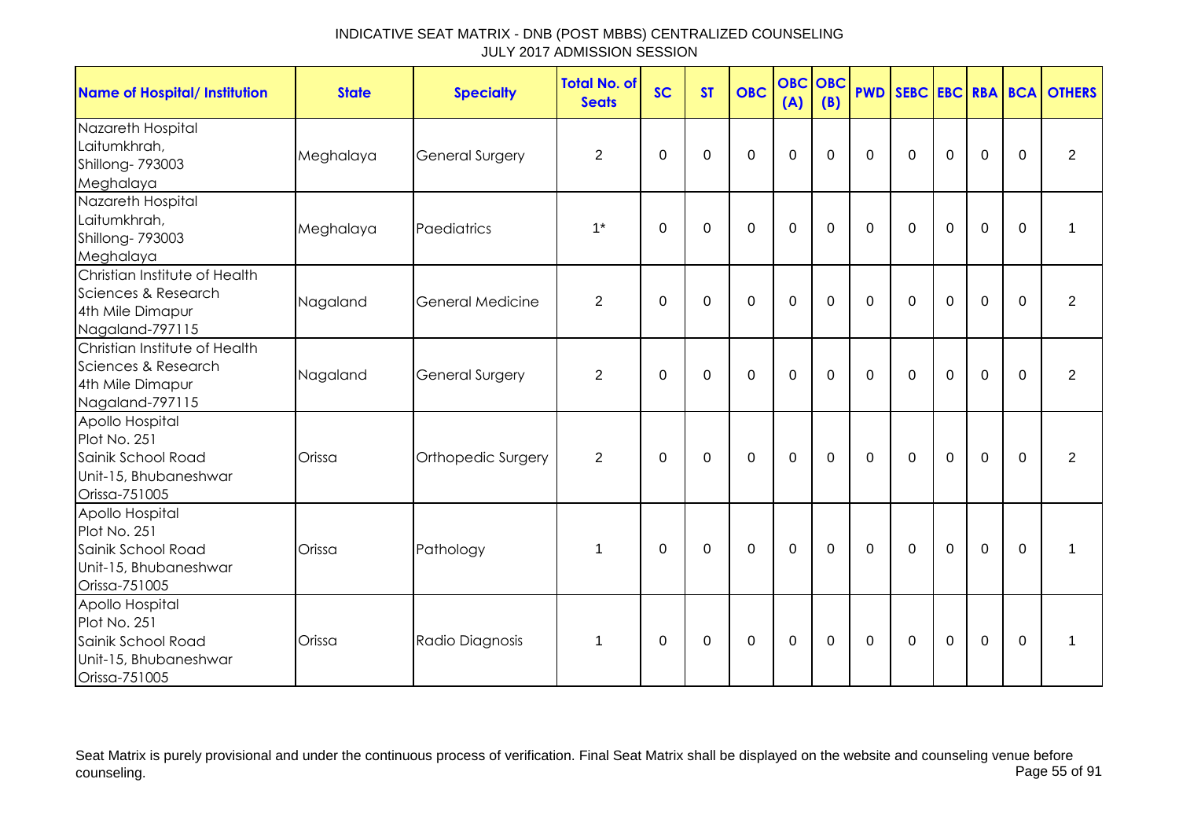| <b>Name of Hospital/ Institution</b>                                                            | <b>State</b> | <b>Specialty</b>        | <b>Total No. of</b><br><b>Seats</b> | <b>SC</b>   | <b>ST</b>   | <b>OBC</b>  | <b>OBC</b><br>(A) | <b>OBC</b><br>(B) | <b>PWD</b>   |             |              |             |             | SEBC EBC RBA BCA OTHERS |
|-------------------------------------------------------------------------------------------------|--------------|-------------------------|-------------------------------------|-------------|-------------|-------------|-------------------|-------------------|--------------|-------------|--------------|-------------|-------------|-------------------------|
| Nazareth Hospital<br>Laitumkhrah,<br>Shillong-793003<br>Meghalaya                               | Meghalaya    | <b>General Surgery</b>  | $\overline{2}$                      | $\mathbf 0$ | $\mathbf 0$ | $\mathbf 0$ | $\mathbf 0$       | $\mathbf 0$       | $\mathbf 0$  | $\mathbf 0$ | $\mathbf 0$  | $\mathbf 0$ | $\Omega$    | $\overline{2}$          |
| Nazareth Hospital<br>Laitumkhrah,<br>Shillong- 793003<br>Meghalaya                              | Meghalaya    | Paediatrics             | $1^*$                               | $\Omega$    | 0           | $\mathbf 0$ | $\mathbf 0$       | $\mathbf 0$       | $\mathbf 0$  | $\mathbf 0$ | $\mathbf 0$  | $\mathbf 0$ | $\mathbf 0$ | $\mathbf 1$             |
| Christian Institute of Health<br>Sciences & Research<br>4th Mile Dimapur<br>Nagaland-797115     | Nagaland     | <b>General Medicine</b> | $\overline{2}$                      | $\Omega$    | $\mathbf 0$ | $\mathbf 0$ | $\mathbf 0$       | $\mathbf 0$       | $\mathbf 0$  | $\mathbf 0$ | $\mathbf 0$  | $\mathbf 0$ | $\Omega$    | $\overline{2}$          |
| Christian Institute of Health<br>Sciences & Research<br>4th Mile Dimapur<br>Nagaland-797115     | Nagaland     | <b>General Surgery</b>  | $\overline{2}$                      | $\Omega$    | $\mathbf 0$ | $\mathbf 0$ | $\mathbf 0$       | $\mathbf 0$       | $\mathbf{0}$ | $\Omega$    | $\Omega$     | $\mathbf 0$ | $\Omega$    | $\overline{2}$          |
| Apollo Hospital<br>Plot No. 251<br>Sainik School Road<br>Unit-15, Bhubaneshwar<br>Orissa-751005 | Orissa       | Orthopedic Surgery      | $\overline{2}$                      | 0           | $\mathbf 0$ | $\mathbf 0$ | $\mathbf 0$       | $\mathbf 0$       | $\mathbf{0}$ | $\mathbf 0$ | $\mathbf 0$  | $\mathbf 0$ | $\Omega$    | $\overline{2}$          |
| Apollo Hospital<br>Plot No. 251<br>Sainik School Road<br>Unit-15, Bhubaneshwar<br>Orissa-751005 | Orissa       | Pathology               | $\mathbf 1$                         | $\Omega$    | $\Omega$    | $\mathbf 0$ | $\mathbf 0$       | $\mathbf 0$       | $\Omega$     | $\Omega$    | $\mathbf{0}$ | $\mathbf 0$ | $\Omega$    | 1                       |
| Apollo Hospital<br>Plot No. 251<br>Sainik School Road<br>Unit-15, Bhubaneshwar<br>Orissa-751005 | Orissa       | Radio Diagnosis         | $\mathbf{1}$                        | $\Omega$    | $\mathbf 0$ | $\mathbf 0$ | $\mathbf 0$       | $\mathbf 0$       | $\mathbf 0$  | $\mathbf 0$ | $\mathbf 0$  | $\mathbf 0$ | $\mathbf 0$ | 1                       |

Seat Matrix is purely provisional and under the continuous process of verification. Final Seat Matrix shall be displayed on the website and counseling venue before<br>Page 55 of 91 counseling. Page 55 of 91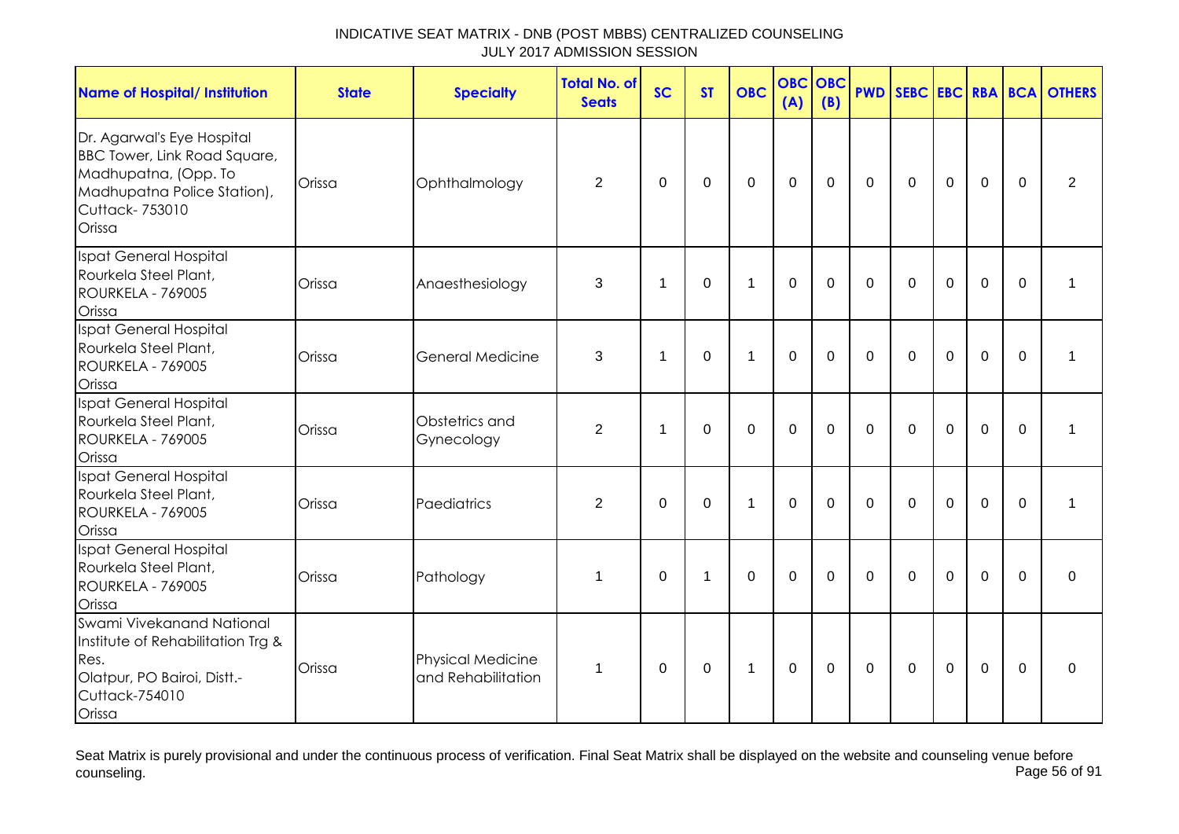| <b>Name of Hospital/ Institution</b>                                                                                                                 | <b>State</b> | <b>Specialty</b>                               | <b>Total No. of</b><br><b>Seats</b> | <b>SC</b>      | <b>ST</b>    | <b>OBC</b>       | <b>OBC</b><br>(A) | <b>OBC</b><br>(B) |              |              |             |                |             | <b>PWD SEBC EBC RBA BCA OTHERS</b> |
|------------------------------------------------------------------------------------------------------------------------------------------------------|--------------|------------------------------------------------|-------------------------------------|----------------|--------------|------------------|-------------------|-------------------|--------------|--------------|-------------|----------------|-------------|------------------------------------|
| Dr. Agarwal's Eye Hospital<br><b>BBC Tower, Link Road Square,</b><br>Madhupatna, (Opp. To<br>Madhupatna Police Station),<br>Cuttack-753010<br>Orissa | Orissa       | Ophthalmology                                  | $\overline{2}$                      | 0              | 0            | $\boldsymbol{0}$ | $\mathbf 0$       | 0                 | 0            | $\mathbf 0$  | $\mathbf 0$ | $\mathbf 0$    | 0           | $\overline{2}$                     |
| Ispat General Hospital<br>Rourkela Steel Plant,<br>ROURKELA - 769005<br>Orissa                                                                       | Orissa       | Anaesthesiology                                | 3                                   | $\mathbf 1$    | 0            | 1                | 0                 | 0                 | $\mathbf{0}$ | $\Omega$     | 0           | $\mathbf 0$    | $\Omega$    | 1                                  |
| Ispat General Hospital<br>Rourkela Steel Plant,<br>ROURKELA - 769005<br>Orissa                                                                       | Orissa       | <b>General Medicine</b>                        | 3                                   | $\overline{1}$ | $\Omega$     | $\mathbf{1}$     | $\mathbf 0$       | $\Omega$          | $\Omega$     | $\Omega$     | $\Omega$    | $\overline{0}$ | $\Omega$    | 1                                  |
| Ispat General Hospital<br>Rourkela Steel Plant,<br>ROURKELA - 769005<br>Orissa                                                                       | Orissa       | Obstetrics and<br>Gynecology                   | $\overline{2}$                      | -1             | 0            | $\mathbf 0$      | $\mathbf 0$       | 0                 | 0            | 0            | 0           | $\mathbf 0$    | $\Omega$    | 1                                  |
| Ispat General Hospital<br>Rourkela Steel Plant,<br>ROURKELA - 769005<br>Orissa                                                                       | Orissa       | Paediatrics                                    | $\overline{2}$                      | $\mathbf{0}$   | 0            | $\mathbf{1}$     | $\mathbf 0$       | $\Omega$          | $\mathbf{0}$ | $\mathbf{0}$ | $\mathbf 0$ | $\overline{0}$ | $\mathbf 0$ | 1                                  |
| Ispat General Hospital<br>Rourkela Steel Plant,<br>ROURKELA - 769005<br>Orissa                                                                       | Orissa       | Pathology                                      | $\mathbf{1}$                        | 0              | $\mathbf{1}$ | $\mathbf 0$      | $\mathbf 0$       | 0                 | $\mathbf{0}$ | $\mathbf{0}$ | $\Omega$    | $\mathbf 0$    | $\Omega$    | 0                                  |
| Swami Vivekanand National<br>Institute of Rehabilitation Trg &<br>Res.<br>Olatpur, PO Bairoi, Distt.-<br>Cuttack-754010<br>Orissa                    | Orissa       | <b>Physical Medicine</b><br>and Rehabilitation | $\mathbf{1}$                        | 0              | 0            | $\mathbf{1}$     | $\mathbf 0$       | 0                 | 0            | $\mathbf{0}$ | $\mathbf 0$ | $\mathbf 0$    | $\Omega$    | $\mathbf 0$                        |

Seat Matrix is purely provisional and under the continuous process of verification. Final Seat Matrix shall be displayed on the website and counseling venue before<br>Page 56 of 91 counseling. Page 56 of 91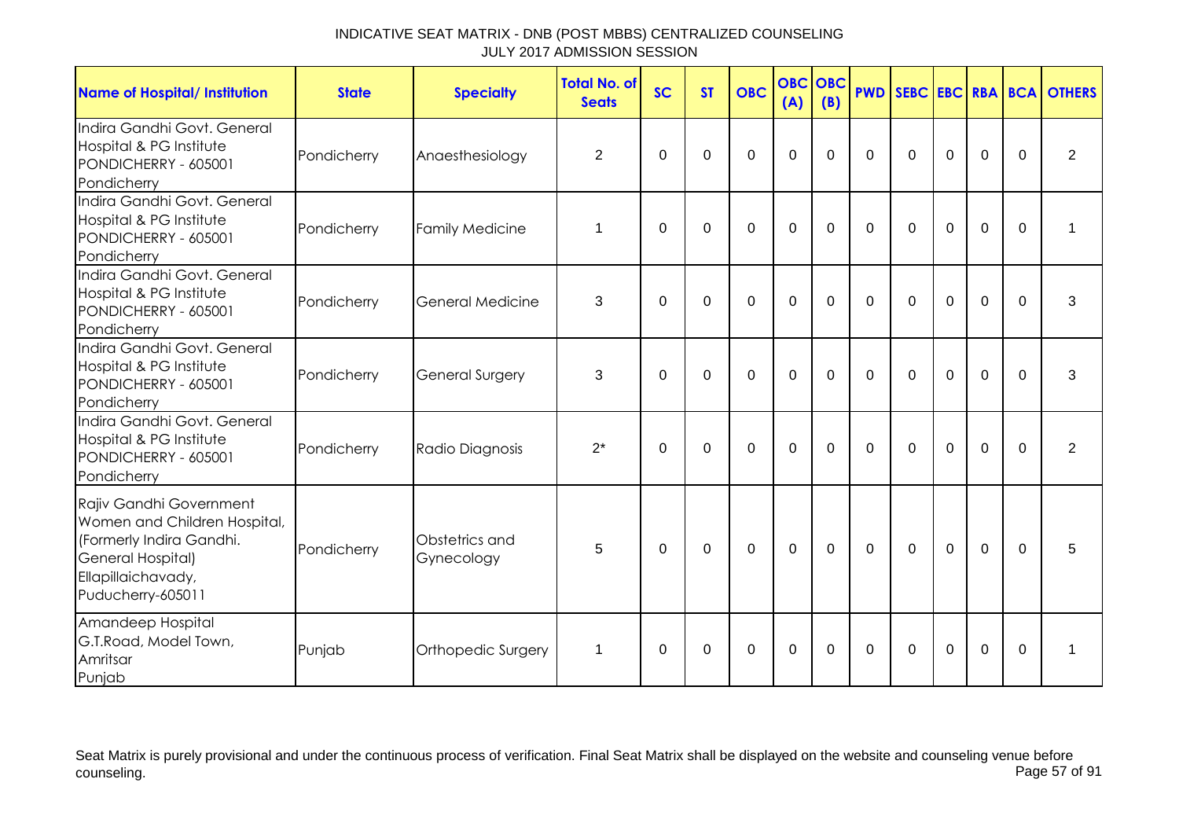| <b>Name of Hospital/ Institution</b>                                                                                                                       | <b>State</b> | <b>Specialty</b>             | <b>Total No. of</b><br><b>Seats</b> | <b>SC</b>   | <b>ST</b>   | <b>OBC</b>  | <b>OBC</b><br>(A) | OBC<br>(B) |          |          |             |             |             | <b>PWD SEBC EBC RBA BCA OTHERS</b> |
|------------------------------------------------------------------------------------------------------------------------------------------------------------|--------------|------------------------------|-------------------------------------|-------------|-------------|-------------|-------------------|------------|----------|----------|-------------|-------------|-------------|------------------------------------|
| Indira Gandhi Govt. General<br>Hospital & PG Institute<br>PONDICHERRY - 605001<br>Pondicherry                                                              | Pondicherry  | Anaesthesiology              | $\overline{2}$                      | $\Omega$    | $\Omega$    | $\Omega$    | $\mathbf 0$       | $\Omega$   | $\Omega$ | $\Omega$ | $\Omega$    | $\mathbf 0$ | $\Omega$    | $\overline{2}$                     |
| Indira Gandhi Govt, General<br>Hospital & PG Institute<br>PONDICHERRY - 605001<br>Pondicherry                                                              | Pondicherry  | <b>Family Medicine</b>       | 1                                   | $\mathbf 0$ | $\mathbf 0$ | $\mathbf 0$ | $\mathbf 0$       | $\Omega$   | $\Omega$ | $\Omega$ | $\Omega$    | $\mathbf 0$ | $\mathbf 0$ | 1                                  |
| Indira Gandhi Govt. General<br>Hospital & PG Institute<br>PONDICHERRY - 605001<br>Pondicherry                                                              | Pondicherry  | General Medicine             | 3                                   | $\Omega$    | $\mathbf 0$ | $\Omega$    | $\overline{0}$    | $\Omega$   | $\Omega$ | $\Omega$ | $\mathbf 0$ | $\mathbf 0$ | $\Omega$    | 3                                  |
| Indira Gandhi Govt. General<br>Hospital & PG Institute<br>PONDICHERRY - 605001<br>Pondicherry                                                              | Pondicherry  | <b>General Surgery</b>       | 3                                   | $\Omega$    | $\Omega$    | $\Omega$    | $\mathbf 0$       | $\Omega$   | $\Omega$ | $\Omega$ | $\Omega$    | $\Omega$    | $\Omega$    | 3                                  |
| Indira Gandhi Govt. General<br>Hospital & PG Institute<br>PONDICHERRY - 605001<br>Pondicherry                                                              | Pondicherry  | Radio Diagnosis              | $2^*$                               | $\Omega$    | $\Omega$    | $\mathbf 0$ | $\mathbf 0$       | $\Omega$   | $\Omega$ | $\Omega$ | $\mathbf 0$ | $\mathbf 0$ | $\Omega$    | 2                                  |
| Rajiv Gandhi Government<br>Women and Children Hospital,<br>(Formerly Indira Gandhi.<br><b>General Hospital)</b><br>Ellapillaichavady,<br>Puducherry-605011 | Pondicherry  | Obstetrics and<br>Gynecology | 5                                   | $\mathbf 0$ | $\mathbf 0$ | $\mathbf 0$ | $\overline{0}$    | $\Omega$   | $\Omega$ | $\Omega$ | $\Omega$    | $\mathbf 0$ | $\Omega$    | 5                                  |
| Amandeep Hospital<br>G.T.Road, Model Town,<br>Amritsar<br>Punjab                                                                                           | Punjab       | Orthopedic Surgery           | 1                                   | $\Omega$    | $\mathbf 0$ | $\Omega$    | $\overline{0}$    | $\Omega$   | $\Omega$ | $\Omega$ | $\mathbf 0$ | $\mathbf 0$ | $\Omega$    | 1                                  |

Seat Matrix is purely provisional and under the continuous process of verification. Final Seat Matrix shall be displayed on the website and counseling venue before<br>Page 57 of 91 counseling. Page 57 of 91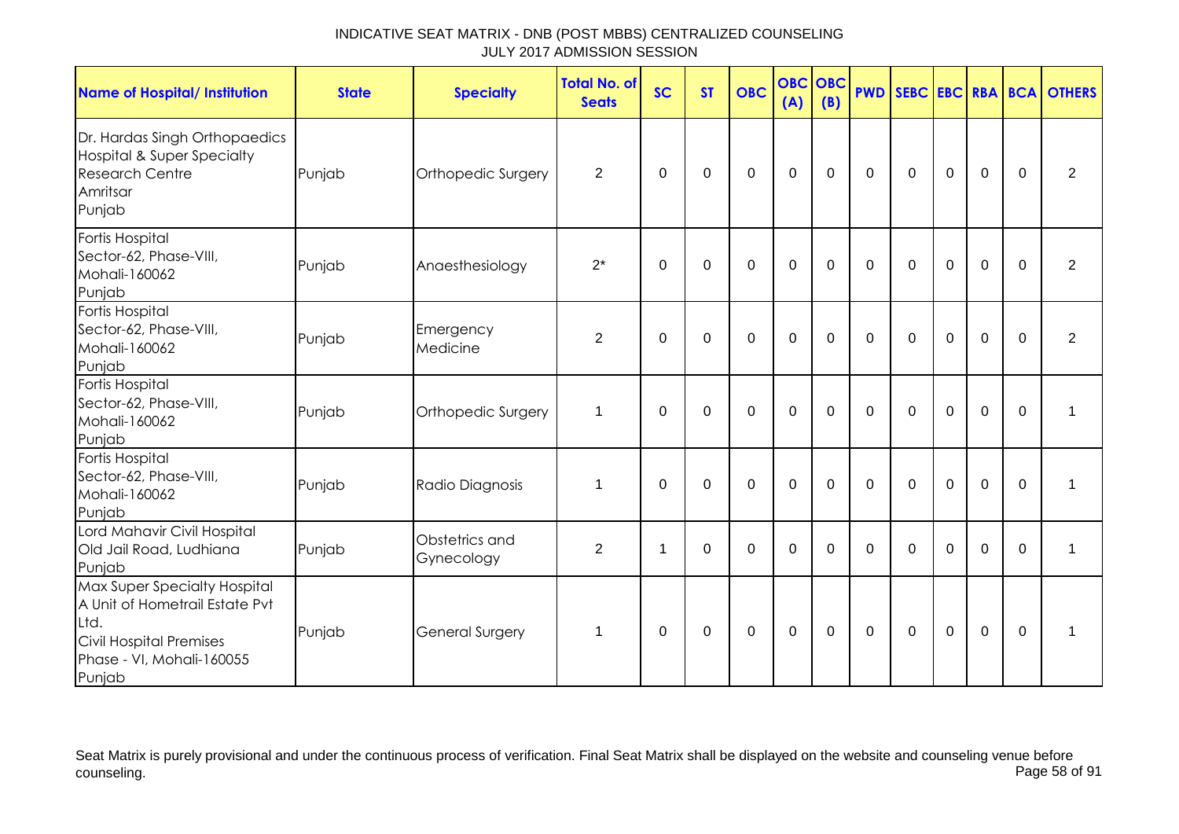| <b>Name of Hospital/ Institution</b>                                                                                                     | <b>State</b> | <b>Specialty</b>             | <b>Total No. of</b><br><b>Seats</b> | <b>SC</b> | <b>ST</b>   | <b>OBC</b>  | <b>OBC</b><br>(A) | OBC<br>(B)  |              |              |             |             |             | <b>PWD SEBC EBC RBA BCA OTHERS</b> |
|------------------------------------------------------------------------------------------------------------------------------------------|--------------|------------------------------|-------------------------------------|-----------|-------------|-------------|-------------------|-------------|--------------|--------------|-------------|-------------|-------------|------------------------------------|
| Dr. Hardas Singh Orthopaedics<br><b>Hospital &amp; Super Specialty</b><br><b>Research Centre</b><br>Amritsar<br>Punjab                   | Punjab       | Orthopedic Surgery           | $\overline{2}$                      | 0         | 0           | $\mathbf 0$ | $\mathbf 0$       | $\mathbf 0$ | $\mathbf 0$  | $\mathbf 0$  | $\mathbf 0$ | $\mathbf 0$ | $\mathbf 0$ | $\overline{2}$                     |
| Fortis Hospital<br>Sector-62, Phase-VIII,<br>Mohali-160062<br>Punjab                                                                     | Punjab       | Anaesthesiology              | $2^*$                               | 0         | 0           | $\mathbf 0$ | $\mathbf 0$       | 0           | 0            | 0            | 0           | $\mathbf 0$ | $\Omega$    | $\overline{2}$                     |
| Fortis Hospital<br>Sector-62, Phase-VIII,<br>Mohali-160062<br>Punjab                                                                     | Punjab       | Emergency<br>Medicine        | 2                                   | $\Omega$  | $\Omega$    | $\mathbf 0$ | $\mathbf 0$       | $\Omega$    | $\Omega$     | $\mathbf{0}$ | $\Omega$    | $\mathbf 0$ | $\Omega$    | $\overline{2}$                     |
| Fortis Hospital<br>Sector-62, Phase-VIII,<br>Mohali-160062<br>Punjab                                                                     | Punjab       | Orthopedic Surgery           | 1                                   | $\Omega$  | $\Omega$    | $\Omega$    | $\Omega$          | $\Omega$    | $\mathbf{0}$ | $\Omega$     | $\Omega$    | $\mathbf 0$ | $\Omega$    | 1                                  |
| Fortis Hospital<br>Sector-62, Phase-VIII,<br>Mohali-160062<br>Punjab                                                                     | Punjab       | Radio Diagnosis              | 1                                   | $\Omega$  | $\Omega$    | $\mathbf 0$ | $\mathbf 0$       | $\Omega$    | $\mathbf{0}$ | $\Omega$     | $\mathbf 0$ | 0           | $\Omega$    | 1                                  |
| Lord Mahavir Civil Hospital<br>Old Jail Road, Ludhiana<br>Punjab                                                                         | Punjab       | Obstetrics and<br>Gynecology | 2                                   | -1        | $\Omega$    | $\Omega$    | $\mathbf 0$       | $\Omega$    | $\Omega$     | $\Omega$     | $\Omega$    | $\Omega$    | $\Omega$    | 1                                  |
| Max Super Specialty Hospital<br>A Unit of Hometrail Estate Pvt<br>Ltd.<br>Civil Hospital Premises<br>Phase - VI, Mohali-160055<br>Punjab | Punjab       | <b>General Surgery</b>       | $\mathbf 1$                         | 0         | $\mathbf 0$ | $\mathbf 0$ | $\mathbf 0$       | $\mathbf 0$ | $\mathbf 0$  | $\mathbf 0$  | $\mathbf 0$ | $\mathbf 0$ | $\mathbf 0$ | 1                                  |

Seat Matrix is purely provisional and under the continuous process of verification. Final Seat Matrix shall be displayed on the website and counseling venue before<br>Page 58 of 91 counseling. Page 58 of 91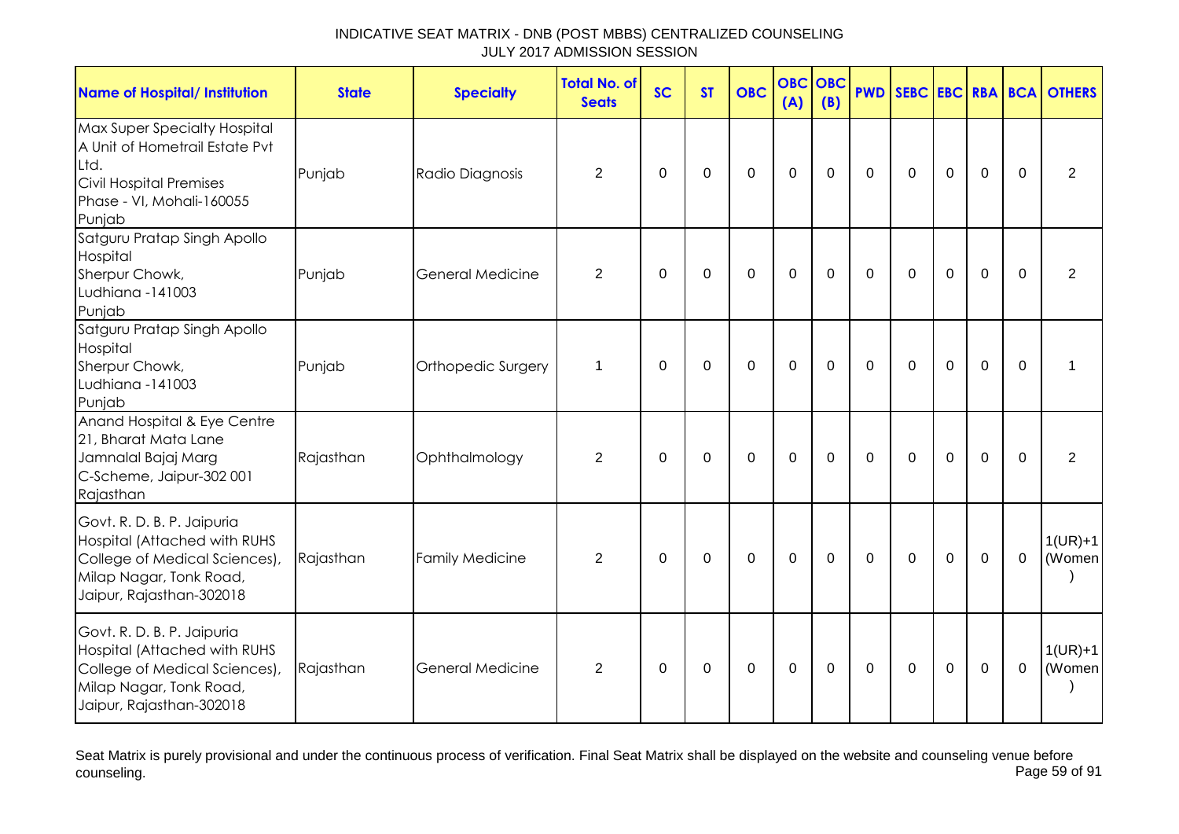| <b>Name of Hospital/ Institution</b>                                                                                                               | <b>State</b> | <b>Specialty</b>        | <b>Total No. of</b><br><b>Seats</b> | <b>SC</b>    | <b>ST</b>   | <b>OBC</b>  | <b>OBC</b><br>(A) | OBC<br>(B)  | <b>PWD</b>   |              |             |                |             | SEBC EBC RBA BCA OTHERS |
|----------------------------------------------------------------------------------------------------------------------------------------------------|--------------|-------------------------|-------------------------------------|--------------|-------------|-------------|-------------------|-------------|--------------|--------------|-------------|----------------|-------------|-------------------------|
| Max Super Specialty Hospital<br>A Unit of Hometrail Estate Pvt<br>Ltd.<br>Civil Hospital Premises<br>Phase - VI, Mohali-160055<br>Punjab           | Punjab       | Radio Diagnosis         | 2                                   | $\Omega$     | 0           | $\mathsf 0$ | $\mathbf 0$       | 0           | $\mathbf{0}$ | $\mathbf{0}$ | 0           | $\mathbf 0$    | $\Omega$    | $\overline{2}$          |
| Satguru Pratap Singh Apollo<br>Hospital<br>Sherpur Chowk,<br>Ludhiana -141003<br>Punjab                                                            | Punjab       | <b>General Medicine</b> | $\overline{2}$                      | 0            | $\pmb{0}$   | $\mathbf 0$ | $\mathbf 0$       | 0           | 0            | 0            | $\mathbf 0$ | $\mathbf 0$    | $\Omega$    | $\overline{2}$          |
| Satguru Pratap Singh Apollo<br>Hospital<br>Sherpur Chowk,<br>Ludhiana -141003<br>Punjab                                                            | Punjab       | Orthopedic Surgery      | $\mathbf 1$                         | $\Omega$     | $\Omega$    | $\mathbf 0$ | $\mathbf 0$       | $\Omega$    | $\Omega$     | $\Omega$     | $\mathbf 0$ | $\overline{0}$ | $\Omega$    | 1                       |
| Anand Hospital & Eye Centre<br>21, Bharat Mata Lane<br>Jamnalal Bajaj Marg<br>C-Scheme, Jaipur-302 001<br>Rajasthan                                | Rajasthan    | Ophthalmology           | 2                                   | 0            | 0           | $\mathbf 0$ | $\mathbf 0$       | 0           | $\mathbf{0}$ | $\mathbf{0}$ | $\mathbf 0$ | $\mathbf 0$    | $\mathbf 0$ | 2                       |
| Govt. R. D. B. P. Jaipuria<br>Hospital (Attached with RUHS<br>College of Medical Sciences),<br>Milap Nagar, Tonk Road,<br>Jaipur, Rajasthan-302018 | Rajasthan    | <b>Family Medicine</b>  | 2                                   | $\mathbf{0}$ | $\mathbf 0$ | $\mathbf 0$ | $\mathbf 0$       | $\mathbf 0$ | $\mathbf 0$  | $\mathbf{0}$ | $\mathbf 0$ | $\mathbf 0$    | $\mathbf 0$ | $1(UR)+1$<br>(Women     |
| Govt. R. D. B. P. Jaipuria<br>Hospital (Attached with RUHS<br>College of Medical Sciences),<br>Milap Nagar, Tonk Road,<br>Jaipur, Rajasthan-302018 | Rajasthan    | <b>General Medicine</b> | 2                                   | 0            | 0           | $\mathbf 0$ | $\mathbf 0$       | 0           | 0            | $\mathbf{0}$ | $\mathbf 0$ | $\mathbf 0$    | $\mathbf 0$ | $1(UR)+1$<br>(Women     |

Seat Matrix is purely provisional and under the continuous process of verification. Final Seat Matrix shall be displayed on the website and counseling venue before<br>Page 59 of 91 counseling. Page 59 of 91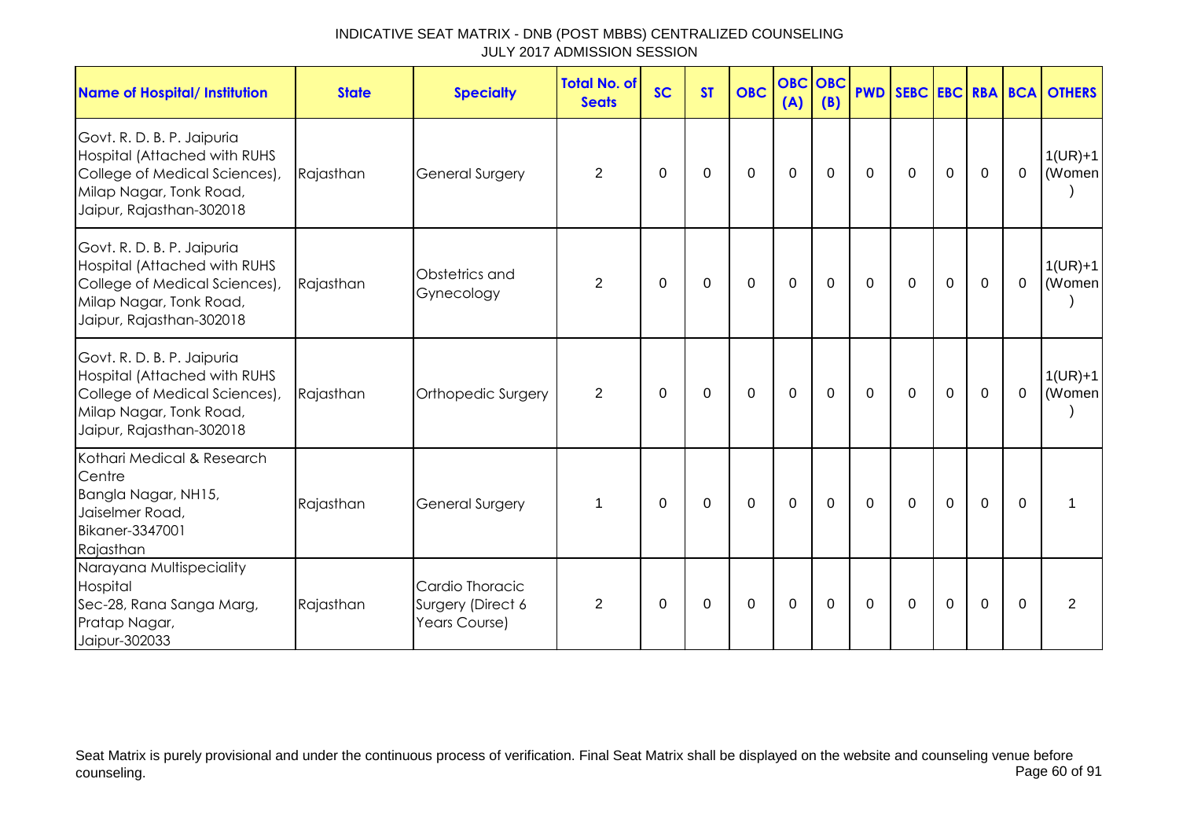| INDICATIVE SEAT MATRIX - DNB (POST MBBS) CENTRALIZED COUNSELING |  |
|-----------------------------------------------------------------|--|
| JULY 2017 ADMISSION SESSION                                     |  |

| <b>Name of Hospital/ Institution</b>                                                                                                               | <b>State</b> | <b>Specialty</b>                                      | <b>Total No. of</b><br><b>Seats</b> | <b>SC</b>   | <b>ST</b>   | <b>OBC</b>  | (A)         | <b>OBC OBC</b><br>(B) |             |              |              |                |             | <b>PWD SEBC EBC RBA BCA OTHERS</b> |
|----------------------------------------------------------------------------------------------------------------------------------------------------|--------------|-------------------------------------------------------|-------------------------------------|-------------|-------------|-------------|-------------|-----------------------|-------------|--------------|--------------|----------------|-------------|------------------------------------|
| Govt. R. D. B. P. Jaipuria<br>Hospital (Attached with RUHS<br>College of Medical Sciences),<br>Milap Nagar, Tonk Road,<br>Jaipur, Rajasthan-302018 | Rajasthan    | <b>General Surgery</b>                                | $\overline{2}$                      | $\pmb{0}$   | $\mathbf 0$ | 0           | $\mathbf 0$ | $\mathbf 0$           | $\mathbf 0$ | $\mathbf 0$  | $\mathbf 0$  | $\overline{0}$ | $\mathbf 0$ | $1(UR)+1$<br>(Women                |
| Govt. R. D. B. P. Jaipuria<br>Hospital (Attached with RUHS<br>College of Medical Sciences),<br>Milap Nagar, Tonk Road,<br>Jaipur, Rajasthan-302018 | Rajasthan    | Obstetrics and<br>Gynecology                          | $\overline{2}$                      | $\pmb{0}$   | $\mathbf 0$ | $\mathbf 0$ | $\mathbf 0$ | $\mathbf 0$           | $\mathbf 0$ | $\mathbf 0$  | $\mathbf 0$  | $\mathbf 0$    | $\mathbf 0$ | $1(UR)+1$<br>(Women                |
| Govt. R. D. B. P. Jaipuria<br>Hospital (Attached with RUHS<br>College of Medical Sciences),<br>Milap Nagar, Tonk Road,<br>Jaipur, Rajasthan-302018 | Rajasthan    | Orthopedic Surgery                                    | $\overline{2}$                      | $\mathbf 0$ | 0           | 0           | $\mathbf 0$ | 0                     | 0           | $\mathbf 0$  | $\mathbf 0$  | $\mathbf 0$    | $\mathbf 0$ | $1(UR)+1$<br>(Women                |
| Kothari Medical & Research<br>Centre<br>Bangla Nagar, NH15,<br>Jaiselmer Road,<br><b>Bikaner-3347001</b><br>Rajasthan                              | Rajasthan    | <b>General Surgery</b>                                | 1                                   | 0           | $\Omega$    | $\Omega$    | $\mathbf 0$ | $\Omega$              | $\Omega$    | $\mathbf{0}$ | 0            | $\mathbf 0$    | $\Omega$    | 1                                  |
| Narayana Multispeciality<br>Hospital<br>Sec-28, Rana Sanga Marg,<br>Pratap Nagar,<br>Jaipur-302033                                                 | Rajasthan    | Cardio Thoracic<br>Surgery (Direct 6<br>Years Course) | $\overline{2}$                      | 0           | 0           | $\Omega$    | 0           | $\Omega$              | $\Omega$    | $\mathbf{0}$ | $\mathbf{0}$ | $\Omega$       | $\Omega$    | 2                                  |

Seat Matrix is purely provisional and under the continuous process of verification. Final Seat Matrix shall be displayed on the website and counseling venue before counseling. Page 60 of 91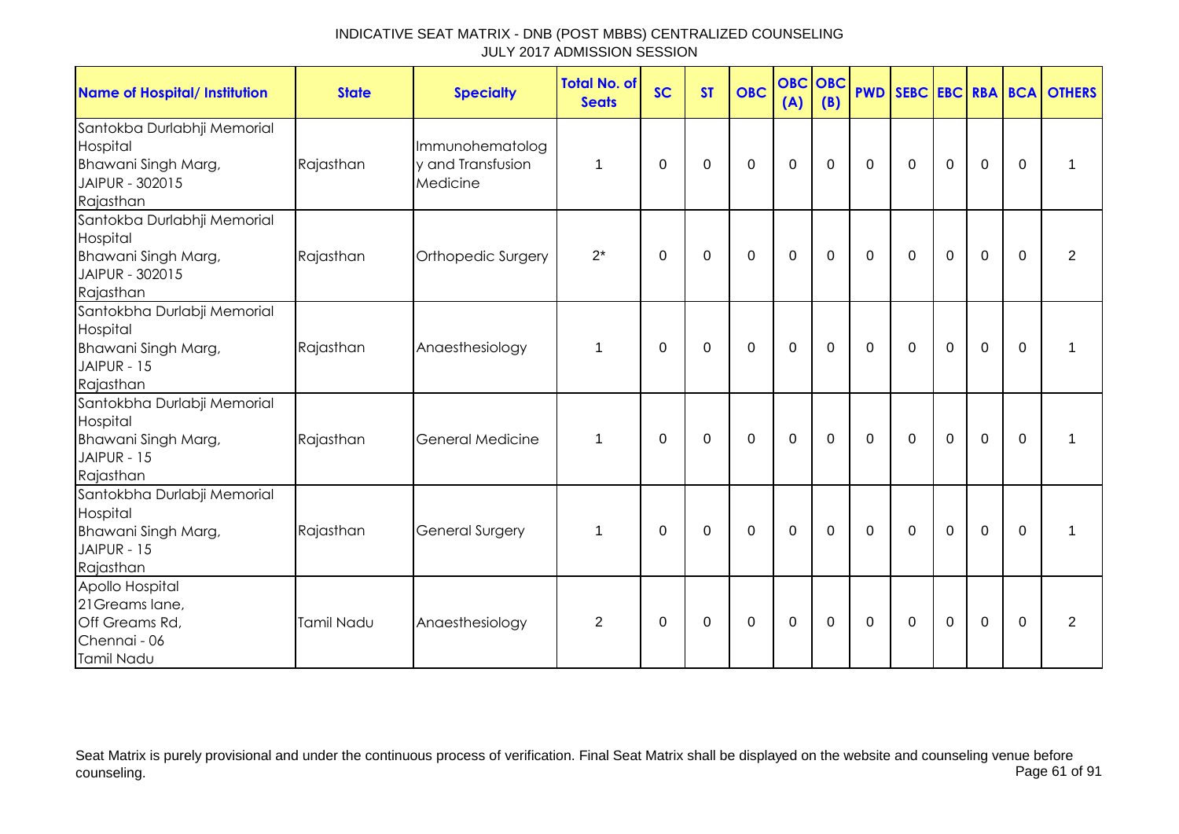| <b>Name of Hospital/ Institution</b>                                                           | <b>State</b> | <b>Specialty</b>                                 | <b>Total No. of</b><br><b>Seats</b> | <b>SC</b> | <b>ST</b>   | <b>OBC</b>  | <b>OBC</b><br>(A) | <b>OBC</b><br>(B) |                |              |                  |             |             | <b>PWD SEBC EBC RBA BCA OTHERS</b> |
|------------------------------------------------------------------------------------------------|--------------|--------------------------------------------------|-------------------------------------|-----------|-------------|-------------|-------------------|-------------------|----------------|--------------|------------------|-------------|-------------|------------------------------------|
| Santokba Durlabhji Memorial<br>Hospital<br>Bhawani Singh Marg,<br>JAIPUR - 302015<br>Rajasthan | Rajasthan    | Immunohematolog<br>y and Transfusion<br>Medicine | 1                                   | $\Omega$  | $\Omega$    | $\Omega$    | $\mathbf 0$       | 0                 | $\overline{0}$ | $\mathbf 0$  | $\overline{0}$   | $\mathbf 0$ | $\Omega$    | 1                                  |
| Santokba Durlabhji Memorial<br>Hospital<br>Bhawani Singh Marg,<br>JAIPUR - 302015<br>Rajasthan | Rajasthan    | Orthopedic Surgery                               | $2^*$                               | 0         | 0           | $\mathbf 0$ | $\boldsymbol{0}$  | $\mathbf 0$       | $\mathbf 0$    | $\mathbf 0$  | $\boldsymbol{0}$ | $\mathbf 0$ | 0           | 2                                  |
| Santokbha Durlabji Memorial<br>Hospital<br>Bhawani Singh Marg,<br>JAIPUR - 15<br>Rajasthan     | Rajasthan    | Anaesthesiology                                  | 1                                   | 0         | $\mathbf 0$ | $\mathbf 0$ | $\mathbf 0$       | $\mathbf 0$       | $\mathbf 0$    | $\mathbf 0$  | $\mathbf 0$      | $\mathbf 0$ | $\mathbf 0$ | 1                                  |
| Santokbha Durlabji Memorial<br>Hospital<br>Bhawani Singh Marg,<br>JAIPUR - 15<br>Rajasthan     | Rajasthan    | <b>General Medicine</b>                          | 1                                   | $\Omega$  | $\Omega$    | $\Omega$    | $\mathbf 0$       | $\Omega$          | $\mathbf 0$    | $\mathbf{0}$ | $\Omega$         | $\mathbf 0$ | $\Omega$    | 1                                  |
| Santokbha Durlabji Memorial<br>Hospital<br>Bhawani Singh Marg,<br>JAIPUR - 15<br>Rajasthan     | Rajasthan    | <b>General Surgery</b>                           | 1                                   | 0         | $\mathbf 0$ | 0           | $\mathbf 0$       | 0                 | $\mathbf 0$    | 0            | $\mathbf 0$      | $\mathbf 0$ | $\Omega$    | 1                                  |
| Apollo Hospital<br>21 Greams lane,<br>Off Greams Rd,<br>Chennai - 06<br>Tamil Nadu             | Tamil Nadu   | Anaesthesiology                                  | $\overline{2}$                      | 0         | 0           | $\mathbf 0$ | $\mathbf 0$       | 0                 | $\mathbf 0$    | $\mathbf 0$  | $\mathbf 0$      | $\mathbf 0$ | $\mathbf 0$ | 2                                  |

Seat Matrix is purely provisional and under the continuous process of verification. Final Seat Matrix shall be displayed on the website and counseling venue before<br>Page 61 of 91 counseling. Page 61 of 91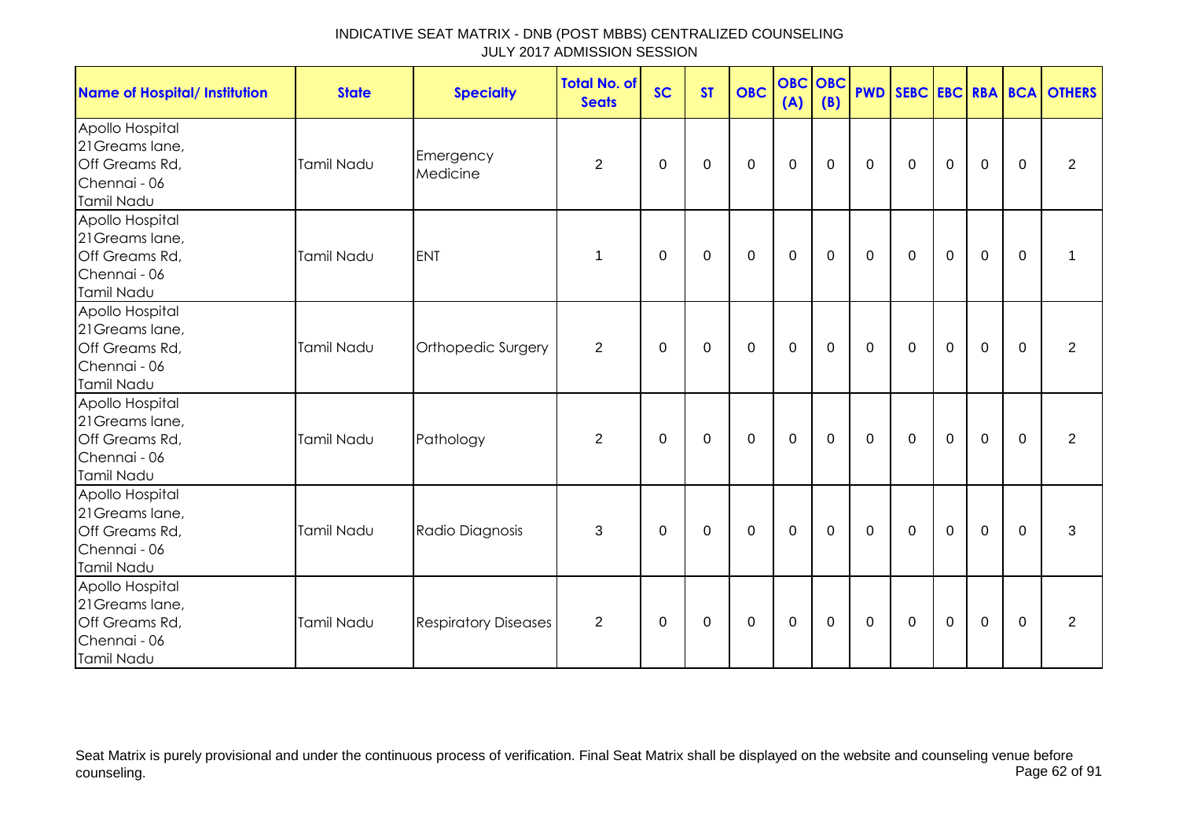| <b>Name of Hospital/ Institution</b>                                               | <b>State</b>      | <b>Specialty</b>            | <b>Total No. of</b><br><b>Seats</b> | <b>SC</b>   | <b>ST</b>   | <b>OBC</b>  | (A)         | <b>OBC OBC</b><br>(B) |              |                |                  |                |             | <b>PWD SEBC EBC RBA BCA OTHERS</b> |
|------------------------------------------------------------------------------------|-------------------|-----------------------------|-------------------------------------|-------------|-------------|-------------|-------------|-----------------------|--------------|----------------|------------------|----------------|-------------|------------------------------------|
| Apollo Hospital<br>21 Greams lane,<br>Off Greams Rd,<br>Chennai - 06<br>Tamil Nadu | Tamil Nadu        | Emergency<br>Medicine       | $\overline{2}$                      | 0           | 0           | $\mathbf 0$ | $\mathbf 0$ | $\mathbf 0$           | $\mathbf 0$  | $\mathbf 0$    | $\mathbf 0$      | $\mathbf 0$    | 0           | $\overline{2}$                     |
| Apollo Hospital<br>21 Greams lane,<br>Off Greams Rd,<br>Chennai - 06<br>Tamil Nadu | Tamil Nadu        | <b>ENT</b>                  | 1                                   | $\mathbf 0$ | 0           | $\mathbf 0$ | $\mathbf 0$ | $\mathbf 0$           | $\mathbf 0$  | $\mathbf 0$    | $\boldsymbol{0}$ | $\mathbf 0$    | $\mathbf 0$ | $\mathbf 1$                        |
| Apollo Hospital<br>21 Greams lane,<br>Off Greams Rd,<br>Chennai - 06<br>Tamil Nadu | Tamil Nadu        | Orthopedic Surgery          | $\overline{2}$                      | $\mathbf 0$ | 0           | $\mathbf 0$ | $\mathbf 0$ | $\mathbf 0$           | $\mathbf{0}$ | $\mathbf{0}$   | $\mathbf 0$      | $\overline{0}$ | $\mathbf 0$ | $\overline{2}$                     |
| Apollo Hospital<br>21 Greams lane,<br>Off Greams Rd,<br>Chennai - 06<br>Tamil Nadu | <b>Tamil Nadu</b> | Pathology                   | $\overline{2}$                      | $\mathbf 0$ | $\mathbf 0$ | $\mathbf 0$ | $\mathbf 0$ | $\mathbf 0$           | $\mathbf 0$  | $\overline{0}$ | $\mathbf 0$      | $\overline{0}$ | $\mathbf 0$ | $\overline{2}$                     |
| Apollo Hospital<br>21 Greams lane,<br>Off Greams Rd,<br>Chennai - 06<br>Tamil Nadu | Tamil Nadu        | Radio Diagnosis             | 3                                   | $\mathbf 0$ | $\mathbf 0$ | $\mathbf 0$ | $\pmb{0}$   | $\mathbf 0$           | $\mathbf 0$  | $\mathbf 0$    | $\mathbf 0$      | $\mathbf 0$    | $\mathbf 0$ | 3                                  |
| Apollo Hospital<br>21 Greams lane,<br>Off Greams Rd,<br>Chennai - 06<br>Tamil Nadu | Tamil Nadu        | <b>Respiratory Diseases</b> | $\overline{2}$                      | 0           | 0           | 0           | $\mathbf 0$ | 0                     | $\mathbf 0$  | $\mathbf 0$    | $\mathbf 0$      | $\mathbf 0$    | $\Omega$    | $\overline{2}$                     |

Seat Matrix is purely provisional and under the continuous process of verification. Final Seat Matrix shall be displayed on the website and counseling venue before<br>Page 62 of 91 counseling. Page 62 of 91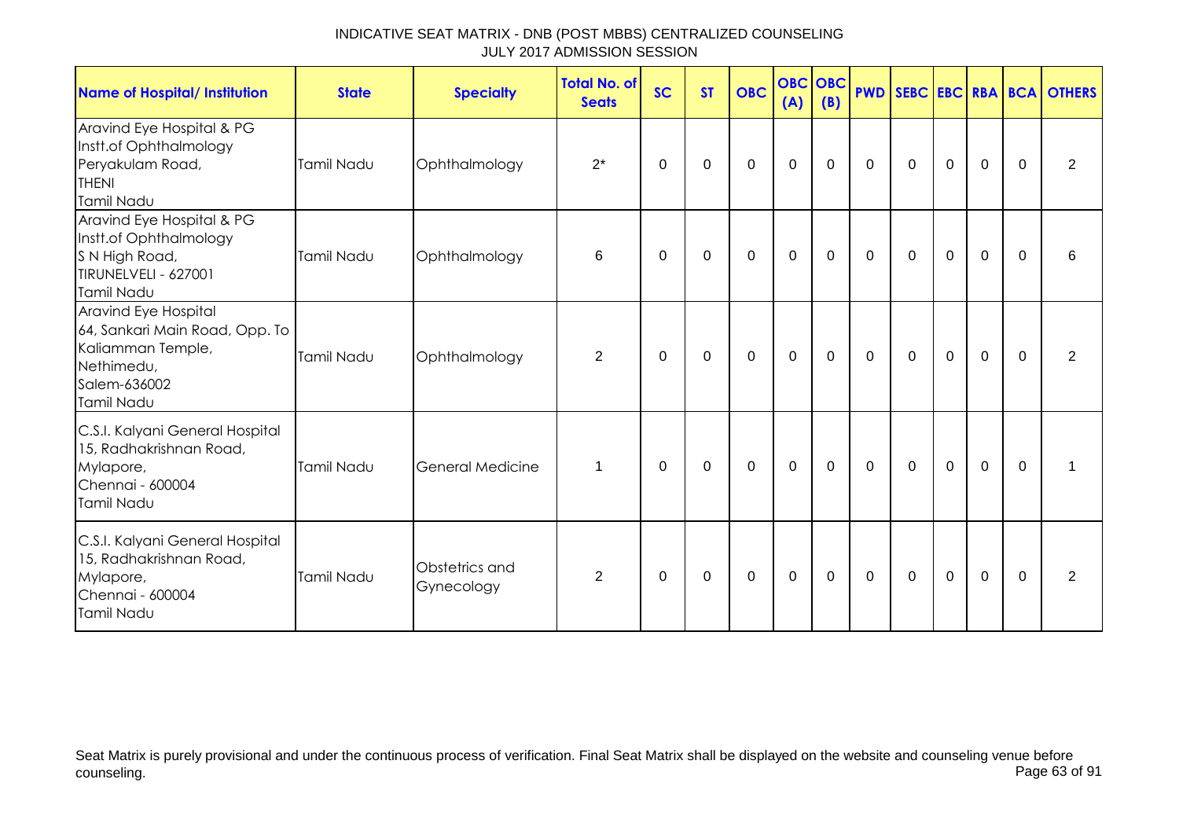| Name of Hospital/ Institution                                                                                           | <b>State</b> | <b>Specialty</b>             | <b>Total No. of</b><br><b>Seats</b> | <b>SC</b> | <b>ST</b>   | <b>OBC</b>  | <b>OBC OBC</b><br>(A) | (B)         |             |              |             |                |          | <b>PWD SEBC EBC RBA BCA OTHERS</b> |
|-------------------------------------------------------------------------------------------------------------------------|--------------|------------------------------|-------------------------------------|-----------|-------------|-------------|-----------------------|-------------|-------------|--------------|-------------|----------------|----------|------------------------------------|
| Aravind Eye Hospital & PG<br>Instt.of Ophthalmology<br>Peryakulam Road,<br><b>THENI</b><br><b>Tamil Nadu</b>            | Tamil Nadu   | Ophthalmology                | $2^*$                               | 0         | $\mathbf 0$ | 0           | $\mathbf 0$           | 0           | $\mathbf 0$ | 0            | $\mathbf 0$ | 0              | $\Omega$ | 2                                  |
| Aravind Eye Hospital & PG<br>Instt.of Ophthalmology<br>S N High Road,<br>TIRUNELVELI - 627001<br>Tamil Nadu             | Tamil Nadu   | Ophthalmology                | 6                                   | 0         | 0           | 0           | $\mathbf 0$           | 0           | $\mathbf 0$ | $\mathbf 0$  | $\mathbf 0$ | $\mathbf 0$    | $\Omega$ | 6                                  |
| Aravind Eye Hospital<br>64, Sankari Main Road, Opp. To<br>Kaliamman Temple,<br>Nethimedu,<br>Salem-636002<br>Tamil Nadu | Tamil Nadu   | Ophthalmology                | $\overline{2}$                      | $\Omega$  | 0           | 0           | $\mathbf 0$           | 0           | $\mathbf 0$ | $\mathbf{0}$ | $\mathbf 0$ | $\overline{0}$ | $\Omega$ | 2                                  |
| C.S.I. Kalyani General Hospital<br>15, Radhakrishnan Road,<br>Mylapore,<br>Chennai - 600004<br>Tamil Nadu               | Tamil Nadu   | <b>General Medicine</b>      | 1                                   | $\Omega$  | 0           | $\mathbf 0$ | $\mathbf 0$           | $\mathbf 0$ | $\mathbf 0$ | $\mathbf 0$  | $\mathbf 0$ | $\overline{0}$ | $\Omega$ |                                    |
| C.S.I. Kalyani General Hospital<br>15, Radhakrishnan Road,<br>Mylapore,<br>Chennai - 600004<br>Tamil Nadu               | Tamil Nadu   | Obstetrics and<br>Gynecology | $\overline{2}$                      | 0         | $\mathbf 0$ | $\mathbf 0$ | $\boldsymbol{0}$      | 0           | $\mathbf 0$ | $\mathbf 0$  | $\mathbf 0$ | $\mathbf 0$    | $\Omega$ | $\overline{2}$                     |

Seat Matrix is purely provisional and under the continuous process of verification. Final Seat Matrix shall be displayed on the website and counseling venue before<br>Page 63 of 91 counseling. Page 63 of 91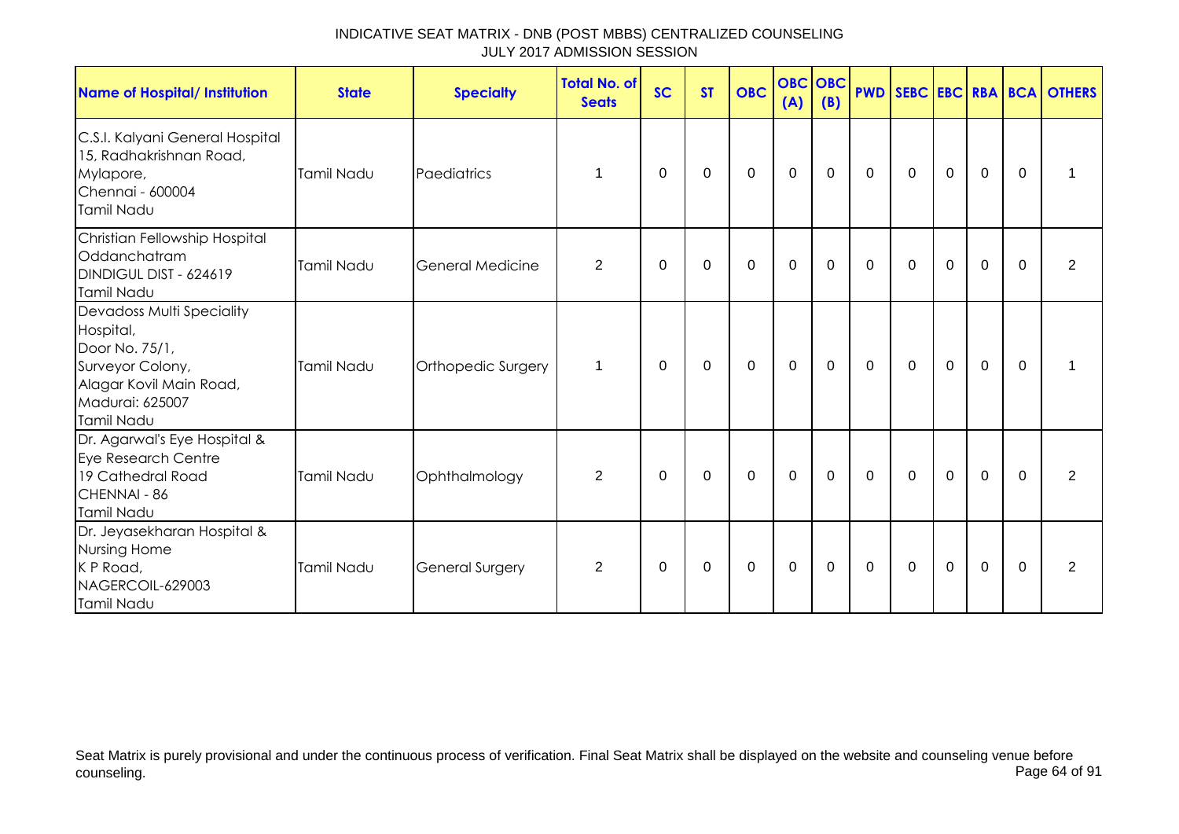| INDICATIVE SEAT MATRIX - DNB (POST MBBS) CENTRALIZED COUNSELING |  |
|-----------------------------------------------------------------|--|
| JULY 2017 ADMISSION SESSION                                     |  |

| <b>Name of Hospital/ Institution</b>                                                                                                     | <b>State</b> | <b>Specialty</b>       | <b>Total No. of</b><br><b>Seats</b> | <b>SC</b> | <b>ST</b> | <b>OBC</b>  | <b>OBC</b> OBC<br>(A) | (B) |              |              |             |             |             | <b>PWD SEBC EBC RBA BCA OTHERS</b> |
|------------------------------------------------------------------------------------------------------------------------------------------|--------------|------------------------|-------------------------------------|-----------|-----------|-------------|-----------------------|-----|--------------|--------------|-------------|-------------|-------------|------------------------------------|
| C.S.I. Kalyani General Hospital<br>15, Radhakrishnan Road,<br>Mylapore,<br>Chennai - 600004<br><b>Tamil Nadu</b>                         | Tamil Nadu   | Paediatrics            | 1                                   | 0         | 0         | 0           | $\mathbf 0$           | 0   | 0            | 0            | $\mathbf 0$ | $\mathbf 0$ | $\Omega$    | 1                                  |
| Christian Fellowship Hospital<br>Oddanchatram<br>DINDIGUL DIST - 624619<br>Tamil Nadu                                                    | Tamil Nadu   | General Medicine       | $\overline{2}$                      | $\Omega$  | 0         | 0           | 0                     | 0   | $\mathbf{0}$ | $\Omega$     | $\Omega$    | $\Omega$    | $\Omega$    | $\overline{2}$                     |
| Devadoss Multi Speciality<br>Hospital,<br>Door No. 75/1,<br>Surveyor Colony,<br>Alagar Kovil Main Road,<br>Madurai: 625007<br>Tamil Nadu | Tamil Nadu   | Orthopedic Surgery     | 1                                   | 0         | 0         | $\mathbf 0$ | $\mathbf 0$           | 0   | $\mathbf{0}$ | $\Omega$     | $\mathbf 0$ | $\mathbf 0$ | $\Omega$    |                                    |
| Dr. Agarwal's Eye Hospital &<br>Eye Research Centre<br>19 Cathedral Road<br>CHENNAI - 86<br>Tamil Nadu                                   | Tamil Nadu   | Ophthalmology          | $\overline{2}$                      | $\Omega$  | 0         | $\mathbf 0$ | $\mathbf 0$           | 0   | $\mathbf 0$  | $\Omega$     | $\mathbf 0$ | $\mathbf 0$ | $\mathbf 0$ | $\overline{2}$                     |
| Dr. Jeyasekharan Hospital &<br>Nursing Home<br>K P Road,<br>NAGERCOIL-629003<br>Tamil Nadu                                               | Tamil Nadu   | <b>General Surgery</b> | $\overline{2}$                      | 0         | 0         | $\mathbf 0$ | $\mathbf 0$           | 0   | 0            | $\mathbf{0}$ | $\mathbf 0$ | $\mathbf 0$ | $\Omega$    | 2                                  |

Seat Matrix is purely provisional and under the continuous process of verification. Final Seat Matrix shall be displayed on the website and counseling venue before counseling. Page 64 of 91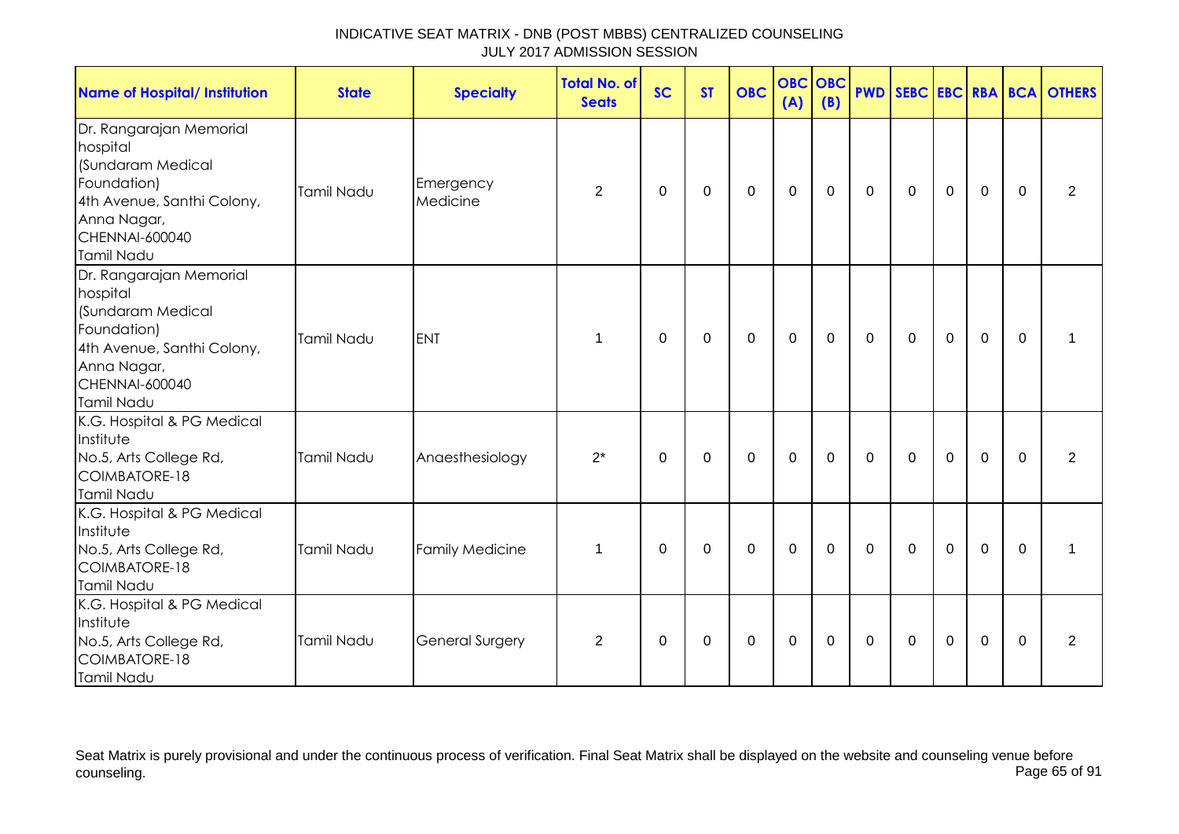| <b>Name of Hospital/ Institution</b>                                                                                                                        | <b>State</b>      | <b>Specialty</b>       | <b>Total No. of</b><br><b>Seats</b> | <b>SC</b> | <b>ST</b>   | <b>OBC</b>   | (A)         | <b>OBC</b> OBC<br>(B) |             |             |             |             |             | <b>PWD SEBC EBC RBA BCA OTHERS</b> |
|-------------------------------------------------------------------------------------------------------------------------------------------------------------|-------------------|------------------------|-------------------------------------|-----------|-------------|--------------|-------------|-----------------------|-------------|-------------|-------------|-------------|-------------|------------------------------------|
| Dr. Rangarajan Memorial<br>hospital<br>(Sundaram Medical<br>Foundation)<br>4th Avenue, Santhi Colony,<br>Anna Nagar,<br><b>CHENNAI-600040</b><br>Tamil Nadu | Tamil Nadu        | Emergency<br>Medicine  | 2                                   | 0         | $\mathbf 0$ | $\Omega$     | $\mathbf 0$ | 0                     | 0           | $\Omega$    | $\Omega$    | $\mathbf 0$ | $\Omega$    | 2                                  |
| Dr. Rangarajan Memorial<br>hospital<br>(Sundaram Medical<br>Foundation)<br>4th Avenue, Santhi Colony,<br>Anna Nagar,<br><b>CHENNAI-600040</b><br>Tamil Nadu | <b>Tamil Nadu</b> | <b>ENT</b>             | $\mathbf 1$                         | 0         | $\mathbf 0$ | $\mathbf{0}$ | $\mathbf 0$ | $\mathbf 0$           | $\Omega$    | $\mathbf 0$ | $\Omega$    | $\mathbf 0$ | $\mathbf 0$ | $\mathbf 1$                        |
| K.G. Hospital & PG Medical<br>Institute<br>No.5, Arts College Rd,<br>COIMBATORE-18<br>Tamil Nadu                                                            | <b>Tamil Nadu</b> | Anaesthesiology        | $2^*$                               | 0         | $\mathbf 0$ | $\Omega$     | $\mathbf 0$ | $\mathbf 0$           | $\Omega$    | $\mathbf 0$ | $\Omega$    | $\mathbf 0$ | $\Omega$    | $\overline{2}$                     |
| K.G. Hospital & PG Medical<br>Institute<br>No.5, Arts College Rd,<br>COIMBATORE-18<br><b>Tamil Nadu</b>                                                     | <b>Tamil Nadu</b> | <b>Family Medicine</b> | $\mathbf 1$                         | $\Omega$  | $\mathbf 0$ | $\Omega$     | $\mathbf 0$ | $\mathbf 0$           | $\mathbf 0$ | $\mathbf 0$ | $\mathbf 0$ | $\mathbf 0$ | $\mathbf 0$ |                                    |
| K.G. Hospital & PG Medical<br>Institute<br>No.5, Arts College Rd,<br>COIMBATORE-18<br>Tamil Nadu                                                            | Tamil Nadu        | <b>General Surgery</b> | $\overline{2}$                      | 0         | 0           | 0            | 0           | 0                     | 0           | 0           | 0           | $\mathbf 0$ | $\Omega$    | 2                                  |

Seat Matrix is purely provisional and under the continuous process of verification. Final Seat Matrix shall be displayed on the website and counseling venue before<br>Page 65 of 91 counseling. Page 65 of 91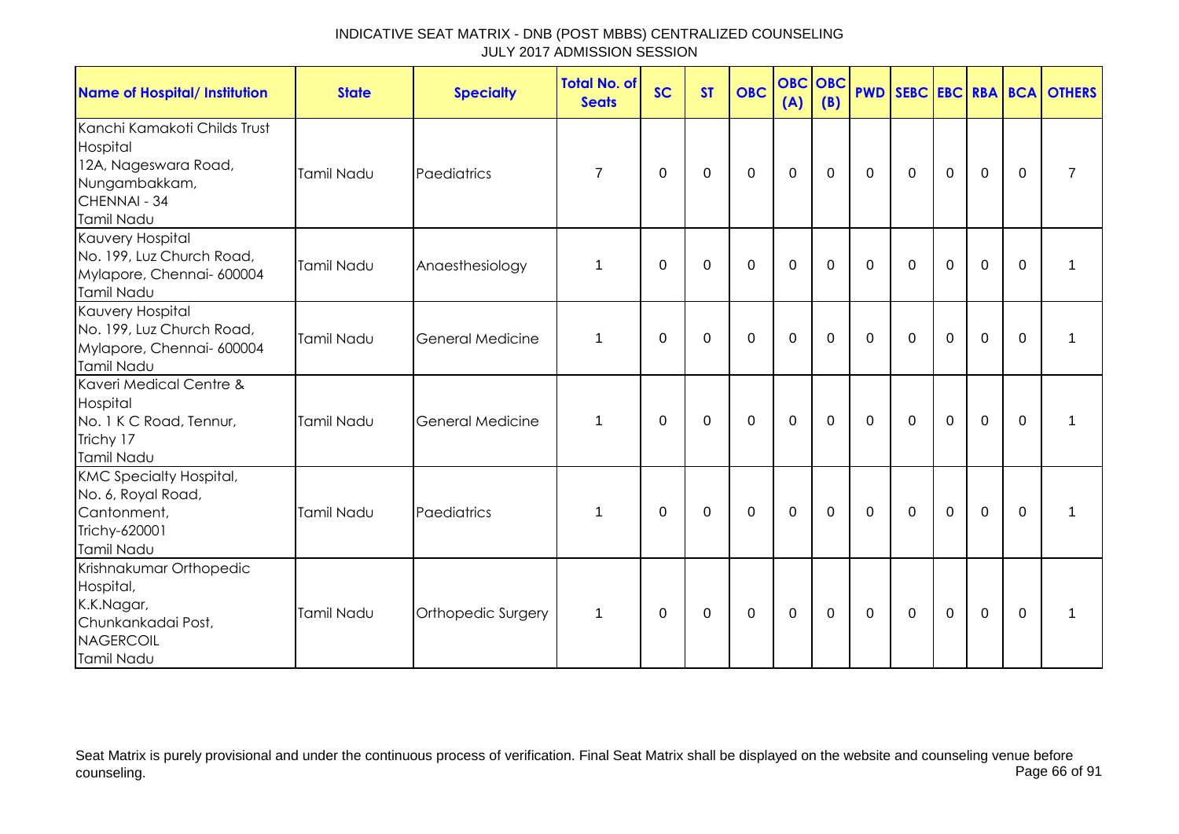| <b>Name of Hospital/ Institution</b>                                                                                   | <b>State</b>      | <b>Specialty</b>        | <b>Total No. of</b><br><b>Seats</b> | <b>SC</b>   | <b>ST</b>   | <b>OBC</b>       | <b>OBC</b><br>(A) | OBC<br>(B)  |              |                |             |             |              | <b>PWD SEBC EBC RBA BCA OTHERS</b> |
|------------------------------------------------------------------------------------------------------------------------|-------------------|-------------------------|-------------------------------------|-------------|-------------|------------------|-------------------|-------------|--------------|----------------|-------------|-------------|--------------|------------------------------------|
| Kanchi Kamakoti Childs Trust<br>Hospital<br>12A, Nageswara Road,<br>Nungambakkam,<br>CHENNAI - 34<br><b>Tamil Nadu</b> | <b>Tamil Nadu</b> | Paediatrics             | $\overline{7}$                      | 0           | 0           | $\boldsymbol{0}$ | $\mathbf 0$       | $\mathbf 0$ | 0            | $\mathbf 0$    | $\mathbf 0$ | $\mathbf 0$ | 0            | $\overline{7}$                     |
| Kauvery Hospital<br>No. 199, Luz Church Road,<br>Mylapore, Chennai- 600004<br>Tamil Nadu                               | Tamil Nadu        | Anaesthesiology         | 1                                   | $\Omega$    | 0           | 0                | 0                 | 0           | $\Omega$     | $\Omega$       | 0           | $\Omega$    | $\mathbf{0}$ | 1                                  |
| Kauvery Hospital<br>No. 199, Luz Church Road,<br>Mylapore, Chennai- 600004<br>Tamil Nadu                               | Tamil Nadu        | <b>General Medicine</b> | $\mathbf 1$                         | $\mathbf 0$ | $\mathbf 0$ | $\mathbf 0$      | $\mathbf 0$       | $\mathbf 0$ | $\mathbf 0$  | $\mathbf 0$    | $\mathbf 0$ | $\mathbf 0$ | $\mathbf 0$  | $\mathbf 1$                        |
| Kaveri Medical Centre &<br>Hospital<br>No. 1 K C Road, Tennur,<br>Trichy 17<br>Tamil Nadu                              | <b>Tamil Nadu</b> | <b>General Medicine</b> | $\mathbf 1$                         | $\Omega$    | 0           | $\mathbf 0$      | $\mathbf 0$       | $\mathbf 0$ | $\mathbf{0}$ | $\Omega$       | $\mathbf 0$ | $\mathbf 0$ | $\mathbf 0$  | 1                                  |
| <b>KMC Specialty Hospital,</b><br>No. 6, Royal Road,<br>Cantonment,<br>Trichy-620001<br>Tamil Nadu                     | Tamil Nadu        | Paediatrics             | 1                                   | $\Omega$    | 0           | $\mathbf 0$      | $\mathbf 0$       | $\mathbf 0$ | $\Omega$     | $\mathbf 0$    | $\mathbf 0$ | $\mathbf 0$ | $\Omega$     | 1                                  |
| Krishnakumar Orthopedic<br>Hospital,<br>K.K.Nagar,<br>Chunkankadai Post,<br><b>NAGERCOIL</b><br>Tamil Nadu             | Tamil Nadu        | Orthopedic Surgery      | $\mathbf{1}$                        | $\Omega$    | $\mathbf 0$ | $\mathbf 0$      | $\mathbf 0$       | $\mathbf 0$ | $\mathbf 0$  | $\overline{0}$ | $\mathbf 0$ | $\mathbf 0$ | $\mathbf 0$  | $\mathbf 1$                        |

Seat Matrix is purely provisional and under the continuous process of verification. Final Seat Matrix shall be displayed on the website and counseling venue before<br>Page 66 of 91 counseling. Page 66 of 91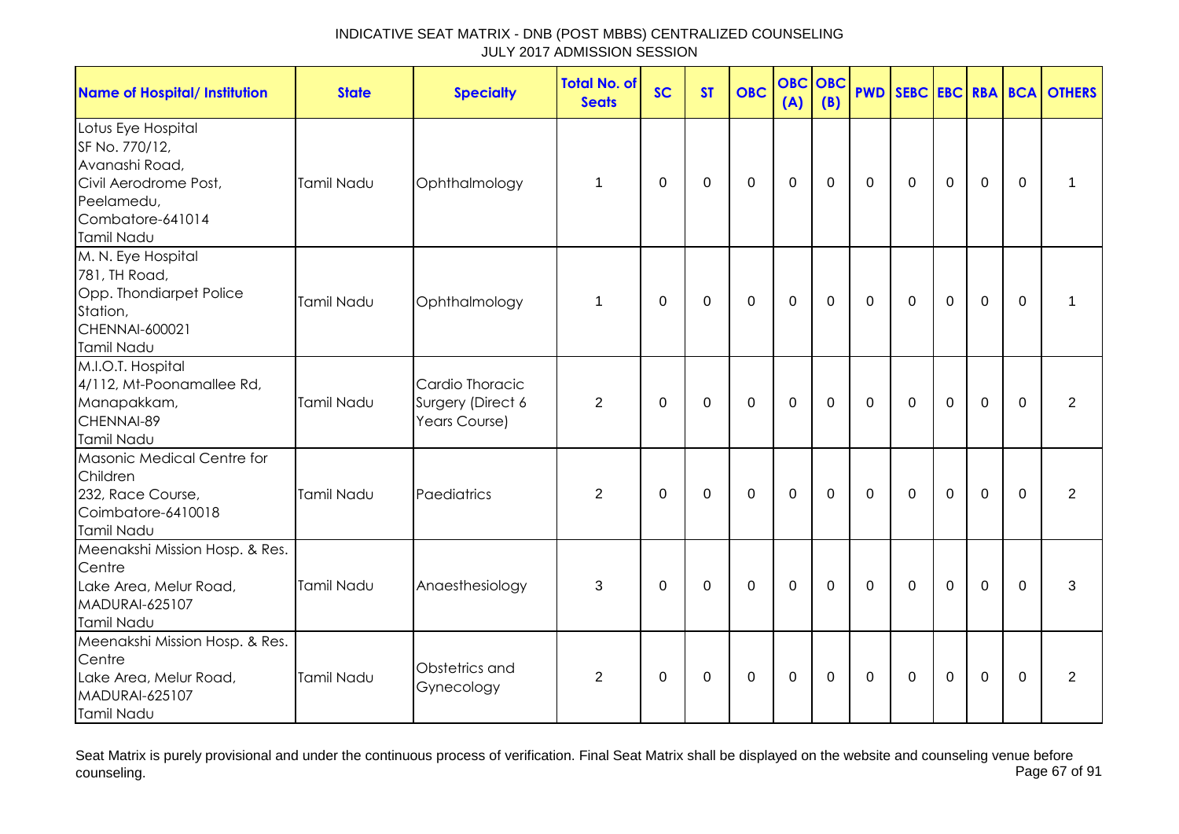| <b>Name of Hospital/ Institution</b>                                                                                            | <b>State</b>      | <b>Specialty</b>                                      | <b>Total No. of</b><br><b>Seats</b> | <b>SC</b>   | <b>ST</b>   | <b>OBC</b>  | <b>OBC</b><br>(A) | OBC<br>(B)  |             |             |             |             |             | <b>PWD SEBC EBC RBA BCA OTHERS</b> |
|---------------------------------------------------------------------------------------------------------------------------------|-------------------|-------------------------------------------------------|-------------------------------------|-------------|-------------|-------------|-------------------|-------------|-------------|-------------|-------------|-------------|-------------|------------------------------------|
| Lotus Eye Hospital<br>SF No. 770/12,<br>Avanashi Road,<br>Civil Aerodrome Post,<br>Peelamedu,<br>Combatore-641014<br>Tamil Nadu | Tamil Nadu        | Ophthalmology                                         | $\mathbf 1$                         | 0           | $\mathbf 0$ | $\pmb{0}$   | $\mathbf 0$       | $\mathbf 0$ | $\mathbf 0$ | $\mathbf 0$ | $\mathbf 0$ | $\mathbf 0$ | $\mathbf 0$ | 1                                  |
| M. N. Eye Hospital<br>781, TH Road,<br>Opp. Thondiarpet Police<br>Station,<br>CHENNAI-600021<br>Tamil Nadu                      | Tamil Nadu        | Ophthalmology                                         | 1                                   | 0           | $\mathbf 0$ | $\mathbf 0$ | $\mathbf 0$       | $\mathbf 0$ | $\mathbf 0$ | $\mathbf 0$ | $\mathbf 0$ | $\mathbf 0$ | $\mathbf 0$ | 1                                  |
| M.I.O.T. Hospital<br>4/112, Mt-Poonamallee Rd,<br>Manapakkam,<br>CHENNAI-89<br>Tamil Nadu                                       | Tamil Nadu        | Cardio Thoracic<br>Surgery (Direct 6<br>Years Course) | 2                                   | $\Omega$    | $\mathbf 0$ | $\mathbf 0$ | $\mathbf 0$       | 0           | $\mathbf 0$ | $\mathbf 0$ | $\mathbf 0$ | $\mathbf 0$ | $\mathbf 0$ | 2                                  |
| Masonic Medical Centre for<br>Children<br>232, Race Course,<br>Coimbatore-6410018<br>Tamil Nadu                                 | Tamil Nadu        | Paediatrics                                           | 2                                   | $\mathbf 0$ | $\mathbf 0$ | $\mathbf 0$ | $\mathbf{0}$      | $\mathbf 0$ | $\mathbf 0$ | $\Omega$    | $\Omega$    | $\Omega$    | $\Omega$    | 2                                  |
| Meenakshi Mission Hosp. & Res.<br>Centre<br>Lake Area, Melur Road,<br><b>MADURAI-625107</b><br>Tamil Nadu                       | <b>Tamil Nadu</b> | Anaesthesiology                                       | 3                                   | $\mathbf 0$ | $\mathbf 0$ | $\mathbf 0$ | $\mathbf 0$       | $\mathbf 0$ | $\Omega$    | $\Omega$    | $\Omega$    | $\Omega$    | $\Omega$    | 3                                  |
| Meenakshi Mission Hosp. & Res.<br>Centre<br>Lake Area, Melur Road,<br><b>MADURAI-625107</b><br>Tamil Nadu                       | Tamil Nadu        | Obstetrics and<br>Gynecology                          | $\overline{2}$                      | 0           | $\mathbf 0$ | $\mathbf 0$ | $\boldsymbol{0}$  | $\mathbf 0$ | $\mathbf 0$ | 0           | $\mathbf 0$ | $\mathbf 0$ | 0           | $\overline{2}$                     |

Seat Matrix is purely provisional and under the continuous process of verification. Final Seat Matrix shall be displayed on the website and counseling venue before<br>Page 67 of 91 counseling. Page 67 of 91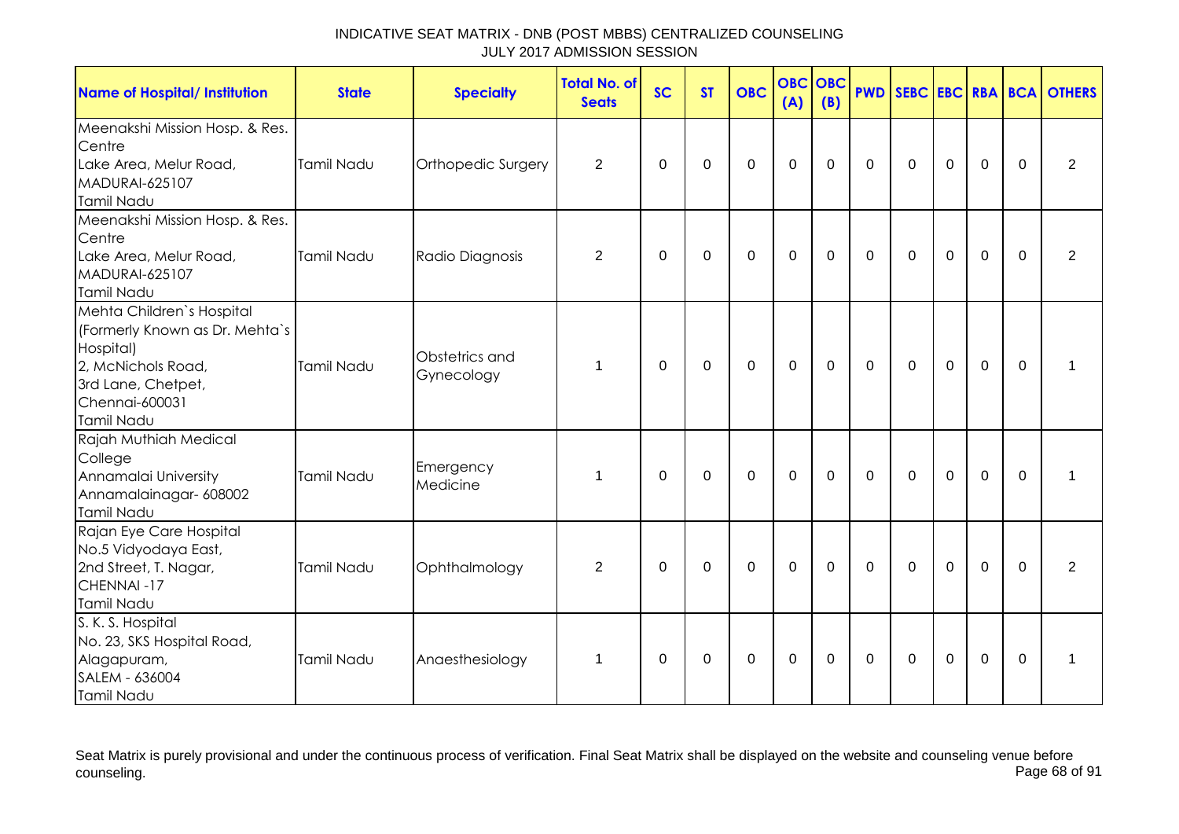| <b>Name of Hospital/ Institution</b>                                                                                                                 | <b>State</b> | <b>Specialty</b>             | <b>Total No. of</b><br><b>Seats</b> | <b>SC</b>   | <b>ST</b>   | <b>OBC</b>  | <b>OBC</b><br>(A) | <b>OBC</b><br>(B) |              |             |                  |                |             | <b>PWD SEBC EBC RBA BCA OTHERS</b> |
|------------------------------------------------------------------------------------------------------------------------------------------------------|--------------|------------------------------|-------------------------------------|-------------|-------------|-------------|-------------------|-------------------|--------------|-------------|------------------|----------------|-------------|------------------------------------|
| Meenakshi Mission Hosp. & Res.<br>Centre<br>Lake Area, Melur Road,<br>MADURAI-625107<br>Tamil Nadu                                                   | Tamil Nadu   | Orthopedic Surgery           | 2                                   | $\Omega$    | $\Omega$    | $\mathbf 0$ | $\mathbf 0$       | $\Omega$          | $\mathbf 0$  | $\mathbf 0$ | $\overline{0}$   | $\mathbf 0$    | $\Omega$    | 2                                  |
| Meenakshi Mission Hosp. & Res.<br>Centre<br>Lake Area, Melur Road,<br><b>MADURAI-625107</b><br>Tamil Nadu                                            | Tamil Nadu   | Radio Diagnosis              | $\overline{2}$                      | 0           | $\mathbf 0$ | $\mathbf 0$ | $\mathbf 0$       | $\mathbf 0$       | $\mathbf 0$  | $\mathbf 0$ | $\mathbf 0$      | $\mathbf 0$    | $\mathbf 0$ | $\overline{2}$                     |
| Mehta Children's Hospital<br>(Formerly Known as Dr. Mehta's<br>Hospital)<br>2, McNichols Road,<br>3rd Lane, Chetpet,<br>Chennai-600031<br>Tamil Nadu | Tamil Nadu   | Obstetrics and<br>Gynecology | 1                                   | $\Omega$    | $\mathbf 0$ | $\mathbf 0$ | $\mathbf 0$       | $\mathbf 0$       | $\mathbf 0$  | $\mathbf 0$ | $\overline{0}$   | $\overline{0}$ | $\Omega$    | 1                                  |
| Rajah Muthiah Medical<br>College<br>Annamalai University<br>Annamalainagar- 608002<br>Tamil Nadu                                                     | Tamil Nadu   | Emergency<br>Medicine        | 1                                   | $\Omega$    | $\Omega$    | $\mathbf 0$ | $\mathbf 0$       | $\mathbf 0$       | $\mathbf{0}$ | $\mathbf 0$ | $\mathbf 0$      | $\overline{0}$ | $\Omega$    | 1                                  |
| Rajan Eye Care Hospital<br>No.5 Vidyodaya East,<br>2nd Street, T. Nagar,<br>CHENNAI-17<br>Tamil Nadu                                                 | Tamil Nadu   | Ophthalmology                | $\overline{2}$                      | $\mathbf 0$ | $\mathbf 0$ | $\mathbf 0$ | $\mathbf 0$       | $\mathbf 0$       | $\mathbf{0}$ | $\mathbf 0$ | $\overline{0}$   | $\overline{0}$ | $\Omega$    | 2                                  |
| S. K. S. Hospital<br>No. 23, SKS Hospital Road,<br>Alagapuram,<br>SALEM - 636004<br>Tamil Nadu                                                       | Tamil Nadu   | Anaesthesiology              | 1                                   | 0           | 0           | 0           | $\boldsymbol{0}$  | 0                 | $\mathbf 0$  | 0           | $\boldsymbol{0}$ | $\mathbf 0$    | $\Omega$    | 1                                  |

Seat Matrix is purely provisional and under the continuous process of verification. Final Seat Matrix shall be displayed on the website and counseling venue before<br>Page 68 of 91 counseling. Page 68 of 91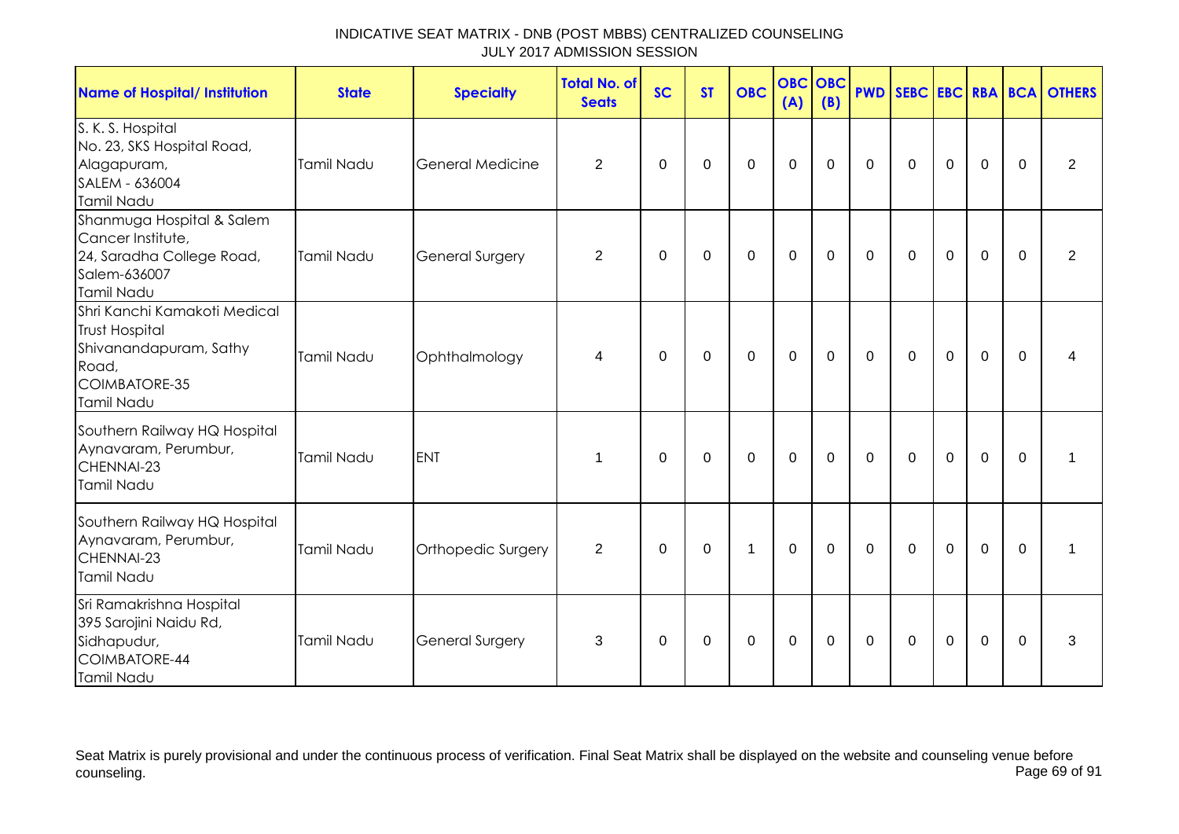| <b>Name of Hospital/ Institution</b>                                                                                    | <b>State</b>      | <b>Specialty</b>        | <b>Total No. of</b><br><b>Seats</b> | <b>SC</b> | <b>ST</b> | <b>OBC</b>   | <b>OBC OBC</b><br>(A) | (B)         |              |             |                |                |             | <b>PWD SEBC EBC RBA BCA OTHERS</b> |
|-------------------------------------------------------------------------------------------------------------------------|-------------------|-------------------------|-------------------------------------|-----------|-----------|--------------|-----------------------|-------------|--------------|-------------|----------------|----------------|-------------|------------------------------------|
| S. K. S. Hospital<br>No. 23, SKS Hospital Road,<br>Alagapuram,<br>SALEM - 636004<br><b>Tamil Nadu</b>                   | <b>Tamil Nadu</b> | <b>General Medicine</b> | $\overline{2}$                      | 0         | 0         | $\mathbf 0$  | $\mathbf 0$           | $\mathbf 0$ | $\mathbf 0$  | $\mathbf 0$ | $\mathbf 0$    | $\mathbf 0$    | $\Omega$    | $\overline{2}$                     |
| Shanmuga Hospital & Salem<br>Cancer Institute,<br>24, Saradha College Road,<br>Salem-636007<br>Tamil Nadu               | Tamil Nadu        | <b>General Surgery</b>  | $\overline{2}$                      | 0         | 0         | $\mathbf 0$  | $\mathbf 0$           | $\mathbf 0$ | $\mathbf 0$  | $\mathbf 0$ | $\mathbf 0$    | $\mathbf 0$    | $\mathbf 0$ | $\overline{2}$                     |
| Shri Kanchi Kamakoti Medical<br><b>Trust Hospital</b><br>Shivanandapuram, Sathy<br>Road,<br>COIMBATORE-35<br>Tamil Nadu | Tamil Nadu        | Ophthalmology           | 4                                   | $\Omega$  | $\Omega$  | $\mathbf 0$  | $\overline{0}$        | $\mathbf 0$ | $\mathbf{0}$ | $\mathbf 0$ | $\mathbf 0$    | $\overline{0}$ | $\Omega$    | 4                                  |
| Southern Railway HQ Hospital<br>Aynavaram, Perumbur,<br>CHENNAI-23<br>Tamil Nadu                                        | <b>Tamil Nadu</b> | <b>ENT</b>              | $\mathbf 1$                         | $\Omega$  | $\Omega$  | $\mathbf 0$  | $\mathbf 0$           | $\mathbf 0$ | $\mathbf 0$  | $\mathbf 0$ | $\overline{0}$ | $\mathbf 0$    | $\mathbf 0$ | 1                                  |
| Southern Railway HQ Hospital<br>Aynavaram, Perumbur,<br>CHENNAI-23<br>Tamil Nadu                                        | Tamil Nadu        | Orthopedic Surgery      | 2                                   | $\Omega$  | $\Omega$  | $\mathbf{1}$ | $\mathbf 0$           | $\Omega$    | $\Omega$     | $\mathbf 0$ | $\overline{0}$ | $\mathbf 0$    | $\Omega$    | 1                                  |
| Sri Ramakrishna Hospital<br>395 Sarojini Naidu Rd,<br>Sidhapudur,<br>COIMBATORE-44<br>Tamil Nadu                        | Tamil Nadu        | <b>General Surgery</b>  | 3                                   | $\Omega$  | $\Omega$  | $\mathbf 0$  | $\mathbf 0$           | $\mathbf 0$ | $\mathbf 0$  | $\mathbf 0$ | $\overline{0}$ | $\mathbf 0$    | $\mathbf 0$ | 3                                  |

Seat Matrix is purely provisional and under the continuous process of verification. Final Seat Matrix shall be displayed on the website and counseling venue before<br>Page 69 of 91 counseling. Page 69 of 91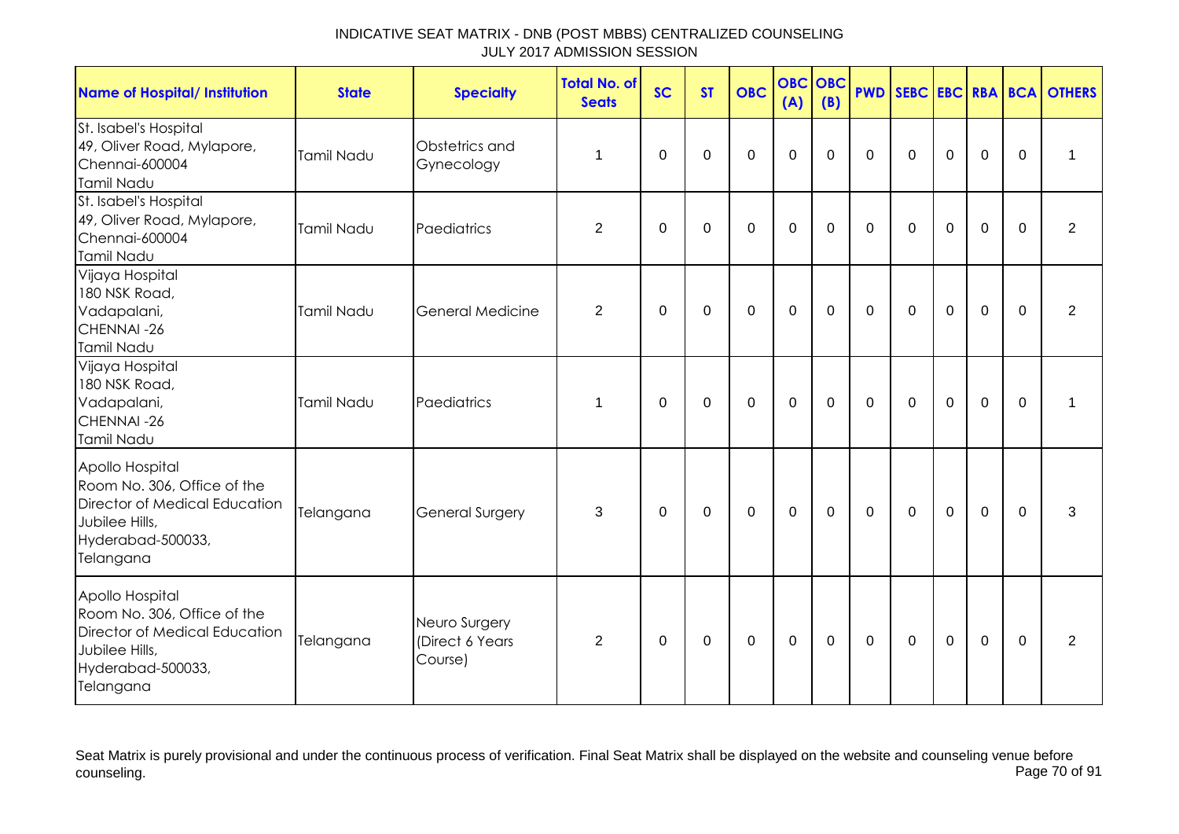| <b>Name of Hospital/ Institution</b>                                                                                                | <b>State</b>      | <b>Specialty</b>                            | <b>Total No. of</b><br><b>Seats</b> | <b>SC</b>      | <b>ST</b>   | <b>OBC</b>  | <b>OBC</b><br>(A) | OBC<br>(B)  | <b>PWD</b>  | SEBC EBC RBA BCA |             |             |             | <b>OTHERS</b>  |
|-------------------------------------------------------------------------------------------------------------------------------------|-------------------|---------------------------------------------|-------------------------------------|----------------|-------------|-------------|-------------------|-------------|-------------|------------------|-------------|-------------|-------------|----------------|
| St. Isabel's Hospital<br>49, Oliver Road, Mylapore,<br>Chennai-600004<br>Tamil Nadu                                                 | <b>Tamil Nadu</b> | Obstetrics and<br>Gynecology                | 1                                   | $\Omega$       | $\Omega$    | $\mathbf 0$ | $\mathbf 0$       | $\Omega$    | $\mathbf 0$ | $\mathbf 0$      | $\mathbf 0$ | $\mathbf 0$ | 0           | 1              |
| St. Isabel's Hospital<br>49, Oliver Road, Mylapore,<br>Chennai-600004<br>Tamil Nadu                                                 | <b>Tamil Nadu</b> | Paediatrics                                 | 2                                   | $\Omega$       | $\Omega$    | $\Omega$    | $\mathbf 0$       | $\Omega$    | $\Omega$    | $\mathbf{0}$     | $\Omega$    | 0           | $\Omega$    | $\overline{2}$ |
| Vijaya Hospital<br>180 NSK Road,<br>Vadapalani,<br>CHENNAI-26<br>Tamil Nadu                                                         | Tamil Nadu        | <b>General Medicine</b>                     | $\overline{2}$                      | $\Omega$       | $\Omega$    | $\mathbf 0$ | $\mathbf 0$       | $\mathbf 0$ | $\Omega$    | $\mathbf 0$      | $\mathbf 0$ | $\mathbf 0$ | $\mathbf 0$ | $\overline{2}$ |
| Vijaya Hospital<br>180 NSK Road,<br>Vadapalani,<br>CHENNAI-26<br>Tamil Nadu                                                         | <b>Tamil Nadu</b> | Paediatrics                                 | 1                                   | $\overline{0}$ | $\mathbf 0$ | $\mathbf 0$ | $\mathbf 0$       | $\mathbf 0$ | $\mathbf 0$ | $\mathbf 0$      | $\mathbf 0$ | $\mathbf 0$ | $\mathbf 0$ | 1              |
| Apollo Hospital<br>Room No. 306, Office of the<br>Director of Medical Education<br>Jubilee Hills,<br>Hyderabad-500033,<br>Telangana | Telangana         | <b>General Surgery</b>                      | 3                                   | $\Omega$       | $\Omega$    | $\mathbf 0$ | $\mathbf 0$       | $\Omega$    | $\Omega$    | $\Omega$         | $\mathbf 0$ | $\mathbf 0$ | $\Omega$    | 3              |
| Apollo Hospital<br>Room No. 306, Office of the<br>Director of Medical Education<br>Jubilee Hills,<br>Hyderabad-500033,<br>Telangana | Telangana         | Neuro Surgery<br>(Direct 6 Years<br>Course) | 2                                   | $\Omega$       | 0           | 0           | $\mathbf 0$       | $\Omega$    | $\Omega$    | $\mathbf{0}$     | 0           | 0           | $\Omega$    | 2              |

Seat Matrix is purely provisional and under the continuous process of verification. Final Seat Matrix shall be displayed on the website and counseling venue before<br>Page 70 of 91 counseling. Page 70 of 91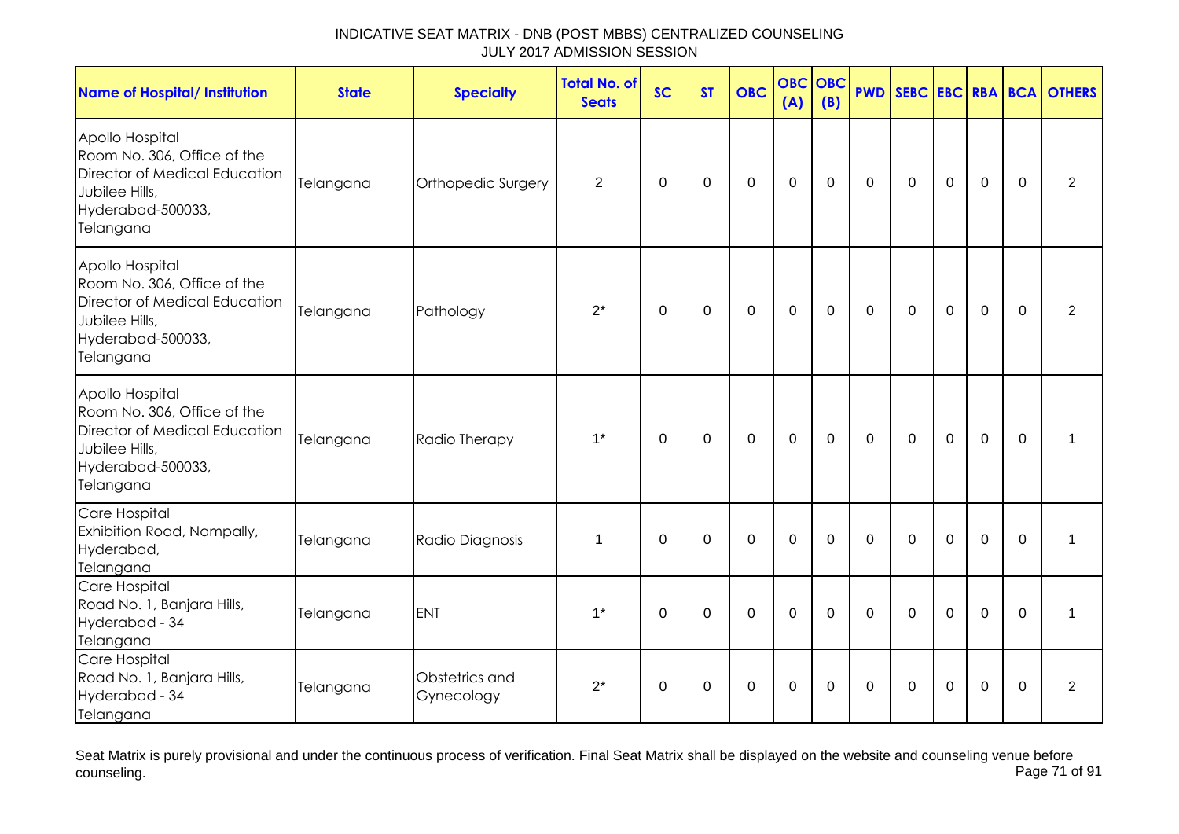| <b>Name of Hospital/ Institution</b>                                                                                                       | <b>State</b> | <b>Specialty</b>             | <b>Total No. of</b><br><b>Seats</b> | <b>SC</b>   | <b>ST</b>   | <b>OBC</b>     | <b>OBC</b><br>(A) | <b>OBC</b><br>(B) |             | <b>PWD SEBC</b> |                |             | <b>EBC RBA BCA</b> | <b>OTHERS</b>  |
|--------------------------------------------------------------------------------------------------------------------------------------------|--------------|------------------------------|-------------------------------------|-------------|-------------|----------------|-------------------|-------------------|-------------|-----------------|----------------|-------------|--------------------|----------------|
| Apollo Hospital<br>Room No. 306, Office of the<br><b>Director of Medical Education</b><br>Jubilee Hills,<br>Hyderabad-500033,<br>Telangana | Telangana    | Orthopedic Surgery           | $\overline{2}$                      | 0           | $\mathbf 0$ | $\mathbf 0$    | $\mathbf 0$       | $\mathbf 0$       | $\mathbf 0$ | $\mathbf 0$     | $\mathbf 0$    | $\mathbf 0$ | $\mathbf{0}$       | $\overline{2}$ |
| Apollo Hospital<br>Room No. 306, Office of the<br>Director of Medical Education<br>Jubilee Hills,<br>Hyderabad-500033,<br>Telangana        | Telangana    | Pathology                    | $2^*$                               | $\mathbf 0$ | $\mathbf 0$ | $\mathbf 0$    | $\mathbf{0}$      | $\overline{0}$    | $\mathbf 0$ | $\mathbf 0$     | $\mathbf 0$    | $\mathbf 0$ | $\Omega$           | $\overline{2}$ |
| Apollo Hospital<br>Room No. 306, Office of the<br>Director of Medical Education<br>Jubilee Hills,<br>Hyderabad-500033,<br>Telangana        | Telangana    | Radio Therapy                | $1^*$                               | $\mathbf 0$ | $\mathbf 0$ | $\mathbf 0$    | $\mathbf 0$       | $\mathbf 0$       | $\mathbf 0$ | $\mathbf 0$     | $\mathbf 0$    | $\mathbf 0$ | $\mathbf{0}$       | $\mathbf{1}$   |
| Care Hospital<br>Exhibition Road, Nampally,<br>Hyderabad,<br>Telangana                                                                     | Telangana    | Radio Diagnosis              | 1                                   | $\mathbf 0$ | $\mathbf 0$ | $\overline{0}$ | $\mathbf{0}$      | $\mathbf 0$       | $\mathbf 0$ | $\mathbf 0$     | $\overline{0}$ | $\mathbf 0$ | $\mathbf 0$        | $\mathbf{1}$   |
| Care Hospital<br>Road No. 1, Banjara Hills,<br>Hyderabad - 34<br>Telangana                                                                 | Telangana    | <b>ENT</b>                   | $1^*$                               | $\mathbf 0$ | $\mathbf 0$ | $\overline{0}$ | $\mathbf 0$       | $\mathbf 0$       | $\mathbf 0$ | $\mathbf 0$     | $\mathbf 0$    | $\mathbf 0$ | $\Omega$           | 1              |
| Care Hospital<br>Road No. 1, Banjara Hills,<br>Hyderabad - 34<br>Telangana                                                                 | Telangana    | Obstetrics and<br>Gynecology | $2^*$                               | 0           | 0           | 0              | $\pmb{0}$         | 0                 | 0           | 0               | 0              | 0           | $\Omega$           | $\overline{2}$ |

Seat Matrix is purely provisional and under the continuous process of verification. Final Seat Matrix shall be displayed on the website and counseling venue before<br>Page 71 of 91 counseling. Page 71 of 91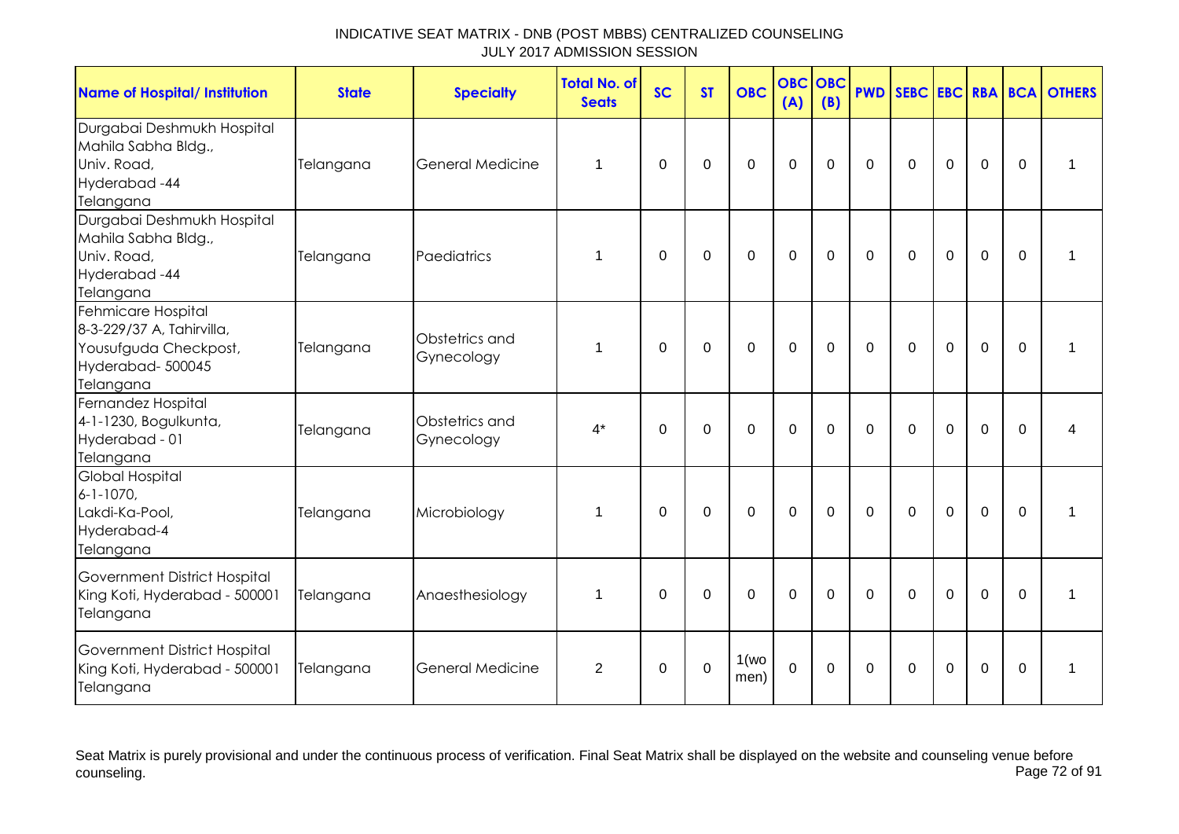| <b>Name of Hospital/ Institution</b>                                                                      | <b>State</b> | <b>Specialty</b>             | <b>Total No. of</b><br><b>Seats</b> | <b>SC</b> | <b>ST</b>   | <b>OBC</b>     | <b>OBC</b><br>(A) | <b>OBC</b><br>(B) |                |             |                |                |          | <b>PWD SEBC EBC RBA BCA OTHERS</b> |
|-----------------------------------------------------------------------------------------------------------|--------------|------------------------------|-------------------------------------|-----------|-------------|----------------|-------------------|-------------------|----------------|-------------|----------------|----------------|----------|------------------------------------|
| Durgabai Deshmukh Hospital<br>Mahila Sabha Bldg.,<br>Univ. Road,<br>Hyderabad-44<br>Telangana             | Telangana    | <b>General Medicine</b>      | 1                                   | $\Omega$  | $\mathbf 0$ | $\mathbf 0$    | $\mathbf 0$       | $\mathbf 0$       | $\mathbf 0$    | $\mathbf 0$ | $\overline{0}$ | $\overline{0}$ | $\Omega$ | 1                                  |
| Durgabai Deshmukh Hospital<br>Mahila Sabha Bldg.,<br>Univ. Road,<br>Hyderabad-44<br>Telangana             | Telangana    | Paediatrics                  | 1                                   | $\Omega$  | $\mathbf 0$ | $\mathbf 0$    | $\overline{0}$    | $\mathbf 0$       | $\overline{0}$ | $\mathbf 0$ | $\overline{0}$ | $\overline{0}$ | $\Omega$ | 1                                  |
| Fehmicare Hospital<br>8-3-229/37 A, Tahirvilla,<br>Yousufguda Checkpost,<br>Hyderabad-500045<br>Telangana | Telangana    | Obstetrics and<br>Gynecology | 1                                   | $\Omega$  | $\Omega$    | $\Omega$       | $\Omega$          | $\Omega$          | $\Omega$       | $\Omega$    | $\Omega$       | $\Omega$       | $\Omega$ | 1                                  |
| Fernandez Hospital<br>4-1-1230, Bogulkunta,<br>Hyderabad - 01<br>Telangana                                | Telangana    | Obstetrics and<br>Gynecology | $4^*$                               | $\Omega$  | $\Omega$    | $\Omega$       | $\overline{0}$    | $\mathbf 0$       | $\Omega$       | $\Omega$    | $\Omega$       | $\Omega$       | $\Omega$ | 4                                  |
| <b>Global Hospital</b><br>$6 - 1 - 1070$ ,<br>Lakdi-Ka-Pool,<br>Hyderabad-4<br>Telangana                  | Telangana    | Microbiology                 | 1                                   | $\Omega$  | $\mathbf 0$ | $\overline{0}$ | $\mathbf 0$       | $\mathbf 0$       | $\overline{0}$ | $\mathbf 0$ | $\overline{0}$ | $\mathbf 0$    | $\Omega$ | 1                                  |
| Government District Hospital<br>King Koti, Hyderabad - 500001<br>Telangana                                | Telangana    | Anaesthesiology              | 1                                   | $\Omega$  | $\Omega$    | $\mathbf 0$    | $\mathbf 0$       | $\mathbf 0$       | $\overline{0}$ | $\mathbf 0$ | $\overline{0}$ | $\overline{0}$ | $\Omega$ | 1                                  |
| Government District Hospital<br>King Koti, Hyderabad - 500001<br>Telangana                                | Telangana    | <b>General Medicine</b>      | 2                                   | $\Omega$  | $\Omega$    | 1(wo)<br>men)  | $\Omega$          | $\Omega$          | $\mathbf{0}$   | $\Omega$    | $\overline{0}$ | $\Omega$       | $\Omega$ | $\mathbf 1$                        |

Seat Matrix is purely provisional and under the continuous process of verification. Final Seat Matrix shall be displayed on the website and counseling venue before<br>Page 72 of 91 counseling. Page 72 of 91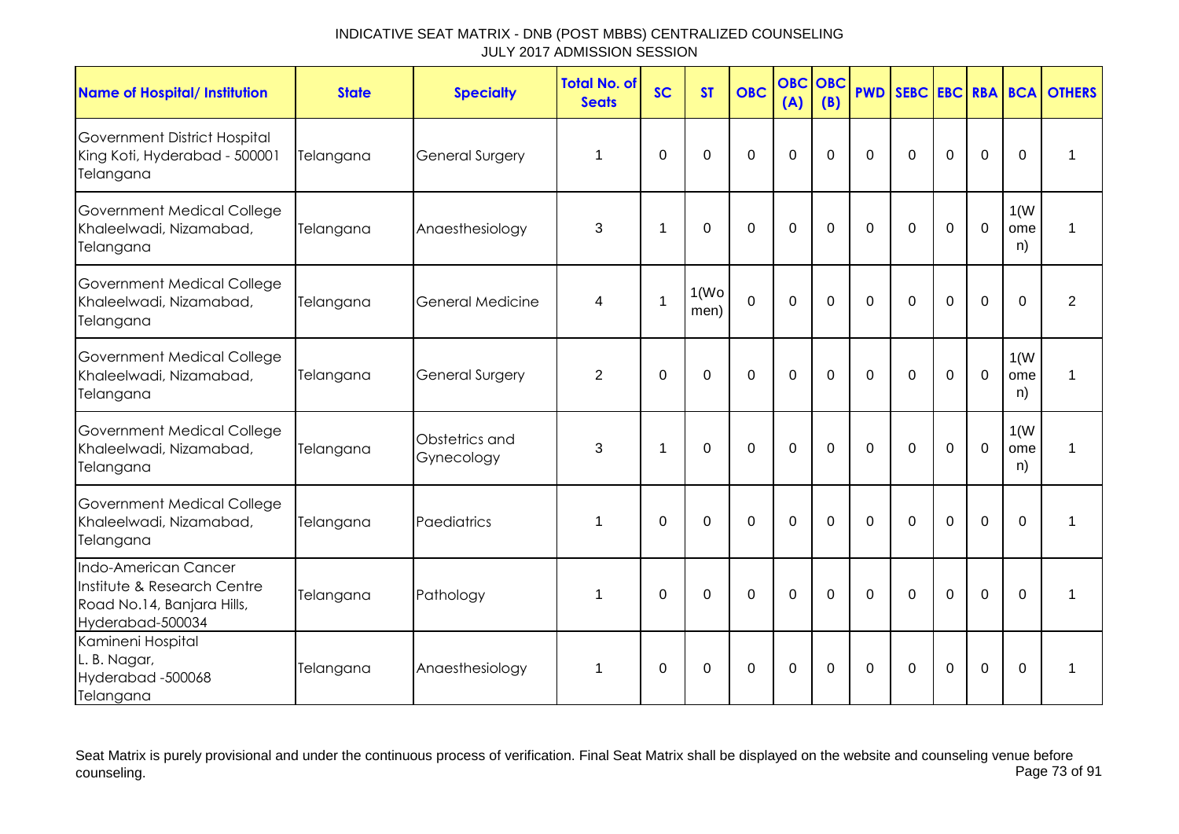| <b>Name of Hospital/ Institution</b>                                                                  | <b>State</b> | <b>Specialty</b>             | <b>Total No. of</b><br><b>Seats</b> | <b>SC</b>      | <b>ST</b>                  | <b>OBC</b>     | <b>OBC</b><br>(A) | <b>OBC</b><br>(B) | <b>PWD</b>  |             |             |                |                   | <b>SEBC EBC RBA BCA OTHERS</b> |
|-------------------------------------------------------------------------------------------------------|--------------|------------------------------|-------------------------------------|----------------|----------------------------|----------------|-------------------|-------------------|-------------|-------------|-------------|----------------|-------------------|--------------------------------|
| Government District Hospital<br>King Koti, Hyderabad - 500001<br>Telangana                            | Telangana    | General Surgery              | 1                                   | $\Omega$       | $\Omega$                   | $\overline{0}$ | $\overline{0}$    | $\mathbf 0$       | $\mathbf 0$ | $\mathbf 0$ | $\mathbf 0$ | $\mathbf 0$    | $\mathbf 0$       | $\mathbf 1$                    |
| <b>Government Medical College</b><br>Khaleelwadi, Nizamabad,<br>Telangana                             | Telangana    | Anaesthesiology              | 3                                   | -1             | $\Omega$                   | $\Omega$       | $\mathbf 0$       | $\Omega$          | $\Omega$    | $\Omega$    | $\Omega$    | $\mathbf 0$    | 1(W)<br>ome<br>n) | 1                              |
| Government Medical College<br>Khaleelwadi, Nizamabad,<br>Telangana                                    | Telangana    | <b>General Medicine</b>      | 4                                   | $\overline{1}$ | 1(W <sub>O</sub> )<br>men) | $\overline{0}$ | $\mathbf 0$       | $\Omega$          | $\Omega$    | $\Omega$    | $\Omega$    | $\mathbf 0$    | $\Omega$          | $\overline{2}$                 |
| Government Medical College<br>Khaleelwadi, Nizamabad,<br>Telangana                                    | Telangana    | <b>General Surgery</b>       | 2                                   | $\Omega$       | $\Omega$                   | $\overline{0}$ | $\mathbf 0$       | $\Omega$          | $\Omega$    | $\Omega$    | $\Omega$    | $\mathbf 0$    | 1(W)<br>ome<br>n) | 1                              |
| Government Medical College<br>Khaleelwadi, Nizamabad,<br>Telangana                                    | Telangana    | Obstetrics and<br>Gynecology | 3                                   | $\overline{1}$ | $\Omega$                   | $\Omega$       | $\mathbf 0$       | $\Omega$          | $\Omega$    | $\Omega$    | $\Omega$    | $\overline{0}$ | 1(W)<br>ome<br>n) | 1                              |
| Government Medical College<br>Khaleelwadi, Nizamabad,<br>Telangana                                    | Telangana    | Paediatrics                  | 1                                   | $\mathbf 0$    | $\overline{0}$             | $\overline{0}$ | $\mathbf 0$       | 0                 | $\mathbf 0$ | $\mathbf 0$ | 0           | $\overline{0}$ | $\mathbf 0$       | 1                              |
| Indo-American Cancer<br>Institute & Research Centre<br>Road No.14, Banjara Hills,<br>Hyderabad-500034 | Telangana    | Pathology                    | 1                                   | $\Omega$       | 0                          | $\overline{0}$ | $\mathbf 0$       | $\Omega$          | $\Omega$    | $\Omega$    | $\Omega$    | $\mathbf 0$    | $\Omega$          | 1                              |
| Kamineni Hospital<br>L. B. Nagar,<br>Hyderabad-500068<br>Telangana                                    | Telangana    | Anaesthesiology              | $\mathbf 1$                         | $\Omega$       | $\Omega$                   | $\Omega$       | $\Omega$          | $\Omega$          | $\Omega$    | $\Omega$    | $\mathbf 0$ | $\Omega$       | $\Omega$          | $\mathbf 1$                    |

Seat Matrix is purely provisional and under the continuous process of verification. Final Seat Matrix shall be displayed on the website and counseling venue before<br>Page 73 of 91 counseling. Page 73 of 91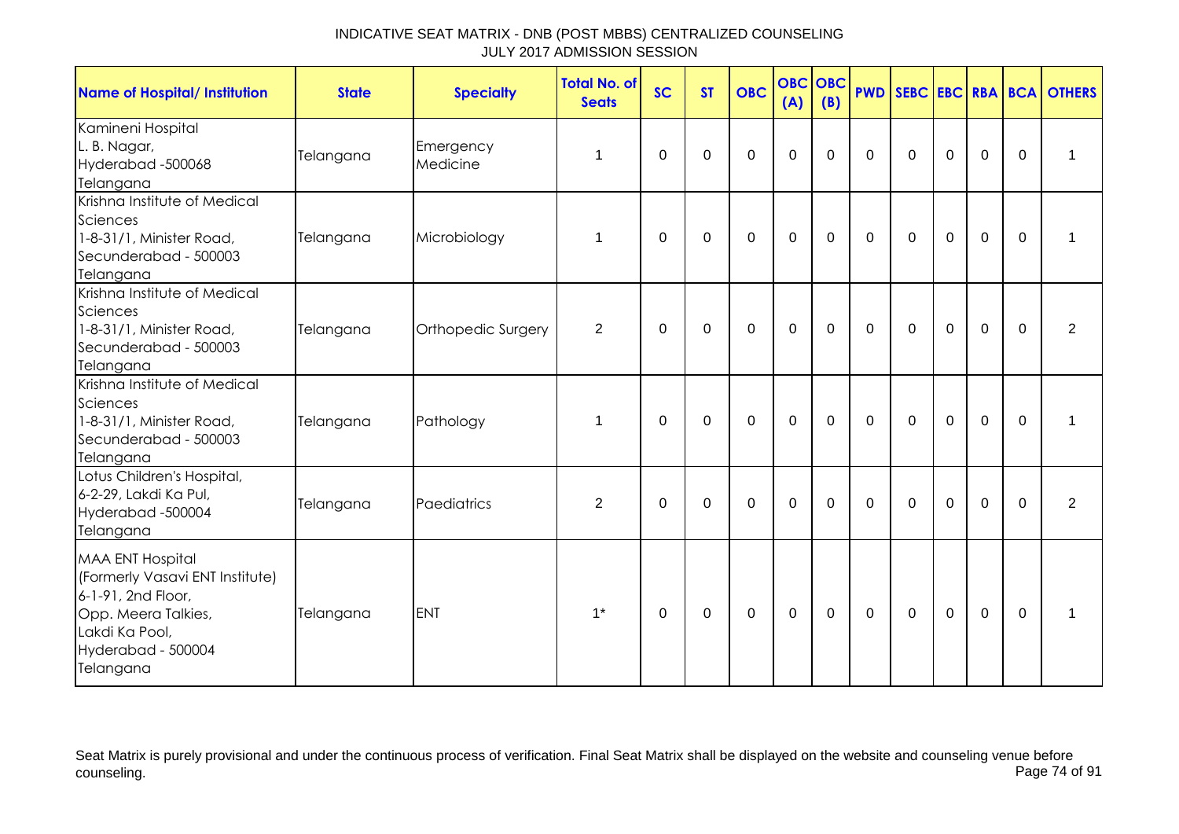| <b>Name of Hospital/ Institution</b>                                                                                                                         | <b>State</b> | <b>Specialty</b>      | <b>Total No. of</b><br><b>Seats</b> | <b>SC</b>   | <b>ST</b>   | <b>OBC</b>  | <b>OBC</b><br>(A) | <b>OBC</b><br>(B) | <b>PWD</b>   |             |             |             |             | SEBC EBC RBA BCA OTHERS |
|--------------------------------------------------------------------------------------------------------------------------------------------------------------|--------------|-----------------------|-------------------------------------|-------------|-------------|-------------|-------------------|-------------------|--------------|-------------|-------------|-------------|-------------|-------------------------|
| Kamineni Hospital<br>L. B. Nagar,<br>Hyderabad -500068<br>Telangana                                                                                          | Telangana    | Emergency<br>Medicine | 1                                   | 0           | 0           | $\mathbf 0$ | $\mathbf 0$       | 0                 | $\mathbf{0}$ | $\Omega$    | $\mathbf 0$ | $\mathbf 0$ | $\Omega$    | 1                       |
| Krishna Institute of Medical<br>Sciences<br>1-8-31/1, Minister Road,<br>Secunderabad - 500003<br>Telangana                                                   | Telangana    | Microbiology          | 1                                   | 0           | $\mathbf 0$ | $\mathbf 0$ | $\mathbf 0$       | $\mathbf 0$       | $\mathbf 0$  | $\mathbf 0$ | $\mathbf 0$ | $\mathbf 0$ | $\mathbf 0$ | 1                       |
| Krishna Institute of Medical<br>Sciences<br>1-8-31/1, Minister Road,<br>Secunderabad - 500003<br>Telangana                                                   | Telangana    | Orthopedic Surgery    | $\overline{2}$                      | $\mathbf 0$ | $\mathbf 0$ | $\mathbf 0$ | $\mathbf 0$       | $\mathbf 0$       | $\mathbf 0$  | $\mathbf 0$ | $\mathbf 0$ | $\mathbf 0$ | $\mathbf 0$ | $\overline{2}$          |
| Krishna Institute of Medical<br>Sciences<br>1-8-31/1, Minister Road,<br>Secunderabad - 500003<br>Telangana                                                   | Telangana    | Pathology             | $\mathbf{1}$                        | $\Omega$    | $\mathbf 0$ | $\mathbf 0$ | $\mathbf 0$       | $\mathbf 0$       | $\mathbf 0$  | $\mathbf 0$ | $\mathbf 0$ | $\mathbf 0$ | $\mathbf 0$ | $\mathbf 1$             |
| Lotus Children's Hospital,<br>6-2-29, Lakdi Ka Pul,<br>Hyderabad -500004<br>Telangana                                                                        | Telangana    | Paediatrics           | $\overline{2}$                      | $\mathbf 0$ | $\mathbf 0$ | $\Omega$    | $\mathbf 0$       | $\Omega$          | $\Omega$     | $\Omega$    | $\mathbf 0$ | $\Omega$    | $\Omega$    | $\overline{2}$          |
| <b>MAA ENT Hospital</b><br>(Formerly Vasavi ENT Institute)<br>6-1-91, 2nd Floor,<br>Opp. Meera Talkies,<br>Lakdi Ka Pool,<br>Hyderabad - 500004<br>Telangana | Telangana    | <b>ENT</b>            | $1^*$                               | 0           | $\mathbf 0$ | $\mathbf 0$ | $\mathbf 0$       | $\mathbf 0$       | $\mathbf 0$  | $\mathbf 0$ | $\mathbf 0$ | $\mathbf 0$ | $\mathbf 0$ | 1                       |

Seat Matrix is purely provisional and under the continuous process of verification. Final Seat Matrix shall be displayed on the website and counseling venue before<br>Page 74 of 91 counseling. Page 74 of 91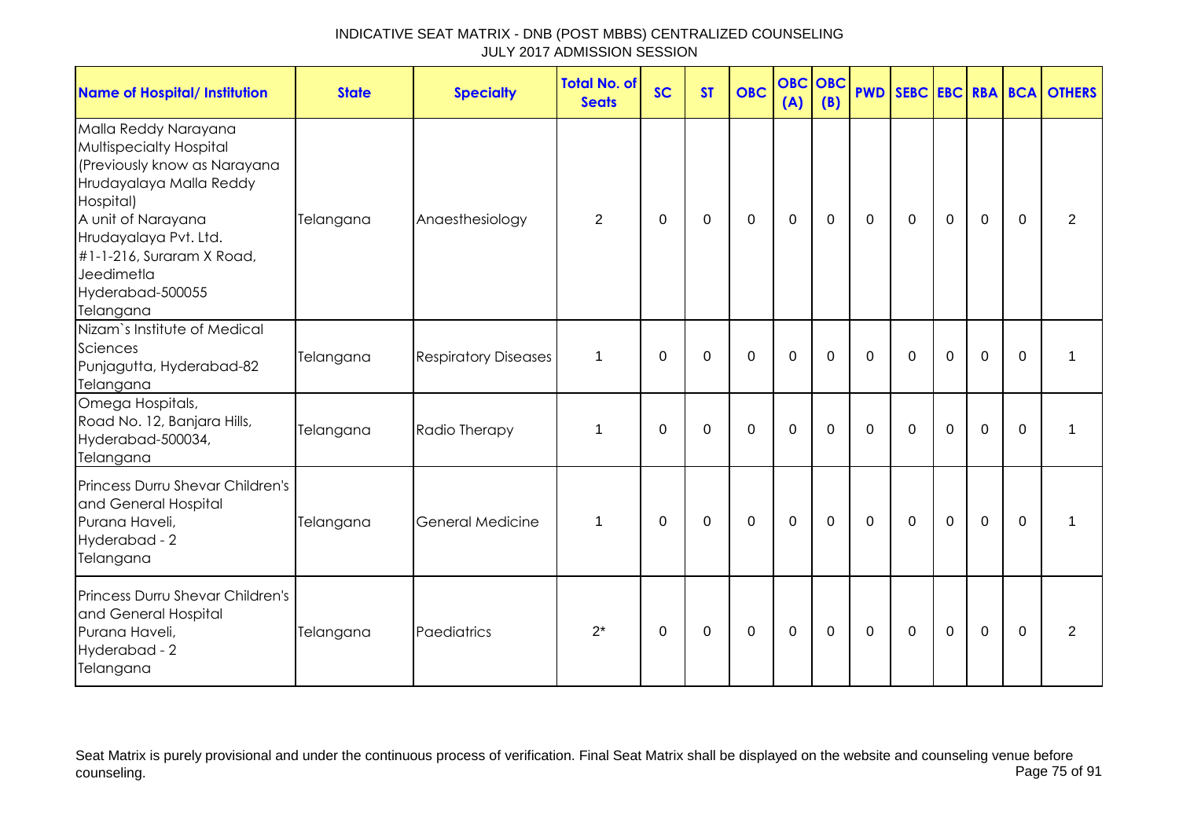| <b>Name of Hospital/ Institution</b>                                                                                                                                                                                                               | <b>State</b> | <b>Specialty</b>            | <b>Total No. of</b><br><b>Seats</b> | <b>SC</b> | <b>ST</b> | <b>OBC</b>  | <b>OBC OBC</b><br>(A) | (B)      |          |              |          |             |              | <b>PWD SEBC EBC RBA BCA OTHERS</b> |
|----------------------------------------------------------------------------------------------------------------------------------------------------------------------------------------------------------------------------------------------------|--------------|-----------------------------|-------------------------------------|-----------|-----------|-------------|-----------------------|----------|----------|--------------|----------|-------------|--------------|------------------------------------|
| Malla Reddy Narayana<br>Multispecialty Hospital<br>(Previously know as Narayana<br>Hrudayalaya Malla Reddy<br>Hospital)<br>A unit of Narayana<br>Hrudayalaya Pvt. Ltd.<br>#1-1-216, Suraram X Road,<br>Jeedimetla<br>Hyderabad-500055<br>Telangana | Telangana    | Anaesthesiology             | 2                                   | $\Omega$  | 0         | 0           | $\mathbf 0$           | $\Omega$ | $\Omega$ | $\Omega$     | 0        | $\Omega$    | $\mathbf{0}$ | 2                                  |
| Nizam's Institute of Medical<br>Sciences<br>Punjagutta, Hyderabad-82<br>Telangana                                                                                                                                                                  | Telangana    | <b>Respiratory Diseases</b> | $\mathbf 1$                         | 0         | 0         | $\mathbf 0$ | $\mathbf 0$           | $\Omega$ | $\Omega$ | $\Omega$     | 0        | $\mathbf 0$ | $\mathbf 0$  | 1                                  |
| Omega Hospitals,<br>Road No. 12, Banjara Hills,<br>Hyderabad-500034,<br>Telangana                                                                                                                                                                  | Telangana    | Radio Therapy               | 1                                   | $\Omega$  | $\Omega$  | $\Omega$    | $\mathbf 0$           | $\Omega$ | $\Omega$ | $\Omega$     | $\Omega$ | $\mathbf 0$ | $\Omega$     | 1                                  |
| Princess Durru Shevar Children's<br>and General Hospital<br>Purana Haveli,<br>Hyderabad - 2<br>Telangana                                                                                                                                           | Telangana    | General Medicine            | 1                                   | 0         | 0         | $\mathbf 0$ | $\mathbf 0$           | $\Omega$ | 0        | $\mathbf{0}$ | 0        | $\mathbf 0$ | $\Omega$     | 1                                  |
| Princess Durru Shevar Children's<br>and General Hospital<br>Purana Haveli,<br>Hyderabad - 2<br>Telangana                                                                                                                                           | Telangana    | Paediatrics                 | $2^*$                               | $\Omega$  | 0         | $\Omega$    | $\Omega$              | $\Omega$ | $\Omega$ | $\Omega$     | $\Omega$ | $\Omega$    | $\Omega$     | 2                                  |

Seat Matrix is purely provisional and under the continuous process of verification. Final Seat Matrix shall be displayed on the website and counseling venue before<br>Page 75 of 91 counseling. Page 75 of 91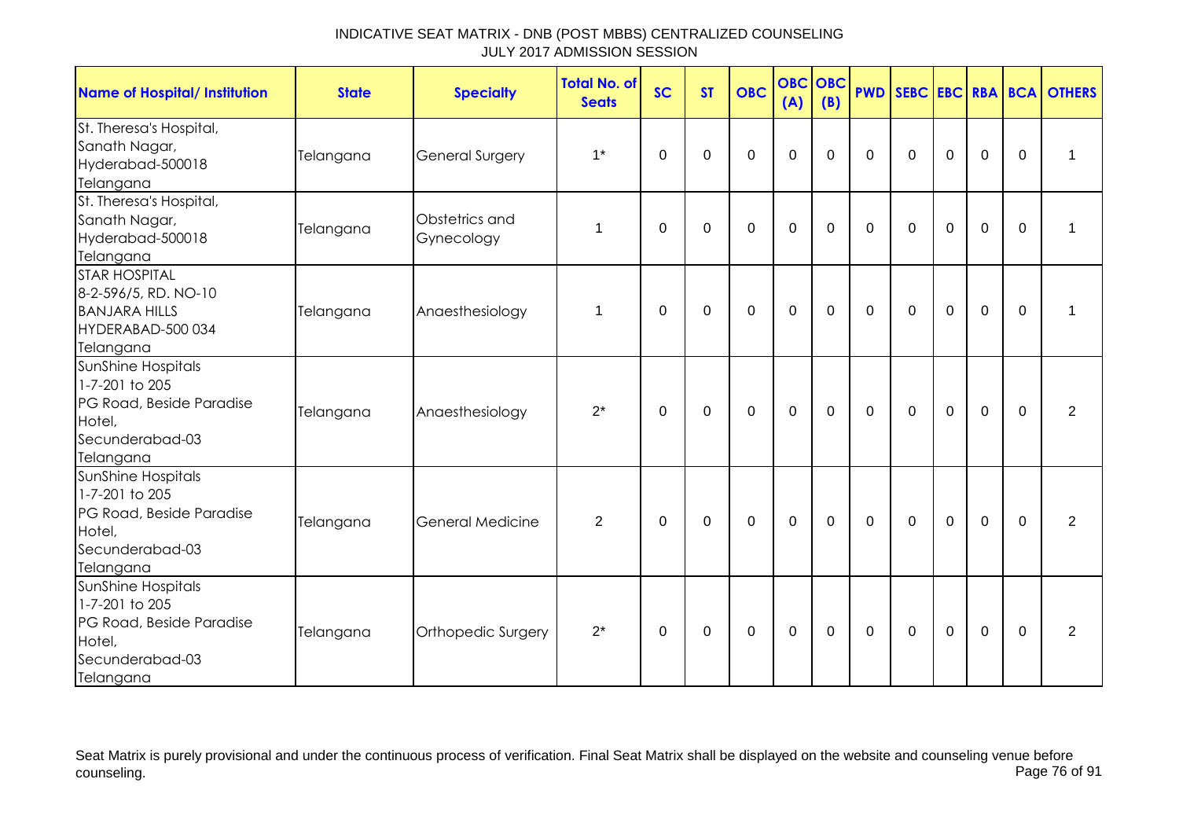| <b>Name of Hospital/ Institution</b>                                                                              | <b>State</b> | <b>Specialty</b>             | <b>Total No. of</b><br><b>Seats</b> | <b>SC</b>   | <b>ST</b> | <b>OBC</b>  | <b>OBC OBC</b><br>(A) | (B)         | <b>PWD</b>   |             |             |                |             | SEBC EBC RBA BCA OTHERS |
|-------------------------------------------------------------------------------------------------------------------|--------------|------------------------------|-------------------------------------|-------------|-----------|-------------|-----------------------|-------------|--------------|-------------|-------------|----------------|-------------|-------------------------|
| St. Theresa's Hospital,<br>Sanath Nagar,<br>Hyderabad-500018<br>Telangana                                         | Telangana    | General Surgery              | $1^*$                               | $\Omega$    | 0         | $\mathbf 0$ | $\mathbf 0$           | $\Omega$    | $\Omega$     | $\mathbf 0$ | $\mathbf 0$ | $\mathbf 0$    | $\Omega$    | $\mathbf 1$             |
| St. Theresa's Hospital,<br>Sanath Nagar,<br>Hyderabad-500018<br>Telangana                                         | Telangana    | Obstetrics and<br>Gynecology | 1                                   | 0           | 0         | $\mathbf 0$ | $\mathbf 0$           | 0           | $\Omega$     | 0           | $\mathbf 0$ | $\mathbf 0$    | $\Omega$    | $\mathbf 1$             |
| <b>STAR HOSPITAL</b><br>8-2-596/5, RD. NO-10<br><b>BANJARA HILLS</b><br>HYDERABAD-500 034<br>Telangana            | Telangana    | Anaesthesiology              | 1                                   | 0           | 0         | $\mathbf 0$ | $\mathbf 0$           | $\mathbf 0$ | $\mathbf 0$  | $\mathbf 0$ | $\pmb{0}$   | $\mathbf 0$    | 0           | 1                       |
| SunShine Hospitals<br>1-7-201 to 205<br>PG Road, Beside Paradise<br>Hotel,<br>Secunderabad-03<br>Telangana        | Telangana    | Anaesthesiology              | $2^*$                               | 0           | 0         | 0           | 0                     | 0           | $\mathbf{0}$ | 0           | 0           | 0              | $\Omega$    | 2                       |
| SunShine Hospitals<br>1-7-201 to 205<br>PG Road, Beside Paradise<br>Hotel,<br>Secunderabad-03<br>Telangana        | Telangana    | General Medicine             | $\overline{2}$                      | 0           | 0         | $\mathbf 0$ | $\mathbf 0$           | $\mathbf 0$ | $\Omega$     | $\mathbf 0$ | $\mathbf 0$ | $\mathbf 0$    | $\mathbf 0$ | $\overline{2}$          |
| <b>SunShine Hospitals</b><br>1-7-201 to 205<br>PG Road, Beside Paradise<br>Hotel,<br>Secunderabad-03<br>Telangana | Telangana    | Orthopedic Surgery           | $2^*$                               | $\mathbf 0$ | 0         | 0           | $\mathbf 0$           | $\mathbf 0$ | $\Omega$     | $\mathbf 0$ | $\mathbf 0$ | $\overline{0}$ | $\mathbf 0$ | $\overline{2}$          |

Seat Matrix is purely provisional and under the continuous process of verification. Final Seat Matrix shall be displayed on the website and counseling venue before<br>Page 76 of 91 counseling. Page 76 of 91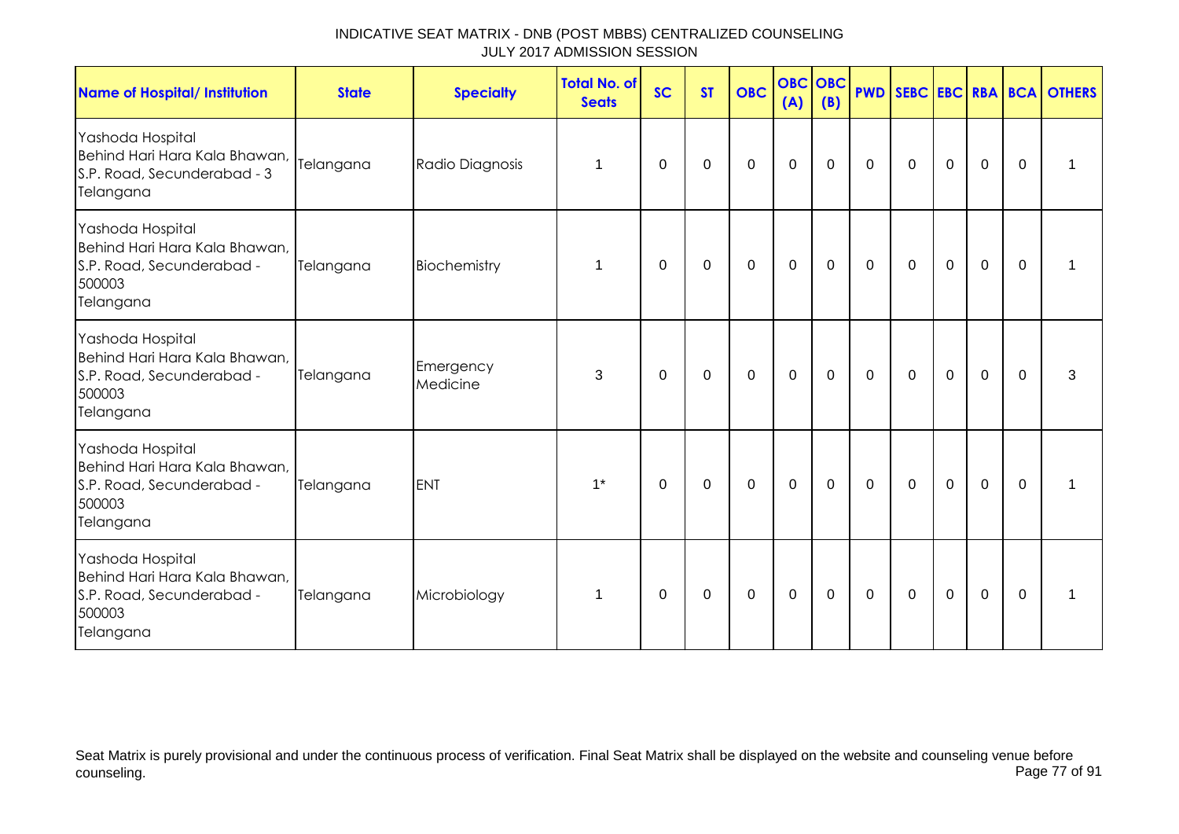| <b>Name of Hospital/ Institution</b>                                                                  | <b>State</b> | <b>Specialty</b>      | <b>Total No. of</b><br><b>Seats</b> | <b>SC</b>   | <b>ST</b>   | <b>OBC</b>  | <b>OBC</b><br>(A) | OBC<br>(B)  |             |             |             |             |          | <b>PWD SEBC EBC RBA BCA OTHERS</b> |
|-------------------------------------------------------------------------------------------------------|--------------|-----------------------|-------------------------------------|-------------|-------------|-------------|-------------------|-------------|-------------|-------------|-------------|-------------|----------|------------------------------------|
| Yashoda Hospital<br>Behind Hari Hara Kala Bhawan,<br>S.P. Road, Secunderabad - 3<br>Telangana         | Telangana    | Radio Diagnosis       | 1                                   | 0           | 0           | $\mathbf 0$ | $\mathbf 0$       | 0           | 0           | $\mathbf 0$ | $\mathbf 0$ | $\mathbf 0$ | $\Omega$ | 1                                  |
| Yashoda Hospital<br>Behind Hari Hara Kala Bhawan,<br>S.P. Road, Secunderabad -<br>500003<br>Telangana | Telangana    | Biochemistry          | 1                                   | $\mathbf 0$ | 0           | 0           | $\mathbf 0$       | 0           | 0           | 0           | $\mathbf 0$ | $\mathbf 0$ | $\Omega$ |                                    |
| Yashoda Hospital<br>Behind Hari Hara Kala Bhawan,<br>S.P. Road, Secunderabad -<br>500003<br>Telangana | Telangana    | Emergency<br>Medicine | 3                                   | 0           | $\mathbf 0$ | $\pmb{0}$   | $\mathbf 0$       | 0           | $\mathbf 0$ | $\mathbf 0$ | $\mathbf 0$ | $\mathbf 0$ | $\Omega$ | 3                                  |
| Yashoda Hospital<br>Behind Hari Hara Kala Bhawan,<br>S.P. Road, Secunderabad -<br>500003<br>Telangana | Telangana    | <b>ENT</b>            | $1^*$                               | 0           | $\mathbf 0$ | $\mathbf 0$ | $\mathbf 0$       | 0           | 0           | $\mathbf 0$ | $\mathbf 0$ | $\mathbf 0$ | $\Omega$ |                                    |
| Yashoda Hospital<br>Behind Hari Hara Kala Bhawan,<br>S.P. Road, Secunderabad -<br>500003<br>Telangana | Telangana    | Microbiology          | 1                                   | $\mathbf 0$ | $\pmb{0}$   | $\pmb{0}$   | $\boldsymbol{0}$  | $\mathbf 0$ | $\mathbf 0$ | $\mathbf 0$ | $\mathbf 0$ | $\pmb{0}$   | 0        |                                    |

Seat Matrix is purely provisional and under the continuous process of verification. Final Seat Matrix shall be displayed on the website and counseling venue before<br>Page 77 of 91 counseling. Page 77 of 91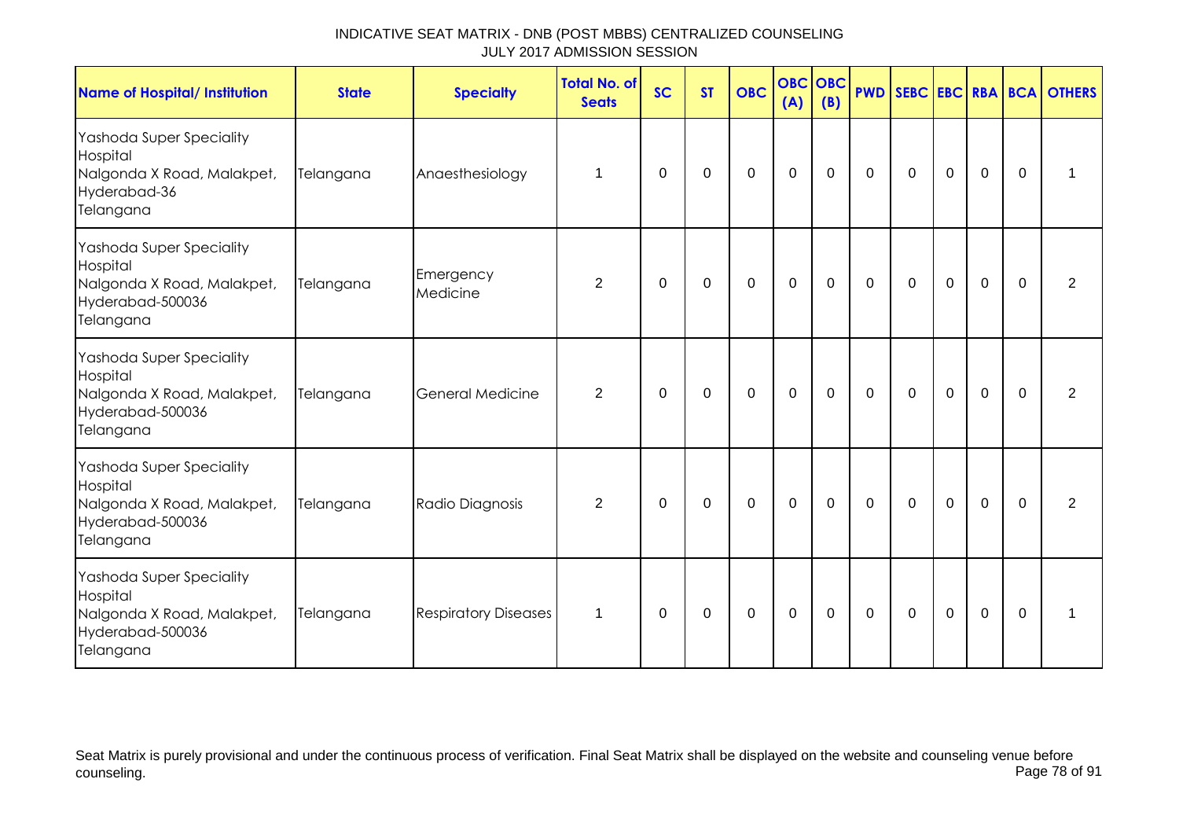| <b>Name of Hospital/ Institution</b>                                                                | <b>State</b> | <b>Specialty</b>            | <b>Total No. of</b><br><b>Seats</b> | <b>SC</b>   | <b>ST</b> | <b>OBC</b>  | <b>OBC OBC</b><br>(A) | (B)         | <b>PWD</b>  |             |             |             |          | SEBC EBC RBA BCA OTHERS |
|-----------------------------------------------------------------------------------------------------|--------------|-----------------------------|-------------------------------------|-------------|-----------|-------------|-----------------------|-------------|-------------|-------------|-------------|-------------|----------|-------------------------|
| Yashoda Super Speciality<br>Hospital<br>Nalgonda X Road, Malakpet,<br>Hyderabad-36<br>Telangana     | Telangana    | Anaesthesiology             | 1                                   | 0           | 0         | $\mathbf 0$ | $\mathbf 0$           | $\mathbf 0$ | $\mathbf 0$ | $\mathbf 0$ | $\pmb{0}$   | $\mathbf 0$ | $\Omega$ | 1                       |
| Yashoda Super Speciality<br>Hospital<br>Nalgonda X Road, Malakpet,<br>Hyderabad-500036<br>Telangana | Telangana    | Emergency<br>Medicine       | $\overline{2}$                      | 0           | 0         | $\mathbf 0$ | $\mathbf 0$           | $\mathbf 0$ | 0           | $\mathbf 0$ | $\mathbf 0$ | $\mathbf 0$ | $\Omega$ | 2                       |
| Yashoda Super Speciality<br>Hospital<br>Nalgonda X Road, Malakpet,<br>Hyderabad-500036<br>Telangana | Telangana    | <b>General Medicine</b>     | $\overline{2}$                      | 0           | 0         | $\mathbf 0$ | $\mathbf 0$           | 0           | $\mathbf 0$ | $\mathbf 0$ | $\mathbf 0$ | $\mathbf 0$ | $\Omega$ | $\overline{2}$          |
| Yashoda Super Speciality<br>Hospital<br>Nalgonda X Road, Malakpet,<br>Hyderabad-500036<br>Telangana | Telangana    | Radio Diagnosis             | $\overline{2}$                      | $\mathbf 0$ | 0         | $\mathbf 0$ | $\mathbf 0$           | $\mathbf 0$ | $\mathbf 0$ | $\mathbf 0$ | $\mathbf 0$ | $\mathbf 0$ | $\Omega$ | $\overline{2}$          |
| Yashoda Super Speciality<br>Hospital<br>Nalgonda X Road, Malakpet,<br>Hyderabad-500036<br>Telangana | Telangana    | <b>Respiratory Diseases</b> | $\mathbf 1$                         | 0           | 0         | $\mathbf 0$ | $\mathbf 0$           | $\mathbf 0$ | $\mathbf 0$ | $\mathbf 0$ | $\mathbf 0$ | $\mathbf 0$ | $\Omega$ | 1                       |

Seat Matrix is purely provisional and under the continuous process of verification. Final Seat Matrix shall be displayed on the website and counseling venue before<br>Page 78 of 91 counseling. Page 78 of 91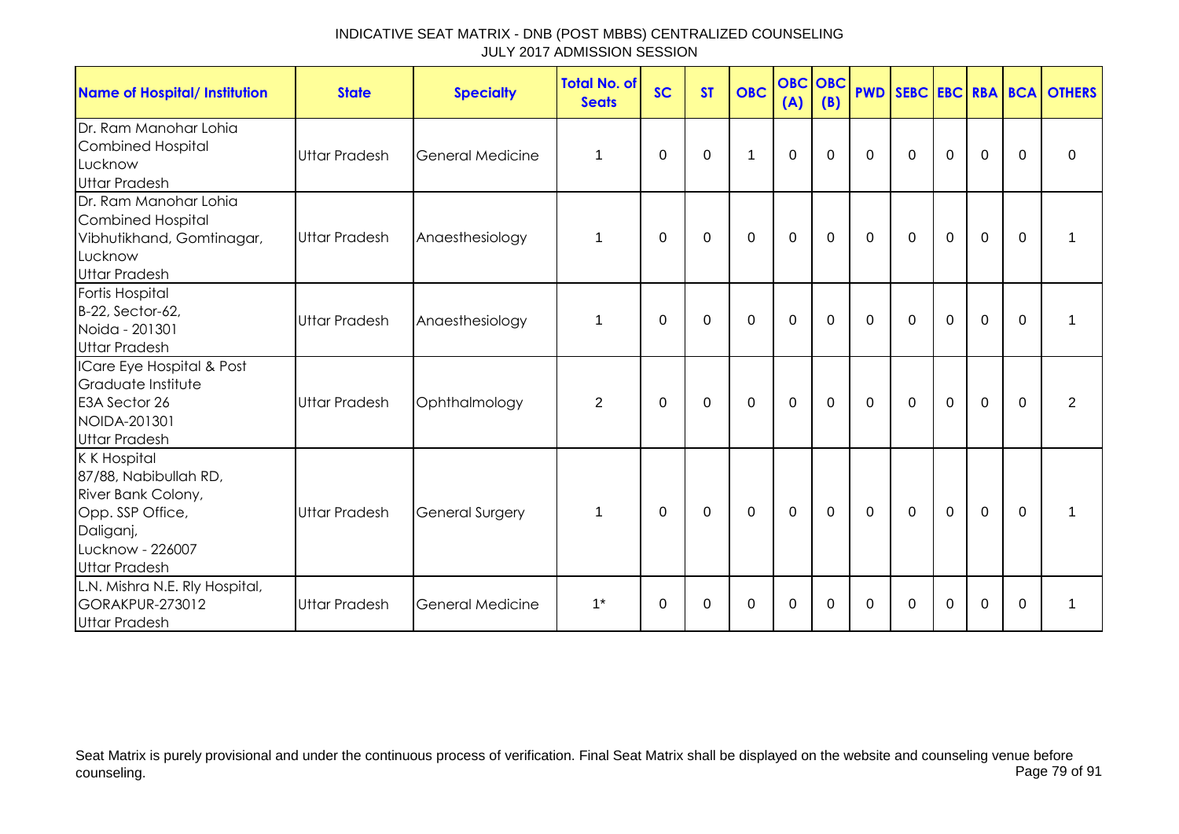| <b>Name of Hospital/ Institution</b>                                                                                                           | <b>State</b>         | <b>Specialty</b>        | <b>Total No. of</b><br><b>Seats</b> | <b>SC</b> | <b>ST</b>   | <b>OBC</b>   | <b>OBC</b> OBC<br>(A) | (B)         | <b>PWD</b>   |                |                |                |              | SEBC EBC RBA BCA OTHERS |
|------------------------------------------------------------------------------------------------------------------------------------------------|----------------------|-------------------------|-------------------------------------|-----------|-------------|--------------|-----------------------|-------------|--------------|----------------|----------------|----------------|--------------|-------------------------|
| Dr. Ram Manohar Lohia<br><b>Combined Hospital</b><br>Lucknow<br><b>Uttar Pradesh</b>                                                           | <b>Uttar Pradesh</b> | <b>General Medicine</b> | $\mathbf{1}$                        | 0         | $\mathbf 0$ | $\mathbf{1}$ | $\mathbf 0$           | $\mathbf 0$ | $\mathbf{0}$ | $\mathbf 0$    | $\mathbf 0$    | $\mathbf 0$    | $\mathbf{0}$ | $\mathbf 0$             |
| Dr. Ram Manohar Lohia<br><b>Combined Hospital</b><br>Vibhutikhand, Gomtinagar,<br>Lucknow<br><b>Uttar Pradesh</b>                              | <b>Uttar Pradesh</b> | Anaesthesiology         | 1                                   | $\Omega$  | 0           | $\mathbf 0$  | $\mathbf 0$           | $\mathbf 0$ | $\mathbf 0$  | $\mathbf 0$    | $\mathbf 0$    | $\mathbf 0$    | $\mathbf 0$  | 1                       |
| Fortis Hospital<br>B-22, Sector-62,<br>Noida - 201301<br><b>Uttar Pradesh</b>                                                                  | <b>Uttar Pradesh</b> | Anaesthesiology         | $\mathbf 1$                         | $\Omega$  | $\Omega$    | $\mathbf 0$  | $\mathbf 0$           | $\mathbf 0$ | $\mathbf 0$  | $\mathbf 0$    | $\mathbf 0$    | $\mathbf 0$    | $\mathbf{0}$ | 1                       |
| ICare Eye Hospital & Post<br>Graduate Institute<br>E3A Sector 26<br>NOIDA-201301<br><b>Uttar Pradesh</b>                                       | Uttar Pradesh        | Ophthalmology           | 2                                   | $\Omega$  | $\Omega$    | $\Omega$     | $\mathbf 0$           | $\Omega$    | $\mathbf{0}$ | $\Omega$       | $\Omega$       | $\Omega$       | $\mathbf{0}$ | $\overline{2}$          |
| <b>KK Hospital</b><br>87/88, Nabibullah RD,<br>River Bank Colony,<br>Opp. SSP Office,<br>Daliganj,<br>Lucknow - 226007<br><b>Uttar Pradesh</b> | <b>Uttar Pradesh</b> | <b>General Surgery</b>  | $\mathbf{1}$                        | $\Omega$  | 0           | $\mathbf 0$  | $\mathbf 0$           | $\mathbf 0$ | $\mathbf{0}$ | $\overline{0}$ | $\overline{0}$ | $\overline{0}$ | $\Omega$     | 1                       |
| L.N. Mishra N.E. Rly Hospital,<br><b>GORAKPUR-273012</b><br><b>Uttar Pradesh</b>                                                               | <b>Uttar Pradesh</b> | <b>General Medicine</b> | $1^*$                               | $\Omega$  | $\Omega$    | $\mathbf 0$  | $\mathbf 0$           | $\Omega$    | $\Omega$     | $\Omega$       | $\Omega$       | $\Omega$       | $\Omega$     | 1                       |

Seat Matrix is purely provisional and under the continuous process of verification. Final Seat Matrix shall be displayed on the website and counseling venue before<br>Page 79 of 91 counseling. Page 79 of 91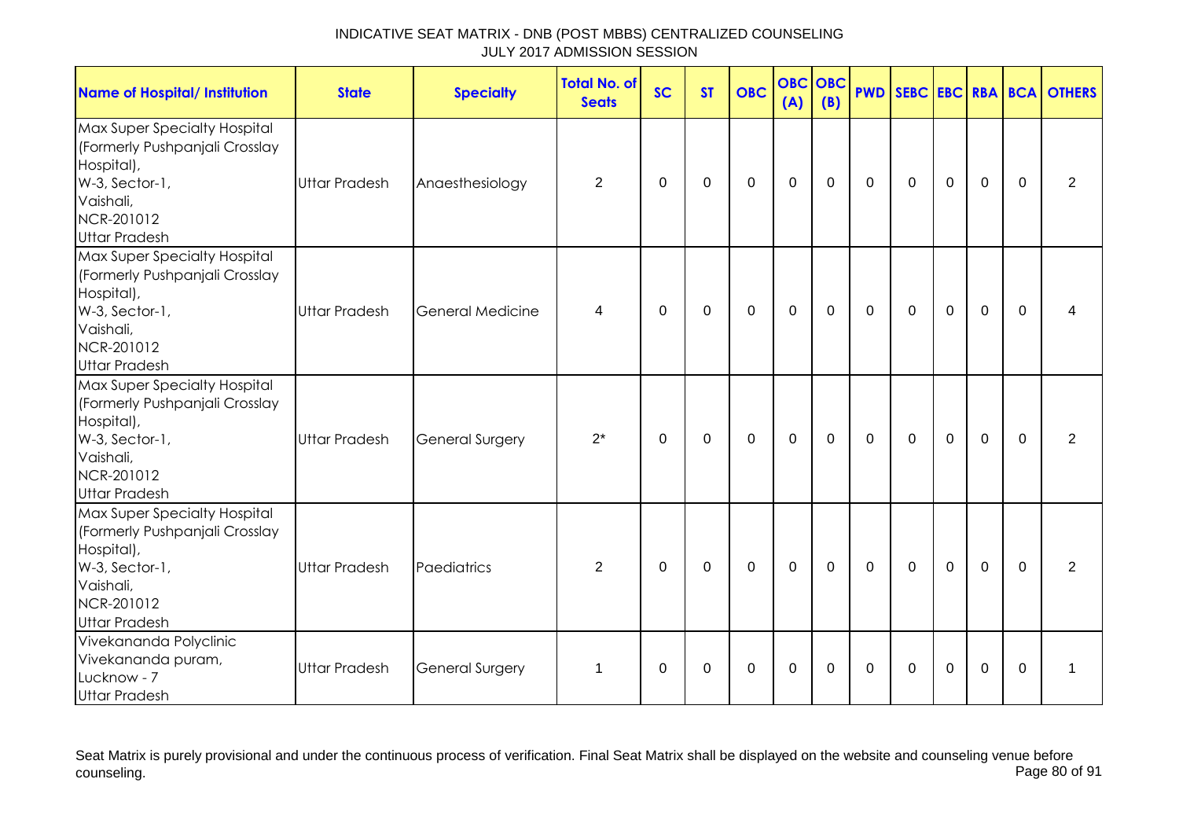| <b>Name of Hospital/ Institution</b>                                                                                                              | <b>State</b>         | <b>Specialty</b>        | <b>Total No. of</b><br><b>Seats</b> | <b>SC</b>    | <b>ST</b>   | <b>OBC</b>  | <b>OBC</b><br>(A) | <b>OBC</b><br>(B) |              |              |             |             |             | <b>PWD SEBC EBC RBA BCA OTHERS</b> |
|---------------------------------------------------------------------------------------------------------------------------------------------------|----------------------|-------------------------|-------------------------------------|--------------|-------------|-------------|-------------------|-------------------|--------------|--------------|-------------|-------------|-------------|------------------------------------|
| Max Super Specialty Hospital<br>(Formerly Pushpanjali Crosslay<br>Hospital),<br>W-3, Sector-1,<br>Vaishali,<br>NCR-201012<br><b>Uttar Pradesh</b> | <b>Uttar Pradesh</b> | Anaesthesiology         | $\overline{2}$                      | $\mathbf 0$  | $\mathbf 0$ | $\mathbf 0$ | $\mathbf 0$       | $\mathbf 0$       | $\mathbf 0$  | $\mathbf 0$  | $\mathbf 0$ | $\mathbf 0$ | $\mathbf 0$ | 2                                  |
| Max Super Specialty Hospital<br>(Formerly Pushpanjali Crosslay<br>Hospital),<br>W-3, Sector-1,<br>Vaishali,<br>NCR-201012<br><b>Uttar Pradesh</b> | <b>Uttar Pradesh</b> | <b>General Medicine</b> | 4                                   | $\mathbf{0}$ | 0           | $\mathbf 0$ | $\mathbf 0$       | $\Omega$          | $\mathbf{0}$ | $\mathbf{0}$ | $\Omega$    | $\mathbf 0$ | $\Omega$    | 4                                  |
| Max Super Specialty Hospital<br>(Formerly Pushpanjali Crosslay<br>Hospital),<br>W-3, Sector-1,<br>Vaishali,<br>NCR-201012<br><b>Uttar Pradesh</b> | <b>Uttar Pradesh</b> | <b>General Surgery</b>  | $2^*$                               | $\mathbf 0$  | $\mathbf 0$ | $\mathsf 0$ | $\mathbf 0$       | $\mathbf 0$       | $\mathbf 0$  | $\mathbf 0$  | $\mathbf 0$ | $\mathbf 0$ | $\mathbf 0$ | 2                                  |
| Max Super Specialty Hospital<br>(Formerly Pushpanjali Crosslay<br>Hospital),<br>W-3, Sector-1,<br>Vaishali,<br>NCR-201012<br><b>Uttar Pradesh</b> | <b>Uttar Pradesh</b> | Paediatrics             | 2                                   | 0            | 0           | $\Omega$    | $\Omega$          | $\Omega$          | $\mathbf{0}$ | $\mathbf{0}$ | $\Omega$    | $\mathbf 0$ | $\Omega$    | 2                                  |
| Vivekananda Polyclinic<br>Vivekananda puram,<br>Lucknow - 7<br><b>Uttar Pradesh</b>                                                               | <b>Uttar Pradesh</b> | <b>General Surgery</b>  | $\mathbf 1$                         | $\mathbf{0}$ | $\Omega$    | $\Omega$    | $\mathbf 0$       | 0                 | $\mathbf{0}$ | $\Omega$     | $\Omega$    | $\mathbf 0$ | $\Omega$    | 1                                  |

Seat Matrix is purely provisional and under the continuous process of verification. Final Seat Matrix shall be displayed on the website and counseling venue before<br>Page 80 of 91 counseling. Page 80 of 91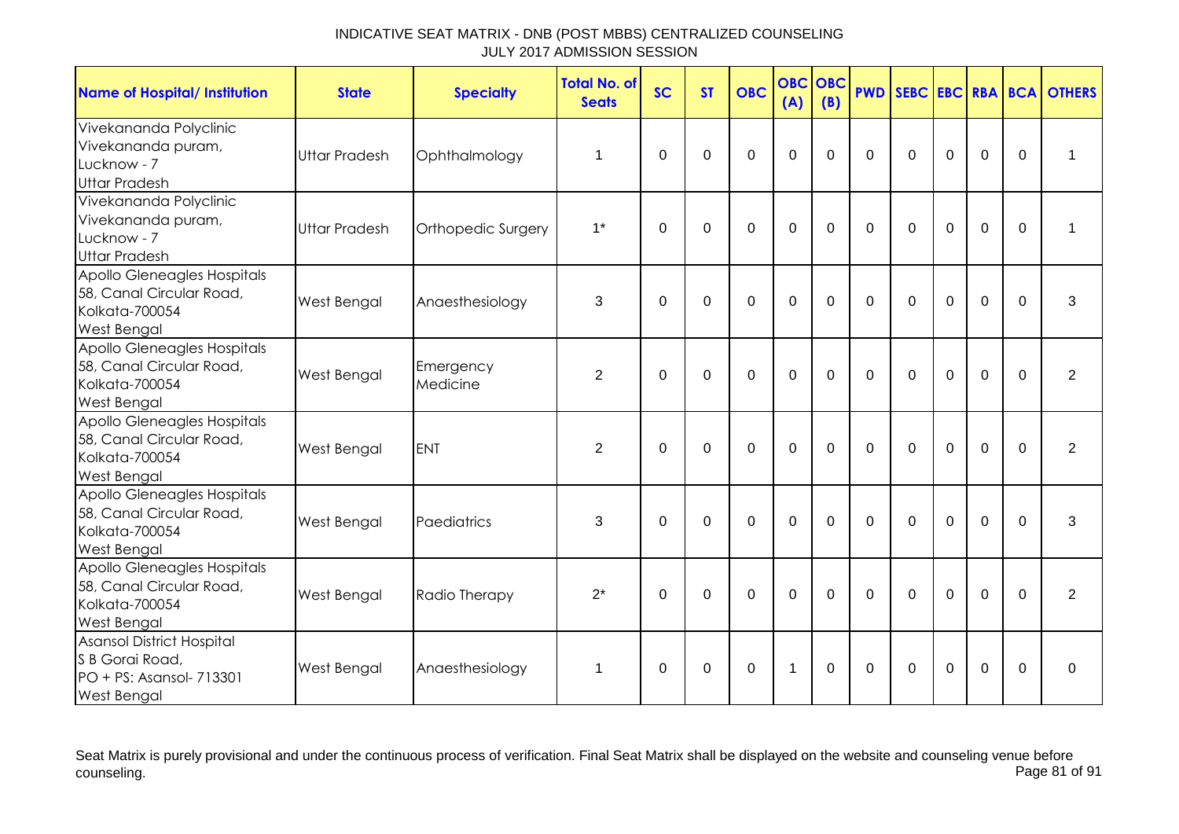| <b>Name of Hospital/ Institution</b>                                                                  | <b>State</b>         | <b>Specialty</b>      | <b>Total No. of</b><br><b>Seats</b> | <b>SC</b>   | <b>ST</b>   | <b>OBC</b>     | <b>OBC</b><br>(A)    | <b>OBC</b><br>(B) | <b>PWD</b>  |             |                |                |             | SEBC EBC RBA BCA OTHERS |
|-------------------------------------------------------------------------------------------------------|----------------------|-----------------------|-------------------------------------|-------------|-------------|----------------|----------------------|-------------------|-------------|-------------|----------------|----------------|-------------|-------------------------|
| Vivekananda Polyclinic<br>Vivekananda puram,<br>Lucknow - 7<br><b>Uttar Pradesh</b>                   | <b>Uttar Pradesh</b> | Ophthalmology         | 1                                   | $\Omega$    | 0           | $\mathbf 0$    | $\mathbf 0$          | $\Omega$          | $\mathbf 0$ | $\mathbf 0$ | $\mathbf 0$    | $\mathbf 0$    | $\mathbf 0$ | 1                       |
| Vivekananda Polyclinic<br>Vivekananda puram,<br>Lucknow - 7<br><b>Uttar Pradesh</b>                   | <b>Uttar Pradesh</b> | Orthopedic Surgery    | $1^*$                               | $\Omega$    | $\Omega$    | $\Omega$       | $\overline{0}$       | $\Omega$          | $\Omega$    | $\Omega$    | $\Omega$       | $\mathbf 0$    | $\Omega$    | 1                       |
| Apollo Gleneagles Hospitals<br>58, Canal Circular Road,<br>Kolkata-700054<br><b>West Bengal</b>       | <b>West Bengal</b>   | Anaesthesiology       | 3                                   | $\mathbf 0$ | $\mathbf 0$ | $\overline{0}$ | $\overline{0}$       | $\mathbf 0$       | $\mathbf 0$ | $\mathbf 0$ | $\overline{0}$ | $\mathbf 0$    | $\mathbf 0$ | 3                       |
| Apollo Gleneagles Hospitals<br>58, Canal Circular Road,<br>Kolkata-700054<br><b>West Bengal</b>       | West Bengal          | Emergency<br>Medicine | $\overline{2}$                      | $\Omega$    | $\Omega$    | $\overline{0}$ | $\overline{0}$       | $\Omega$          | $\Omega$    | $\Omega$    | $\Omega$       | $\overline{0}$ | $\Omega$    | $\overline{2}$          |
| Apollo Gleneagles Hospitals<br>58, Canal Circular Road,<br>Kolkata-700054<br><b>West Bengal</b>       | West Bengal          | <b>ENT</b>            | 2                                   | $\Omega$    | $\Omega$    | $\overline{0}$ | $\overline{0}$       | $\Omega$          | $\Omega$    | $\Omega$    | $\Omega$       | $\overline{0}$ | $\Omega$    | $\overline{2}$          |
| Apollo Gleneagles Hospitals<br>58, Canal Circular Road,<br>Kolkata-700054<br><b>West Bengal</b>       | West Bengal          | Paediatrics           | 3                                   | $\Omega$    | $\Omega$    | $\mathbf 0$    | $\mathbf 0$          | $\Omega$          | $\Omega$    | $\Omega$    | $\mathbf 0$    | $\mathbf 0$    | $\Omega$    | 3                       |
| Apollo Gleneagles Hospitals<br>58, Canal Circular Road,<br><b>Kolkata-700054</b><br>West Bengal       | West Bengal          | Radio Therapy         | $2^*$                               | $\Omega$    | $\mathbf 0$ | $\mathbf 0$    | $\overline{0}$       | $\mathbf 0$       | $\Omega$    | $\mathbf 0$ | $\mathbf 0$    | $\mathbf 0$    | $\mathbf 0$ | $\overline{2}$          |
| <b>Asansol District Hospital</b><br>S B Gorai Road,<br>PO + PS: Asansol- 713301<br><b>West Bengal</b> | West Bengal          | Anaesthesiology       | $\mathbf 1$                         | $\Omega$    | $\Omega$    | $\Omega$       | $\blacktriangleleft$ | $\Omega$          | $\Omega$    | $\Omega$    | $\Omega$       | $\mathbf 0$    | $\Omega$    | $\Omega$                |

Seat Matrix is purely provisional and under the continuous process of verification. Final Seat Matrix shall be displayed on the website and counseling venue before<br>Page 81 of 91 counseling. Page 81 of 91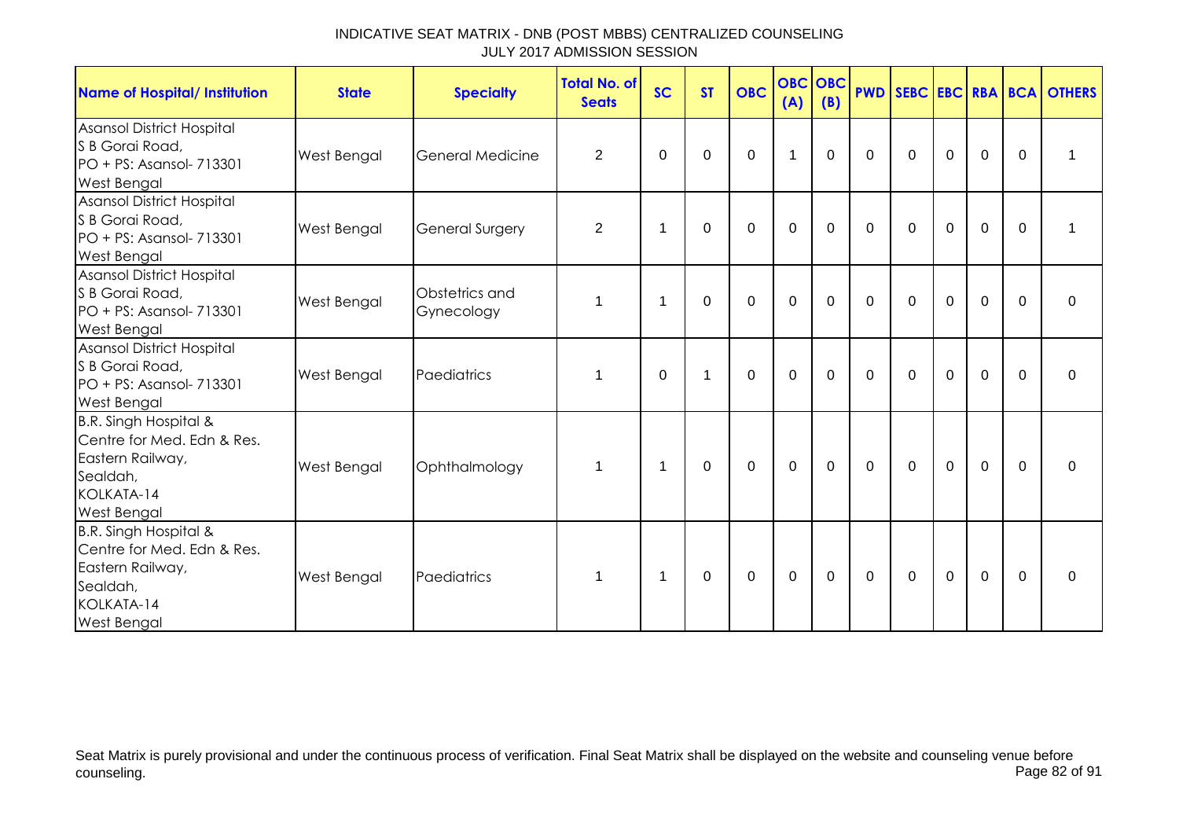| Name of Hospital/ Institution                                                                                           | <b>State</b>       | <b>Specialty</b>             | <b>Total No. of</b><br><b>Seats</b> | <b>SC</b>      | <b>ST</b> | <b>OBC</b>  | (A)         | <b>OBC OBC</b><br>(B) | <b>PWD</b>  |              |             |             |             | SEBC EBC RBA BCA OTHERS |
|-------------------------------------------------------------------------------------------------------------------------|--------------------|------------------------------|-------------------------------------|----------------|-----------|-------------|-------------|-----------------------|-------------|--------------|-------------|-------------|-------------|-------------------------|
| Asansol District Hospital<br>S B Gorai Road,<br>PO + PS: Asansol- 713301<br>West Bengal                                 | West Bengal        | <b>General Medicine</b>      | $\overline{2}$                      | $\Omega$       | $\Omega$  | $\mathbf 0$ | 1           | $\Omega$              | $\Omega$    | $\mathbf 0$  | $\mathbf 0$ | $\mathbf 0$ | $\Omega$    | 1                       |
| Asansol District Hospital<br>S B Gorai Road,<br>PO + PS: Asansol- 713301<br>West Bengal                                 | <b>West Bengal</b> | <b>General Surgery</b>       | $\overline{2}$                      | $\mathbf 1$    | 0         | $\mathbf 0$ | 0           | 0                     | $\Omega$    | $\mathbf 0$  | $\mathbf 0$ | $\mathbf 0$ | 0           | 1                       |
| <b>Asansol District Hospital</b><br>S B Gorai Road,<br>PO + PS: Asansol- 713301<br>West Bengal                          | West Bengal        | Obstetrics and<br>Gynecology | $\mathbf{1}$                        | $\mathbf 1$    | $\Omega$  | $\mathbf 0$ | $\mathbf 0$ | $\Omega$              | $\Omega$    | $\Omega$     | $\Omega$    | $\mathbf 0$ | $\Omega$    | $\Omega$                |
| <b>Asansol District Hospital</b><br>S B Gorai Road,<br>PO + PS: Asansol- 713301<br><b>West Bengal</b>                   | West Bengal        | Paediatrics                  | 1                                   | $\Omega$       | 1         | $\mathbf 0$ | $\mathbf 0$ | $\Omega$              | $\Omega$    | $\mathbf{0}$ | $\mathbf 0$ | $\mathbf 0$ | $\Omega$    | 0                       |
| B.R. Singh Hospital &<br>Centre for Med. Edn & Res.<br>Eastern Railway,<br>Sealdah,<br>KOLKATA-14<br><b>West Bengal</b> | West Bengal        | Ophthalmology                | $\mathbf 1$                         | $\mathbf 1$    | 0         | $\mathbf 0$ | 0           | $\mathbf 0$           | $\mathbf 0$ | $\mathbf 0$  | $\mathbf 0$ | $\mathbf 0$ | $\mathbf 0$ | $\Omega$                |
| B.R. Singh Hospital &<br>Centre for Med. Edn & Res.<br>Eastern Railway,<br>Sealdah,<br>KOLKATA-14<br><b>West Bengal</b> | <b>West Bengal</b> | Paediatrics                  | 1                                   | $\overline{1}$ | 0         | $\mathbf 0$ | 0           | $\mathbf 0$           | $\Omega$    | $\mathbf 0$  | $\mathbf 0$ | $\mathbf 0$ | $\Omega$    | 0                       |

Seat Matrix is purely provisional and under the continuous process of verification. Final Seat Matrix shall be displayed on the website and counseling venue before<br>Page 82 of 91 counseling. Page 82 of 91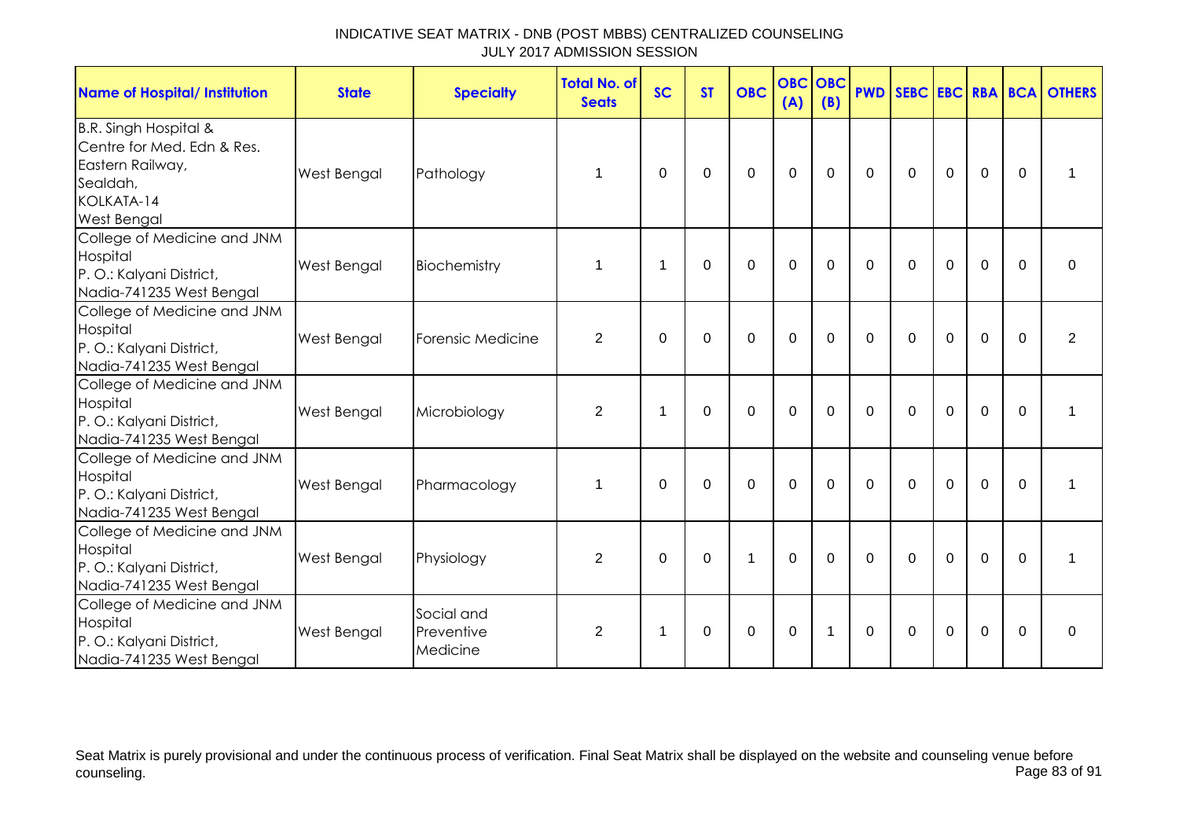| <b>Name of Hospital/ Institution</b>                                                                                    | <b>State</b>       | <b>Specialty</b>                     | <b>Total No. of</b><br><b>Seats</b> | <b>SC</b>      | <b>ST</b>   | <b>OBC</b>   | <b>OBC</b><br>(A) | <b>OBC</b><br>(B) |              |              |                |                |             | <b>PWD SEBC EBC RBA BCA OTHERS</b> |
|-------------------------------------------------------------------------------------------------------------------------|--------------------|--------------------------------------|-------------------------------------|----------------|-------------|--------------|-------------------|-------------------|--------------|--------------|----------------|----------------|-------------|------------------------------------|
| B.R. Singh Hospital &<br>Centre for Med. Edn & Res.<br>Eastern Railway,<br>Sealdah,<br>KOLKATA-14<br><b>West Bengal</b> | West Bengal        | Pathology                            | 1                                   | $\mathbf 0$    | $\mathbf 0$ | $\mathbf 0$  | $\mathbf 0$       | $\mathbf 0$       | $\mathbf 0$  | $\mathbf 0$  | $\mathbf 0$    | $\overline{0}$ | $\mathbf 0$ |                                    |
| College of Medicine and JNM<br>Hospital<br>P. O.: Kalyani District,<br>Nadia-741235 West Bengal                         | <b>West Bengal</b> | Biochemistry                         | 1                                   | $\overline{1}$ | $\Omega$    | $\mathbf 0$  | $\mathbf 0$       | $\Omega$          | $\mathbf 0$  | $\mathbf{0}$ | $\mathbf 0$    | $\overline{0}$ | $\Omega$    | $\mathbf 0$                        |
| College of Medicine and JNM<br>Hospital<br>P.O.: Kalyani District,<br>Nadia-741235 West Bengal                          | <b>West Bengal</b> | Forensic Medicine                    | $\overline{2}$                      | $\mathbf 0$    | $\mathbf 0$ | $\mathbf 0$  | $\mathbf 0$       | $\mathbf 0$       | $\mathbf 0$  | $\mathbf 0$  | $\mathbf 0$    | $\mathbf 0$    | $\Omega$    | 2                                  |
| College of Medicine and JNM<br>Hospital<br>P.O.: Kalyani District,<br>Nadia-741235 West Bengal                          | <b>West Bengal</b> | Microbiology                         | $\overline{2}$                      | $\overline{1}$ | $\mathbf 0$ | $\mathbf 0$  | $\mathbf 0$       | $\overline{0}$    | $\Omega$     | $\Omega$     | $\mathbf 0$    | $\overline{0}$ | $\Omega$    | 1                                  |
| College of Medicine and JNM<br>Hospital<br>P.O.: Kalyani District,<br>Nadia-741235 West Bengal                          | <b>West Bengal</b> | Pharmacology                         | $\mathbf 1$                         | $\mathbf 0$    | $\mathbf 0$ | $\mathbf 0$  | $\mathbf 0$       | $\mathbf 0$       | $\mathbf 0$  | $\mathbf 0$  | $\overline{0}$ | $\overline{0}$ | $\mathbf 0$ | 1                                  |
| College of Medicine and JNM<br>Hospital<br>P.O.: Kalyani District,<br>Nadia-741235 West Bengal                          | <b>West Bengal</b> | Physiology                           | $\overline{2}$                      | $\Omega$       | $\Omega$    | $\mathbf{1}$ | $\mathbf 0$       | $\Omega$          | $\Omega$     | $\Omega$     | $\mathbf 0$    | $\mathbf 0$    | $\Omega$    | 1                                  |
| College of Medicine and JNM<br>Hospital<br>P.O.: Kalyani District,<br>Nadia-741235 West Bengal                          | <b>West Bengal</b> | Social and<br>Preventive<br>Medicine | $\overline{2}$                      | $\mathbf 1$    | 0           | $\mathbf 0$  | $\mathbf 0$       | 1                 | $\mathbf{0}$ | $\Omega$     | $\mathbf 0$    | $\mathbf 0$    | $\Omega$    | $\mathbf 0$                        |

Seat Matrix is purely provisional and under the continuous process of verification. Final Seat Matrix shall be displayed on the website and counseling venue before<br>Page 83 of 91 counseling. Page 83 of 91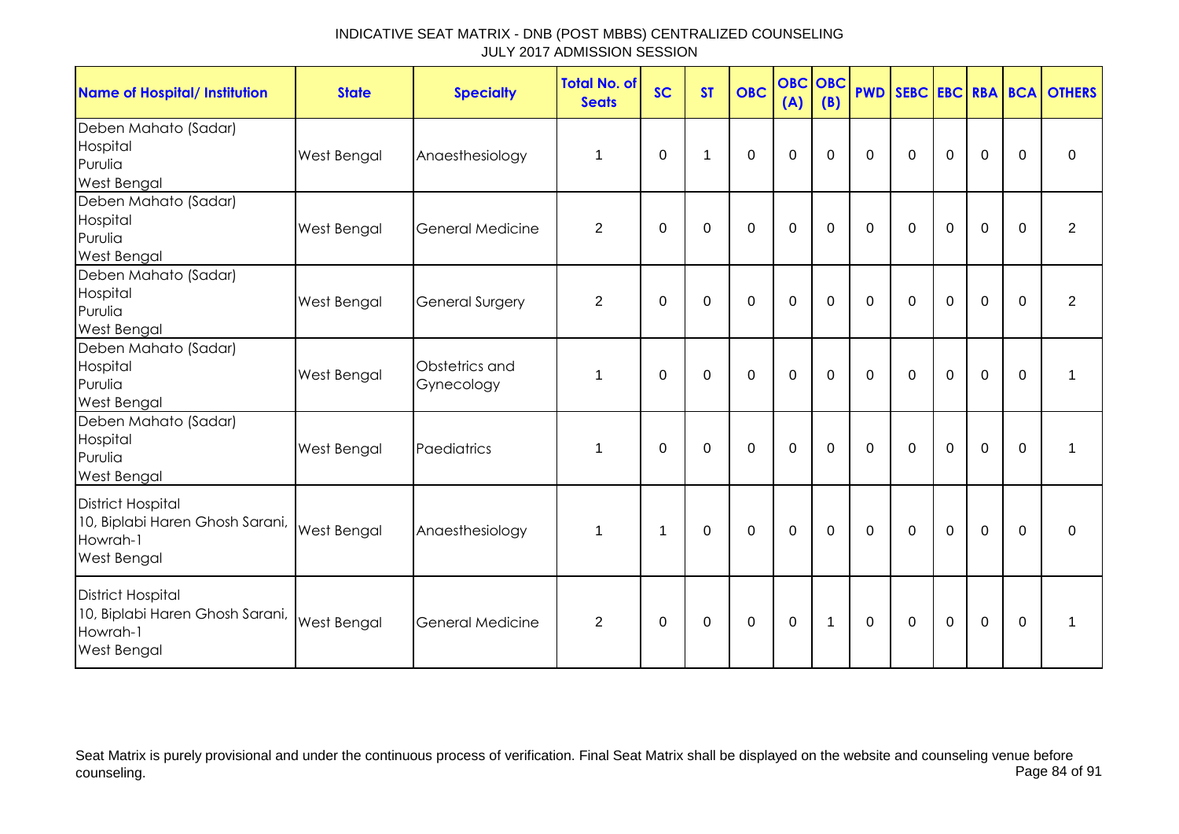| <b>Name of Hospital/ Institution</b>                                                          | <b>State</b> | <b>Specialty</b>             | <b>Total No. of</b><br><b>Seats</b> | <b>SC</b>    | <b>ST</b> | <b>OBC</b>  | <b>OBC OBC</b><br>(A) | (B)          |              |             |             |                |             | <b>PWD SEBC EBC RBA BCA OTHERS</b> |
|-----------------------------------------------------------------------------------------------|--------------|------------------------------|-------------------------------------|--------------|-----------|-------------|-----------------------|--------------|--------------|-------------|-------------|----------------|-------------|------------------------------------|
| Deben Mahato (Sadar)<br>Hospital<br>Purulia<br>West Bengal                                    | West Bengal  | Anaesthesiology              | 1                                   | $\Omega$     | 1         | $\Omega$    | $\mathbf 0$           | $\Omega$     | $\mathbf{0}$ | $\Omega$    | $\Omega$    | $\Omega$       | $\Omega$    | $\Omega$                           |
| Deben Mahato (Sadar)<br>Hospital<br>Purulia<br>West Bengal                                    | West Bengal  | <b>General Medicine</b>      | 2                                   | $\Omega$     | $\Omega$  | $\mathbf 0$ | $\mathbf 0$           | $\mathbf 0$  | $\mathbf 0$  | $\mathbf 0$ | $\mathbf 0$ | $\mathbf 0$    | $\Omega$    | 2                                  |
| Deben Mahato (Sadar)<br>Hospital<br>Purulia<br>West Bengal                                    | West Bengal  | <b>General Surgery</b>       | $\overline{2}$                      | 0            | 0         | $\mathbf 0$ | $\mathbf 0$           | $\mathbf 0$  | $\mathbf 0$  | $\Omega$    | $\mathbf 0$ | $\mathbf 0$    | $\mathbf 0$ | $\overline{2}$                     |
| Deben Mahato (Sadar)<br>Hospital<br>Purulia<br>West Bengal                                    | West Bengal  | Obstetrics and<br>Gynecology | 1                                   | $\mathbf 0$  | 0         | $\mathbf 0$ | $\mathbf 0$           | $\mathbf 0$  | $\mathbf 0$  | $\mathbf 0$ | $\mathbf 0$ | $\mathbf 0$    | $\mathbf 0$ | 1                                  |
| Deben Mahato (Sadar)<br>Hospital<br>Purulia<br>West Bengal                                    | West Bengal  | Paediatrics                  | 1                                   | 0            | $\Omega$  | $\Omega$    | $\mathbf 0$           | 0            | $\mathbf{0}$ | $\Omega$    | 0           | $\mathbf 0$    | $\Omega$    | 1                                  |
| <b>District Hospital</b><br>10, Biplabi Haren Ghosh Sarani,<br>Howrah-1<br>West Bengal        | West Bengal  | Anaesthesiology              | $\mathbf 1$                         | 1            | 0         | $\mathbf 0$ | $\mathbf 0$           | $\mathbf 0$  | $\mathbf 0$  | $\mathbf 0$ | $\mathbf 0$ | $\overline{0}$ | $\Omega$    | 0                                  |
| <b>District Hospital</b><br>10, Biplabi Haren Ghosh Sarani,<br>Howrah-1<br><b>West Bengal</b> | West Bengal  | General Medicine             | 2                                   | $\mathbf{0}$ | $\Omega$  | $\mathbf 0$ | $\mathbf 0$           | $\mathbf{1}$ | $\mathbf 0$  | $\Omega$    | $\mathbf 0$ | $\mathbf 0$    | $\Omega$    | 1                                  |

Seat Matrix is purely provisional and under the continuous process of verification. Final Seat Matrix shall be displayed on the website and counseling venue before<br>Page 84 of 91 counseling. Page 84 of 91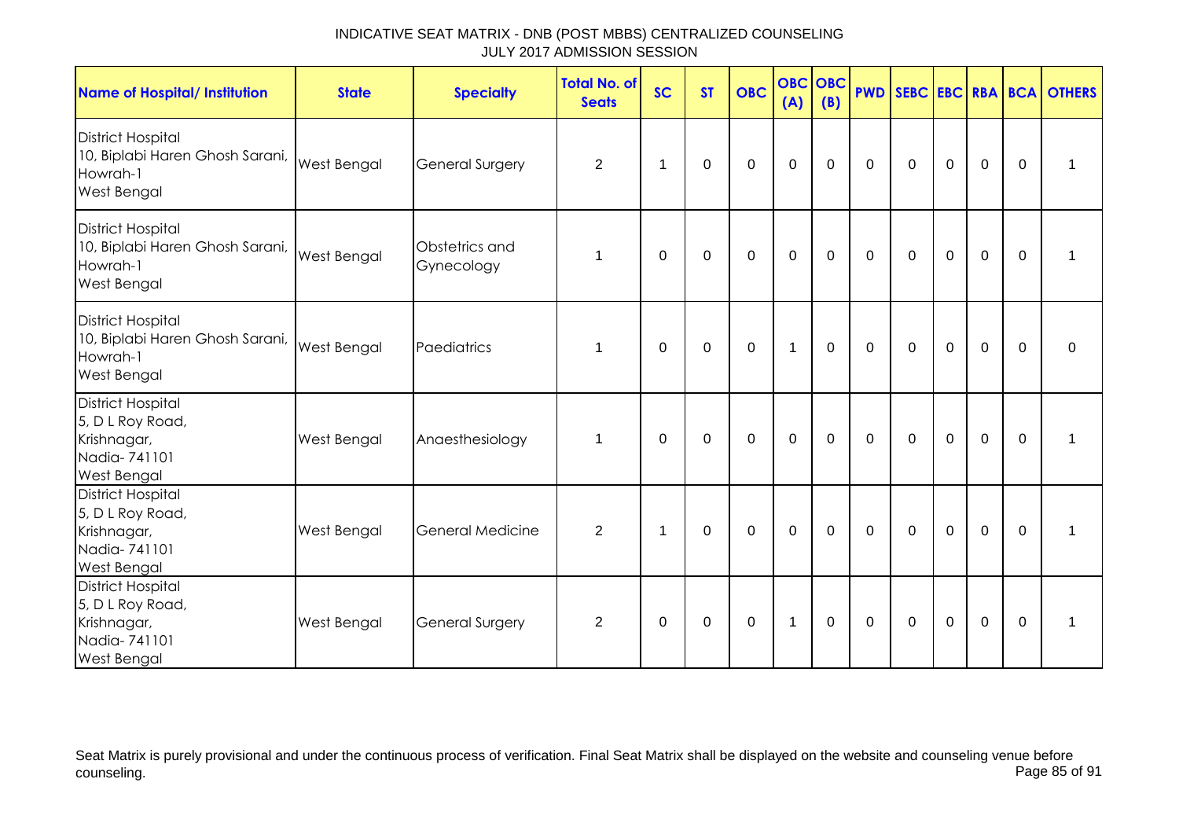| <b>Name of Hospital/ Institution</b>                                                              | <b>State</b>       | <b>Specialty</b>             | <b>Total No. of</b><br><b>Seats</b> | <b>SC</b>   | <b>ST</b>   | <b>OBC</b>   | <b>OBC</b><br>(A) | <b>OBC</b><br>(B) |             |                |                |                |             | <b>PWD SEBC EBC RBA BCA OTHERS</b> |
|---------------------------------------------------------------------------------------------------|--------------------|------------------------------|-------------------------------------|-------------|-------------|--------------|-------------------|-------------------|-------------|----------------|----------------|----------------|-------------|------------------------------------|
| <b>District Hospital</b><br>10, Biplabi Haren Ghosh Sarani,<br>Howrah-1<br><b>West Bengal</b>     | <b>West Bengal</b> | <b>General Surgery</b>       | $\overline{2}$                      | 1           | 0           | $\mathbf 0$  | $\mathbf 0$       | $\mathbf 0$       | $\mathbf 0$ | $\mathbf 0$    | $\mathbf 0$    | $\mathbf 0$    | $\mathbf 0$ | 1                                  |
| <b>District Hospital</b><br>10, Biplabi Haren Ghosh Sarani,<br>Howrah-1<br>West Bengal            | <b>West Bengal</b> | Obstetrics and<br>Gynecology | 1                                   | $\mathbf 0$ | $\mathbf 0$ | $\mathbf 0$  | $\mathbf 0$       | $\mathbf 0$       | $\mathbf 0$ | $\mathbf 0$    | $\mathbf 0$    | $\mathbf 0$    | $\mathbf 0$ | 1                                  |
| <b>District Hospital</b><br>10, Biplabi Haren Ghosh Sarani,<br>Howrah-1<br>West Bengal            | <b>West Bengal</b> | Paediatrics                  | 1                                   | $\Omega$    | 0           | $\mathbf 0$  | $\mathbf 1$       | $\mathbf 0$       | $\mathbf 0$ | $\mathbf 0$    | $\mathbf 0$    | $\overline{0}$ | $\Omega$    | $\mathbf 0$                        |
| <b>District Hospital</b><br>5, D L Roy Road,<br>Krishnagar,<br>Nadia-741101<br>West Bengal        | West Bengal        | Anaesthesiology              | 1                                   | $\Omega$    | $\Omega$    | $\mathbf{0}$ | $\mathbf 0$       | $\overline{0}$    | $\mathbf 0$ | $\mathbf 0$    | $\overline{0}$ | $\mathbf 0$    | $\Omega$    | $\mathbf 1$                        |
| <b>District Hospital</b><br>5, D L Roy Road,<br>Krishnagar,<br>Nadia-741101<br><b>West Bengal</b> | <b>West Bengal</b> | <b>General Medicine</b>      | 2                                   | $\mathbf 1$ | 0           | $\mathbf 0$  | $\mathbf 0$       | $\mathbf 0$       | $\mathbf 0$ | $\mathbf 0$    | $\mathbf 0$    | $\overline{0}$ | $\mathbf 0$ | 1                                  |
| <b>District Hospital</b><br>5, D L Roy Road,<br>Krishnagar,<br>Nadia-741101<br><b>West Bengal</b> | West Bengal        | <b>General Surgery</b>       | 2                                   | $\Omega$    | $\Omega$    | $\mathbf 0$  | $\mathbf{1}$      | $\Omega$          | $\mathbf 0$ | $\overline{0}$ | $\overline{0}$ | $\mathbf 0$    | $\Omega$    | $\mathbf 1$                        |

Seat Matrix is purely provisional and under the continuous process of verification. Final Seat Matrix shall be displayed on the website and counseling venue before<br>Page 85 of 91 counseling. Page 85 of 91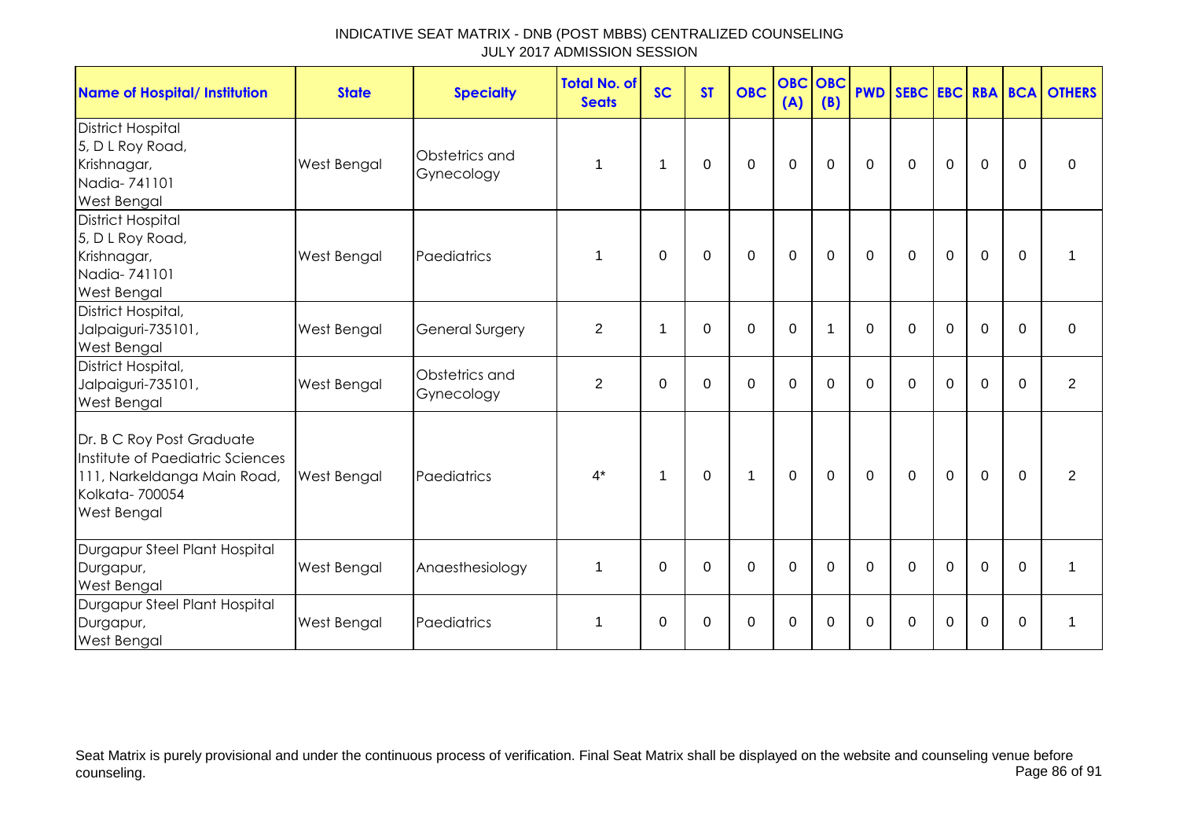| <b>Name of Hospital/ Institution</b>                                                                                          | <b>State</b>       | <b>Specialty</b>             | <b>Total No. of</b><br><b>Seats</b> | <b>SC</b>   | <b>ST</b>   | <b>OBC</b>     | <b>OBC OBC</b><br>(A) | (B)         |             |              |                |                |             | <b>PWD SEBC EBC RBA BCA OTHERS</b> |
|-------------------------------------------------------------------------------------------------------------------------------|--------------------|------------------------------|-------------------------------------|-------------|-------------|----------------|-----------------------|-------------|-------------|--------------|----------------|----------------|-------------|------------------------------------|
| <b>District Hospital</b><br>5, D L Roy Road,<br>Krishnagar,<br>Nadia-741101<br>West Bengal                                    | West Bengal        | Obstetrics and<br>Gynecology | 1                                   | -1          | 0           | $\Omega$       | $\mathbf 0$           | 0           | $\mathbf 0$ | $\mathbf 0$  | $\mathbf 0$    | $\mathbf 0$    | $\Omega$    | $\mathbf 0$                        |
| <b>District Hospital</b><br>5, D L Roy Road,<br>Krishnagar,<br>Nadia-741101<br>West Bengal                                    | West Bengal        | Paediatrics                  | 1                                   | 0           | 0           | $\mathbf 0$    | $\mathbf 0$           | $\mathbf 0$ | $\mathbf 0$ | $\mathbf 0$  | $\mathbf 0$    | $\mathbf 0$    | $\mathbf 0$ | 1                                  |
| District Hospital,<br>Jalpaiguri-735101,<br>West Bengal                                                                       | West Bengal        | <b>General Surgery</b>       | $\overline{2}$                      | 1           | $\Omega$    | $\mathbf 0$    | $\mathbf 0$           |             | $\Omega$    | $\mathbf{0}$ | $\Omega$       | $\mathbf 0$    | $\Omega$    | $\mathbf 0$                        |
| District Hospital,<br>Jalpaiguri-735101,<br>West Bengal                                                                       | West Bengal        | Obstetrics and<br>Gynecology | $\overline{2}$                      | 0           | 0           | $\mathbf 0$    | $\mathbf 0$           | $\Omega$    | $\mathbf 0$ | $\Omega$     | $\mathbf 0$    | $\mathbf 0$    | $\Omega$    | $\overline{2}$                     |
| Dr. B C Roy Post Graduate<br>Institute of Paediatric Sciences<br>111, Narkeldanga Main Road,<br>Kolkata-700054<br>West Bengal | <b>West Bengal</b> | Paediatrics                  | $4^*$                               | $\mathbf 1$ | $\mathbf 0$ | $\mathbf{1}$   | $\mathbf 0$           | $\mathbf 0$ | $\mathbf 0$ | $\mathbf 0$  | $\mathbf 0$    | $\overline{0}$ | $\Omega$    | 2                                  |
| Durgapur Steel Plant Hospital<br>Durgapur,<br>West Bengal                                                                     | West Bengal        | Anaesthesiology              | 1                                   | $\Omega$    | $\Omega$    | $\overline{0}$ | $\mathbf 0$           | $\Omega$    | $\mathbf 0$ | $\Omega$     | $\overline{0}$ | $\mathbf 0$    | $\Omega$    | 1                                  |
| Durgapur Steel Plant Hospital<br>Durgapur,<br><b>West Bengal</b>                                                              | West Bengal        | Paediatrics                  | 1                                   | $\Omega$    | $\Omega$    | $\Omega$       | $\mathbf 0$           | 0           | $\Omega$    | $\Omega$     | $\Omega$       | $\mathbf 0$    | $\Omega$    | 1                                  |

Seat Matrix is purely provisional and under the continuous process of verification. Final Seat Matrix shall be displayed on the website and counseling venue before<br>Page 86 of 91 counseling. Page 86 of 91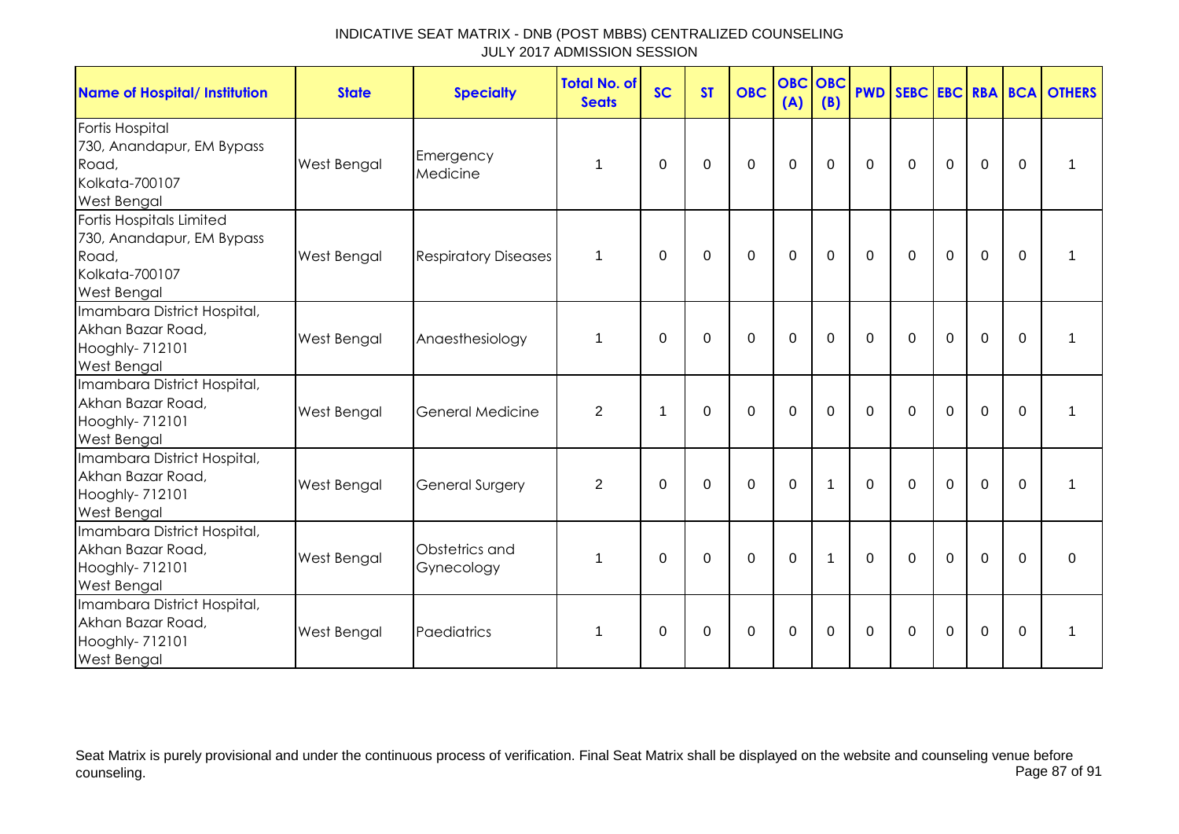| Name of Hospital/ Institution                                                                   | <b>State</b>       | <b>Specialty</b>             | <b>Total No. of</b><br><b>Seats</b> | <b>SC</b>   | <b>ST</b>   | <b>OBC</b>  | <b>OBC</b><br>(A) | <b>OBC</b><br>(B) |              |             |             |             |              | <b>PWD SEBC EBC RBA BCA OTHERS</b> |
|-------------------------------------------------------------------------------------------------|--------------------|------------------------------|-------------------------------------|-------------|-------------|-------------|-------------------|-------------------|--------------|-------------|-------------|-------------|--------------|------------------------------------|
| Fortis Hospital<br>730, Anandapur, EM Bypass<br>Road,<br>Kolkata-700107<br>West Bengal          | <b>West Bengal</b> | Emergency<br>Medicine        | 1                                   | $\Omega$    | $\mathbf 0$ | $\mathbf 0$ | $\mathbf 0$       | $\mathbf 0$       | $\Omega$     | $\Omega$    | $\mathbf 0$ | $\mathbf 0$ | $\Omega$     | 1                                  |
| Fortis Hospitals Limited<br>730, Anandapur, EM Bypass<br>Road,<br>Kolkata-700107<br>West Bengal | <b>West Bengal</b> | <b>Respiratory Diseases</b>  | $\mathbf 1$                         | $\Omega$    | $\mathbf 0$ | $\mathbf 0$ | $\mathbf 0$       | $\mathbf 0$       | $\mathbf 0$  | $\mathbf 0$ | $\mathbf 0$ | $\mathbf 0$ | $\mathbf 0$  | $\mathbf 1$                        |
| Imambara District Hospital,<br>Akhan Bazar Road,<br>Hooghly- 712101<br>West Bengal              | <b>West Bengal</b> | Anaesthesiology              | 1                                   | $\mathbf 0$ | $\mathbf 0$ | $\mathbf 0$ | $\mathbf 0$       | $\mathbf 0$       | $\mathbf 0$  | $\mathbf 0$ | $\mathbf 0$ | $\mathbf 0$ | $\mathbf 0$  | 1                                  |
| Imambara District Hospital,<br>Akhan Bazar Road,<br>Hooghly- 712101<br>West Bengal              | <b>West Bengal</b> | <b>General Medicine</b>      | $\overline{2}$                      | 1           | $\mathbf 0$ | $\mathbf 0$ | $\overline{0}$    | $\mathbf 0$       | $\Omega$     | $\Omega$    | $\mathbf 0$ | $\mathbf 0$ | $\Omega$     | 1                                  |
| Imambara District Hospital,<br>Akhan Bazar Road,<br>Hooghly- 712101<br>West Bengal              | <b>West Bengal</b> | General Surgery              | 2                                   | $\mathbf 0$ | $\mathbf 0$ | $\mathbf 0$ | $\mathbf 0$       | $\mathbf{1}$      | $\Omega$     | $\mathbf 0$ | $\mathbf 0$ | $\mathbf 0$ | $\mathbf 0$  | $\mathbf{1}$                       |
| Imambara District Hospital,<br>Akhan Bazar Road,<br>Hooghly- 712101<br>West Bengal              | West Bengal        | Obstetrics and<br>Gynecology | 1                                   | $\Omega$    | $\Omega$    | $\mathbf 0$ | $\mathbf 0$       | 1                 | $\Omega$     | $\Omega$    | $\mathbf 0$ | $\mathbf 0$ | $\Omega$     | $\mathbf 0$                        |
| Imambara District Hospital,<br>Akhan Bazar Road,<br>Hooghly- 712101<br><b>West Bengal</b>       | West Bengal        | Paediatrics                  | 1                                   | $\Omega$    | 0           | $\mathbf 0$ | $\mathbf 0$       | $\mathbf 0$       | $\mathbf{0}$ | 0           | $\mathbf 0$ | $\mathbf 0$ | $\mathbf{0}$ | $\mathbf 1$                        |

Seat Matrix is purely provisional and under the continuous process of verification. Final Seat Matrix shall be displayed on the website and counseling venue before<br>Page 87 of 91 counseling. Page 87 of 91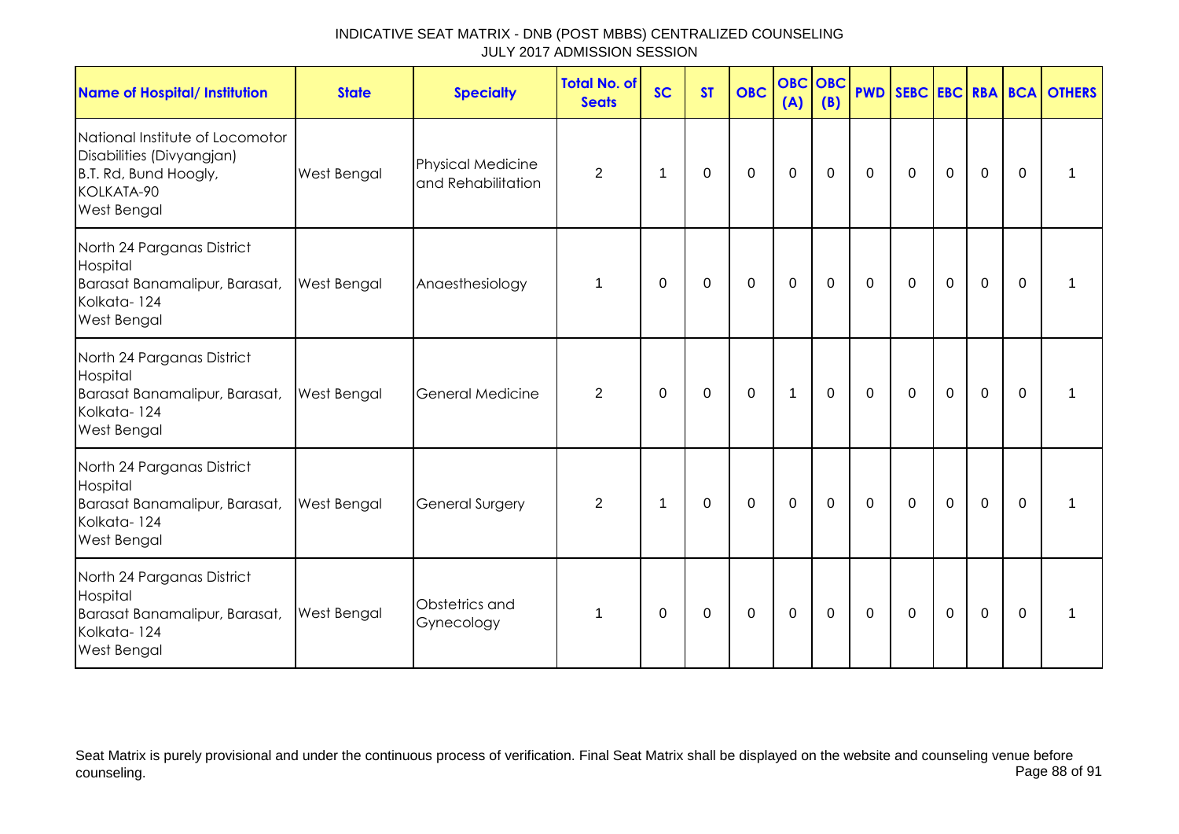| <b>Name of Hospital/ Institution</b>                                                                               | <b>State</b> | <b>Specialty</b>                               | <b>Total No. of</b><br><b>Seats</b> | <b>SC</b> | <b>ST</b> | <b>OBC</b>  | <b>OBC</b><br>(A) | <b>OBC</b><br>(B) |             |             |             |                |             | <b>PWD SEBC EBC RBA BCA OTHERS</b> |
|--------------------------------------------------------------------------------------------------------------------|--------------|------------------------------------------------|-------------------------------------|-----------|-----------|-------------|-------------------|-------------------|-------------|-------------|-------------|----------------|-------------|------------------------------------|
| National Institute of Locomotor<br>Disabilities (Divyangjan)<br>B.T. Rd, Bund Hoogly,<br>KOLKATA-90<br>West Bengal | West Bengal  | <b>Physical Medicine</b><br>and Rehabilitation | $\overline{2}$                      | 1         | 0         | $\mathbf 0$ | $\mathbf 0$       | $\mathbf 0$       | $\mathbf 0$ | $\mathbf 0$ | $\mathbf 0$ | $\mathbf 0$    | $\mathbf 0$ |                                    |
| North 24 Parganas District<br>Hospital<br>Barasat Banamalipur, Barasat,<br>Kolkata-124<br>West Bengal              | West Bengal  | Anaesthesiology                                | 1                                   | 0         | 0         | $\mathbf 0$ | $\mathbf 0$       | $\mathbf 0$       | $\mathbf 0$ | $\mathbf 0$ | $\mathbf 0$ | $\mathbf 0$    | $\mathbf 0$ | 1                                  |
| North 24 Parganas District<br>Hospital<br>Barasat Banamalipur, Barasat,<br>Kolkata-124<br>West Bengal              | West Bengal  | General Medicine                               | $\overline{2}$                      | 0         | 0         | 0           | $\mathbf{1}$      | 0                 | 0           | $\Omega$    | $\mathbf 0$ | $\mathbf 0$    | $\Omega$    | 1                                  |
| North 24 Parganas District<br>Hospital<br>Barasat Banamalipur, Barasat,<br>Kolkata-124<br>West Bengal              | West Bengal  | <b>General Surgery</b>                         | 2                                   | 1         | $\Omega$  | $\mathbf 0$ | $\mathbf 0$       | $\mathbf 0$       | $\mathbf 0$ | $\mathbf 0$ | $\mathbf 0$ | $\overline{0}$ | $\Omega$    | 1                                  |
| North 24 Parganas District<br>Hospital<br>Barasat Banamalipur, Barasat,<br>Kolkata-124<br>West Bengal              | West Bengal  | Obstetrics and<br>Gynecology                   | 1                                   | 0         | 0         | $\mathbf 0$ | $\mathbf 0$       | $\mathbf 0$       | 0           | $\mathbf 0$ | $\mathbf 0$ | $\mathbf 0$    | $\mathbf 0$ | 1                                  |

Seat Matrix is purely provisional and under the continuous process of verification. Final Seat Matrix shall be displayed on the website and counseling venue before<br>Page 88 of 91 counseling. Page 88 of 91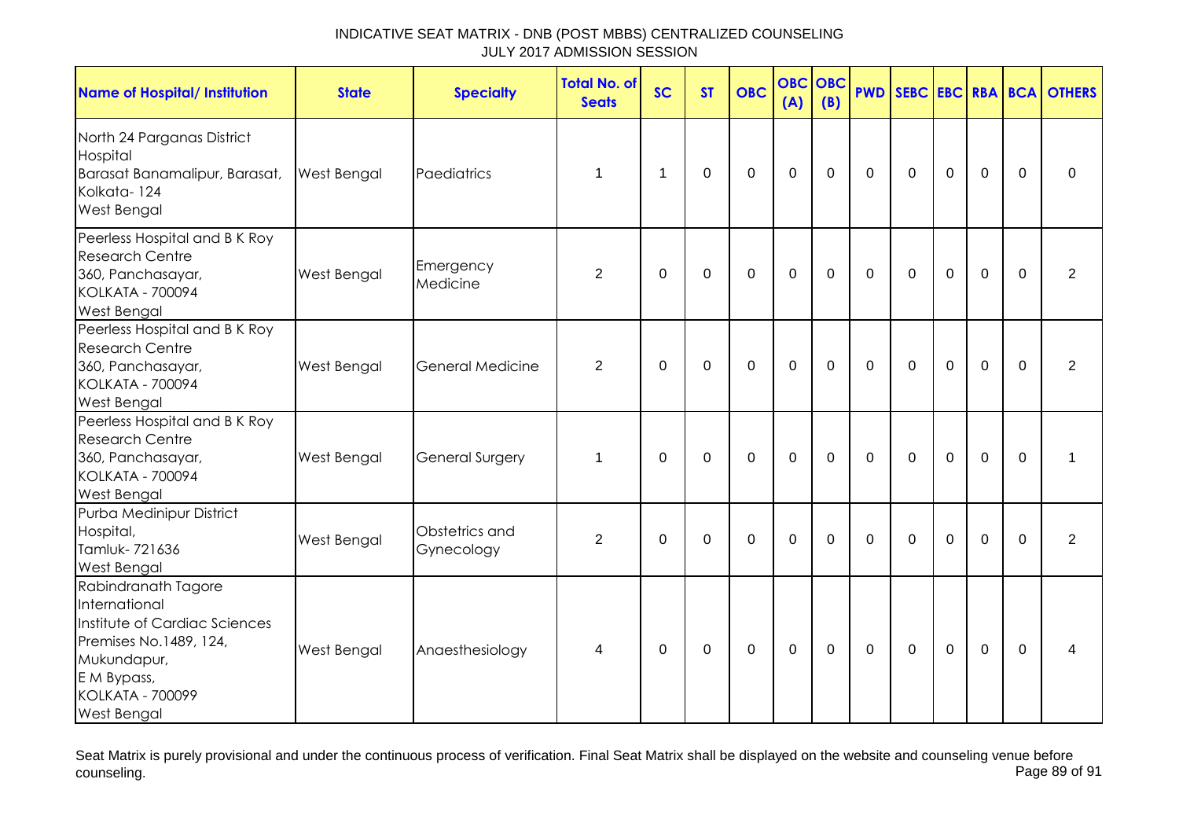| <b>Name of Hospital/ Institution</b>                                                                                                                                           | <b>State</b> | <b>Specialty</b>             | <b>Total No. of</b><br><b>Seats</b> | <b>SC</b>      | <b>ST</b>   | <b>OBC</b>  | <b>OBC</b><br>(A) | OBC<br>(B)  |              |             |                |                |             | <b>PWD SEBC EBC RBA BCA OTHERS</b> |
|--------------------------------------------------------------------------------------------------------------------------------------------------------------------------------|--------------|------------------------------|-------------------------------------|----------------|-------------|-------------|-------------------|-------------|--------------|-------------|----------------|----------------|-------------|------------------------------------|
| North 24 Parganas District<br>Hospital<br>Barasat Banamalipur, Barasat,<br>Kolkata-124<br>West Bengal                                                                          | West Bengal  | Paediatrics                  | 1                                   | $\overline{1}$ | $\Omega$    | $\mathbf 0$ | $\mathbf 0$       | $\mathbf 0$ | $\Omega$     | $\mathbf 0$ | $\mathbf 0$    | $\overline{0}$ | $\Omega$    | $\Omega$                           |
| Peerless Hospital and B K Roy<br><b>Research Centre</b><br>360, Panchasayar,<br><b>KOLKATA - 700094</b><br><b>West Bengal</b>                                                  | West Bengal  | Emergency<br>Medicine        | 2                                   | $\mathbf 0$    | $\mathbf 0$ | 0           | $\mathbf 0$       | 0           | 0            | 0           | $\mathbf 0$    | $\mathbf 0$    | $\Omega$    | $\overline{2}$                     |
| Peerless Hospital and B K Roy<br><b>Research Centre</b><br>360, Panchasayar,<br><b>KOLKATA - 700094</b><br>West Bengal                                                         | West Bengal  | <b>General Medicine</b>      | $\overline{2}$                      | $\Omega$       | $\mathbf 0$ | $\mathbf 0$ | $\mathbf 0$       | $\mathbf 0$ | $\mathbf 0$  | $\mathbf 0$ | $\overline{0}$ | $\mathbf 0$    | $\Omega$    | 2                                  |
| Peerless Hospital and B K Roy<br><b>Research Centre</b><br>360, Panchasayar,<br><b>KOLKATA - 700094</b><br><b>West Bengal</b>                                                  | West Bengal  | <b>General Surgery</b>       | 1                                   | 0              | $\mathbf 0$ | $\mathbf 0$ | $\mathbf 0$       | 0           | $\mathbf 0$  | $\mathbf 0$ | $\mathbf 0$    | $\overline{0}$ | $\mathbf 0$ | 1                                  |
| Purba Medinipur District<br>Hospital,<br>Tamluk-721636<br><b>West Bengal</b>                                                                                                   | West Bengal  | Obstetrics and<br>Gynecology | $\overline{2}$                      | 0              | 0           | $\mathbf 0$ | $\mathbf 0$       | 0           | $\mathbf{0}$ | 0           | 0              | $\mathbf 0$    | $\Omega$    | $\overline{2}$                     |
| Rabindranath Tagore<br>International<br>Institute of Cardiac Sciences<br>Premises No.1489, 124,<br>Mukundapur,<br>E M Bypass,<br><b>KOLKATA - 700099</b><br><b>West Bengal</b> | West Bengal  | Anaesthesiology              | 4                                   | $\Omega$       | 0           | $\mathbf 0$ | $\mathbf 0$       | $\mathbf 0$ | $\mathbf 0$  | $\Omega$    | $\overline{0}$ | $\overline{0}$ | $\Omega$    | 4                                  |

Seat Matrix is purely provisional and under the continuous process of verification. Final Seat Matrix shall be displayed on the website and counseling venue before<br>Page 89 of 91 counseling. Page 89 of 91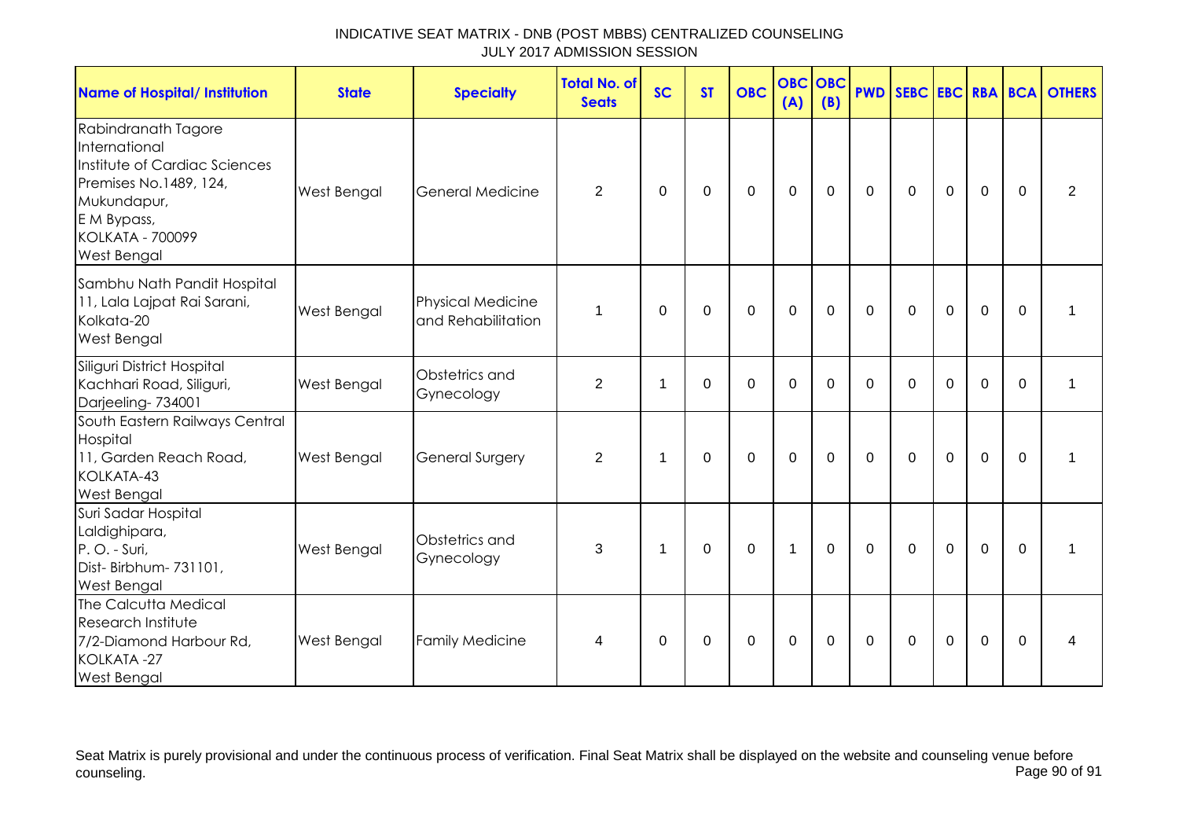| <b>Name of Hospital/ Institution</b>                                                                                                                                           | <b>State</b>       | <b>Specialty</b>                               | <b>Total No. of</b><br><b>Seats</b> | <b>SC</b> | <b>ST</b>   | <b>OBC</b>     | <b>OBC OBC</b><br>(A) | (B)         |             |              |                |                |          | <b>PWD SEBC EBC RBA BCA OTHERS</b> |
|--------------------------------------------------------------------------------------------------------------------------------------------------------------------------------|--------------------|------------------------------------------------|-------------------------------------|-----------|-------------|----------------|-----------------------|-------------|-------------|--------------|----------------|----------------|----------|------------------------------------|
| Rabindranath Tagore<br>International<br>Institute of Cardiac Sciences<br>Premises No.1489, 124,<br>Mukundapur,<br>E M Bypass,<br><b>KOLKATA - 700099</b><br><b>West Bengal</b> | West Bengal        | <b>General Medicine</b>                        | 2                                   | $\Omega$  | $\Omega$    | 0              | $\mathbf 0$           | $\Omega$    | 0           | $\mathbf{0}$ | 0              | $\mathbf 0$    | $\Omega$ | $\overline{2}$                     |
| Sambhu Nath Pandit Hospital<br>11, Lala Lajpat Rai Sarani,<br>Kolkata-20<br><b>West Bengal</b>                                                                                 | <b>West Bengal</b> | <b>Physical Medicine</b><br>and Rehabilitation | 1                                   | $\Omega$  | $\Omega$    | $\mathbf{0}$   | $\mathbf 0$           | $\Omega$    | $\Omega$    | $\Omega$     | $\mathbf{0}$   | $\Omega$       | $\Omega$ | 1                                  |
| Siliguri District Hospital<br>Kachhari Road, Siliguri,<br>Darjeeling-734001                                                                                                    | West Bengal        | Obstetrics and<br>Gynecology                   | $\overline{2}$                      | 1         | $\Omega$    | $\overline{0}$ | $\overline{0}$        | $\Omega$    | $\mathbf 0$ | $\Omega$     | $\overline{0}$ | $\overline{0}$ | $\Omega$ | 1                                  |
| South Eastern Railways Central<br>Hospital<br>11, Garden Reach Road,<br>KOLKATA-43<br><b>West Bengal</b>                                                                       | West Bengal        | <b>General Surgery</b>                         | 2                                   | 1         | $\mathbf 0$ | $\mathbf 0$    | $\overline{0}$        | $\mathbf 0$ | $\mathbf 0$ | $\mathbf 0$  | $\mathbf 0$    | $\mathbf 0$    | $\Omega$ | 1                                  |
| Suri Sadar Hospital<br>Laldighipara,<br>P.O. - Suri,<br>Dist- Birbhum- 731101,<br><b>West Bengal</b>                                                                           | West Bengal        | Obstetrics and<br>Gynecology                   | 3                                   | 1         | 0           | 0              | $\mathbf{1}$          | $\mathbf 0$ | $\mathbf 0$ | $\mathbf 0$  | $\mathbf 0$    | $\mathbf 0$    | $\Omega$ | $\mathbf 1$                        |
| The Calcutta Medical<br><b>Research Institute</b><br>7/2-Diamond Harbour Rd,<br>KOLKATA-27<br><b>West Bengal</b>                                                               | West Bengal        | <b>Family Medicine</b>                         | 4                                   | $\Omega$  | 0           | $\mathbf 0$    | $\mathbf 0$           | $\mathbf 0$ | $\mathbf 0$ | $\mathbf 0$  | $\mathbf 0$    | $\mathbf 0$    | $\Omega$ | 4                                  |

Seat Matrix is purely provisional and under the continuous process of verification. Final Seat Matrix shall be displayed on the website and counseling venue before<br>Page 90 of 91 counseling. Page 90 of 91